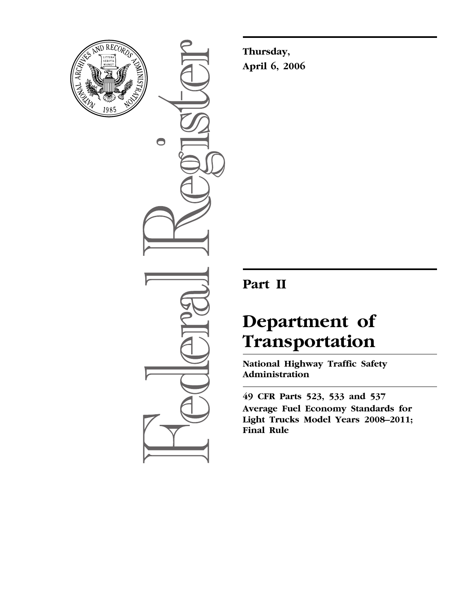

 $\bullet$ 

**Thursday, April 6, 2006** 

## **Part II**

# **Department of Transportation**

**National Highway Traffic Safety Administration** 

**49 CFR Parts 523, 533 and 537 Average Fuel Economy Standards for Light Trucks Model Years 2008–2011; Final Rule**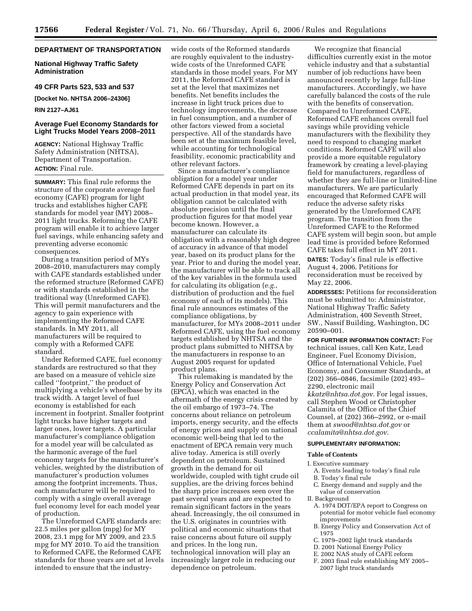## **DEPARTMENT OF TRANSPORTATION**

**National Highway Traffic Safety Administration** 

**49 CFR Parts 523, 533 and 537** 

**[Docket No. NHTSA 2006–24306]** 

## **RIN 2127–AJ61**

## **Average Fuel Economy Standards for Light Trucks Model Years 2008–2011**

**AGENCY:** National Highway Traffic Safety Administration (NHTSA), Department of Transportation. **ACTION:** Final rule.

**SUMMARY:** This final rule reforms the structure of the corporate average fuel economy (CAFE) program for light trucks and establishes higher CAFE standards for model year (MY) 2008– 2011 light trucks. Reforming the CAFE program will enable it to achieve larger fuel savings, while enhancing safety and preventing adverse economic consequences.

During a transition period of MYs 2008–2010, manufacturers may comply with CAFE standards established under the reformed structure (Reformed CAFE) or with standards established in the traditional way (Unreformed CAFE). This will permit manufacturers and the agency to gain experience with implementing the Reformed CAFE standards. In MY 2011, all manufacturers will be required to comply with a Reformed CAFE standard.

Under Reformed CAFE, fuel economy standards are restructured so that they are based on a measure of vehicle size called ''footprint,'' the product of multiplying a vehicle's wheelbase by its track width. A target level of fuel economy is established for each increment in footprint. Smaller footprint light trucks have higher targets and larger ones, lower targets. A particular manufacturer's compliance obligation for a model year will be calculated as the harmonic average of the fuel economy targets for the manufacturer's vehicles, weighted by the distribution of manufacturer's production volumes among the footprint increments. Thus, each manufacturer will be required to comply with a single overall average fuel economy level for each model year of production.

The Unreformed CAFE standards are: 22.5 miles per gallon (mpg) for MY 2008, 23.1 mpg for MY 2009, and 23.5 mpg for MY 2010. To aid the transition to Reformed CAFE, the Reformed CAFE standards for those years are set at levels intended to ensure that the industrywide costs of the Reformed standards are roughly equivalent to the industrywide costs of the Unreformed CAFE standards in those model years. For MY 2011, the Reformed CAFE standard is set at the level that maximizes net benefits. Net benefits includes the increase in light truck prices due to technology improvements, the decrease in fuel consumption, and a number of other factors viewed from a societal perspective. All of the standards have been set at the maximum feasible level, while accounting for technological feasibility, economic practicability and other relevant factors.

Since a manufacturer's compliance obligation for a model year under Reformed CAFE depends in part on its actual production in that model year, its obligation cannot be calculated with absolute precision until the final production figures for that model year become known. However, a manufacturer can calculate its obligation with a reasonably high degree of accuracy in advance of that model year, based on its product plans for the year. Prior to and during the model year, the manufacturer will be able to track all of the key variables in the formula used for calculating its obligation (*e.g.*, distribution of production and the fuel economy of each of its models). This final rule announces estimates of the compliance obligations, by manufacturer, for MYs 2008–2011 under Reformed CAFE, using the fuel economy targets established by NHTSA and the product plans submitted to NHTSA by the manufacturers in response to an August 2005 request for updated product plans.

This rulemaking is mandated by the Energy Policy and Conservation Act (EPCA), which was enacted in the aftermath of the energy crisis created by the oil embargo of 1973–74. The concerns about reliance on petroleum imports, energy security, and the effects of energy prices and supply on national economic well-being that led to the enactment of EPCA remain very much alive today. America is still overly dependent on petroleum. Sustained growth in the demand for oil worldwide, coupled with tight crude oil supplies, are the driving forces behind the sharp price increases seen over the past several years and are expected to remain significant factors in the years ahead. Increasingly, the oil consumed in the U.S. originates in countries with political and economic situations that raise concerns about future oil supply and prices. In the long run, technological innovation will play an increasingly larger role in reducing our dependence on petroleum.

We recognize that financial difficulties currently exist in the motor vehicle industry and that a substantial number of job reductions have been announced recently by large full-line manufacturers. Accordingly, we have carefully balanced the costs of the rule with the benefits of conservation. Compared to Unreformed CAFE, Reformed CAFE enhances overall fuel savings while providing vehicle manufacturers with the flexibility they need to respond to changing market conditions. Reformed CAFE will also provide a more equitable regulatory framework by creating a level-playing field for manufacturers, regardless of whether they are full-line or limited-line manufacturers. We are particularly encouraged that Reformed CAFE will reduce the adverse safety risks generated by the Unreformed CAFE program. The transition from the Unreformed CAFE to the Reformed CAFE system will begin soon, but ample lead time is provided before Reformed CAFE takes full effect in MY 2011.

**DATES:** Today's final rule is effective August 4, 2006. Petitions for reconsideration must be received by May 22, 2006.

**ADDRESSES:** Petitions for reconsideration must be submitted to: Administrator, National Highway Traffic Safety Administration, 400 Seventh Street, SW., Nassif Building, Washington, DC 20590–001.

**FOR FURTHER INFORMATION CONTACT:** For technical issues, call Ken Katz, Lead Engineer, Fuel Economy Division, Office of International Vehicle, Fuel Economy, and Consumer Standards, at (202) 366–0846, facsimile (202) 493– 2290, electronic mail *[kkatz@nhtsa.dot.gov.](mailto:kkatz@nhtsa.dot.gov)* For legal issues, call Stephen Wood or Christopher Calamita of the Office of the Chief Counsel, at (202) 366–2992, or e-mail them at *[swood@nhtsa.dot.gov](mailto:swood@nhtsa.dot.gov)* or *[ccalamita@nhtsa.dot.gov.](mailto:ccalamita@nhtsa.dot.gov)* 

## **SUPPLEMENTARY INFORMATION:**

## **Table of Contents**

I. Executive summary

- A. Events leading to today's final rule
- B. Today's final rule
- C. Energy demand and supply and the value of conservation

## II. Background

- A. 1974 DOT/EPA report to Congress on potential for motor vehicle fuel economy improvements
- B. Energy Policy and Conservation Act of 1975
- C. 1979–2002 light truck standards
- D. 2001 National Energy Policy
- E. 2002 NAS study of CAFE reform
- F. 2003 final rule establishing MY 2005– 2007 light truck standards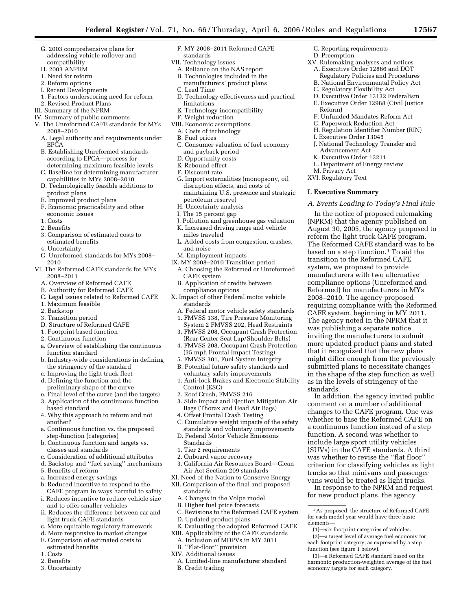- G. 2003 comprehensive plans for addressing vehicle rollover and compatibility
- H. 2003 ANPRM
- 1. Need for reform
- 2. Reform options
- I. Recent Developments
- 1. Factors underscoring need for reform
- 2. Revised Product Plans
- III. Summary of the NPRM
- IV. Summary of public comments
- V. The Unreformed CAFE standards for MYs 2008–2010
	- A. Legal authority and requirements under **EPCA**
	- B. Establishing Unreformed standards according to EPCA—process for determining maximum feasible levels
	- C. Baseline for determining manufacturer capabilities in MYs 2008–2010
	- D. Technologically feasible additions to product plans
	- E. Improved product plans
	- F. Economic practicability and other economic issues
	- 1. Costs
	- 2. Benefits
	- 3. Comparison of estimated costs to
	- estimated benefits
	- 4. Uncertainty
	- G. Unreformed standards for MYs 2008–
	- 2010
- VI. The Reformed CAFE standards for MYs 2008–2011
	- A. Overview of Reformed CAFE
	- B. Authority for Reformed CAFE
	- C. Legal issues related to Reformed CAFE
	- 1. Maximum feasible
	- 2. Backstop
	- 3. Transition period
	- D. Structure of Reformed CAFE
	- 1. Footprint based function
	- 2. Continuous function
	- a. Overview of establishing the continuous function standard
	- b. Industry-wide considerations in defining the stringency of the standard
	- c. Improving the light truck fleet
	- d. Defining the function and the preliminary shape of the curve
	- e. Final level of the curve (and the targets)
	- 3. Application of the continuous function
	- based standard 4. Why this approach to reform and not
	- another?
	- a. Continuous function vs. the proposed step-function (categories)
	- b. Continuous function and targets vs. classes and standards
	- c. Consideration of additional attributes
	- d. Backstop and ''fuel saving'' mechanisms
	- 5. Benefits of reform
	- a. Increased energy savings
	- b. Reduced incentive to respond to the CAFE program in ways harmful to safety
	- i. Reduces incentive to reduce vehicle size and to offer smaller vehicles
	- ii. Reduces the difference between car and light truck CAFE standards
	- c. More equitable regulatory framework
	- d. More responsive to market changes
	- E. Comparison of estimated costs to
	- estimated benefits
	- 1. Costs
	- 2. Benefits 3. Uncertainty
- F. MY 2008–2011 Reformed CAFE standards
- VII. Technology issues
- A. Reliance on the NAS report
- B. Technologies included in the manufacturers' product plans
- C. Lead Time
- D. Technology effectiveness and practical limitations
- E. Technology incompatibility
- F. Weight reduction
- VIII. Economic assumptions
- A. Costs of technology
- B. Fuel prices
- C. Consumer valuation of fuel economy and payback period
- D. Opportunity costs
- E. Rebound effect
- F. Discount rate
- G. Import externalities (monopsony, oil disruption effects, and costs of maintaining U.S. presence and strategic petroleum reserve)
- H. Uncertainty analysis
- I. The 15 percent gap
- J. Pollution and greenhouse gas valuation
- K. Increased driving range and vehicle miles traveled
- L. Added costs from congestion, crashes, and noise
- M. Employment impacts
- IX. MY 2008–2010 Transition period A. Choosing the Reformed or Unreformed
	- CAFE system B. Application of credits between compliance options
- X. Impact of other Federal motor vehicle standards
	- A. Federal motor vehicle safety standards 1. FMVSS 138, Tire Pressure Monitoring
	- System 2 FMVSS 202, Head Restraints 3. FMVSS 208, Occupant Crash Protection
	- (Rear Center Seat Lap/Shoulder Belts)
	- 4. FMVSS 208, Occupant Crash Protection (35 mph Frontal Impact Testing)
	- 5. FMVSS 301, Fuel System Integrity
	- B. Potential future safety standards and voluntary safety improvements
	- 1. Anti-lock Brakes and Electronic Stability Control (ESC)
	- 2. Roof Crush, FMVSS 216
	- 3. Side Impact and Ejection Mitigation Air
	- Bags (Thorax and Head Air Bags) 4. Offset Frontal Crash Testing
	- C. Cumulative weight impacts of the safety standards and voluntary improvements
	- D. Federal Motor Vehicle Emissions Standards
	- 1. Tier 2 requirements
	- 2. Onboard vapor recovery
- 3. California Air Resources Board—Clean Air Act Section 209 standards

C. Revisions to the Reformed CAFE system

E. Evaluating the adopted Reformed CAFE XIII. Applicability of the CAFE standards A. Inclusion of MDPVs in MY 2011

A. Limited-line manufacturer standard

 $^{\rm 1}\hspace{1pt}$  As proposed, the structure of Reformed CAFE for each model year would have three basic

In addition, the agency invited public comment on a number of additional changes to the CAFE program. One was whether to base the Reformed CAFE on a continuous function instead of a step function. A second was whether to include large sport utility vehicles (SUVs) in the CAFE standards. A third was whether to revise the ''flat floor'' criterion for classifying vehicles as light trucks so that minivans and passenger vans would be treated as light trucks. In response to the NPRM and request for new product plans, the agency

(3)—a Reformed CAFE standard based on the harmonic production-weighted average of the fuel

(1)—six footprint categories of vehicles. (2)—a target level of average fuel economy for each footprint category, as expressed by a step

function (see figure 1 below).

economy targets for each category.

C. Reporting requirements

XV. Rulemaking analyses and notices A. Executive Order 12866 and DOT Regulatory Policies and Procedures B. National Environmental Policy Act C. Regulatory Flexibility Act D. Executive Order 13132 Federalism E. Executive Order 12988 (Civil Justice

F. Unfunded Mandates Reform Act G. Paperwork Reduction Act H. Regulation Identifier Number (RIN)

J. National Technology Transfer and

*A. Events Leading to Today's Final Rule*  In the notice of proposed rulemaking (NPRM) that the agency published on August 30, 2005, the agency proposed to reform the light truck CAFE program. The Reformed CAFE standard was to be based on a step function.<sup>1</sup> To aid the transition to the Reformed CAFE system, we proposed to provide manufacturers with two alternative compliance options (Unreformed and Reformed) for manufacturers in MYs 2008–2010. The agency proposed requiring compliance with the Reformed CAFE system, beginning in MY 2011. The agency noted in the NPRM that it was publishing a separate notice inviting the manufacturers to submit more updated product plans and stated that it recognized that the new plans might differ enough from the previously submitted plans to necessitate changes in the shape of the step function as well as in the levels of stringency of the

I. Executive Order 13045

Advancement Act K. Executive Order 13211 L. Department of Energy review

M. Privacy Act XVI. Regulatory Text **I. Executive Summary** 

D. Preemption

Reform)

elements—

standards.

- XI. Need of the Nation to Conserve Energy XII. Comparison of the final and proposed standards
	- A. Changes in the Volpe model
	- B. Higher fuel price forecasts

D. Updated product plans

B. ''Flat-floor'' provision XIV. Additional issues

B. Credit trading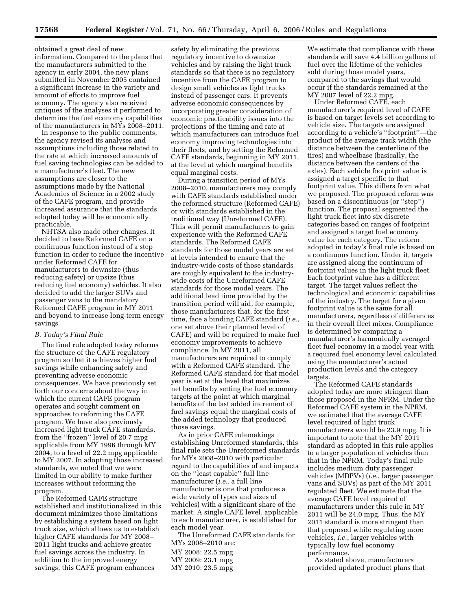obtained a great deal of new information. Compared to the plans that the manufacturers submitted to the agency in early 2004, the new plans submitted in November 2005 contained a significant increase in the variety and amount of efforts to improve fuel economy. The agency also received critiques of the analyses it performed to determine the fuel economy capabilities of the manufacturers in MYs 2008–2011.

In response to the public comments, the agency revised its analyses and assumptions including those related to the rate at which increased amounts of fuel saving technologies can be added to a manufacturer's fleet. The new assumptions are closer to the assumptions made by the National Academies of Science in a 2002 study of the CAFE program, and provide increased assurance that the standards adopted today will be economically practicable.

NHTSA also made other changes. It decided to base Reformed CAFE on a continuous function instead of a step function in order to reduce the incentive under Reformed CAFE for manufacturers to downsize (thus reducing safety) or upsize (thus reducing fuel economy) vehicles. It also decided to add the larger SUVs and passenger vans to the mandatory Reformed CAFE program in MY 2011 and beyond to increase long-term energy savings.

## *B. Today's Final Rule*

The final rule adopted today reforms the structure of the CAFE regulatory program so that it achieves higher fuel savings while enhancing safety and preventing adverse economic consequences. We have previously set forth our concerns about the way in which the current CAFE program operates and sought comment on approaches to reforming the CAFE program. We have also previously increased light truck CAFE standards, from the ''frozen'' level of 20.7 mpg applicable from MY 1996 through MY 2004, to a level of 22.2 mpg applicable to MY 2007. In adopting those increased standards, we noted that we were limited in our ability to make further increases without reforming the program.

The Reformed CAFE structure established and institutionalized in this document minimizes those limitations by establishing a system based on light truck size, which allows us to establish higher CAFE standards for MY 2008– 2011 light trucks and achieve greater fuel savings across the industry. In addition to the improved energy savings, this CAFE program enhances

safety by eliminating the previous regulatory incentive to downsize vehicles and by raising the light truck standards so that there is no regulatory incentive from the CAFE program to design small vehicles as light trucks instead of passenger cars. It prevents adverse economic consequences by incorporating greater consideration of economic practicability issues into the projections of the timing and rate at which manufacturers can introduce fuel economy improving technologies into their fleets, and by setting the Reformed CAFE standards, beginning in MY 2011, at the level at which marginal benefits equal marginal costs.

During a transition period of MYs 2008–2010, manufacturers may comply with CAFE standards established under the reformed structure (Reformed CAFE) or with standards established in the traditional way (Unreformed CAFE). This will permit manufacturers to gain experience with the Reformed CAFE standards. The Reformed CAFE standards for those model years are set at levels intended to ensure that the industry-wide costs of those standards are roughly equivalent to the industrywide costs of the Unreformed CAFE standards for those model years. The additional lead time provided by the transition period will aid, for example, those manufacturers that, for the first time, face a binding CAFE standard (*i.e.*, one set above their planned level of CAFE) and will be required to make fuel economy improvements to achieve compliance. In MY 2011, all manufacturers are required to comply with a Reformed CAFE standard. The Reformed CAFE standard for that model year is set at the level that maximizes net benefits by setting the fuel economy targets at the point at which marginal benefits of the last added increment of fuel savings equal the marginal costs of the added technology that produced those savings.

As in prior CAFE rulemakings establishing Unreformed standards, this final rule sets the Unreformed standards for MYs 2008–2010 with particular regard to the capabilities of and impacts on the ''least capable'' full line manufacturer (*i.e.*, a full line manufacturer is one that produces a wide variety of types and sizes of vehicles) with a significant share of the market. A single CAFE level, applicable to each manufacturer, is established for each model year.

The Unreformed CAFE standards for MYs 2008–2010 are:

MY 2008: 22.5 mpg MY 2009: 23.1 mpg MY 2010: 23.5 mpg

We estimate that compliance with these standards will save 4.4 billion gallons of fuel over the lifetime of the vehicles sold during those model years, compared to the savings that would occur if the standards remained at the MY 2007 level of 22.2 mpg.

Under Reformed CAFE, each manufacturer's required level of CAFE is based on target levels set according to vehicle size. The targets are assigned according to a vehicle's ''footprint''—the product of the average track width (the distance between the centerline of the tires) and wheelbase (basically, the distance between the centers of the axles). Each vehicle footprint value is assigned a target specific to that footprint value. This differs from what we proposed. The proposed reform was based on a discontinuous (or ''step'') function. The proposal segmented the light truck fleet into six discrete categories based on ranges of footprint and assigned a target fuel economy value for each category. The reform adopted in today's final rule is based on a continuous function. Under it, targets are assigned along the continuum of footprint values in the light truck fleet. Each footprint value has a different target. The target values reflect the technological and economic capabilities of the industry. The target for a given footprint value is the same for all manufacturers, regardless of differences in their overall fleet mixes. Compliance is determined by comparing a manufacturer's harmonically averaged fleet fuel economy in a model year with a required fuel economy level calculated using the manufacturer's actual production levels and the category targets.

The Reformed CAFE standards adopted today are more stringent than those proposed in the NPRM. Under the Reformed CAFE system in the NPRM, we estimated that the average CAFE level required of light truck manufacturers would be 23.9 mpg. It is important to note that the MY 2011 standard as adopted in this rule applies to a larger population of vehicles than that in the NPRM. Today's final rule includes medium duty passenger vehicles (MDPVs) (*i.e.*, larger passenger vans and SUVs) as part of the MY 2011 regulated fleet. We estimate that the average CAFE level required of manufacturers under this rule in MY 2011 will be 24.0 mpg. Thus, the MY 2011 standard is more stringent than that proposed while regulating more vehicles, *i.e.*, larger vehicles with typically low fuel economy performance.

As stated above, manufacturers provided updated product plans that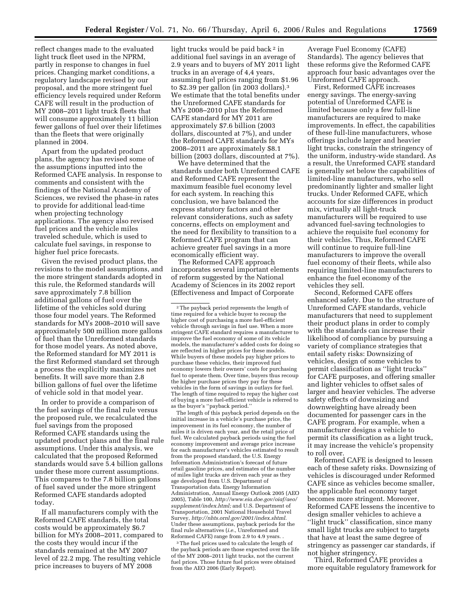reflect changes made to the evaluated light truck fleet used in the NPRM, partly in response to changes in fuel prices. Changing market conditions, a regulatory landscape revised by our proposal, and the more stringent fuel efficiency levels required under Reform CAFE will result in the production of MY 2008–2011 light truck fleets that will consume approximately 11 billion fewer gallons of fuel over their lifetimes than the fleets that were originally planned in 2004.

Apart from the updated product plans, the agency has revised some of the assumptions inputted into the Reformed CAFE analysis. In response to comments and consistent with the findings of the National Academy of Sciences, we revised the phase-in rates to provide for additional lead-time when projecting technology applications. The agency also revised fuel prices and the vehicle miles traveled schedule, which is used to calculate fuel savings, in response to higher fuel price forecasts.

Given the revised product plans, the revisions to the model assumptions, and the more stringent standards adopted in this rule, the Reformed standards will save approximately 7.8 billion additional gallons of fuel over the lifetime of the vehicles sold during those four model years. The Reformed standards for MYs 2008–2010 will save approximately 500 million more gallons of fuel than the Unreformed standards for those model years. As noted above, the Reformed standard for MY 2011 is the first Reformed standard set through a process the explicitly maximizes net benefits. It will save more than 2.8 billion gallons of fuel over the lifetime of vehicle sold in that model year.

In order to provide a comparison of the fuel savings of the final rule versus the proposed rule, we recalculated the fuel savings from the proposed Reformed CAFE standards using the updated product plans and the final rule assumptions. Under this analysis, we calculated that the proposed Reformed standards would save 5.4 billion gallons under these more current assumptions. This compares to the 7.8 billion gallons of fuel saved under the more stringent Reformed CAFE standards adopted today.

If all manufacturers comply with the Reformed CAFE standards, the total costs would be approximately \$6.7 billion for MYs 2008–2011, compared to the costs they would incur if the standards remained at the MY 2007 level of 22.2 mpg. The resulting vehicle price increases to buyers of MY 2008

light trucks would be paid back 2 in additional fuel savings in an average of 2.9 years and to buyers of MY 2011 light trucks in an average of 4,4 years, assuming fuel prices ranging from \$1.96 to \$2.39 per gallon (in 2003 dollars).3 We estimate that the total benefits under the Unreformed CAFE standards for MYs 2008–2010 plus the Reformed CAFE standard for MY 2011 are approximately \$7.6 billion (2003 dollars, discounted at 7%), and under the Reformed CAFE standards for MYs 2008–2011 are approximately \$8.1 billion (2003 dollars, discounted at 7%).

We have determined that the standards under both Unreformed CAFE and Reformed CAFE represent the maximum feasible fuel economy level for each system. In reaching this conclusion, we have balanced the express statutory factors and other relevant considerations, such as safety concerns, effects on employment and the need for flexibility to transition to a Reformed CAFE program that can achieve greater fuel savings in a more economically efficient way.

The Reformed CAFE approach incorporates several important elements of reform suggested by the National Academy of Sciences in its 2002 report (Effectiveness and Impact of Corporate

The length of this payback period depends on the initial increase in a vehicle's purchase price, the improvement in its fuel economy, the number of miles it is driven each year, and the retail price of fuel. We calculated payback periods using the fuel economy improvement and average price increase for each manufacturer's vehicles estimated to result from the proposed standard, the U.S. Energy Information Administration's forecast of future retail gasoline prices, and estimates of the number of miles light trucks are driven each year as they age developed from U.S. Department of Transportation data. Energy Information Administration, Annual Energy Outlook 2005 (AEO 2005), Table 100, *[http://www.eia.doe.gov/oiaf/aeo/](http://www.eia.doe.gov/oiaf/aeo/supplement/index.html)  supplement/index.html;* and U.S. Department of Transportation, 2001 National Household Travel Survey, *<http://nhts.ornl.gov/2001/index.shtml>*. Under these assumptions, payback periods for the final rule alternatives (*i.e.*, Unreformed and Reformed CAFE) range from 2.9 to 4.9 years. .

<sup>3</sup>The fuel prices used to calculate the length of the payback periods are those expected over the life of the MY 2008–2011 light trucks, not the current fuel prices. Those future fuel prices were obtained from the AEO 2006 (Early Report).

Average Fuel Economy (CAFE) Standards). The agency believes that these reforms give the Reformed CAFE approach four basic advantages over the Unreformed CAFE approach.

First, Reformed CAFE increases energy savings. The energy-saving potential of Unreformed CAFE is limited because only a few full-line manufacturers are required to make improvements. In effect, the capabilities of these full-line manufacturers, whose offerings include larger and heavier light trucks, constrain the stringency of the uniform, industry-wide standard. As a result, the Unreformed CAFE standard is generally set below the capabilities of limited-line manufacturers, who sell predominantly lighter and smaller light trucks. Under Reformed CAFE, which accounts for size differences in product mix, virtually all light-truck manufacturers will be required to use advanced fuel-saving technologies to achieve the requisite fuel economy for their vehicles. Thus, Reformed CAFE will continue to require full-line manufacturers to improve the overall fuel economy of their fleets, while also requiring limited-line manufacturers to enhance the fuel economy of the vehicles they sell.

Second, Reformed CAFE offers enhanced safety. Due to the structure of Unreformed CAFE standards, vehicle manufacturers that need to supplement their product plans in order to comply with the standards can increase their likelihood of compliance by pursuing a variety of compliance strategies that entail safety risks: Downsizing of vehicles, design of some vehicles to permit classification as ''light trucks'' for CAFE purposes, and offering smaller and lighter vehicles to offset sales of larger and heavier vehicles. The adverse safety effects of downsizing and downweighting have already been documented for passenger cars in the CAFE program. For example, when a manufacturer designs a vehicle to permit its classification as a light truck, it may increase the vehicle's propensity to roll over.

Reformed CAFE is designed to lessen each of these safety risks. Downsizing of vehicles is discouraged under Reformed CAFE since as vehicles become smaller, the applicable fuel economy target becomes more stringent. Moreover, Reformed CAFE lessens the incentive to design smaller vehicles to achieve a ''light truck'' classification, since many small light trucks are subject to targets that have at least the same degree of stringency as passenger car standards, if not higher stringency.

Third, Reformed CAFE provides a more equitable regulatory framework for

<sup>2</sup>The payback period represents the length of time required for a vehicle buyer to recoup the higher cost of purchasing a more fuel-efficient vehicle through savings in fuel use. When a more stringent CAFE standard requires a manufacturer to improve the fuel economy of some of its vehicle models, the manufacturer's added costs for doing so are reflected in higher prices for these models. While buyers of these models pay higher prices to purchase these vehicles, their improved fuel economy lowers their owners' costs for purchasing fuel to operate them. Over time, buyers thus recoup the higher purchase prices they pay for these vehicles in the form of savings in outlays for fuel. The length of time required to repay the higher cost of buying a more fuel-efficient vehicle is referred to as the buyer's ''payback period.''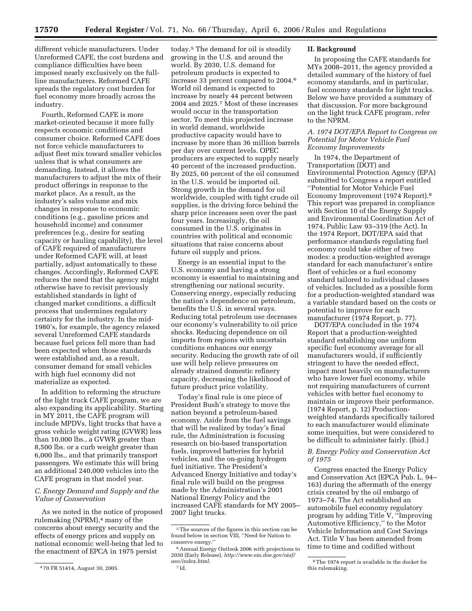different vehicle manufacturers. Under Unreformed CAFE, the cost burdens and compliance difficulties have been imposed nearly exclusively on the fullline manufacturers. Reformed CAFE spreads the regulatory cost burden for fuel economy more broadly across the industry.

Fourth, Reformed CAFE is more market-oriented because it more fully respects economic conditions and consumer choice. Reformed CAFE does not force vehicle manufacturers to adjust fleet mix toward smaller vehicles unless that is what consumers are demanding. Instead, it allows the manufacturers to adjust the mix of their product offerings in response to the market place. As a result, as the industry's sales volume and mix changes in response to economic conditions (e.g., gasoline prices and household income) and consumer preferences (e.g., desire for seating capacity or hauling capability), the level of CAFE required of manufacturers under Reformed CAFE will, at least partially, adjust automatically to these changes. Accordingly, Reformed CAFE reduces the need that the agency might otherwise have to revisit previously established standards in light of changed market conditions, a difficult process that undermines regulatory certainty for the industry. In the mid-1980's, for example, the agency relaxed several Unreformed CAFE standards because fuel prices fell more than had been expected when those standards were established and, as a result, consumer demand for small vehicles with high fuel economy did not materialize as expected.

In addition to reforming the structure of the light truck CAFE program, we are also expanding its applicability. Starting in MY 2011, the CAFE program will include MPDVs, light trucks that have a gross vehicle weight rating (GVWR) less than 10,000 lbs., a GVWR greater than 8,500 lbs. or a curb weight greater than 6,000 lbs., and that primarily transport passengers. We estimate this will bring an additional 240,000 vehicles into the CAFE program in that model year.

## *C. Energy Demand and Supply and the Value of Conservation*

As we noted in the notice of proposed rulemaking (NPRM),4 many of the concerns about energy security and the effects of energy prices and supply on national economic well-being that led to the enactment of EPCA in 1975 persist

today.5 The demand for oil is steadily growing in the U.S. and around the world. By 2030, U.S. demand for petroleum products is expected to increase 33 percent compared to 2004.6 World oil demand is expected to increase by nearly 44 percent between 2004 and 2025.7 Most of these increases would occur in the transportation sector. To meet this projected increase in world demand, worldwide productive capacity would have to increase by more than 36 million barrels per day over current levels. OPEC producers are expected to supply nearly 40 percent of the increased production. By 2025, 60 percent of the oil consumed in the U.S. would be imported oil. Strong growth in the demand for oil worldwide, coupled with tight crude oil supplies, is the driving force behind the sharp price increases seen over the past four years. Increasingly, the oil consumed in the U.S. originates in countries with political and economic situations that raise concerns about future oil supply and prices.

Energy is an essential input to the U.S. economy and having a strong economy is essential to maintaining and strengthening our national security. Conserving energy, especially reducing the nation's dependence on petroleum, benefits the U.S. in several ways. Reducing total petroleum use decreases our economy's vulnerability to oil price shocks. Reducing dependence on oil imports from regions with uncertain conditions enhances our energy security. Reducing the growth rate of oil use will help relieve pressures on already strained domestic refinery capacity, decreasing the likelihood of future product price volatility.

Today's final rule is one piece of President Bush's strategy to move the nation beyond a petroleum-based economy. Aside from the fuel savings that will be realized by today's final rule, the Administration is focusing research on bio-based transportation fuels, improved batteries for hybrid vehicles, and the on-going hydrogen fuel initiative. The President's Advanced Energy Initiative and today's final rule will build on the progress made by the Administration's 2001 National Energy Policy and the increased CAFE standards for MY 2005– 2007 light trucks.

## **II. Background**

In proposing the CAFE standards for MYs 2008–2011, the agency provided a detailed summary of the history of fuel economy standards, and in particular, fuel economy standards for light trucks. Below we have provided a summary of that discussion. For more background on the light truck CAFE program, refer to the NPRM.

## *A. 1974 DOT/EPA Report to Congress on Potential for Motor Vehicle Fuel Economy Improvements*

In 1974, the Department of Transportation (DOT) and Environmental Protection Agency (EPA) submitted to Congress a report entitled ''Potential for Motor Vehicle Fuel Economy Improvement (1974 Report).8 This report was prepared in compliance with Section 10 of the Energy Supply and Environmental Coordination Act of 1974, Public Law 93–319 (the Act). In the 1974 Report, DOT/EPA said that performance standards regulating fuel economy could take either of two modes: a production-weighted average standard for each manufacturer's entire fleet of vehicles or a fuel economy standard tailored to individual classes of vehicles. Included as a possible form for a production-weighted standard was a variable standard based on the costs or potential to improve for each manufacturer (1974 Report, p. 77).

DOT/EPA concluded in the 1974 Report that a production-weighted standard establishing one uniform specific fuel economy average for all manufacturers would, if sufficiently stringent to have the needed effect, impact most heavily on manufacturers who have lower fuel economy, while not requiring manufacturers of current vehicles with better fuel economy to maintain or improve their performance. (1974 Report, p. 12) Productionweighted standards specifically tailored to each manufacturer would eliminate some inequities, but were considered to be difficult to administer fairly. (Ibid.)

## *B. Energy Policy and Conservation Act of 1975*

Congress enacted the Energy Policy and Conservation Act (EPCA Pub. L. 94– 163) during the aftermath of the energy crisis created by the oil embargo of 1973–74. The Act established an automobile fuel economy regulatory program by adding Title V, ''Improving Automotive Efficiency,'' to the Motor Vehicle Information and Cost Savings Act. Title V has been amended from time to time and codified without

<sup>4</sup> 70 FR 51414, August 30, 2005.

<sup>5</sup>The sources of the figures in this section can be found below in section VIII, ''Need for Nation to conserve energy.''

<sup>6</sup>Annual Energy Outlook 2006 with projections to 2030 (Early Release), *[http://www.eia.doe.gov/oiaf/](http://www.eia.doe.gov/oiaf/aeo/supplement/index.html)  aeo/index.html*. 7 Id.

<sup>8</sup>The 1974 report is available in the docket for this rulemaking.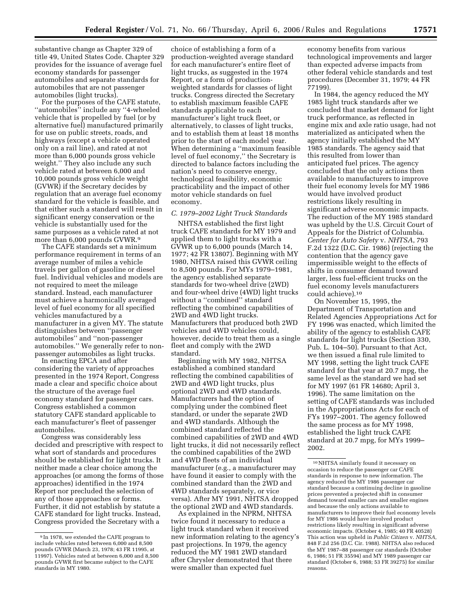substantive change as Chapter 329 of title 49, United States Code. Chapter 329 provides for the issuance of average fuel economy standards for passenger automobiles and separate standards for automobiles that are not passenger automobiles (light trucks).

For the purposes of the CAFE statute, ''automobiles'' include any ''4-wheeled vehicle that is propelled by fuel (or by alternative fuel) manufactured primarily for use on public streets, roads, and highways (except a vehicle operated only on a rail line), and rated at not more than 6,000 pounds gross vehicle weight.'' They also include any such vehicle rated at between 6,000 and 10,000 pounds gross vehicle weight (GVWR) if the Secretary decides by regulation that an average fuel economy standard for the vehicle is feasible, and that either such a standard will result in significant energy conservation or the vehicle is substantially used for the same purposes as a vehicle rated at not more than 6,000 pounds GVWR.<sup>9</sup>

The CAFE standards set a minimum performance requirement in terms of an average number of miles a vehicle travels per gallon of gasoline or diesel fuel. Individual vehicles and models are not required to meet the mileage standard. Instead, each manufacturer must achieve a harmonically averaged level of fuel economy for all specified vehicles manufactured by a manufacturer in a given MY. The statute distinguishes between ''passenger automobiles'' and ''non-passenger automobiles.'' We generally refer to nonpassenger automobiles as light trucks.

In enacting EPCA and after considering the variety of approaches presented in the 1974 Report, Congress made a clear and specific choice about the structure of the average fuel economy standard for passenger cars. Congress established a common statutory CAFE standard applicable to each manufacturer's fleet of passenger automobiles.

Congress was considerably less decided and prescriptive with respect to what sort of standards and procedures should be established for light trucks. It neither made a clear choice among the approaches (or among the forms of those approaches) identified in the 1974 Report nor precluded the selection of any of those approaches or forms. Further, it did not establish by statute a CAFE standard for light trucks. Instead, Congress provided the Secretary with a

choice of establishing a form of a production-weighted average standard for each manufacturer's entire fleet of light trucks, as suggested in the 1974 Report, or a form of productionweighted standards for classes of light trucks. Congress directed the Secretary to establish maximum feasible CAFE standards applicable to each manufacturer's light truck fleet, or alternatively, to classes of light trucks, and to establish them at least 18 months prior to the start of each model year. When determining a ''maximum feasible level of fuel economy,'' the Secretary is directed to balance factors including the nation's need to conserve energy, technological feasibility, economic practicability and the impact of other motor vehicle standards on fuel economy.

## *C. 1979–2002 Light Truck Standards*

NHTSA established the first light truck CAFE standards for MY 1979 and applied them to light trucks with a GVWR up to 6,000 pounds (March 14, 1977; 42 FR 13807). Beginning with MY 1980, NHTSA raised this GVWR ceiling to 8,500 pounds. For MYs 1979–1981, the agency established separate standards for two-wheel drive (2WD) and four-wheel drive (4WD) light trucks without a ''combined'' standard reflecting the combined capabilities of 2WD and 4WD light trucks. Manufacturers that produced both 2WD vehicles and 4WD vehicles could, however, decide to treat them as a single fleet and comply with the 2WD standard.

Beginning with MY 1982, NHTSA established a combined standard reflecting the combined capabilities of 2WD and 4WD light trucks, plus optional 2WD and 4WD standards. Manufacturers had the option of complying under the combined fleet standard, or under the separate 2WD and 4WD standards. Although the combined standard reflected the combined capabilities of 2WD and 4WD light trucks, it did not necessarily reflect the combined capabilities of the 2WD and 4WD fleets of an individual manufacturer (e.g., a manufacturer may have found it easier to comply with the combined standard than the 2WD and 4WD standards separately, or vice versa). After MY 1991, NHTSA dropped the optional 2WD and 4WD standards.

As explained in the NPRM, NHTSA twice found it necessary to reduce a light truck standard when it received new information relating to the agency's past projections. In 1979, the agency reduced the MY 1981 2WD standard after Chrysler demonstrated that there were smaller than expected fuel

economy benefits from various technological improvements and larger than expected adverse impacts from other federal vehicle standards and test procedures (December 31, 1979; 44 FR 77199).

In 1984, the agency reduced the MY 1985 light truck standards after we concluded that market demand for light truck performance, as reflected in engine mix and axle ratio usage, had not materialized as anticipated when the agency initially established the MY 1985 standards. The agency said that this resulted from lower than anticipated fuel prices. The agency concluded that the only actions then available to manufacturers to improve their fuel economy levels for MY 1986 would have involved product restrictions likely resulting in significant adverse economic impacts. The reduction of the MY 1985 standard was upheld by the U.S. Circuit Court of Appeals for the District of Columbia. *Center for Auto Safety* v. *NHTSA*, 793 F.2d 1322 (D.C. Cir. 1986) (rejecting the contention that the agency gave impermissible weight to the effects of shifts in consumer demand toward larger, less fuel-efficient trucks on the fuel economy levels manufacturers could achieve).10

On November 15, 1995, the Department of Transportation and Related Agencies Appropriations Act for FY 1996 was enacted, which limited the ability of the agency to establish CAFE standards for light trucks (Section 330, Pub. L. 104–50). Pursuant to that Act, we then issued a final rule limited to MY 1998, setting the light truck CAFE standard for that year at 20.7 mpg, the same level as the standard we had set for MY 1997 (61 FR 14680; April 3, 1996). The same limitation on the setting of CAFE standards was included in the Appropriations Acts for each of FYs 1997–2001. The agency followed the same process as for MY 1998, established the light truck CAFE standard at 20.7 mpg, for MYs 1999– 2002.

<sup>9</sup> In 1978, we extended the CAFE program to include vehicles rated between 6,000 and 8,500 pounds GVWR (March 23, 1978; 43 FR 11995, at 11997). Vehicles rated at between 6,000 and 8,500 pounds GVWR first became subject to the CAFE standards in MY 1980.

<sup>10</sup>NHTSA similarly found it necessary on occasion to reduce the passenger car CAFE standards in response to new information. The agency reduced the MY 1986 passenger car standard because a continuing decline in gasoline prices prevented a projected shift in consumer demand toward smaller cars and smaller engines and because the only actions available to manufacturers to improve their fuel economy levels for MY 1986 would have involved product restrictions likely resulting in significant adverse economic impacts. (October 4, 1985; 40 FR 40528) This action was upheld in *Public Citizen* v. *NHTSA*, 848 F.2d 256 (D.C. Cir. 1988). NHTSA also reduced the MY 1987–88 passenger car standards (October 6, 1986; 51 FR 35594) and MY 1989 passenger car standard (October 6, 1988; 53 FR 39275) for similar reasons.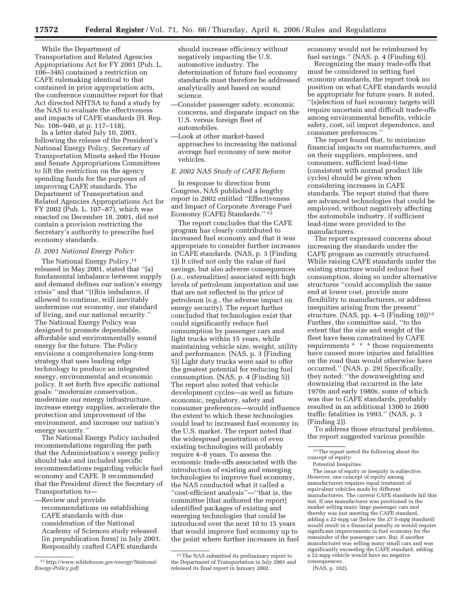While the Department of Transportation and Related Agencies Appropriations Act for FY 2001 (Pub. L. 106–346) contained a restriction on CAFE rulemaking identical to that contained in prior appropriation acts, the conference committee report for that Act directed NHTSA to fund a study by the NAS to evaluate the effectiveness and impacts of CAFE standards (H. Rep. No. 106–940, at p. 117–118).

In a letter dated July 10, 2001, following the release of the President's National Energy Policy, Secretary of Transportation Mineta asked the House and Senate Appropriations Committees to lift the restriction on the agency spending funds for the purposes of improving CAFE standards. The Department of Transportation and Related Agencies Appropriations Act for FY 2002 (Pub. L. 107–87), which was enacted on December 18, 2001, did not contain a provision restricting the Secretary's authority to prescribe fuel economy standards.

#### *D. 2001 National Energy Policy*

The National Energy Policy,<sup>11</sup> released in May 2001, stated that ''(a) fundamental imbalance between supply and demand defines our nation's energy crisis'' and that ''(t)his imbalance, if allowed to continue, will inevitably undermine our economy, our standard of living, and our national security.'' The National Energy Policy was designed to promote dependable, affordable and environmentally sound energy for the future. The Policy envisions a comprehensive long-term strategy that uses leading edge technology to produce an integrated energy, environmental and economic policy. It set forth five specific national goals: ''modernize conservation, modernize our energy infrastructure, increase energy supplies, accelerate the protection and improvement of the environment, and increase our nation's energy security.''

The National Energy Policy included recommendations regarding the path that the Administration's energy policy should take and included specific recommendations regarding vehicle fuel economy and CAFE. It recommended that the President direct the Secretary of Transportation to—

—Review and provide recommendations on establishing CAFE standards with due consideration of the National Academy of Sciences study released (in prepublication form) in July 2001. Responsibly crafted CAFE standards

should increase efficiency without negatively impacting the U.S. automotive industry. The determination of future fuel economy standards must therefore be addressed analytically and based on sound science.

- —Consider passenger safety, economic concerns, and disparate impact on the U.S. versus foreign fleet of automobiles.
- —Look at other market-based approaches to increasing the national average fuel economy of new motor vehicles.

## *E. 2002 NAS Study of CAFE Reform*

In response to direction from Congress, NAS published a lengthy report in 2002 entitled ''Effectiveness and Impact of Corporate Average Fuel Economy (CAFE) Standards.'' 12

The report concludes that the CAFE program has clearly contributed to increased fuel economy and that it was appropriate to consider further increases in CAFE standards. (NAS, p. 3 (Finding 1)) It cited not only the value of fuel savings, but also adverse consequences (i.e., externalities) associated with high levels of petroleum importation and use that are not reflected in the price of petroleum (e.g., the adverse impact on energy security). The report further concluded that technologies exist that could significantly reduce fuel consumption by passenger cars and light trucks within 15 years, while maintaining vehicle size, weight, utility and performance. (NAS, p. 3 (Finding 5)) Light duty trucks were said to offer the greatest potential for reducing fuel consumption. (NAS, p. 4 (Finding 5)) The report also noted that vehicle development cycles—as well as future economic, regulatory, safety and consumer preferences—would influence the extent to which these technologies could lead to increased fuel economy in the U.S. market. The report noted that the widespread penetration of even existing technologies will probably require 4–8 years. To assess the economic trade-offs associated with the introduction of existing and emerging technologies to improve fuel economy, the NAS conducted what it called a ''cost-efficient analysis''—''that is, the committee [that authored the report] identified packages of existing and emerging technologies that could be introduced over the next 10 to 15 years that would improve fuel economy up to the point where further increases in fuel

economy would not be reimbursed by fuel savings.'' (NAS, p. 4 (Finding 6))

Recognizing the many trade-offs that must be considered in setting fuel economy standards, the report took no position on what CAFE standards would be appropriate for future years. It noted, ''(s)election of fuel economy targets will require uncertain and difficult trade-offs among environmental benefits, vehicle safety, cost, oil import dependence, and consumer preferences.''

The report found that, to minimize financial impacts on manufacturers, and on their suppliers, employees, and consumers, sufficient lead-time (consistent with normal product life cycles) should be given when considering increases in CAFE standards. The report stated that there are advanced technologies that could be employed, without negatively affecting the automobile industry, if sufficient lead-time were provided to the manufacturers.

The report expressed concerns about increasing the standards under the CAFE program as currently structured. While raising CAFE standards under the existing structure would reduce fuel consumption, doing so under alternative structures ''could accomplish the same end at lower cost, provide more flexibility to manufacturers, or address inequities arising from the present'' structure. (NAS, pp. 4-5 (Finding  $10$ ))<sup>13</sup> Further, the committee said, ''to the extent that the size and weight of the fleet have been constrained by CAFE requirements \* \* \* those requirements have caused more injuries and fatalities on the road than would otherwise have occurred.'' (NAS, p. 29) Specifically, they noted: ''the downweighting and downsizing that occurred in the late 1970s and early 1980s, some of which was due to CAFE standards, probably resulted in an additional 1300 to 2600 traffic fatalities in 1993.'' (NAS, p. 3 (Finding 2)).

To address those structural problems, the report suggested various possible

The issue of equity or inequity is subjective. However, one concept of equity among manufacturers requires equal treatment of equivalent vehicles made by different manufacturers. The current CAFE standards fail this test. If one manufacturer was positioned in the market selling many large passenger cars and thereby was just meeting the CAFE standard, adding a 22-mpg car (below the 27.5-mpg standard) would result in a financial penalty or would require significant improvements in fuel economy for the remainder of the passenger cars. But, if another manufacturer was selling many small cars and was significantly exceeding the CAFE standard, adding a 22-mpg vehicle would have no negative consequences.

<sup>11</sup>*[http://www.whitehouse.gov/energy/National-](http://www.whitehouse.gov/energy/National-Energy-Policy.pdf)[Energy-Policy.pdf.](http://www.whitehouse.gov/energy/National-Energy-Policy.pdf)* 

<sup>12</sup>The NAS submitted its preliminary report to the Department of Transportation in July 2001 and released its final report in January 2002.

 $^{\rm 13}\rm{The}$  report noted the following about the concept of equity:

Potential Inequities

<sup>(</sup>NAS, p. 102).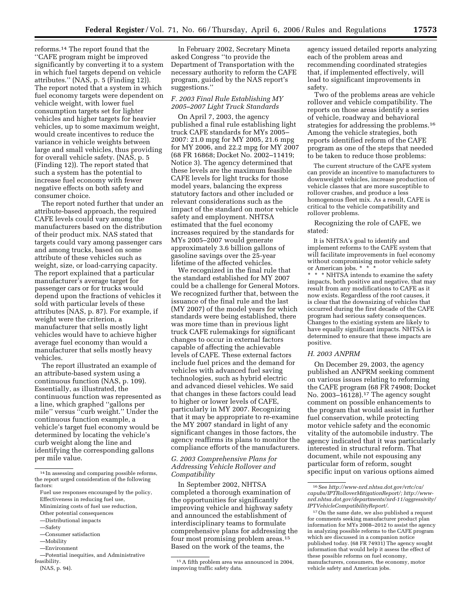reforms.14 The report found that the ''CAFE program might be improved significantly by converting it to a system in which fuel targets depend on vehicle attributes.'' (NAS, p. 5 (Finding 12)). The report noted that a system in which fuel economy targets were dependent on vehicle weight, with lower fuel consumption targets set for lighter vehicles and higher targets for heavier vehicles, up to some maximum weight, would create incentives to reduce the variance in vehicle weights between large and small vehicles, thus providing for overall vehicle safety. (NAS, p. 5

(Finding 12)). The report stated that such a system has the potential to increase fuel economy with fewer negative effects on both safety and consumer choice.

The report noted further that under an attribute-based approach, the required CAFE levels could vary among the manufacturers based on the distribution of their product mix. NAS stated that targets could vary among passenger cars and among trucks, based on some attribute of these vehicles such as weight, size, or load-carrying capacity. The report explained that a particular manufacturer's average target for passenger cars or for trucks would depend upon the fractions of vehicles it sold with particular levels of these attributes (NAS, p. 87). For example, if weight were the criterion, a manufacturer that sells mostly light vehicles would have to achieve higher average fuel economy than would a manufacturer that sells mostly heavy vehicles.

The report illustrated an example of an attribute-based system using a continuous function (NAS, p. 109). Essentially, as illustrated, the continuous function was represented as a line, which graphed ''gallons per mile'' versus ''curb weight.'' Under the continuous function example, a vehicle's target fuel economy would be determined by locating the vehicle's curb weight along the line and identifying the corresponding gallons per mile value.

- —Mobility
- —Environment
- —Potential inequities, and Administrative feasibility.

(NAS, p. 94).

In February 2002, Secretary Mineta asked Congress ''to provide the Department of Transportation with the necessary authority to reform the CAFE program, guided by the NAS report's suggestions.''

## *F. 2003 Final Rule Establishing MY 2005–2007 Light Truck Standards*

On April 7, 2003, the agency published a final rule establishing light truck CAFE standards for MYs 2005– 2007: 21.0 mpg for MY 2005, 21.6 mpg for MY 2006, and 22.2 mpg for MY 2007 (68 FR 16868; Docket No. 2002–11419; Notice 3). The agency determined that these levels are the maximum feasible CAFE levels for light trucks for those model years, balancing the express statutory factors and other included or relevant considerations such as the impact of the standard on motor vehicle safety and employment. NHTSA estimated that the fuel economy increases required by the standards for MYs 2005–2007 would generate approximately 3.6 billion gallons of gasoline savings over the 25-year lifetime of the affected vehicles.

We recognized in the final rule that the standard established for MY 2007 could be a challenge for General Motors. We recognized further that, between the issuance of the final rule and the last (MY 2007) of the model years for which standards were being established, there was more time than in previous light truck CAFE rulemakings for significant changes to occur in external factors capable of affecting the achievable levels of CAFE. These external factors include fuel prices and the demand for vehicles with advanced fuel saving technologies, such as hybrid electric and advanced diesel vehicles. We said that changes in these factors could lead to higher or lower levels of CAFE, particularly in MY 2007. Recognizing that it may be appropriate to re-examine the MY 2007 standard in light of any significant changes in those factors, the agency reaffirms its plans to monitor the compliance efforts of the manufacturers.

## *G. 2003 Comprehensive Plans for Addressing Vehicle Rollover and Compatibility*

In September 2002, NHTSA completed a thorough examination of the opportunities for significantly improving vehicle and highway safety and announced the establishment of interdisciplinary teams to formulate comprehensive plans for addressing the four most promising problem areas.15 Based on the work of the teams, the

agency issued detailed reports analyzing each of the problem areas and recommending coordinated strategies that, if implemented effectively, will lead to significant improvements in safety.

Two of the problems areas are vehicle rollover and vehicle compatibility. The reports on those areas identify a series of vehicle, roadway and behavioral strategies for addressing the problems.16 Among the vehicle strategies, both reports identified reform of the CAFE program as one of the steps that needed to be taken to reduce those problems:

The current structure of the CAFE system can provide an incentive to manufacturers to downweight vehicles, increase production of vehicle classes that are more susceptible to rollover crashes, and produce a less homogenous fleet mix. As a result, CAFE is critical to the vehicle compatibility and rollover problems.

Recognizing the role of CAFE, we stated:

It is NHTSA's goal to identify and implement reforms to the CAFE system that will facilitate improvements in fuel economy without compromising motor vehicle safety or American jobs. \* \* \*

\* \* \* NHTSA intends to examine the safety impacts, both positive and negative, that may result from any modifications to CAFE as it now exists. Regardless of the root causes, it is clear that the downsizing of vehicles that occurred during the first decade of the CAFE program had serious safety consequences. Changes to the existing system are likely to have equally significant impacts. NHTSA is determined to ensure that these impacts are positive.

## *H. 2003 ANPRM*

On December 29, 2003, the agency published an ANPRM seeking comment on various issues relating to reforming the CAFE program (68 FR 74908; Docket No. 2003–16128).17 The agency sought comment on possible enhancements to the program that would assist in further fuel conservation, while protecting motor vehicle safety and the economic vitality of the automobile industry. The agency indicated that it was particularly interested in structural reform. That document, while not espousing any particular form of reform, sought specific input on various options aimed

<sup>14</sup> In assessing and comparing possible reforms, the report urged consideration of the following factors:

Fuel use responses encouraged by the policy, Effectiveness in reducing fuel use,

Minimizing costs of fuel use reduction,

Other potential consequences —Distributional impacts

<sup>—</sup>Safety

<sup>—</sup>Consumer satisfaction

<sup>15</sup>A fifth problem area was announced in 2004, improving traffic safety data.

<sup>16</sup>See *[http://www-nrd.nhtsa.dot.gov/vrtc/ca/](http://www-nrd.nhtsa.dot.gov/vrtc/ca)  capubs/IPTRolloverMitigationReport/; http://www[nrd.nhtsa.dot.gov/departments/nrd-11/aggressivity/](http://www-nrd.nhtsa.dot.gov/vrtc/ca/capubs/IPTRolloverMitigationReport/)  IPTVehicleCompatibilityReport/*.

<sup>17</sup>On the same date, we also published a request for comments seeking manufacturer product plan information for MYs 2008–2012 to assist the agency in analyzing possible reforms to the CAFE program which are discussed in a companion notice published today. (68 FR 74931) The agency sought information that would help it assess the effect of these possible reforms on fuel economy, manufacturers, consumers, the economy, motor vehicle safety and American jobs.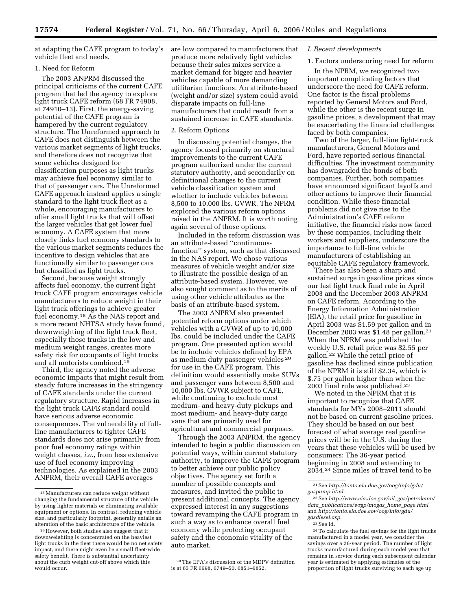at adapting the CAFE program to today's vehicle fleet and needs.

## 1. Need for Reform

The 2003 ANPRM discussed the principal criticisms of the current CAFE program that led the agency to explore light truck CAFE reform (68 FR 74908, at 74910–13). First, the energy-saving potential of the CAFE program is hampered by the current regulatory structure. The Unreformed approach to CAFE does not distinguish between the various market segments of light trucks, and therefore does not recognize that some vehicles designed for classification purposes as light trucks may achieve fuel economy similar to that of passenger cars. The Unreformed CAFE approach instead applies a single standard to the light truck fleet as a whole, encouraging manufacturers to offer small light trucks that will offset the larger vehicles that get lower fuel economy. A CAFE system that more closely links fuel economy standards to the various market segments reduces the incentive to design vehicles that are functionally similar to passenger cars but classified as light trucks.

Second, because weight strongly affects fuel economy, the current light truck CAFE program encourages vehicle manufacturers to reduce weight in their light truck offerings to achieve greater fuel economy.18 As the NAS report and a more recent NHTSA study have found, downweighting of the light truck fleet, especially those trucks in the low and medium weight ranges, creates more safety risk for occupants of light trucks and all motorists combined.19

Third, the agency noted the adverse economic impacts that might result from steady future increases in the stringency of CAFE standards under the current regulatory structure. Rapid increases in the light truck CAFE standard could have serious adverse economic consequences. The vulnerability of fullline manufacturers to tighter CAFE standards does not arise primarily from poor fuel economy ratings within weight classes, *i.e.*, from less extensive use of fuel economy improving technologies. As explained in the 2003 ANPRM, their overall CAFE averages

are low compared to manufacturers that produce more relatively light vehicles because their sales mixes service a market demand for bigger and heavier vehicles capable of more demanding utilitarian functions. An attribute-based (weight and/or size) system could avoid disparate impacts on full-line manufacturers that could result from a sustained increase in CAFE standards.

## 2. Reform Options

In discussing potential changes, the agency focused primarily on structural improvements to the current CAFE program authorized under the current statutory authority, and secondarily on definitional changes to the current vehicle classification system and whether to include vehicles between 8,500 to 10,000 lbs. GVWR. The NPRM explored the various reform options raised in the ANPRM. It is worth noting again several of those options.

Included in the reform discussion was an attribute-based ''continuousfunction'' system, such as that discussed in the NAS report. We chose various measures of vehicle weight and/or size to illustrate the possible design of an attribute-based system. However, we also sought comment as to the merits of using other vehicle attributes as the basis of an attribute-based system.

The 2003 ANPRM also presented potential reform options under which vehicles with a GVWR of up to 10,000 lbs. could be included under the CAFE program. One presented option would be to include vehicles defined by EPA as medium duty passenger vehicles 20 for use in the CAFE program. This definition would essentially make SUVs and passenger vans between 8,500 and 10,000 lbs. GVWR subject to CAFE, while continuing to exclude most medium- and heavy-duty pickups and most medium- and heavy-duty cargo vans that are primarily used for agricultural and commercial purposes.

Through the 2003 ANPRM, the agency intended to begin a public discussion on potential ways, within current statutory authority, to improve the CAFE program to better achieve our public policy objectives. The agency set forth a number of possible concepts and measures, and invited the public to present additional concepts. The agency expressed interest in any suggestions toward revamping the CAFE program in such a way as to enhance overall fuel economy while protecting occupant safety and the economic vitality of the auto market.

## *I. Recent developments*

## 1. Factors underscoring need for reform

In the NPRM, we recognized two important complicating factors that underscore the need for CAFE reform. One factor is the fiscal problems reported by General Motors and Ford, while the other is the recent surge in gasoline prices, a development that may be exacerbating the financial challenges faced by both companies.

Two of the larger, full-line light-truck manufacturers, General Motors and Ford, have reported serious financial difficulties. The investment community has downgraded the bonds of both companies. Further, both companies have announced significant layoffs and other actions to improve their financial condition. While these financial problems did not give rise to the Administration's CAFE reform initiative, the financial risks now faced by these companies, including their workers and suppliers, underscore the importance to full-line vehicle manufacturers of establishing an equitable CAFE regulatory framework.

There has also been a sharp and sustained surge in gasoline prices since our last light truck final rule in April 2003 and the December 2003 ANPRM on CAFE reform. According to the Energy Information Administration (EIA), the retail price for gasoline in April 2003 was \$1.59 per gallon and in December 2003 was \$1.48 per gallon.21 When the NPRM was published the weekly U.S. retail price was \$2.55 per gallon.22 While the retail price of gasoline has declined since publication of the NPRM it is still \$2.34, which is \$.75 per gallon higher than when the 2003 final rule was published.23

We noted in the NPRM that it is important to recognize that CAFE standards for MYs 2008–2011 should not be based on current gasoline prices. They should be based on our best forecast of what average real gasoline prices will be in the U.S. during the years that these vehicles will be used by consumers: The 36-year period beginning in 2008 and extending to 2034.24 Since miles of travel tend to be

<sup>18</sup>Manufacturers can reduce weight without changing the fundamental structure of the vehicle by using lighter materials or eliminating available equipment or options. In contrast, reducing vehicle size, and particularly footprint, generally entails an alteration of the basic architecture of the vehicle.

<sup>19</sup>However, both studies also suggest that if downweighting is concentrated on the heaviest light trucks in the fleet there would be no net safety impact, and there might even be a small fleet-wide safety benefit. There is substantial uncertainty about the curb weight cut-off above which this would occur.

<sup>20</sup>The EPA's discussion of the MDPV definition is at 65 FR 6698, 6749–50, 6851–6852.

<sup>21</sup>See *[http://tonto.eia.doe.gov/oog/info/gdu/](http://tonto.eia.doe.gov/oog/info/gdu/gaspump.html)  gaspump.html.* 

<sup>22</sup>See *http://www.eia.doe.gov/oil*\_*gas/petroleum/ data*\_*[publications/wrgp/mogas](http://www.eia.doe.gov/oiaf/aeo/oil_gas/petroleum/data_publications/wrgp/mogas_home_page.html)*\_*home*\_*page.html*  and *[http://tonto.eia.doe.gov/oog/info/gdu/](http://tonto.eia.doe.gov/oog/info/gdu/gasdiesel.asp)  gasdiesel.asp.* 

 $^{\rm 23}$  See id.

<sup>24</sup>To calculate the fuel savings for the light trucks manufactured in a model year, we consider the savings over a 26-year period. The number of light trucks manufactured during each model year that remains in service during each subsequent calendar year is estimated by applying estimates of the proportion of light trucks surviving to each age up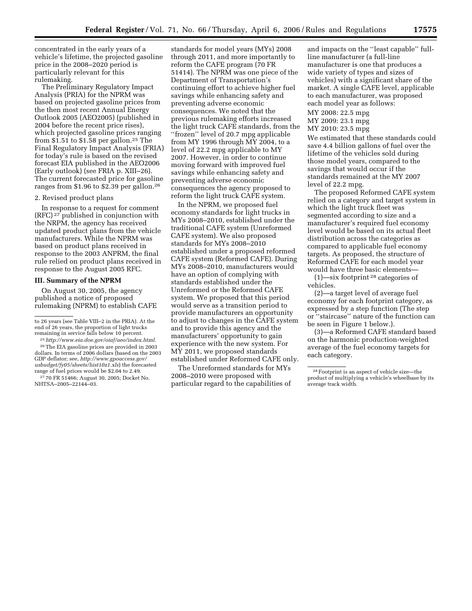concentrated in the early years of a vehicle's lifetime, the projected gasoline price in the 2008–2020 period is particularly relevant for this rulemaking.

The Preliminary Regulatory Impact Analysis (PRIA) for the NPRM was based on projected gasoline prices from the then most recent Annual Energy Outlook 2005 (AEO2005) (published in 2004 before the recent price rises), which projected gasoline prices ranging from \$1.51 to \$1.58 per gallon.25 The Final Regulatory Impact Analysis (FRIA) for today's rule is based on the revised forecast EIA published in the AEO2006 (Early outlook) (see FRIA p. XIII–26). The current forecasted price for gasoline ranges from \$1.96 to \$2.39 per gallon.26

## 2. Revised product plans

In response to a request for comment (RFC) 27 published in conjunction with the NRPM, the agency has received updated product plans from the vehicle manufacturers. While the NPRM was based on product plans received in response to the 2003 ANPRM, the final rule relied on product plans received in response to the August 2005 RFC.

## **III. Summary of the NPRM**

On August 30, 2005, the agency published a notice of proposed rulemaking (NPRM) to establish CAFE

standards for model years (MYs) 2008 through 2011, and more importantly to reform the CAFE program (70 FR 51414). The NPRM was one piece of the Department of Transportation's continuing effort to achieve higher fuel savings while enhancing safety and preventing adverse economic consequences. We noted that the previous rulemaking efforts increased the light truck CAFE standards, from the ''frozen'' level of 20.7 mpg applicable from MY 1996 through MY 2004, to a level of 22.2 mpg applicable to MY 2007. However, in order to continue moving forward with improved fuel savings while enhancing safety and preventing adverse economic consequences the agency proposed to reform the light truck CAFE system.

In the NPRM, we proposed fuel economy standards for light trucks in MYs 2008–2010, established under the traditional CAFE system (Unreformed CAFE system). We also proposed standards for MYs 2008–2010 established under a proposed reformed CAFE system (Reformed CAFE). During MYs 2008–2010, manufacturers would have an option of complying with standards established under the Unreformed or the Reformed CAFE system. We proposed that this period would serve as a transition period to provide manufacturers an opportunity to adjust to changes in the CAFE system and to provide this agency and the manufacturers' opportunity to gain experience with the new system. For MY 2011, we proposed standards established under Reformed CAFE only.

The Unreformed standards for MYs 2008–2010 were proposed with particular regard to the capabilities of and impacts on the ''least capable'' fullline manufacturer (a full-line manufacturer is one that produces a wide variety of types and sizes of vehicles) with a significant share of the market. A single CAFE level, applicable to each manufacturer, was proposed each model year as follows:

MY 2008: 22.5 mpg MY 2009: 23.1 mpg MY 2010: 23.5 mpg

We estimated that these standards could save 4.4 billion gallons of fuel over the lifetime of the vehicles sold during those model years, compared to the savings that would occur if the standards remained at the MY 2007 level of 22.2 mpg.

The proposed Reformed CAFE system relied on a category and target system in which the light truck fleet was segmented according to size and a manufacturer's required fuel economy level would be based on its actual fleet distribution across the categories as compared to applicable fuel economy targets. As proposed, the structure of Reformed CAFE for each model year would have three basic elements—

(1)—six footprint 28 categories of vehicles.

(2)—a target level of average fuel economy for each footprint category, as expressed by a step function (The step or ''staircase'' nature of the function can be seen in Figure 1 below.).

(3)—a Reformed CAFE standard based on the harmonic production-weighted average of the fuel economy targets for each category.

to 26 years (see Table VIII–2 in the PRIA). At the end of 26 years, the proportion of light trucks

<sup>&</sup>lt;sup>25</sup> http://www.eia.doe.gov/oiaf/aeo/index.html. 26The EIA gasoline prices are provided in 2003 dollars. In terms of 2006 dollars (based on the 2003 GDP deflator; see, *http://www.gpoaccess.gov/ [usbudget/fy05/sheets/hist10z1.xls](http://www.gpoaccess.gov/usbudget/fy05/sheets/hist10z1.xls)*) the forecasted

range of fuel prices would be \$2.04 to 2.49. 27 70 FR 51466; August 30, 2005; Docket No. NHTSA–2005–22144–03.

<sup>28</sup>Footprint is an aspect of vehicle size—the product of multiplying a vehicle's wheelbase by its average track width.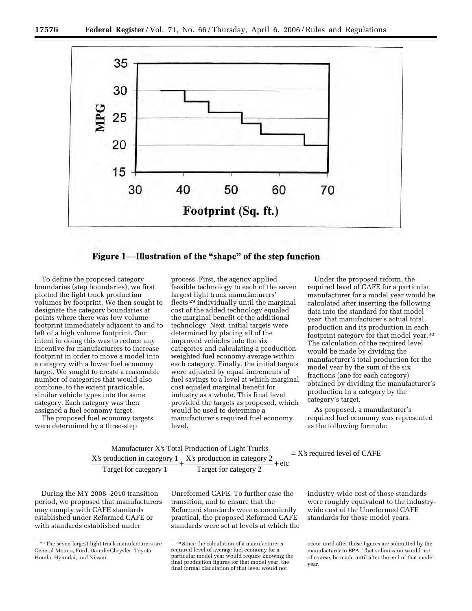

Figure 1—Illustration of the "shape" of the step function

To define the proposed category boundaries (step boundaries), we first plotted the light truck production volumes by footprint. We then sought to designate the category boundaries at points where there was low volume footprint immediately adjacent to and to left of a high volume footprint. Our intent in doing this was to reduce any incentive for manufacturers to increase footprint in order to move a model into a category with a lower fuel economy target. We sought to create a reasonable number of categories that would also combine, to the extent practicable, similar vehicle types into the same category. Each category was then assigned a fuel economy target.

The proposed fuel economy targets were determined by a three-step

process. First, the agency applied feasible technology to each of the seven largest light truck manufacturers' fleets 29 individually until the marginal cost of the added technology equaled the marginal benefit of the additional technology. Next, initial targets were determined by placing all of the improved vehicles into the six categories and calculating a productionweighted fuel economy average within each category. Finally, the initial targets were adjusted by equal increments of fuel savings to a level at which marginal cost equaled marginal benefit for industry as a whole. This final level provided the targets as proposed, which would be used to determine a manufacturer's required fuel economy level.

Under the proposed reform, the required level of CAFE for a particular manufacturer for a model year would be calculated after inserting the following data into the standard for that model year: that manufacturer's actual total production and its production in each footprint category for that model year.30 The calculation of the required level would be made by dividing the manufacturer's total production for the model year by the sum of the six fractions (one for each category) obtained by dividing the manufacturer's production in a category by the category's target.

As proposed, a manufacturer's required fuel economy was represented as the following formula:

|                       | Manufacturer X's Total Production of Light Trucks         | $= X$ 's required level of CAFE |
|-----------------------|-----------------------------------------------------------|---------------------------------|
|                       | X's production in category 1 X's production in category 2 | $= +$ etc                       |
| Target for category 1 | Target for category 2                                     |                                 |

During the MY 2008–2010 transition period, we proposed that manufacturers may comply with CAFE standards established under Reformed CAFE or with standards established under

Unreformed CAFE. To further ease the transition, and to ensure that the Reformed standards were economically practical, the proposed Reformed CAFE standards were set at levels at which the

industry-wide cost of those standards were roughly equivalent to the industrywide cost of the Unreformed CAFE standards for those model years.

<sup>29</sup>The seven largest light truck manufacturers are General Motors, Ford, DaimlerChrysler, Toyota, Honda, Hyundai, and Nissan.

<sup>30</sup>Since the calculation of a manufacturer's required level of average fuel economy for a particular model year would require knowing the final production figures for that model year, the final formal claculation of that level would not

occur until after those figures are submitted by the manufacturer to EPA. That submission would not, of course, be made until after the end of that model year.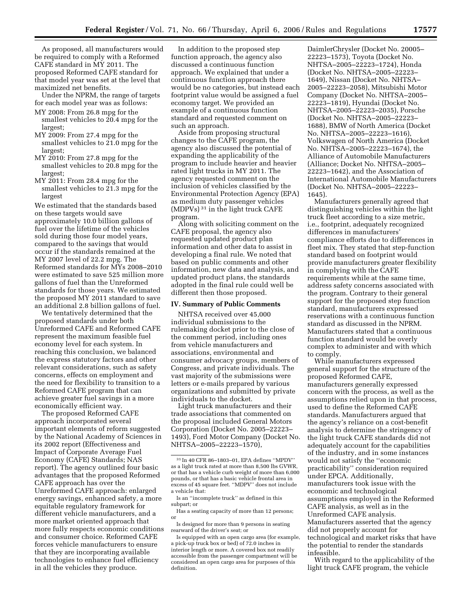As proposed, all manufacturers would be required to comply with a Reformed CAFE standard in MY 2011. The proposed Reformed CAFE standard for that model year was set at the level that maximized net benefits.

Under the NPRM, the range of targets for each model year was as follows:

- MY 2008: From 26.8 mpg for the smallest vehicles to 20.4 mpg for the largest;
- MY 2009: From 27.4 mpg for the smallest vehicles to 21.0 mpg for the largest;
- MY 2010: From 27.8 mpg for the smallest vehicles to 20.8 mpg for the largest;
- MY 2011: From 28.4 mpg for the smallest vehicles to 21.3 mpg for the largest

We estimated that the standards based on these targets would save approximately 10.0 billion gallons of fuel over the lifetime of the vehicles sold during those four model years, compared to the savings that would occur if the standards remained at the MY 2007 level of 22.2 mpg. The Reformed standards for MYs 2008–2010 were estimated to save 525 million more gallons of fuel than the Unreformed standards for those years. We estimated the proposed MY 2011 standard to save an additional 2.8 billion gallons of fuel.

We tentatively determined that the proposed standards under both Unreformed CAFE and Reformed CAFE represent the maximum feasible fuel economy level for each system. In reaching this conclusion, we balanced the express statutory factors and other relevant considerations, such as safety concerns, effects on employment and the need for flexibility to transition to a Reformed CAFE program that can achieve greater fuel savings in a more economically efficient way.

The proposed Reformed CAFE approach incorporated several important elements of reform suggested by the National Academy of Sciences in its 2002 report (Effectiveness and Impact of Corporate Average Fuel Economy (CAFE) Standards; NAS report). The agency outlined four basic advantages that the proposed Reformed CAFE approach has over the Unreformed CAFE approach: enlarged energy savings, enhanced safety, a more equitable regulatory framework for different vehicle manufacturers, and a more market oriented approach that more fully respects economic conditions and consumer choice. Reformed CAFE forces vehicle manufacturers to ensure that they are incorporating available technologies to enhance fuel efficiency in all the vehicles they produce.

In addition to the proposed step function approach, the agency also discussed a continuous function approach. We explained that under a continuous function approach there would be no categories, but instead each footprint value would be assigned a fuel economy target. We provided an example of a continuous function standard and requested comment on such an approach.

Aside from proposing structural changes to the CAFE program, the agency also discussed the potential of expanding the applicability of the program to include heavier and heavier rated light trucks in MY 2011. The agency requested comment on the inclusion of vehicles classified by the Environmental Protection Agency (EPA) as medium duty passenger vehicles (MDPVs) 31 in the light truck CAFE program.

Along with soliciting comment on the CAFE proposal, the agency also requested updated product plan information and other data to assist in developing a final rule. We noted that based on public comments and other information, new data and analysis, and updated product plans, the standards adopted in the final rule could well be different then those proposed.

## **IV. Summary of Public Comments**

NHTSA received over 45,000 individual submissions to the rulemaking docket prior to the close of the comment period, including ones from vehicle manufacturers and associations, environmental and consumer advocacy groups, members of Congress, and private individuals. The vast majority of the submissions were letters or e-mails prepared by various organizations and submitted by private individuals to the docket.

Light truck manufacturers and their trade associations that commented on the proposal included General Motors Corporation (Docket No. 2005–22223– 1493), Ford Motor Company (Docket No. NHTSA–2005–22223–1570),

DaimlerChrysler (Docket No. 20005– 22223–1573), Toyota (Docket No. NHTSA–2005–22223–1724), Honda (Docket No. NHTSA–2005–22223– 1649), Nissan (Docket No. NHTSA– 2005–22223–2058), Mitsubishi Motor Company (Docket No. NHTSA–2005– 22223–1819), Hyundai (Docket No. NHTSA–2005–22223–2035), Porsche (Docket No. NHTSA–2005–22223– 1688), BMW of North America (Docket No. NHTSA–2005–22223–1616), Volkswagen of North America (Docket No. NHTSA–2005–22223–1674), the Alliance of Automobile Manufacturers (Alliance; Docket No. NHTSA–2005– 22223–1642), and the Association of International Automobile Manufacturers (Docket No. NHTSA–2005–22223– 1645).

Manufacturers generally agreed that distinguishing vehicles within the light truck fleet according to a size metric, i.e., footprint, adequately recognized differences in manufacturers' compliance efforts due to differences in fleet mix. They stated that step-function standard based on footprint would provide manufacturers greater flexibility in complying with the CAFE requirements while at the same time, address safety concerns associated with the program. Contrary to their general support for the proposed step function standard, manufacturers expressed reservations with a continuous function standard as discussed in the NPRM. Manufacturers stated that a continuous function standard would be overly complex to administer and with which to comply.

While manufacturers expressed general support for the structure of the proposed Reformed CAFE, manufacturers generally expressed concern with the process, as well as the assumptions relied upon in that process, used to define the Reformed CAFE standards. Manufacturers argued that the agency's reliance on a cost-benefit analysis to determine the stringency of the light truck CAFE standards did not adequately account for the capabilities of the industry, and in some instances would not satisfy the ''economic practicability'' consideration required under EPCA. Additionally, manufacturers took issue with the economic and technological assumptions employed in the Reformed CAFE analysis, as well as in the Unreformed CAFE analysis. Manufacturers asserted that the agency did not properly account for technological and market risks that have the potential to render the standards infeasible.

With regard to the applicability of the light truck CAFE program, the vehicle

<sup>31</sup> In 40 CFR 86–1803–01, EPA defines ''MPDV'' as a light truck rated at more than 8,500 lbs GVWR, or that has a vehicle curb weight of more than 6,000 pounds, or that has a basic vehicle frontal area in excess of 45 square feet. ''MDPV'' does not include a vehicle that:

Is an ''incomplete truck'' as defined in this subpart; or

Has a seating capacity of more than 12 persons; or

Is designed for more than 9 persons in seating rearward of the driver's seat; or

Is equipped with an open cargo area (for example, a pick-up truck box or bed) of 72.0 inches in interior length or more. A covered box not readily accessible from the passenger compartment will be considered an open cargo area for purposes of this definition.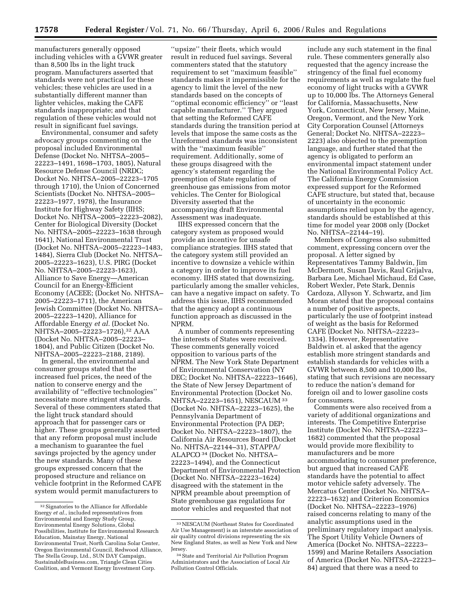manufacturers generally opposed including vehicles with a GVWR greater than 8,500 lbs in the light truck program. Manufacturers asserted that standards were not practical for these vehicles; these vehicles are used in a substantially different manner than lighter vehicles, making the CAFE standards inappropriate; and that regulation of these vehicles would not result in significant fuel savings.

Environmental, consumer and safety advocacy groups commenting on the proposal included Environmental Defense (Docket No. NHTSA–2005– 22223–1491, 1698–1703, 1805), Natural Resource Defense Council (NRDC; Docket No. NHTSA–2005–22223–1705 through 1710), the Union of Concerned Scientists (Docket No. NHTSA–2005– 22223–1977, 1978), the Insurance Institute for Highway Safety (IIHS; Docket No. NHTSA–2005–22223–2082), Center for Biological Diversity (Docket No. NHTSA–2005–22223–1638 through 1641), National Environmental Trust (Docket No. NHTSA–2005–22223–1483, 1484), Sierra Club (Docket No. NHTSA– 2005–22223–1623), U.S. PIRG (Docket No. NHTSA–2005–22223-1623), Alliance to Save Energy—American Council for an Energy-Efficient Economy (ACEEE; (Docket No. NHTSA– 2005–22223–1711), the American Jewish Committee (Docket No. NHTSA– 2005–22223–1420), Alliance for Affordable Energy *et al.* (Docket No. NHTSA-2005-22223-1726),<sup>32</sup> AAA (Docket No. NHTSA–2005–22223– 1804), and Public Citizen (Docket No. NHTSA–2005–22223–2188, 2189).

In general, the environmental and consumer groups stated that the increased fuel prices, the need of the nation to conserve energy and the availability of ''effective technologies'' necessitate more stringent standards. Several of these commenters stated that the light truck standard should approach that for passenger cars or higher. These groups generally asserted that any reform proposal must include a mechanism to guarantee the fuel savings projected by the agency under the new standards. Many of these groups expressed concern that the proposed structure and reliance on vehicle footprint in the Reformed CAFE system would permit manufacturers to

''upsize'' their fleets, which would result in reduced fuel savings. Several commenters stated that the statutory requirement to set ''maximum feasible'' standards makes it impermissible for the agency to limit the level of the new standards based on the concepts of ''optimal economic efficiency'' or ''least capable manufacturer.'' They argued that setting the Reformed CAFE standards during the transition period at levels that impose the same costs as the Unreformed standards was inconsistent with the ''maximum feasible'' requirement. Additionally, some of these groups disagreed with the agency's statement regarding the preemption of State regulation of greenhouse gas emissions from motor vehicles. The Center for Biological Diversity asserted that the accompanying draft Environmental Assessment was inadequate.

IIHS expressed concern that the category system as proposed would provide an incentive for unsafe compliance strategies. IIHS stated that the category system still provided an incentive to downsize a vehicle within a category in order to improve its fuel economy. IIHS stated that downsizing, particularly among the smaller vehicles, can have a negative impact on safety. To address this issue, IIHS recommended that the agency adopt a continuous function approach as discussed in the NPRM.

A number of comments representing the interests of States were received. These comments generally voiced opposition to various parts of the NPRM. The New York State Department of Environmental Conservation (NY DEC; Docket No. NHTSA–22223–1646), the State of New Jersey Department of Environmental Protection (Docket No. NHTSA–22223–1651), NESCAUM 33 (Docket No. NHTSA–22223–1625), the Pennsylvania Department of Environmental Protection (PA DEP; Docket No. NHTSA–22223–1807), the California Air Resources Board (Docket No. NHTSA–22144–31), STAPPA/ ALAPCO 34 (Docket No. NHTSA– 22223–1494), and the Connecticut Department of Environmental Protection (Docket No. NHTSA–22223–1624) disagreed with the statement in the NPRM preamble about preemption of State greenhouse gas regulations for motor vehicles and requested that not

include any such statement in the final rule. These commenters generally also requested that the agency increase the stringency of the final fuel economy requirements as well as regulate the fuel economy of light trucks with a GVWR up to 10,000 lbs. The Attorneys General for California, Massachusetts, New York, Connecticut, New Jersey, Maine, Oregon, Vermont, and the New York City Corporation Counsel (Attorneys General; Docket No. NHTSA–22223– 2223) also objected to the preemption language, and further stated that the agency is obligated to perform an environmental impact statement under the National Environmental Policy Act. The California Energy Commission expressed support for the Reformed CAFE structure, but stated that, because of uncertainty in the economic assumptions relied upon by the agency, standards should be established at this time for model year 2008 only (Docket No. NHTSA–22144–19).

Members of Congress also submitted comment, expressing concern over the proposal. A letter signed by Representatives Tammy Baldwin, Jim McDermott, Susan Davis, Raul Grijalva, Barbara Lee, Michael Michaud, Ed Case, Robert Wexler, Pete Stark, Dennis Cardoza, Allyson Y. Schwartz, and Jim Moran stated that the proposal contains a number of positive aspects, particularly the use of footprint instead of weight as the basis for Reformed CAFE (Docket No. NHTSA–22223– 1334). However, Representative Baldwin et. al asked that the agency establish more stringent standards and establish standards for vehicles with a GVWR between 8,500 and 10,000 lbs, stating that such revisions are necessary to reduce the nation's demand for foreign oil and to lower gasoline costs for consumers.

Comments were also received from a variety of additional organizations and interests. The Competitive Enterprise Institute (Docket No. NHTSA–22223– 1682) commented that the proposal would provide more flexibility to manufacturers and be more accommodating to consumer preference, but argued that increased CAFE standards have the potential to affect motor vehicle safety adversely. The Mercatus Center (Docket No. NHTSA– 22223–1632) and Criterion Economics (Docket No. NHTSA–22223–1976) raised concerns relating to many of the analytic assumptions used in the preliminary regulatory impact analysis. The Sport Utility Vehicle Owners of America (Docket No. NHTSA–22223– 1599) and Marine Retailers Association of America (Docket No. NHTSA–22223– 84) argued that there was a need to

<sup>&</sup>lt;sup>32</sup> Signatories to the Alliance for Affordable Energy *et al.*, included representatives from Environmental and Energy Study Group, Environmental Energy Solutions, Global Possibilities, Institute for Environmental Research Education, Mainstay Energy, National Environmental Trust, North Carolina Solar Center, Oregon Environmental Council, Redwood Alliance, The Stella Group, Ltd., SUN DAY Campaign, SustainableBusiness.com, Triangle Clean Cities Coalition, and Vermont Energy Investment Corp.

<sup>33</sup>NESCAUM (Northeast States for Coordinated Air Use Management) is an interstate association of air quality control divisions representing the six New England States, as well as New York and New Jersey.

<sup>&</sup>lt;sup>34</sup> State and Territorial Air Pollution Program Administrators and the Association of Local Air Pollution Control Officials.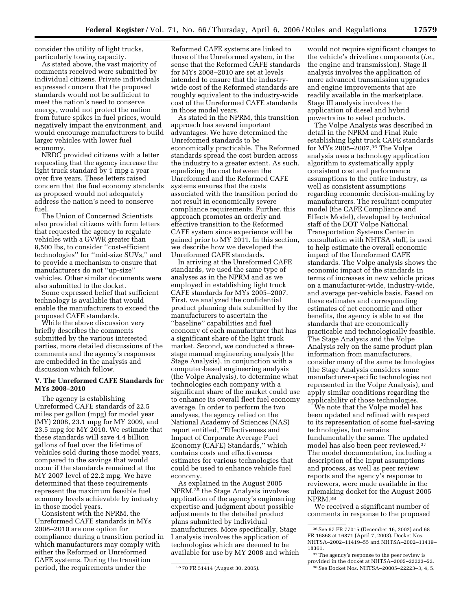consider the utility of light trucks, particularly towing capacity.

As stated above, the vast majority of comments received were submitted by individual citizens. Private individuals expressed concern that the proposed standards would not be sufficient to meet the nation's need to conserve energy, would not protect the nation from future spikes in fuel prices, would negatively impact the environment, and would encourage manufacturers to build larger vehicles with lower fuel economy.

NRDC provided citizens with a letter requesting that the agency increase the light truck standard by 1 mpg a year over five years. These letters raised concern that the fuel economy standards as proposed would not adequately address the nation's need to conserve fuel.

The Union of Concerned Scientists also provided citizens with form letters that requested the agency to regulate vehicles with a GVWR greater than 8,500 lbs, to consider ''cost-efficient technologies'' for ''mid-size SUVs,'' and to provide a mechanism to ensure that manufacturers do not ''up-size'' vehicles. Other similar documents were also submitted to the docket.

Some expressed belief that sufficient technology is available that would enable the manufacturers to exceed the proposed CAFE standards.

While the above discussion very briefly describes the comments submitted by the various interested parties, more detailed discussions of the comments and the agency's responses are embedded in the analysis and discussion which follow.

## **V. The Unreformed CAFE Standards for MYs 2008–2010**

The agency is establishing Unreformed CAFE standards of 22.5 miles per gallon (mpg) for model year (MY) 2008, 23.1 mpg for MY 2009, and 23.5 mpg for MY 2010. We estimate that these standards will save 4.4 billion gallons of fuel over the lifetime of vehicles sold during those model years, compared to the savings that would occur if the standards remained at the MY 2007 level of 22.2 mpg. We have determined that these requirements represent the maximum feasible fuel economy levels achievable by industry in those model years.

Consistent with the NPRM, the Unreformed CAFE standards in MYs 2008–2010 are one option for compliance during a transition period in which manufacturers may comply with either the Reformed or Unreformed CAFE systems. During the transition period, the requirements under the

Reformed CAFE systems are linked to those of the Unreformed system, in the sense that the Reformed CAFE standards for MYs 2008–2010 are set at levels intended to ensure that the industrywide cost of the Reformed standards are roughly equivalent to the industry-wide cost of the Unreformed CAFE standards in those model years.

As stated in the NPRM, this transition approach has several important advantages. We have determined the Unreformed standards to be economically practicable. The Reformed standards spread the cost burden across the industry to a greater extent. As such, equalizing the cost between the Unreformed and the Reformed CAFE systems ensures that the costs associated with the transition period do not result in economically severe compliance requirements. Further, this approach promotes an orderly and effective transition to the Reformed CAFE system since experience will be gained prior to MY 2011. In this section, we describe how we developed the Unreformed CAFE standards.

In arriving at the Unreformed CAFE standards, we used the same type of analyses as in the NPRM and as we employed in establishing light truck CAFE standards for MYs 2005–2007. First, we analyzed the confidential product planning data submitted by the manufacturers to ascertain the ''baseline'' capabilities and fuel economy of each manufacturer that has a significant share of the light truck market. Second, we conducted a threestage manual engineering analysis (the Stage Analysis), in conjunction with a computer-based engineering analysis (the Volpe Analysis), to determine what technologies each company with a significant share of the market could use to enhance its overall fleet fuel economy average. In order to perform the two analyses, the agency relied on the National Academy of Sciences (NAS) report entitled, ''Effectiveness and Impact of Corporate Average Fuel Economy (CAFE) Standards,'' which contains costs and effectiveness estimates for various technologies that could be used to enhance vehicle fuel economy.

As explained in the August 2005 NPRM,35 the Stage Analysis involves application of the agency's engineering expertise and judgment about possible adjustments to the detailed product plans submitted by individual manufacturers. More specifically, Stage I analysis involves the application of technologies which are deemed to be available for use by MY 2008 and which

would not require significant changes to the vehicle's driveline components (*i.e.*, the engine and transmission). Stage II analysis involves the application of more advanced transmission upgrades and engine improvements that are readily available in the marketplace. Stage III analysis involves the application of diesel and hybrid powertrains to select products.

The Volpe Analysis was described in detail in the NPRM and Final Rule establishing light truck CAFE standards for MYs 2005–2007.36 The Volpe analysis uses a technology application algorithm to systematically apply consistent cost and performance assumptions to the entire industry, as well as consistent assumptions regarding economic decision-making by manufacturers. The resultant computer model (the CAFE Compliance and Effects Model), developed by technical staff of the DOT Volpe National Transportation Systems Center in consultation with NHTSA staff, is used to help estimate the overall economic impact of the Unreformed CAFE standards. The Volpe analysis shows the economic impact of the standards in terms of increases in new vehicle prices on a manufacturer-wide, industry-wide, and average per-vehicle basis. Based on these estimates and corresponding estimates of net economic and other benefits, the agency is able to set the standards that are economically practicable and technologically feasible. The Stage Analysis and the Volpe Analysis rely on the same product plan information from manufacturers, consider many of the same technologies (the Stage Analysis considers some manufacturer-specific technologies not represented in the Volpe Analysis), and apply similar conditions regarding the applicability of those technologies.

We note that the Volpe model has been updated and refined with respect to its representation of some fuel-saving technologies, but remains fundamentally the same. The updated model has also been peer reviewed.37 The model documentation, including a description of the input assumptions and process, as well as peer review reports and the agency's response to reviewers, were made available in the rulemaking docket for the August 2005 NPRM.38

We received a significant number of comments in response to the proposed

<sup>35</sup> 70 FR 51414 (August 30, 2005).

<sup>36</sup>See 67 FR 77015 (December 16, 2002) and 68 FR 16868 at 16871 (April 7, 2003). Docket Nos. NHTSA–2002–11419–55 and NHTSA–2002–11419– 18361.

<sup>37</sup>The agency's response to the peer review is provided in the docket at NHTSA–2005–22223–52. 38See Docket Nos. NHTSA–20005–22223–3, 4, 5.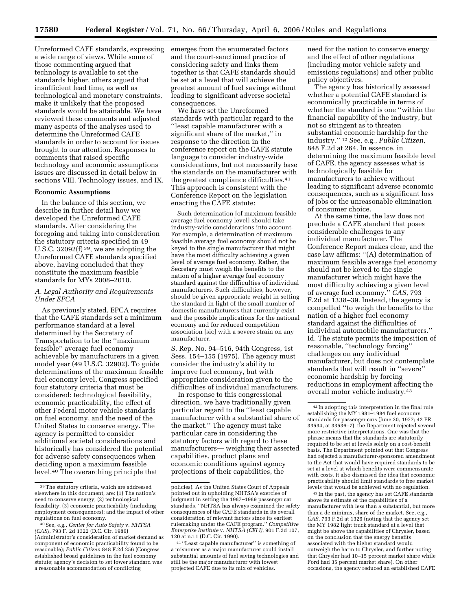Unreformed CAFE standards, expressing a wide range of views. While some of those commenting argued that technology is available to set the standards higher, others argued that insufficient lead time, as well as technological and monetary constraints, make it unlikely that the proposed standards would be attainable. We have reviewed these comments and adjusted many aspects of the analyses used to determine the Unreformed CAFE standards in order to account for issues brought to our attention. Responses to comments that raised specific technology and economic assumptions issues are discussed in detail below in sections VIII. Technology issues, and IX.

## **Economic Assumptions**

In the balance of this section, we describe in further detail how we developed the Unreformed CAFE standards. After considering the foregoing and taking into consideration the statutory criteria specified in 49 U.S.C. 32092(f) 39, we are adopting the Unreformed CAFE standards specified above, having concluded that they constitute the maximum feasible standards for MYs 2008–2010.

## *A. Legal Authority and Requirements Under EPCA*

As previously stated, EPCA requires that the CAFE standards set a minimum performance standard at a level determined by the Secretary of Transportation to be the ''maximum feasible'' average fuel economy achievable by manufacturers in a given model year (49 U.S.C. 32902). To guide determinations of the maximum feasible fuel economy level, Congress specified four statutory criteria that must be considered: technological feasibility, economic practicability, the effect of other Federal motor vehicle standards on fuel economy, and the need of the United States to conserve energy. The agency is permitted to consider additional societal considerations and historically has considered the potential for adverse safety consequences when deciding upon a maximum feasible level.40 The overarching principle that

emerges from the enumerated factors and the court-sanctioned practice of considering safety and links them together is that CAFE standards should be set at a level that will achieve the greatest amount of fuel savings without leading to significant adverse societal consequences.

We have set the Unreformed standards with particular regard to the ''least capable manufacturer with a significant share of the market,'' in response to the direction in the conference report on the CAFE statute language to consider industry-wide considerations, but not necessarily base the standards on the manufacturer with the greatest compliance difficulties.41 This approach is consistent with the Conference Report on the legislation enacting the CAFE statute:

Such determination [of maximum feasible average fuel economy level] should take industry-wide considerations into account. For example, a determination of maximum feasible average fuel economy should not be keyed to the single manufacturer that might have the most difficulty achieving a given level of average fuel economy. Rather, the Secretary must weigh the benefits to the nation of a higher average fuel economy standard against the difficulties of individual manufacturers. Such difficulties, however, should be given appropriate weight in setting the standard in light of the small number of domestic manufacturers that currently exist and the possible implications for the national economy and for reduced competition association [sic] with a severe strain on any manufacturer.

S. Rep. No. 94–516, 94th Congress, 1st Sess. 154–155 (1975). The agency must consider the industry's ability to improve fuel economy, but with appropriate consideration given to the difficulties of individual manufacturers.

In response to this congressional direction, we have traditionally given particular regard to the ''least capable manufacturer with a substantial share of the market.'' The agency must take particular care in considering the statutory factors with regard to these manufacturers— weighing their asserted capabilities, product plans and economic conditions against agency projections of their capabilities, the

need for the nation to conserve energy and the effect of other regulations (including motor vehicle safety and emissions regulations) and other public policy objectives.

The agency has historically assessed whether a potential CAFE standard is economically practicable in terms of whether the standard is one ''within the financial capability of the industry, but not so stringent as to threaten substantial economic hardship for the industry.'' 42 See, e.g., *Public Citizen*, 848 F.2d at 264. In essence, in determining the maximum feasible level of CAFE, the agency assesses what is technologically feasible for manufacturers to achieve without leading to significant adverse economic consequences, such as a significant loss of jobs or the unreasonable elimination of consumer choice.

At the same time, the law does not preclude a CAFE standard that poses considerable challenges to any individual manufacturer. The Conference Report makes clear, and the case law affirms: ''(A) determination of maximum feasible average fuel economy should not be keyed to the single manufacturer which might have the most difficulty achieving a given level of average fuel economy.'' *CAS*, 793 F.2d at 1338–39. Instead, the agency is compelled ''to weigh the benefits to the nation of a higher fuel economy standard against the difficulties of individual automobile manufacturers.'' Id. The statute permits the imposition of reasonable, ''technology forcing'' challenges on any individual manufacturer, but does not contemplate standards that will result in ''severe'' economic hardship by forcing reductions in employment affecting the overall motor vehicle industry.43

43 In the past, the agency has set CAFE standards above its estimate of the capabilities of a manufacturer with less than a substantial, but more than a de minimis, share of the market. See, e.g., *CAS*, 793 F.2d at 1326 (noting that the agency set the MY 1982 light truck standard at a level that might be above the capabilities of Chrysler, based on the conclusion that the energy benefits associated with the higher standard would outweigh the harm to Chrysler, and further noting that Chrysler had 10–15 percent market share while Ford had 35 percent market share). On other occasions, the agency reduced an established CAFE

<sup>39</sup>The statutory criteria, which are addressed elsewhere in this document, are: (1) The nation's need to conserve energy; (2) technological feasibility; (3) economic practicability (including employment consequences); and the impact of other regulations on fuel economy.

<sup>40</sup>See, e.g., *Center for Auto Safety* v. *NHTSA (CAS)*, 793 F. 2d 1322 (D.C. Cir. 1986) (Administrator's consideration of market demand as component of economic practicability found to be reasonable); *Public Citizen* 848 F.2d 256 (Congress established broad guidelines in the fuel economy statute; agency's decision to set lower standard was a reasonable accommodation of conflicting

policies). As the United States Court of Appeals pointed out in upholding NHTSA's exercise of judgment in setting the 1987–1989 passenger car standards, ''NHTSA has always examined the safety consequences of the CAFE standards in its overall consideration of relevant factors since its earliest rulemaking under the CAFE program.'' *Competitive Enterprise Institute* v. *NHTSA (CEI I)*, 901 F.2d 107, 120 at n.11 (D.C. Cir. 1990).

<sup>41</sup> ''Least capable manufacturer'' is something of a misnomer as a major manufacturer could install substantial amounts of fuel saving technologies and still be the major manufacturer with lowest projected CAFE due to its mix of vehicles.

<sup>42</sup> In adopting this interpretation in the final rule establishing the MY 1981–1984 fuel economy standards for passenger cars (June 30, 1977; 42 FR 33534, at 33536–7), the Department rejected several more restrictive interpretations. One was that the phrase means that the standards are statutorily required to be set at levels solely on a cost-benefit basis. The Department pointed out that Congress had rejected a manufacturer-sponsored amendment to the Act that would have required standards to be set at a level at which benefits were commensurate with costs. It also dismissed the idea that economic practicability should limit standards to free market levels that would be achieved with no regulation.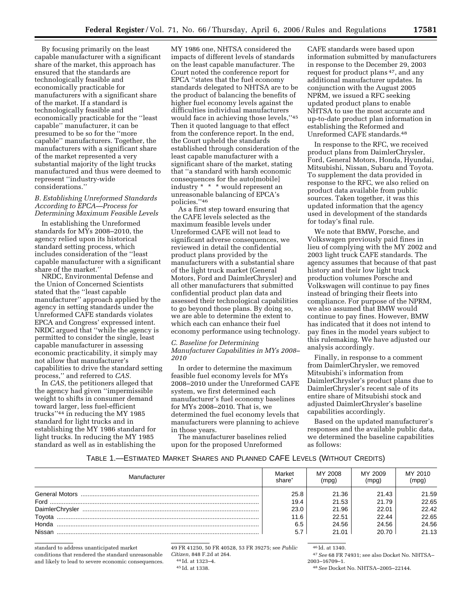By focusing primarily on the least capable manufacturer with a significant share of the market, this approach has ensured that the standards are technologically feasible and economically practicable for manufacturers with a significant share of the market. If a standard is technologically feasible and economically practicable for the ''least capable'' manufacturer, it can be presumed to be so for the ''more capable'' manufacturers. Together, the manufacturers with a significant share of the market represented a very substantial majority of the light trucks manufactured and thus were deemed to represent ''industry-wide considerations.''

## *B. Establishing Unreformed Standards According to EPCA—Process for Determining Maximum Feasible Levels*

In establishing the Unreformed standards for MYs 2008–2010, the agency relied upon its historical standard setting process, which includes consideration of the ''least capable manufacturer with a significant share of the market.''

NRDC, Environmental Defense and the Union of Concerned Scientists stated that the ''least capable manufacturer'' approach applied by the agency in setting standards under the Unreformed CAFE standards violates EPCA and Congress' expressed intent. NRDC argued that ''while the agency is permitted to consider the single, least capable manufacturer in assessing economic practicability, it simply may not allow that manufacturer's capabilities to drive the standard setting process,'' and referred to *CAS.* 

In *CAS*, the petitioners alleged that the agency had given ''impermissible weight to shifts in consumer demand toward larger, less fuel-efficient trucks''44 in reducing the MY 1985 standard for light trucks and in establishing the MY 1986 standard for light trucks. In reducing the MY 1985 standard as well as in establishing the

MY 1986 one, NHTSA considered the impacts of different levels of standards on the least capable manufacturer. The Court noted the conference report for EPCA ''states that the fuel economy standards delegated to NHTSA are to be the product of balancing the benefits of higher fuel economy levels against the difficulties individual manufacturers would face in achieving those levels,''45 Then it quoted language to that effect from the conference report. In the end, the Court upheld the standards established through consideration of the least capable manufacturer with a significant share of the market, stating that ''a standard with harsh economic consequences for the auto[mobile] industry \* \* \* would represent an unreasonable balancing of EPCA's policies.''46

As a first step toward ensuring that the CAFE levels selected as the maximum feasible levels under Unreformed CAFE will not lead to significant adverse consequences, we reviewed in detail the confidential product plans provided by the manufacturers with a substantial share of the light truck market (General Motors, Ford and DaimlerChrysler) and all other manufacturers that submitted confidential product plan data and assessed their technological capabilities to go beyond those plans. By doing so, we are able to determine the extent to which each can enhance their fuel economy performance using technology.

## *C. Baseline for Determining Manufacturer Capabilities in MYs 2008– 2010*

In order to determine the maximum feasible fuel economy levels for MYs 2008–2010 under the Unreformed CAFE system, we first determined each manufacturer's fuel economy baselines for MYs 2008–2010. That is, we determined the fuel economy levels that manufacturers were planning to achieve in those years.

The manufacturer baselines relied upon for the proposed Unreformed

CAFE standards were based upon information submitted by manufacturers in response to the December 29, 2003 request for product plans 47, and any additional manufacturer updates. In conjunction with the August 2005 NPRM, we issued a RFC seeking updated product plans to enable NHTSA to use the most accurate and up-to-date product plan information in establishing the Reformed and Unreformed CAFE standards.48

In response to the RFC, we received product plans from DaimlerChrysler, Ford, General Motors, Honda, Hyundai, Mitsubishi, Nissan, Subaru and Toyota. To supplement the data provided in response to the RFC, we also relied on product data available from public sources. Taken together, it was this updated information that the agency used in development of the standards for today's final rule.

We note that BMW, Porsche, and Volkswagen previously paid fines in lieu of complying with the MY 2002 and 2003 light truck CAFE standards. The agency assumes that because of that past history and their low light truck production volumes Porsche and Volkswagen will continue to pay fines instead of bringing their fleets into compliance. For purpose of the NPRM, we also assumed that BMW would continue to pay fines. However, BMW has indicated that it does not intend to pay fines in the model years subject to this rulemaking. We have adjusted our analysis accordingly.

Finally, in response to a comment from DaimlerChrysler, we removed Mitsubishi's information from DaimlerChrysler's product plans due to DaimlerChrysler's recent sale of its entire share of Mitsubishi stock and adjusted DaimlerChrysler's baseline capabilities accordingly.

Based on the updated manufacturer's responses and the available public data, we determined the baseline capabilities as follows:

## TABLE 1.—ESTIMATED MARKET SHARES AND PLANNED CAFE LEVELS (WITHOUT CREDITS)

| Manufacturer | Market<br>share <sup>*</sup> | MY 2008<br>(mpg) | MY 2009<br>(mpg) | MY 2010<br>(mpg) |
|--------------|------------------------------|------------------|------------------|------------------|
|              | 25.8                         | 21.36            | 21.43            | 21.59            |
|              | 19.4                         | 21.53            | 21.79            | 22.65            |
|              | 23.0                         | 21.96            | 22.01            | 22.42            |
| Toyota       | 11.6                         | 22.51            | 22.44            | 22.65            |
| Honda,       | 6.5                          | 24.56            | 24.56            | 24.56            |
| Nissan       |                              | 21.01            | 20.70            | 21.13            |

standard to address unanticipated market conditions that rendered the standard unreasonable and likely to lead to severe economic consequences.

49 FR 41250, 50 FR 40528, 53 FR 39275; see *Public Citizen*, 848 F.2d at 264. 44 Id. at 1323–4.

46 Id. at 1340.

47*See* 68 FR 74931; see also Docket No. NHTSA– 2003–16709–1.

48*See* Docket No. NHTSA–2005–22144.

<sup>45</sup> Id. at 1338.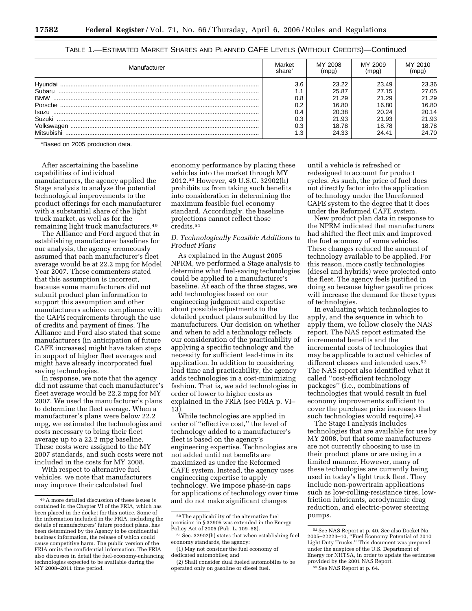| Manufacturer                                                     | Market<br>share                               | MY 2008                                                     | MY 2009<br>mpg                                              | MY 2010<br>mpq                                              |
|------------------------------------------------------------------|-----------------------------------------------|-------------------------------------------------------------|-------------------------------------------------------------|-------------------------------------------------------------|
| Subaru<br><b>BMW</b><br>Porsche<br>Isuzu<br>Suzuki<br>Volkswagen | 3.6<br>. .<br>0.8<br>0.2<br>0.4<br>0.3<br>0.3 | 23.22<br>25.87<br>21.29<br>16.80<br>20.38<br>21.93<br>18.78 | 23.49<br>27.15<br>21.29<br>16.80<br>20.24<br>21.93<br>18.78 | 23.36<br>27.05<br>21.29<br>16.80<br>20.14<br>21.93<br>18.78 |
| Mitsubishi                                                       |                                               | 24.33                                                       | 24.41                                                       | 24.70                                                       |

## TABLE 1.—ESTIMATED MARKET SHARES AND PLANNED CAFE LEVELS (WITHOUT CREDITS)—Continued

\*Based on 2005 production data.

After ascertaining the baseline capabilities of individual manufacturers, the agency applied the Stage analysis to analyze the potential technological improvements to the product offerings for each manufacturer with a substantial share of the light truck market, as well as for the remaining light truck manufacturers.49

The Alliance and Ford argued that in establishing manufacturer baselines for our analysis, the agency erroneously assumed that each manufacturer's fleet average would be at 22.2 mpg for Model Year 2007. These commenters stated that this assumption is incorrect, because some manufacturers did not submit product plan information to support this assumption and other manufacturers achieve compliance with the CAFE requirements through the use of credits and payment of fines. The Alliance and Ford also stated that some manufacturers (in anticipation of future CAFE increases) might have taken steps in support of higher fleet averages and might have already incorporated fuel saving technologies.

In response, we note that the agency did not assume that each manufacturer's fleet average would be 22.2 mpg for MY 2007. We used the manufacturer's plans to determine the fleet average. When a manufacturer's plans were below 22.2 mpg, we estimated the technologies and costs necessary to bring their fleet average up to a 22.2 mpg baseline. These costs were assigned to the MY 2007 standards, and such costs were not included in the costs for MY 2008.

With respect to alternative fuel vehicles, we note that manufacturers may improve their calculated fuel

economy performance by placing these vehicles into the market through MY 2012.50 However, 49 U.S.C. 32902(h) prohibits us from taking such benefits into consideration in determining the maximum feasible fuel economy standard. Accordingly, the baseline projections cannot reflect those credits.51

## *D. Technologically Feasible Additions to Product Plans*

As explained in the August 2005 NPRM, we performed a Stage analysis to determine what fuel-saving technologies could be applied to a manufacturer's baseline. At each of the three stages, we add technologies based on our engineering judgment and expertise about possible adjustments to the detailed product plans submitted by the manufacturers. Our decision on whether and when to add a technology reflects our consideration of the practicability of applying a specific technology and the necessity for sufficient lead-time in its application. In addition to considering lead time and practicability, the agency adds technologies in a cost-minimizing fashion. That is, we add technologies in order of lower to higher costs as explained in the FRIA (see FRIA p. VI– 13).

While technologies are applied in order of ''effective cost,'' the level of technology added to a manufacturer's fleet is based on the agency's engineering expertise. Technologies are not added until net benefits are maximized as under the Reformed CAFE system. Instead, the agency uses engineering expertise to apply technology. We impose phase-in caps for applications of technology over time and do not make significant changes

until a vehicle is refreshed or redesigned to account for product cycles. As such, the price of fuel does not directly factor into the application of technology under the Unreformed CAFE system to the degree that it does under the Reformed CAFE system.

New product plan data in response to the NPRM indicated that manufacturers had shifted the fleet mix and improved the fuel economy of some vehicles. These changes reduced the amount of technology available to be applied. For this reason, more costly technologies (diesel and hybrids) were projected onto the fleet. The agency feels justified in doing so because higher gasoline prices will increase the demand for these types of technologies.

In evaluating which technologies to apply, and the sequence in which to apply them, we follow closely the NAS report. The NAS report estimated the incremental benefits and the incremental costs of technologies that may be applicable to actual vehicles of different classes and intended uses.<sup>52</sup> The NAS report also identified what it called ''cost-efficient technology packages'' (i.e., combinations of technologies that would result in fuel economy improvements sufficient to cover the purchase price increases that such technologies would require).<sup>53</sup>

The Stage I analysis includes technologies that are available for use by MY 2008, but that some manufacturers are not currently choosing to use in their product plans or are using in a limited manner. However, many of these technologies are currently being used in today's light truck fleet. They include non-powertrain applications such as low-rolling-resistance tires, lowfriction lubricants, aerodynamic drag reduction, and electric-power steering pumps.

<sup>49</sup>A more detailed discussion of these issues is contained in the Chapter VI of the FRIA, which has been placed in the docket for this notice. Some of the information included in the FRIA, including the details of manufacturers' future product plans, has been determined by the Agency to be confidential business information, the release of which could cause competitive harm. The public version of the FRIA omits the confidential information. The FRIA also discusses in detail the fuel-economy-enhancing technologies expected to be available during the MY 2008–2011 time period.

 $^{\rm 50}\!$  The applicability of the alternative fuel provision in § 32905 was extended in the Energy Policy Act of 2005 (Pub. L. 109–58).

<sup>51</sup>Sec. 32902(h) states that when establishing fuel economy standards, the agency:

<sup>(1)</sup> May not consider the fuel economy of dedicated automobiles; and

<sup>(2)</sup> Shall consider dual fueled automobiles to be operated only on gasoline or diesel fuel.

<sup>52</sup>See NAS Report at p. 40. See also Docket No. 2005–22223–10, ''Fuel Economy Potential of 2010 Light Duty Trucks.'' This document was prepared under the auspices of the U.S. Department of Energy for NHTSA, in order to update the estimates provided by the 2001 NAS Report.

<sup>53</sup>See NAS Report at p. 64.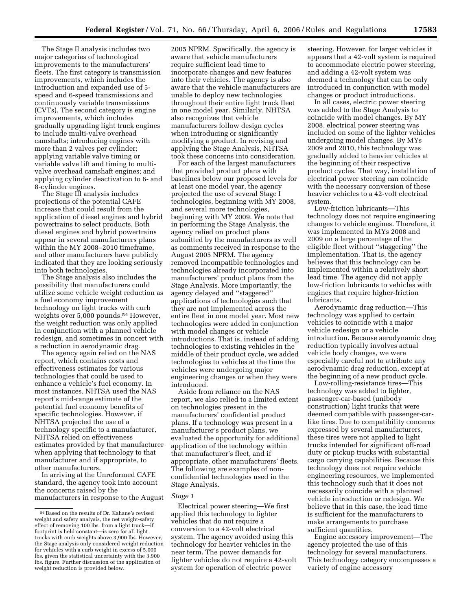The Stage II analysis includes two major categories of technological improvements to the manufacturers' fleets. The first category is transmission improvements, which includes the introduction and expanded use of 5 speed and 6-speed transmissions and continuously variable transmissions (CVTs). The second category is engine improvements, which includes gradually upgrading light truck engines to include multi-valve overhead camshafts; introducing engines with more than 2 valves per cylinder; applying variable valve timing or variable valve lift and timing to multivalve overhead camshaft engines; and applying cylinder deactivation to 6- and 8-cylinder engines.

The Stage III analysis includes projections of the potential CAFE increase that could result from the application of diesel engines and hybrid powertrains to select products. Both diesel engines and hybrid powertrains appear in several manufacturers plans within the MY 2008–2010 timeframe, and other manufacturers have publicly indicated that they are looking seriously into both technologies.

The Stage analysis also includes the possibility that manufacturers could utilize some vehicle weight reduction as a fuel economy improvement technology on light trucks with curb weights over 5,000 pounds.<sup>54</sup> However, the weight reduction was only applied in conjunction with a planned vehicle redesign, and sometimes in concert with a reduction in aerodynamic drag.

The agency again relied on the NAS report, which contains costs and effectiveness estimates for various technologies that could be used to enhance a vehicle's fuel economy. In most instances, NHTSA used the NAS report's mid-range estimate of the potential fuel economy benefits of specific technologies. However, if NHTSA projected the use of a technology specific to a manufacturer, NHTSA relied on effectiveness estimates provided by that manufacturer when applying that technology to that manufacturer and if appropriate, to other manufacturers.

In arriving at the Unreformed CAFE standard, the agency took into account the concerns raised by the manufacturers in response to the August

2005 NPRM. Specifically, the agency is aware that vehicle manufacturers require sufficient lead time to incorporate changes and new features into their vehicles. The agency is also aware that the vehicle manufacturers are unable to deploy new technologies throughout their entire light truck fleet in one model year. Similarly, NHTSA also recognizes that vehicle manufacturers follow design cycles when introducing or significantly modifying a product. In revising and applying the Stage Analysis, NHTSA took these concerns into consideration.

For each of the largest manufacturers that provided product plans with baselines below our proposed levels for at least one model year, the agency projected the use of several Stage I technologies, beginning with MY 2008, and several more technologies, beginning with MY 2009. We note that in performing the Stage Analysis, the agency relied on product plans submitted by the manufacturers as well as comments received in response to the August 2005 NPRM. The agency removed incompatible technologies and technologies already incorporated into manufacturers' product plans from the Stage Analysis. More importantly, the agency delayed and ''staggered'' applications of technologies such that they are not implemented across the entire fleet in one model year. Most new technologies were added in conjunction with model changes or vehicle introductions. That is, instead of adding technologies to existing vehicles in the middle of their product cycle, we added technologies to vehicles at the time the vehicles were undergoing major engineering changes or when they were introduced.

Aside from reliance on the NAS report, we also relied to a limited extent on technologies present in the manufacturers' confidential product plans. If a technology was present in a manufacturer's product plans, we evaluated the opportunity for additional application of the technology within that manufacturer's fleet, and if appropriate, other manufacturers' fleets. The following are examples of nonconfidential technologies used in the Stage Analysis.

## *Stage 1*

Electrical power steering—We first applied this technology to lighter vehicles that do not require a conversion to a 42-volt electrical system. The agency avoided using this technology for heavier vehicles in the near term. The power demands for lighter vehicles do not require a 42-volt system for operation of electric power

steering. However, for larger vehicles it appears that a 42-volt system is required to accommodate electric power steering, and adding a 42-volt system was deemed a technology that can be only introduced in conjunction with model changes or product introductions.

In all cases, electric power steering was added to the Stage Analysis to coincide with model changes. By MY 2008, electrical power steering was included on some of the lighter vehicles undergoing model changes. By MYs 2009 and 2010, this technology was gradually added to heavier vehicles at the beginning of their respective product cycles. That way, installation of electrical power steering can coincide with the necessary conversion of these heavier vehicles to a 42-volt electrical system.

Low-friction lubricants—This technology does not require engineering changes to vehicle engines. Therefore, it was implemented in MYs 2008 and 2009 on a large percentage of the eligible fleet without ''staggering'' the implementation. That is, the agency believes that this technology can be implemented within a relatively short lead time. The agency did not apply low-friction lubricants to vehicles with engines that require higher-friction lubricants.

Aerodynamic drag reduction—This technology was applied to certain vehicles to coincide with a major vehicle redesign or a vehicle introduction. Because aerodynamic drag reduction typically involves actual vehicle body changes, we were especially careful not to attribute any aerodynamic drag reduction, except at the beginning of a new product cycle.

Low-rolling-resistance tires—This technology was added to lighter, passenger-car-based (unibody construction) light trucks that were deemed compatible with passenger-carlike tires. Due to compatibility concerns expressed by several manufacturers, these tires were not applied to light trucks intended for significant off-road duty or pickup trucks with substantial cargo carrying capabilities. Because this technology does not require vehicle engineering resources, we implemented this technology such that it does not necessarily coincide with a planned vehicle introduction or redesign. We believe that in this case, the lead time is sufficient for the manufacturers to make arrangements to purchase sufficient quantities.

Engine accessory improvement—The agency projected the use of this technology for several manufacturers. This technology category encompasses a variety of engine accessory

<sup>54</sup>Based on the results of Dr. Kahane's revised weight and safety analysis, the net weight-safety effect of removing 100 lbs. from a light truck—if footprint is held constant—is zero for all light trucks with curb weights above 3,900 lbs. However, the Stage analysis only considered weight reduction for vehicles with a curb weight in excess of 5,000 lbs. given the statistical uncertainty with the 3,900 lbs. figure. Further discussion of the application of weight reduction is provided below.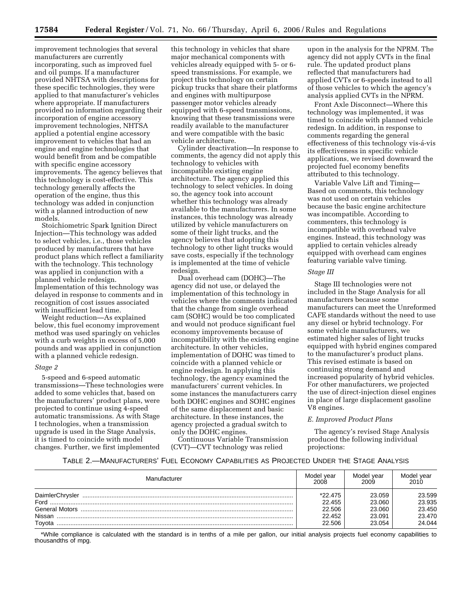improvement technologies that several manufacturers are currently incorporating, such as improved fuel and oil pumps. If a manufacturer provided NHTSA with descriptions for these specific technologies, they were applied to that manufacturer's vehicles where appropriate. If manufacturers provided no information regarding their incorporation of engine accessory improvement technologies, NHTSA applied a potential engine accessory improvement to vehicles that had an engine and engine technologies that would benefit from and be compatible with specific engine accessory improvements. The agency believes that this technology is cost-effective. This technology generally affects the operation of the engine, thus this technology was added in conjunction with a planned introduction of new models.

Stoichiometric Spark Ignition Direct Injection—This technology was added to select vehicles, i.e., those vehicles produced by manufacturers that have product plans which reflect a familiarity with the technology. This technology was applied in conjunction with a planned vehicle redesign. Implementation of this technology was delayed in response to comments and in recognition of cost issues associated with insufficient lead time.

Weight reduction—As explained below, this fuel economy improvement method was used sparingly on vehicles with a curb weights in excess of 5,000 pounds and was applied in conjunction with a planned vehicle redesign.

#### *Stage 2*

5-speed and 6-speed automatic transmissions—These technologies were added to some vehicles that, based on the manufacturers' product plans, were projected to continue using 4-speed automatic transmissions. As with Stage I technologies, when a transmission upgrade is used in the Stage Analysis, it is timed to coincide with model changes. Further, we first implemented

this technology in vehicles that share major mechanical components with vehicles already equipped with 5- or 6 speed transmissions. For example, we project this technology on certain pickup trucks that share their platforms and engines with multipurpose passenger motor vehicles already equipped with 6-speed transmissions, knowing that these transmissions were readily available to the manufacturer and were compatible with the basic vehicle architecture.

Cylinder deactivation—In response to comments, the agency did not apply this technology to vehicles with incompatible existing engine architecture. The agency applied this technology to select vehicles. In doing so, the agency took into account whether this technology was already available to the manufacturers. In some instances, this technology was already utilized by vehicle manufacturers on some of their light trucks, and the agency believes that adopting this technology to other light trucks would save costs, especially if the technology is implemented at the time of vehicle redesign.

Dual overhead cam (DOHC)—The agency did not use, or delayed the implementation of this technology in vehicles where the comments indicated that the change from single overhead cam (SOHC) would be too complicated and would not produce significant fuel economy improvements because of incompatibility with the existing engine architecture. In other vehicles, implementation of DOHC was timed to coincide with a planned vehicle or engine redesign. In applying this technology, the agency examined the manufacturers' current vehicles. In some instances the manufacturers carry both DOHC engines and SOHC engines of the same displacement and basic architecture. In these instances, the agency projected a gradual switch to only the DOHC engines.

Continuous Variable Transmission (CVT)—CVT technology was relied

upon in the analysis for the NPRM. The agency did not apply CVTs in the final rule. The updated product plans reflected that manufacturers had applied CVTs or 6-speeds instead to all of those vehicles to which the agency's analysis applied CVTs in the NPRM.

Front Axle Disconnect—Where this technology was implemented, it was timed to coincide with planned vehicle redesign. In addition, in response to comments regarding the general effectiveness of this technology vis-á-vis its effectiveness in specific vehicle applications, we revised downward the projected fuel economy benefits attributed to this technology.

Variable Valve Lift and Timing— Based on comments, this technology was not used on certain vehicles because the basic engine architecture was incompatible. According to commenters, this technology is incompatible with overhead valve engines. Instead, this technology was applied to certain vehicles already equipped with overhead cam engines featuring variable valve timing.

#### *Stage III*

Stage III technologies were not included in the Stage Analysis for all manufacturers because some manufacturers can meet the Unreformed CAFE standards without the need to use any diesel or hybrid technology. For some vehicle manufacturers, we estimated higher sales of light trucks equipped with hybrid engines compared to the manufacturer's product plans. This revised estimate is based on continuing strong demand and increased popularity of hybrid vehicles. For other manufacturers, we projected the use of direct-injection diesel engines in place of large displacement gasoline V8 engines.

## *E. Improved Product Plans*

The agency's revised Stage Analysis produced the following individual projections:

## TABLE 2.—MANUFACTURERS' FUEL ECONOMY CAPABILITIES AS PROJECTED UNDER THE STAGE ANALYSIS

| Manufacturer    | Model vear<br>2008 | Model vear<br>2009 | Model vear<br>2010 |
|-----------------|--------------------|--------------------|--------------------|
| DaimlerChrysler | $*22.475$          | 23.059             | 23.599             |
| Ford            | 22.455             | 23.060             | 23.935             |
|                 | 22.506             | 23.060             | 23.450             |
| Nissan          | 22.452             | 23.091             | 23.470             |
| Tovota          | 22.506             | 23.054             | 24.044             |

\*While compliance is calculated with the standard is in tenths of a mile per gallon, our initial analysis projects fuel economy capabilities to thousandths of mpg.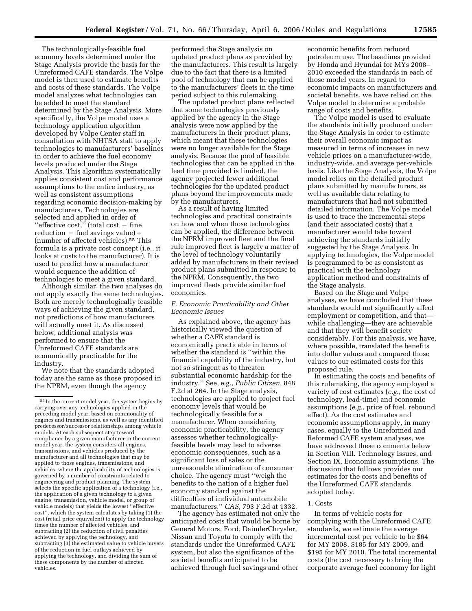The technologically-feasible fuel economy levels determined under the Stage Analysis provide the basis for the Unreformed CAFE standards. The Volpe model is then used to estimate benefits and costs of these standards. The Volpe model analyzes what technologies can be added to meet the standard determined by the Stage Analysis. More specifically, the Volpe model uses a technology application algorithm developed by Volpe Center staff in consultation with NHTSA staff to apply technologies to manufacturers' baselines in order to achieve the fuel economy levels produced under the Stage Analysis. This algorithm systematically applies consistent cost and performance assumptions to the entire industry, as well as consistent assumptions regarding economic decision-making by manufacturers. Technologies are selected and applied in order of "effective cost," (total cost  $-$  fine reduction  $-$  fuel savings value) ÷ (number of affected vehicles).55 This formula is a private cost concept (i.e., it looks at costs to the manufacturer). It is used to predict how a manufacturer would sequence the addition of technologies to meet a given standard.

Although similar, the two analyses do not apply exactly the same technologies. Both are merely technologically feasible ways of achieving the given standard, not predictions of how manufacturers will actually meet it. As discussed below, additional analysis was performed to ensure that the Unreformed CAFE standards are economically practicable for the industry.

We note that the standards adopted today are the same as those proposed in the NPRM, even though the agency

performed the Stage analysis on updated product plans as provided by the manufacturers. This result is largely due to the fact that there is a limited pool of technology that can be applied to the manufacturers' fleets in the time period subject to this rulemaking.

The updated product plans reflected that some technologies previously applied by the agency in the Stage analysis were now applied by the manufacturers in their product plans, which meant that these technologies were no longer available for the Stage analysis. Because the pool of feasible technologies that can be applied in the lead time provided is limited, the agency projected fewer additional technologies for the updated product plans beyond the improvements made by the manufacturers.

As a result of having limited technologies and practical constraints on how and when those technologies can be applied, the difference between the NPRM improved fleet and the final rule improved fleet is largely a matter of the level of technology voluntarily added by manufacturers in their revised product plans submitted in response to the NPRM. Consequently, the two improved fleets provide similar fuel economies.

## *F. Economic Practicability and Other Economic Issues*

As explained above, the agency has historically viewed the question of whether a CAFE standard is economically practicable in terms of whether the standard is ''within the financial capability of the industry, but not so stringent as to threaten substantial economic hardship for the industry.'' See, e.g., *Public Citizen*, 848 F.2d at 264. In the Stage analysis, technologies are applied to project fuel economy levels that would be technologically feasible for a manufacturer. When considering economic practicability, the agency assesses whether technologicallyfeasible levels may lead to adverse economic consequences, such as a significant loss of sales or the unreasonable elimination of consumer choice. The agency must ''weigh the benefits to the nation of a higher fuel economy standard against the difficulties of individual automobile manufacturers.'' *CAS*, 793 F.2d at 1332.

The agency has estimated not only the anticipated costs that would be borne by General Motors, Ford, DaimlerChrysler, Nissan and Toyota to comply with the standards under the Unreformed CAFE system, but also the significance of the societal benefits anticipated to be achieved through fuel savings and other

economic benefits from reduced petroleum use. The baselines provided by Honda and Hyundai for MYs 2008– 2010 exceeded the standards in each of those model years. In regard to economic impacts on manufacturers and societal benefits, we have relied on the Volpe model to determine a probable range of costs and benefits.

The Volpe model is used to evaluate the standards initially produced under the Stage Analysis in order to estimate their overall economic impact as measured in terms of increases in new vehicle prices on a manufacturer-wide, industry-wide, and average per-vehicle basis. Like the Stage Analysis, the Volpe model relies on the detailed product plans submitted by manufacturers, as well as available data relating to manufacturers that had not submitted detailed information. The Volpe model is used to trace the incremental steps (and their associated costs) that a manufacturer would take toward achieving the standards initially suggested by the Stage Analysis. In applying technologies, the Volpe model is programmed to be as consistent as practical with the technology application method and constraints of the Stage analysis.

Based on the Stage and Volpe analyses, we have concluded that these standards would not significantly affect employment or competition, and that while challenging—they are achievable and that they will benefit society considerably. For this analysis, we have, where possible, translated the benefits into dollar values and compared those values to our estimated costs for this proposed rule.

In estimating the costs and benefits of this rulemaking, the agency employed a variety of cost estimates (*e.g.*, the cost of technology, lead-time) and economic assumptions (*e.g.*, price of fuel, rebound effect). As the cost estimates and economic assumptions apply, in many cases, equally to the Unreformed and Reformed CAFE system analyses, we have addressed these comments below in Section VIII. Technology issues, and Section IX. Economic assumptions. The discussion that follows provides our estimates for the costs and benefits of the Unreformed CAFE standards adopted today.

## 1. Costs

In terms of vehicle costs for complying with the Unreformed CAFE standards, we estimate the average incremental cost per vehicle to be \$64 for MY 2008, \$185 for MY 2009, and \$195 for MY 2010. The total incremental costs (the cost necessary to bring the corporate average fuel economy for light

<sup>55</sup> In the current model year, the system begins by carrying over any technologies applied in the preceding model year, based on commonality of engines and transmissions, as well as any identified predecessor/successor relationships among vehicle models. At each subsequent step toward compliance by a given manufacturer in the current model year, the system considers all engines, transmissions, and vehicles produced by the manufacturer and all technologies that may be applied to those engines, transmissions, and vehicles, where the applicability of technologies is governed by a number of constraints related to engineering and product planning. The system selects the specific application of a technology (i.e., the application of a given technology to a given engine, transmission, vehicle model, or group of vehicle models) that yields the lowest ''effective cost'', which the system calculates by taking (1) the cost (retail price equivalent) to apply the technology times the number of affected vehicles, and subtracting (2) the reduction of civil penalties achieved by applying the technology, and subtracting (3) the estimated value to vehicle buyers of the reduction in fuel outlays achieved by applying the technology, and dividing the sum of these components by the number of affected vehicles.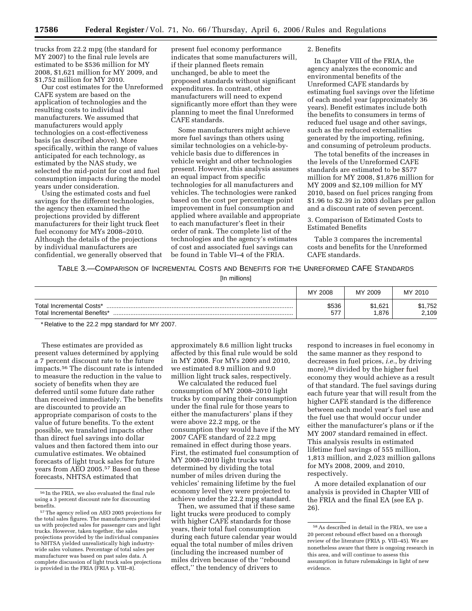trucks from 22.2 mpg (the standard for MY 2007) to the final rule levels are estimated to be \$536 million for MY 2008, \$1,621 million for MY 2009, and \$1,752 million for MY 2010.

Our cost estimates for the Unreformed CAFE system are based on the application of technologies and the resulting costs to individual manufacturers. We assumed that manufacturers would apply technologies on a cost-effectiveness basis (as described above). More specifically, within the range of values anticipated for each technology, as estimated by the NAS study, we selected the mid-point for cost and fuel consumption impacts during the model years under consideration.

Using the estimated costs and fuel savings for the different technologies, the agency then examined the projections provided by different manufacturers for their light truck fleet fuel economy for MYs 2008–2010. Although the details of the projections by individual manufacturers are confidential, we generally observed that present fuel economy performance indicates that some manufacturers will, if their planned fleets remain unchanged, be able to meet the proposed standards without significant expenditures. In contrast, other manufacturers will need to expend significantly more effort than they were planning to meet the final Unreformed CAFE standards.

Some manufacturers might achieve more fuel savings than others using similar technologies on a vehicle-byvehicle basis due to differences in vehicle weight and other technologies present. However, this analysis assumes an equal impact from specific technologies for all manufacturers and vehicles. The technologies were ranked based on the cost per percentage point improvement in fuel consumption and applied where available and appropriate to each manufacturer's fleet in their order of rank. The complete list of the technologies and the agency's estimates of cost and associated fuel savings can be found in Table VI–4 of the FRIA.

#### 2. Benefits

In Chapter VIII of the FRIA, the agency analyzes the economic and environmental benefits of the Unreformed CAFE standards by estimating fuel savings over the lifetime of each model year (approximately 36 years). Benefit estimates include both the benefits to consumers in terms of reduced fuel usage and other savings, such as the reduced externalities generated by the importing, refining, and consuming of petroleum products.

The total benefits of the increases in the levels of the Unreformed CAFE standards are estimated to be \$577 million for MY 2008, \$1,876 million for MY 2009 and \$2,109 million for MY 2010, based on fuel prices ranging from \$1.96 to \$2.39 in 2003 dollars per gallon and a discount rate of seven percent.

3. Comparison of Estimated Costs to Estimated Benefits

Table 3 compares the incremental costs and benefits for the Unreformed CAFE standards.

TABLE 3.—COMPARISON OF INCREMENTAL COSTS AND BENEFITS FOR THE UNREFORMED CAFE STANDARDS

<sup>[</sup>In millions]

|                                                         | MY.<br>2008 ً | MY 2009             | MY 2010              |
|---------------------------------------------------------|---------------|---------------------|----------------------|
| Total Incremental Costs*<br>Total Incremental Benefits* | \$536<br>577  | 1,621<br>Œ.<br>.876 | .752<br>\$1<br>2,109 |

\* Relative to the 22.2 mpg standard for MY 2007.

These estimates are provided as present values determined by applying a 7 percent discount rate to the future impacts.56 The discount rate is intended to measure the reduction in the value to society of benefits when they are deferred until some future date rather than received immediately. The benefits are discounted to provide an appropriate comparison of costs to the value of future benefits. To the extent possible, we translated impacts other than direct fuel savings into dollar values and then factored them into our cumulative estimates. We obtained forecasts of light truck sales for future years from AEO 2005.57 Based on these forecasts, NHTSA estimated that

approximately 8.6 million light trucks affected by this final rule would be sold in MY 2008. For MYs 2009 and 2010, we estimated 8.9 million and 9.0 million light truck sales, respectively.

We calculated the reduced fuel consumption of MY 2008–2010 light trucks by comparing their consumption under the final rule for those years to either the manufacturers' plans if they were above 22.2 mpg, or the consumption they would have if the MY 2007 CAFE standard of 22.2 mpg remained in effect during those years. First, the estimated fuel consumption of MY 2008–2010 light trucks was determined by dividing the total number of miles driven during the vehicles' remaining lifetime by the fuel economy level they were projected to achieve under the 22.2 mpg standard.

Then, we assumed that if these same light trucks were produced to comply with higher CAFE standards for those years, their total fuel consumption during each future calendar year would equal the total number of miles driven (including the increased number of miles driven because of the ''rebound effect,'' the tendency of drivers to

respond to increases in fuel economy in the same manner as they respond to decreases in fuel prices, *i.e.*, by driving more),58 divided by the higher fuel economy they would achieve as a result of that standard. The fuel savings during each future year that will result from the higher CAFE standard is the difference between each model year's fuel use and the fuel use that would occur under either the manufacturer's plans or if the MY 2007 standard remained in effect. This analysis results in estimated lifetime fuel savings of 555 million, 1,813 million, and 2,023 million gallons for MYs 2008, 2009, and 2010, respectively.

A more detailed explanation of our analysis is provided in Chapter VIII of the FRIA and the final EA (see EA p. 26).

<sup>56</sup> In the FRIA, we also evaluated the final rule using a 3 percent discount rate for discounting benefits.

<sup>57</sup>The agency relied on AEO 2005 projections for the total sales figures. The manufacturers provided us with projected sales for passenger cars and light trucks. However, taken together, the sales projections provided by the individual companies to NHTSA yielded unrealistically high industrywide sales volumes. Percentage of total sales per manufacturer was based on past sales data. A complete discussion of light truck sales projections is provided in the FRIA (FRIA p. VIII–8).

<sup>58</sup>As described in detail in the FRIA, we use a 20 percent rebound effect based on a thorough review of the literature (FRIA p. VIII–45). We are nonetheless aware that there is ongoing research in this area, and will continue to assess this assumption in future rulemakings in light of new evidence.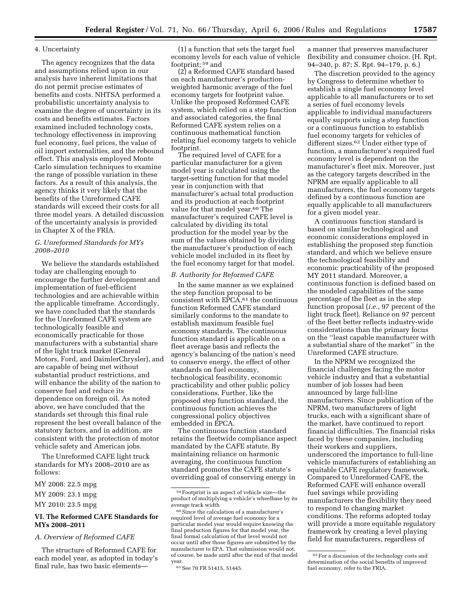## 4. Uncertainty

The agency recognizes that the data and assumptions relied upon in our analysis have inherent limitations that do not permit precise estimates of benefits and costs. NHTSA performed a probabilistic uncertainty analysis to examine the degree of uncertainty in its costs and benefits estimates. Factors examined included technology costs, technology effectiveness in improving fuel economy, fuel prices, the value of oil import externalities, and the rebound effect. This analysis employed Monte Carlo simulation techniques to examine the range of possible variation in these factors. As a result of this analysis, the agency thinks it very likely that the benefits of the Unreformed CAFE standards will exceed their costs for all three model years. A detailed discussion of the uncertainty analysis is provided in Chapter X of the FRIA.

## *G. Unreformed Standards for MYs 2008–2010*

We believe the standards established today are challenging enough to encourage the further development and implementation of fuel-efficient technologies and are achievable within the applicable timeframe. Accordingly, we have concluded that the standards for the Unreformed CAFE system are technologically feasible and economically practicable for those manufacturers with a substantial share of the light truck market (General Motors, Ford, and DaimlerChrysler), and are capable of being met without substantial product restrictions, and will enhance the ability of the nation to conserve fuel and reduce its dependence on foreign oil. As noted above, we have concluded that the standards set through this final rule represent the best overall balance of the statutory factors, and in addition, are consistent with the protection of motor vehicle safety and American jobs.

The Unreformed CAFE light truck standards for MYs 2008–2010 are as follows:

## MY 2008: 22.5 mpg

MY 2009: 23.1 mpg

## MY 2010: 23.5 mpg

## **VI. The Reformed CAFE Standards for MYs 2008–2011**

*A. Overview of Reformed CAFE* 

The structure of Reformed CAFE for each model year, as adopted in today's final rule, has two basic elements—

(1) a function that sets the target fuel economy levels for each value of vehicle footprint; 59 and

(2) a Reformed CAFE standard based on each manufacturer's productionweighted harmonic average of the fuel economy targets for footprint value. Unlike the proposed Reformed CAFE system, which relied on a step function and associated categories, the final Reformed CAFE system relies on a continuous mathematical function relating fuel economy targets to vehicle footprint.

The required level of CAFE for a particular manufacturer for a given model year is calculated using the target-setting function for that model year in conjunction with that manufacturer's actual total production and its production at each footprint value for that model year.<sup>60</sup> The manufacturer's required CAFE level is calculated by dividing its total production for the model year by the sum of the values obtained by dividing the manufacturer's production of each vehicle model included in its fleet by the fuel economy target for that model.

## *B. Authority for Reformed CAFE*

In the same manner as we explained the step function proposal to be consistent with  $\bar{EPCA}, ^{61}$  the continuous function Reformed CAFE standard similarly conforms to the mandate to establish maximum feasible fuel economy standards. The continuous function standard is applicable on a fleet average basis and reflects the agency's balancing of the nation's need to conserve energy, the effect of other standards on fuel economy, technological feasibility, economic practicability and other public policy considerations. Further, like the proposed step function standard, the continuous function achieves the congressional policy objectives embedded in EPCA.

The continuous function standard retains the fleetwide compliance aspect mandated by the CAFE statute. By maintaining reliance on harmonic averaging, the continuous function standard promotes the CAFE statute's overriding goal of conserving energy in

a manner that preserves manufacturer flexibility and consumer choice. (H. Rpt. 94–340, p. 87; S. Rpt. 94–179, p. 6.)

The discretion provided to the agency by Congress to determine whether to establish a single fuel economy level applicable to all manufacturers or to set a series of fuel economy levels applicable to individual manufacturers equally supports using a step function or a continuous function to establish fuel economy targets for vehicles of different sizes.62 Under either type of function, a manufacturer's required fuel economy level is dependent on the manufacturer's fleet mix. Moreover, just as the category targets described in the NPRM are equally applicable to all manufacturers, the fuel economy targets defined by a continuous function are equally applicable to all manufacturers for a given model year.

A continuous function standard is based on similar technological and economic considerations employed in establishing the proposed step function standard, and which we believe ensure the technological feasibility and economic practicability of the proposed MY 2011 standard. Moreover, a continuous function is defined based on the modeled capabilities of the same percentage of the fleet as in the step function proposal (*i.e.*, 97 percent of the light truck fleet). Reliance on 97 percent of the fleet better reflects industry-wide considerations than the primary focus on the ''least capable manufacturer with a substantial share of the market'' in the Unreformed CAFE structure.

In the NPRM we recognized the financial challenges facing the motor vehicle industry and that a substantial number of job losses had been announced by large full-line manufacturers. Since publication of the NPRM, two manufacturers of light trucks, each with a significant share of the market, have continued to report financial difficulties. The financial risks faced by these companies, including their workers and suppliers, underscored the importance to full-line vehicle manufacturers of establishing an equitable CAFE regulatory framework. Compared to Unreformed CAFE, the Reformed CAFE will enhance overall fuel savings while providing manufacturers the flexibility they need to respond to changing market conditions. The reforms adopted today will provide a more equitable regulatory framework by creating a level playing field for manufacturers, regardless of

<sup>59</sup>Footprint is an aspect of vehicle size—the product of multiplying a vehicle's wheelbase by its average track width

<sup>60</sup>Since the calculation of a manufacturer's required level of average fuel economy for a particular model year would require knowing the final production figures for that model year, the final formal calculation of that level would not occur until after those figures are submitted by the manufacturer to EPA. That submission would not, of course, be made until after the end of that model year.

<sup>61</sup>See 70 FR 51415, 51445.

<sup>63</sup>For a discussion of the technology costs and determination of the social benefits of improved fuel economy, refer to the FRIA.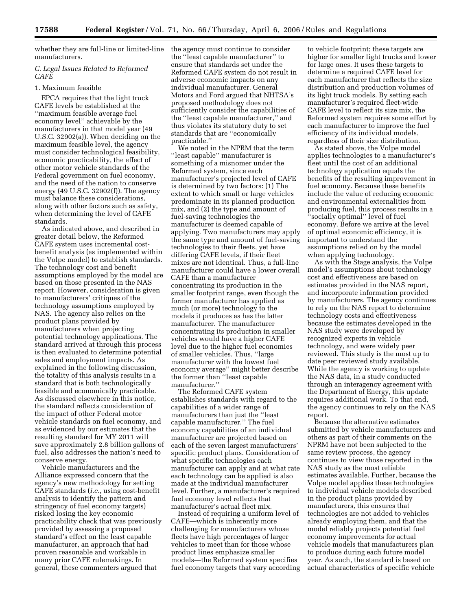whether they are full-line or limited-line manufacturers.

## *C. Legal Issues Related to Reformed CAFE*

## 1. Maximum feasible

EPCA requires that the light truck CAFE levels be established at the ''maximum feasible average fuel economy level'' achievable by the manufacturers in that model year (49 U.S.C. 32902(a)). When deciding on the maximum feasible level, the agency must consider technological feasibility, economic practicability, the effect of other motor vehicle standards of the Federal government on fuel economy, and the need of the nation to conserve energy (49 U.S.C. 32902(f)). The agency must balance these considerations, along with other factors such as safety, when determining the level of CAFE standards.

As indicated above, and described in greater detail below, the Reformed CAFE system uses incremental costbenefit analysis (as implemented within the Volpe model) to establish standards. The technology cost and benefit assumptions employed by the model are based on those presented in the NAS report. However, consideration is given to manufacturers' critiques of the technology assumptions employed by NAS. The agency also relies on the product plans provided by manufacturers when projecting potential technology applications. The standard arrived at through this process is then evaluated to determine potential sales and employment impacts. As explained in the following discussion, the totality of this analysis results in a standard that is both technologically feasible and economically practicable. As discussed elsewhere in this notice, the standard reflects consideration of the impact of other Federal motor vehicle standards on fuel economy, and as evidenced by our estimates that the resulting standard for MY 2011 will save approximately 2.8 billion gallons of fuel, also addresses the nation's need to conserve energy.

Vehicle manufacturers and the Alliance expressed concern that the agency's new methodology for setting CAFE standards (*i.e.*, using cost-benefit analysis to identify the pattern and stringency of fuel economy targets) risked losing the key economic practicability check that was previously provided by assessing a proposed standard's effect on the least capable manufacturer, an approach that had proven reasonable and workable in many prior CAFE rulemakings. In general, these commenters argued that

the agency must continue to consider the ''least capable manufacturer'' to ensure that standards set under the Reformed CAFE system do not result in adverse economic impacts on any individual manufacturer. General Motors and Ford argued that NHTSA's proposed methodology does not sufficiently consider the capabilities of the ''least capable manufacturer,'' and thus violates its statutory duty to set standards that are ''economically practicable.''

We noted in the NPRM that the term ''least capable'' manufacturer is something of a misnomer under the Reformed system, since each manufacturer's projected level of CAFE is determined by two factors: (1) The extent to which small or large vehicles predominate in its planned production mix, and (2) the type and amount of fuel-saving technologies the manufacturer is deemed capable of applying. Two manufacturers may apply the same type and amount of fuel-saving technologies to their fleets, yet have differing CAFE levels, if their fleet mixes are not identical. Thus, a full-line manufacturer could have a lower overall CAFE than a manufacturer concentrating its production in the smaller footprint range, even though the former manufacturer has applied as much (or more) technology to the models it produces as has the latter manufacturer. The manufacturer concentrating its production in smaller vehicles would have a higher CAFE level due to the higher fuel economies of smaller vehicles. Thus, ''large manufacturer with the lowest fuel economy average'' might better describe the former than ''least capable manufacturer.''

The Reformed CAFE system establishes standards with regard to the capabilities of a wider range of manufacturers than just the ''least capable manufacturer.'' The fuel economy capabilities of an individual manufacturer are projected based on each of the seven largest manufacturers' specific product plans. Consideration of what specific technologies each manufacturer can apply and at what rate each technology can be applied is also made at the individual manufacturer level. Further, a manufacturer's required fuel economy level reflects that manufacturer's actual fleet mix.

Instead of requiring a uniform level of CAFE—which is inherently more challenging for manufacturers whose fleets have high percentages of larger vehicles to meet than for those whose product lines emphasize smaller models—the Reformed system specifies fuel economy targets that vary according

to vehicle footprint; these targets are higher for smaller light trucks and lower for large ones. It uses these targets to determine a required CAFE level for each manufacturer that reflects the size distribution and production volumes of its light truck models. By setting each manufacturer's required fleet-wide CAFE level to reflect its size mix, the Reformed system requires some effort by each manufacturer to improve the fuel efficiency of its individual models, regardless of their size distribution.

As stated above, the Volpe model applies technologies to a manufacturer's fleet until the cost of an additional technology application equals the benefits of the resulting improvement in fuel economy. Because these benefits include the value of reducing economic and environmental externalities from producing fuel, this process results in a ''socially optimal'' level of fuel economy. Before we arrive at the level of optimal economic efficiency, it is important to understand the assumptions relied on by the model when applying technology.

As with the Stage analysis, the Volpe model's assumptions about technology cost and effectiveness are based on estimates provided in the NAS report, and incorporate information provided by manufacturers. The agency continues to rely on the NAS report to determine technology costs and effectiveness because the estimates developed in the NAS study were developed by recognized experts in vehicle technology, and were widely peer reviewed. This study is the most up to date peer reviewed study available. While the agency is working to update the NAS data, in a study conducted through an interagency agreement with the Department of Energy, this update requires additional work. To that end, the agency continues to rely on the NAS report.

Because the alternative estimates submitted by vehicle manufacturers and others as part of their comments on the NPRM have not been subjected to the same review process, the agency continues to view those reported in the NAS study as the most reliable estimates available. Further, because the Volpe model applies these technologies to individual vehicle models described in the product plans provided by manufacturers, this ensures that technologies are not added to vehicles already employing them, and that the model reliably projects potential fuel economy improvements for actual vehicle models that manufacturers plan to produce during each future model year. As such, the standard is based on actual characteristics of specific vehicle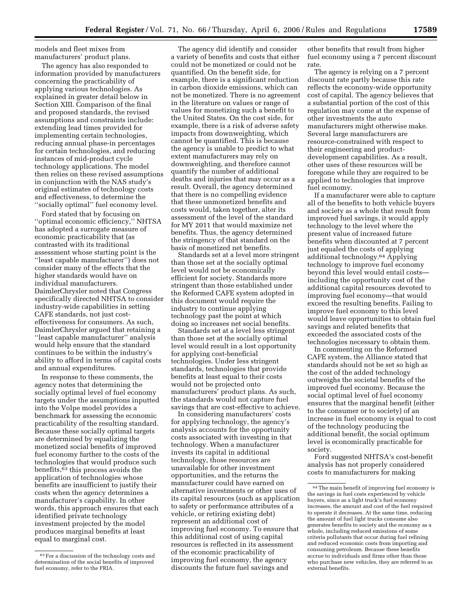models and fleet mixes from manufacturers' product plans.

The agency has also responded to information provided by manufacturers concerning the practicability of applying various technologies. As explained in greater detail below in Section XIII. Comparison of the final and proposed standards, the revised assumptions and constraints include: extending lead times provided for implementing certain technologies, reducing annual phase-in percentages for certain technologies, and reducing instances of mid-product cycle technology applications. The model then relies on these revised assumptions in conjunction with the NAS study's original estimates of technology costs and effectiveness, to determine the ''socially optimal'' fuel economy level.

Ford stated that by focusing on ''optimal economic efficiency,'' NHTSA has adopted a surrogate measure of economic practicability that (as contrasted with its traditional assessment whose starting point is the ''least capable manufacturer'') does not consider many of the effects that the higher standards would have on individual manufacturers. DaimlerChrysler noted that Congress specifically directed NHTSA to consider industry-wide capabilities in setting CAFE standards, not just costeffectiveness for consumers. As such, DaimlerChrysler argued that retaining a ''least capable manufacturer'' analysis would help ensure that the standard continues to be within the industry's ability to afford in terms of capital costs and annual expenditures.

In response to these comments, the agency notes that determining the socially optimal level of fuel economy targets under the assumptions inputted into the Volpe model provides a benchmark for assessing the economic practicability of the resulting standard. Because these socially optimal targets are determined by equalizing the monetized social benefits of improved fuel economy further to the costs of the technologies that would produce such benefits,63 this process avoids the application of technologies whose benefits are insufficient to justify their costs when the agency determines a manufacturer's capability. In other words, this approach ensures that each identified private technology investment projected by the model produces marginal benefits at least equal to marginal cost.

The agency did identify and consider a variety of benefits and costs that either could not be monetized or could not be quantified. On the benefit side, for example, there is a significant reduction in carbon dioxide emissions, which can not be monetized. There is no agreement in the literature on values or range of values for monetizing such a benefit to the United States. On the cost side, for example, there is a risk of adverse safety impacts from downweighting, which cannot be quantified. This is because the agency is unable to predict to what extent manufacturers may rely on downweighting, and therefore cannot quantify the number of additional deaths and injuries that may occur as a result. Overall, the agency determined that there is no compelling evidence that these unmonetized benefits and costs would, taken together, alter its assessment of the level of the standard for MY 2011 that would maximize net benefits. Thus, the agency determined the stringency of that standard on the basis of monetized net benefits.

Standards set at a level more stringent than those set at the socially optimal level would not be economically efficient for society. Standards more stringent than those established under the Reformed CAFE system adopted in this document would require the industry to continue applying technology past the point at which doing so increases net social benefits.

Standards set at a level less stringent than those set at the socially optimal level would result in a lost opportunity for applying cost-beneficial technologies. Under less stringent standards, technologies that provide benefits at least equal to their costs would not be projected onto manufacturers' product plans. As such, the standards would not capture fuel savings that are cost-effective to achieve.

In considering manufacturers' costs for applying technology, the agency's analysis accounts for the opportunity costs associated with investing in that technology. When a manufacturer invests its capital in additional technology, those resources are unavailable for other investment opportunities, and the returns the manufacturer could have earned on alternative investments or other uses of its capital resources (such as application to safety or performance attributes of a vehicle, or retiring existing debt) represent an additional cost of improving fuel economy. To ensure that this additional cost of using capital resources is reflected in its assessment of the economic practicability of improving fuel economy, the agency discounts the future fuel savings and

other benefits that result from higher fuel economy using a 7 percent discount rate.

The agency is relying on a 7 percent discount rate partly because this rate reflects the economy-wide opportunity cost of capital. The agency believes that a substantial portion of the cost of this regulation may come at the expense of other investments the auto manufacturers might otherwise make. Several large manufacturers are resource-constrained with respect to their engineering and productdevelopment capabilities. As a result, other uses of these resources will be foregone while they are required to be applied to technologies that improve fuel economy.

If a manufacturer were able to capture all of the benefits to both vehicle buyers and society as a whole that result from improved fuel savings, it would apply technology to the level where the present value of increased future benefits when discounted at 7 percent just equaled the costs of applying additional technology.64 Applying technology to improve fuel economy beyond this level would entail costs including the opportunity cost of the additional capital resources devoted to improving fuel economy—that would exceed the resulting benefits. Failing to improve fuel economy to this level would leave opportunities to obtain fuel savings and related benefits that exceeded the associated costs of the technologies necessary to obtain them.

In commenting on the Reformed CAFE system, the Alliance stated that standards should not be set so high as the cost of the added technology outweighs the societal benefits of the improved fuel economy. Because the social optimal level of fuel economy ensures that the marginal benefit (either to the consumer or to society) of an increase in fuel economy is equal to cost of the technology producing the additional benefit, the social optimum level is economically practicable for society.

Ford suggested NHTSA's cost-benefit analysis has not properly considered costs to manufacturers for making

<sup>63</sup>For a discussion of the technology costs and determination of the social benefits of improved fuel economy, refer to the FRIA.

 $\rm ^{64}$  The main benefit of improving fuel economy is the savings in fuel costs experienced by vehicle buyers, since as a light truck's fuel economy increases, the amount and cost of the fuel required to operate it decreases. At the same time, reducing the amount of fuel light trucks consume also generates benefits to society and the economy as a whole, including reduced emissions of some criteria pollutants that occur during fuel refining and reduced economic costs from importing and consuming petroleum. Because these benefits accrue to individuals and firms other than those who purchase new vehicles, they are referred to as external benefits.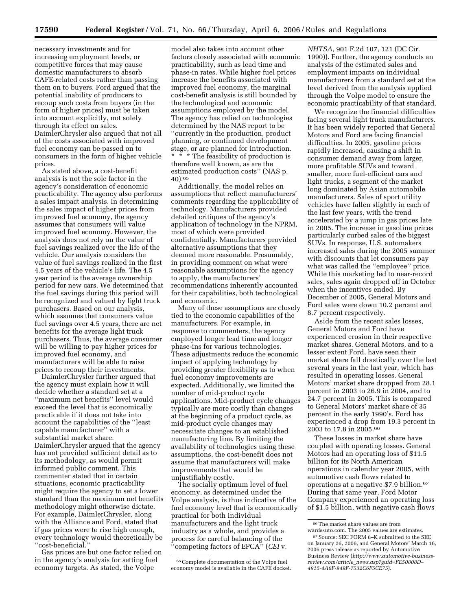necessary investments and for increasing employment levels, or competitive forces that may cause domestic manufacturers to absorb CAFE-related costs rather than passing them on to buyers. Ford argued that the potential inability of producers to recoup such costs from buyers (in the form of higher prices) must be taken into account explicitly, not solely through its effect on sales. DaimlerChrysler also argued that not all of the costs associated with improved fuel economy can be passed on to consumers in the form of higher vehicle prices.

As stated above, a cost-benefit analysis is not the sole factor in the agency's consideration of economic practicability. The agency also performs a sales impact analysis. In determining the sales impact of higher prices from improved fuel economy, the agency assumes that consumers will value improved fuel economy. However, the analysis does not rely on the value of fuel savings realized over the life of the vehicle. Our analysis considers the value of fuel savings realized in the first 4.5 years of the vehicle's life. The 4.5 year period is the average ownership period for new cars. We determined that the fuel savings during this period will be recognized and valued by light truck purchasers. Based on our analysis, which assumes that consumers value fuel savings over 4.5 years, there are net benefits for the average light truck purchasers. Thus, the average consumer will be willing to pay higher prices for improved fuel economy, and manufacturers will be able to raise prices to recoup their investments.

DaimlerChrysler further argued that the agency must explain how it will decide whether a standard set at a ''maximum net benefits'' level would exceed the level that is economically practicable if it does not take into account the capabilities of the ''least capable manufacturer'' with a substantial market share. DaimlerChrysler argued that the agency has not provided sufficient detail as to its methodology, as would permit informed public comment. This commenter stated that in certain situations, economic practicability might require the agency to set a lower standard than the maximum net benefits methodology might otherwise dictate. For example, DaimlerChrysler, along with the Alliance and Ford, stated that if gas prices were to rise high enough, every technology would theoretically be ''cost-beneficial.''

Gas prices are but one factor relied on in the agency's analysis for setting fuel economy targets. As stated, the Volpe

model also takes into account other factors closely associated with economic practicability, such as lead time and phase-in rates. While higher fuel prices increase the benefits associated with improved fuel economy, the marginal cost-benefit analysis is still bounded by the technological and economic assumptions employed by the model. The agency has relied on technologies determined by the NAS report to be ''currently in the production, product planning, or continued development stage, or are planned for introduction. \* \* \* The feasibility of production is therefore well known, as are the estimated production costs'' (NAS p. 40).65

Additionally, the model relies on assumptions that reflect manufacturers' comments regarding the applicability of technology. Manufacturers provided detailed critiques of the agency's application of technology in the NPRM, most of which were provided confidentially. Manufacturers provided alternative assumptions that they deemed more reasonable. Presumably, in providing comment on what were reasonable assumptions for the agency to apply, the manufacturers' recommendations inherently accounted for their capabilities, both technological and economic.

Many of these assumptions are closely tied to the economic capabilities of the manufacturers. For example, in response to commenters, the agency employed longer lead time and longer phase-ins for various technologies. These adjustments reduce the economic impact of applying technology by providing greater flexibility as to when fuel economy improvements are expected. Additionally, we limited the number of mid-product cycle applications. Mid-product cycle changes typically are more costly than changes at the beginning of a product cycle, as mid-product cycle changes may necessitate changes to an established manufacturing line. By limiting the availability of technologies using these assumptions, the cost-benefit does not assume that manufacturers will make improvements that would be unjustifiably costly.

The socially optimum level of fuel economy, as determined under the Volpe analysis, is thus indicative of the fuel economy level that is economically practical for both individual manufacturers and the light truck industry as a whole, and provides a process for careful balancing of the ''competing factors of EPCA'' (*CEI* v.

65Complete documentation of the Volpe fuel economy model is available in the CAFE docket.

*NHTSA*, 901 F.2d 107, 121 (DC Cir. 1990)). Further, the agency conducts an analysis of the estimated sales and employment impacts on individual manufacturers from a standard set at the level derived from the analysis applied through the Volpe model to ensure the economic practicability of that standard.

We recognize the financial difficulties facing several light truck manufacturers. It has been widely reported that General Motors and Ford are facing financial difficulties. In 2005, gasoline prices rapidly increased, causing a shift in consumer demand away from larger, more profitable SUVs and toward smaller, more fuel-efficient cars and light trucks, a segment of the market long dominated by Asian automobile manufacturers. Sales of sport utility vehicles have fallen slightly in each of the last few years, with the trend accelerated by a jump in gas prices late in 2005. The increase in gasoline prices particularly curbed sales of the biggest SUVs. In response, U.S. automakers increased sales during the 2005 summer with discounts that let consumers pay what was called the ''employee'' price. While this marketing led to near-record sales, sales again dropped off in October when the incentives ended. By December of 2005, General Motors and Ford sales were down 10.2 percent and 8.7 percent respectively.

Aside from the recent sales losses, General Motors and Ford have experienced erosion in their respective market shares. General Motors, and to a lesser extent Ford, have seen their market share fall drastically over the last several years in the last year, which has resulted in operating losses. General Motors' market share dropped from 28.1 percent in 2003 to 26.9 in 2004, and to 24.7 percent in 2005. This is compared to General Motors' market share of 35 percent in the early 1990's. Ford has experienced a drop from 19.3 percent in 2003 to 17.8 in 2005.66

These losses in market share have coupled with operating losses. General Motors had an operating loss of \$11.5 billion for its North American operations in calendar year 2005, with automotive cash flows related to operations at a negative \$7.9 billion.67 During that same year, Ford Motor Company experienced an operating loss of \$1.5 billion, with negative cash flows

<sup>66</sup>The market share values are from wardssuto.com. The 2005 values are estimates.

<sup>67</sup>Source: SEC FORM 8–K submitted to the SEC on January 26, 2006, and General Motors' March 16, 2006 press release as reported by Automotive Business Review (*[http://www.automotive-business](http://www.automotive-business-review.com/article_news.asp?guid=FE50808D-4915-4A6F-949F-7532C6F5CE75)review.com/article*\_*news.asp?guid=FE50808D– 4915-4A6F-949F-7532C6F5CE75*).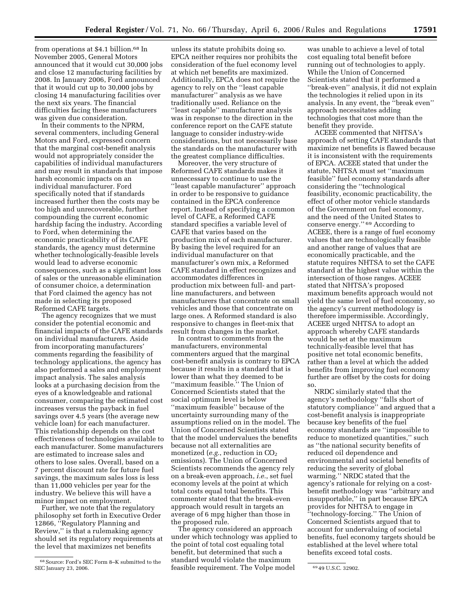from operations at \$4.1 billion.68 In November 2005, General Motors announced that it would cut 30,000 jobs and close 12 manufacturing facilities by 2008. In January 2006, Ford announced that it would cut up to 30,000 jobs by closing 14 manufacturing facilities over the next six years. The financial difficulties facing these manufacturers was given due consideration.

In their comments to the NPRM, several commenters, including General Motors and Ford, expressed concern that the marginal cost-benefit analysis would not appropriately consider the capabilities of individual manufacturers and may result in standards that impose harsh economic impacts on an individual manufacturer. Ford specifically noted that if standards increased further then the costs may be too high and unrecoverable, further compounding the current economic hardship facing the industry. According to Ford, when determining the economic practicability of its CAFE standards, the agency must determine whether technologically-feasible levels would lead to adverse economic consequences, such as a significant loss of sales or the unreasonable elimination of consumer choice, a determination that Ford claimed the agency has not made in selecting its proposed Reformed CAFE targets.

The agency recognizes that we must consider the potential economic and financial impacts of the CAFE standards on individual manufacturers. Aside from incorporating manufacturers' comments regarding the feasibility of technology applications, the agency has also performed a sales and employment impact analysis. The sales analysis looks at a purchasing decision from the eyes of a knowledgeable and rational consumer, comparing the estimated cost increases versus the payback in fuel savings over 4.5 years (the average new vehicle loan) for each manufacturer. This relationship depends on the cost effectiveness of technologies available to each manufacturer. Some manufacturers are estimated to increase sales and others to lose sales. Overall, based on a 7 percent discount rate for future fuel savings, the maximum sales loss is less than 11,000 vehicles per year for the industry. We believe this will have a minor impact on employment.

Further, we note that the regulatory philosophy set forth in Executive Order 12866, ''Regulatory Planning and Review,'' is that a rulemaking agency should set its regulatory requirements at the level that maximizes net benefits

unless its statute prohibits doing so. EPCA neither requires nor prohibits the consideration of the fuel economy level at which net benefits are maximized. Additionally, EPCA does not require the agency to rely on the ''least capable manufacturer'' analysis as we have traditionally used. Reliance on the ''least capable'' manufacturer analysis was in response to the direction in the conference report on the CAFE statute language to consider industry-wide considerations, but not necessarily base the standards on the manufacturer with the greatest compliance difficulties.

Moreover, the very structure of Reformed CAFE standards makes it unnecessary to continue to use the ''least capable manufacturer'' approach in order to be responsive to guidance contained in the EPCA conference report. Instead of specifying a common level of CAFE, a Reformed CAFE standard specifies a variable level of CAFE that varies based on the production mix of each manufacturer. By basing the level required for an individual manufacturer on that manufacturer's own mix, a Reformed CAFE standard in effect recognizes and accommodates differences in production mix between full- and partline manufacturers, and between manufacturers that concentrate on small vehicles and those that concentrate on large ones. A Reformed standard is also responsive to changes in fleet-mix that result from changes in the market.

In contrast to comments from the manufacturers, environmental commenters argued that the marginal cost-benefit analysis is contrary to EPCA because it results in a standard that is lower than what they deemed to be ''maximum feasible.'' The Union of Concerned Scientists stated that the social optimum level is below ''maximum feasible'' because of the uncertainty surrounding many of the assumptions relied on in the model. The Union of Concerned Scientists stated that the model undervalues the benefits because not all externalities are monetized ( $e.g.,$  reduction in  $CO<sub>2</sub>$ emissions). The Union of Concerned Scientists recommends the agency rely on a break-even approach, *i.e.*, set fuel economy levels at the point at which total costs equal total benefits. This commenter stated that the break-even approach would result in targets an average of 6 mpg higher than those in the proposed rule.

SEC January 23, 2006. 69 49 U.S.C. 32902. feasible requirement. The Volpe model The agency considered an approach under which technology was applied to the point of total cost equaling total benefit, but determined that such a standard would violate the maximum

was unable to achieve a level of total cost equaling total benefit before running out of technologies to apply. While the Union of Concerned Scientists stated that it performed a ''break-even'' analysis, it did not explain the technologies it relied upon in its analysis. In any event, the ''break even'' approach necessitates adding technologies that cost more than the benefit they provide.

ACEEE commented that NHTSA's approach of setting CAFE standards that maximize net benefits is flawed because it is inconsistent with the requirements of EPCA. ACEEE stated that under the statute, NHTSA must set ''maximum feasible'' fuel economy standards after considering the ''technological feasibility, economic practicability, the effect of other motor vehicle standards of the Government on fuel economy, and the need of the United States to conserve energy.'' 69 According to ACEEE, there is a range of fuel economy values that are technologically feasible and another range of values that are economically practicable, and the statute requires NHTSA to set the CAFE standard at the highest value within the intersection of those ranges. ACEEE stated that NHTSA's proposed maximum benefits approach would not yield the same level of fuel economy, so the agency's current methodology is therefore impermissible. Accordingly, ACEEE urged NHTSA to adopt an approach whereby CAFE standards would be set at the maximum technically-feasible level that has positive net total economic benefits, rather than a level at which the added benefits from improving fuel economy further are offset by the costs for doing so.

NRDC similarly stated that the agency's methodology ''falls short of statutory compliance'' and argued that a cost-benefit analysis is inappropriate because key benefits of the fuel economy standards are ''impossible to reduce to monetized quantities,'' such as ''the national security benefits of reduced oil dependence and environmental and societal benefits of reducing the severity of global warming.'' NRDC stated that the agency's rationale for relying on a costbenefit methodology was ''arbitrary and insupportable,'' in part because EPCA provides for NHTSA to engage in ''technology-forcing.'' The Union of Concerned Scientists argued that to account for undervaluing of societal benefits, fuel economy targets should be established at the level where total benefits exceed total costs.

 $^{68}$  Source: Ford's SEC Form 8–K submitted to the SEC January 23, 2006.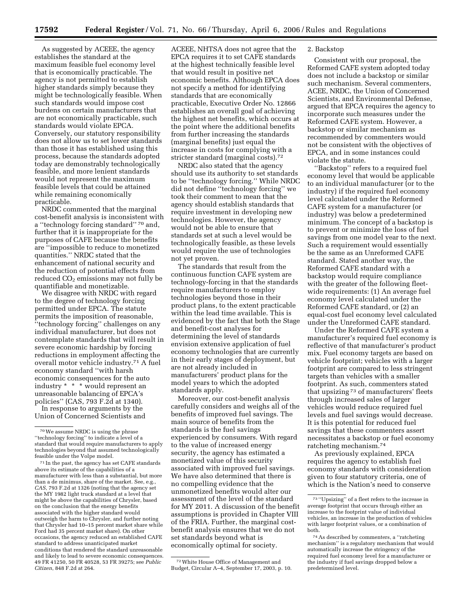As suggested by ACEEE, the agency establishes the standard at the maximum feasible fuel economy level that is economically practicable. The agency is not permitted to establish higher standards simply because they might be technologically feasible. When such standards would impose cost burdens on certain manufacturers that are not economically practicable, such standards would violate EPCA. Conversely, our statutory responsibility does not allow us to set lower standards than those it has established using this process, because the standards adopted today are demonstrably technologically feasible, and more lenient standards would not represent the maximum feasible levels that could be attained while remaining economically practicable.

NRDC commented that the marginal cost-benefit analysis is inconsistent with a ''technology forcing standard'' 70 and, further that it is inappropriate for the purposes of CAFE because the benefits are ''impossible to reduce to monetized quantities.'' NRDC stated that the enhancement of national security and the reduction of potential effects from reduced  $CO<sub>2</sub>$  emissions may not fully be quantifiable and monetizable.

We disagree with NRDC with regard to the degree of technology forcing permitted under EPCA. The statute permits the imposition of reasonable, ''technology forcing'' challenges on any individual manufacturer, but does not contemplate standards that will result in severe economic hardship by forcing reductions in employment affecting the overall motor vehicle industry.71 A fuel economy standard ''with harsh economic consequences for the auto industry \* \* \* would represent an unreasonable balancing of EPCA's policies'' (CAS, 793 F.2d at 1340). In response to arguments by the Union of Concerned Scientists and

ACEEE, NHTSA does not agree that the EPCA requires it to set CAFE standards at the highest technically feasible level that would result in positive net economic benefits. Although EPCA does not specify a method for identifying standards that are economically practicable, Executive Order No. 12866 establishes an overall goal of achieving the highest net benefits, which occurs at the point where the additional benefits from further increasing the standards (marginal benefits) just equal the increase in costs for complying with a stricter standard (marginal costs).72

NRDC also stated that the agency should use its authority to set standards to be ''technology forcing.'' While NRDC did not define ''technology forcing'' we took their comment to mean that the agency should establish standards that require investment in developing new technologies. However, the agency would not be able to ensure that standards set at such a level would be technologically feasible, as these levels would require the use of technologies not yet proven.

The standards that result from the continuous function CAFE system are technology-forcing in that the standards require manufacturers to employ technologies beyond those in their product plans, to the extent practicable within the lead time available. This is evidenced by the fact that both the Stage and benefit-cost analyses for determining the level of standards envision extensive application of fuel economy technologies that are currently in their early stages of deployment, but are not already included in manufacturers' product plans for the model years to which the adopted standards apply.

Moreover, our cost-benefit analysis carefully considers and weighs all of the benefits of improved fuel savings. The main source of benefits from the standards is the fuel savings experienced by consumers. With regard to the value of increased energy security, the agency has estimated a monetized value of this security associated with improved fuel savings. We have also determined that there is no compelling evidence that the unmonetized benefits would alter our assessment of the level of the standard for MY 2011. A discussion of the benefit assumptions is provided in Chapter VIII of the FRIA. Further, the marginal costbenefit analysis ensures that we do not set standards beyond what is economically optimal for society.

72White House Office of Management and Budget, Circular A–4, September 17, 2003, p. 10.

## 2. Backstop

Consistent with our proposal, the Reformed CAFE system adopted today does not include a backstop or similar such mechanism. Several commenters, ACEE, NRDC, the Union of Concerned Scientists, and Environmental Defense, argued that EPCA requires the agency to incorporate such measures under the Reformed CAFE system. However, a backstop or similar mechanism as recommended by commenters would not be consistent with the objectives of EPCA, and in some instances could violate the statute.

''Backstop'' refers to a required fuel economy level that would be applicable to an individual manufacturer (or to the industry) if the required fuel economy level calculated under the Reformed CAFE system for a manufacturer (or industry) was below a predetermined minimum. The concept of a backstop is to prevent or minimize the loss of fuel savings from one model year to the next. Such a requirement would essentially be the same as an Unreformed CAFE standard. Stated another way, the Reformed CAFE standard with a backstop would require compliance with the greater of the following fleetwide requirements: (1) An average fuel economy level calculated under the Reformed CAFE standard, or (2) an equal-cost fuel economy level calculated under the Unreformed CAFE standard.

Under the Reformed CAFE system a manufacturer's required fuel economy is reflective of that manufacturer's product mix. Fuel economy targets are based on vehicle footprint; vehicles with a larger footprint are compared to less stringent targets than vehicles with a smaller footprint. As such, commenters stated that upsizing 73 of manufacturers' fleets through increased sales of larger vehicles would reduce required fuel levels and fuel savings would decrease. It is this potential for reduced fuel savings that these commenters assert necessitates a backstop or fuel economy ratcheting mechanism.74

As previously explained, EPCA requires the agency to establish fuel economy standards with consideration given to four statutory criteria, one of which is the Nation's need to conserve

<sup>70</sup>We assume NRDC is using the phrase ''technology forcing'' to indicate a level of a standard that would require manufacturers to apply technologies beyond that assumed technologically feasible under the Volpe model.

<sup>71</sup> In the past, the agency has set CAFE standards above its estimate of the capabilities of a manufacturer with less than a substantial, but more than a de minimus, share of the market. See, e.g., *CAS*, 793 F.2d at 1326 (noting that the agency set the MY 1982 light truck standard at a level that might be above the capabilities of Chrysler, based on the conclusion that the energy benefits associated with the higher standard would outweigh the harm to Chrysler, and further noting that Chrysler had 10–15 percent market share while Ford had 35 percent market share). On other occasions, the agency reduced an established CAFE standard to address unanticipated market conditions that rendered the standard unreasonable and likely to lead to severe economic consequences. 49 FR 41250, 50 FR 40528, 53 FR 39275; see *Public Citizen*, 848 F.2d at 264.

 $^{73\;\cdot\cdot}$  Upsizing" of a fleet refers to the increase in average footprint that occurs through either an increase to the footprint value of individual vehicles, an increase in the production of vehicles with larger footprint values, or a combination of both.

<sup>74</sup>As described by commenters, a ''ratcheting mechanism'' is a regulatory mechanism that would automatically increase the stringency of the required fuel economy level for a manufacturer or the industry if fuel savings dropped below a predetermined level.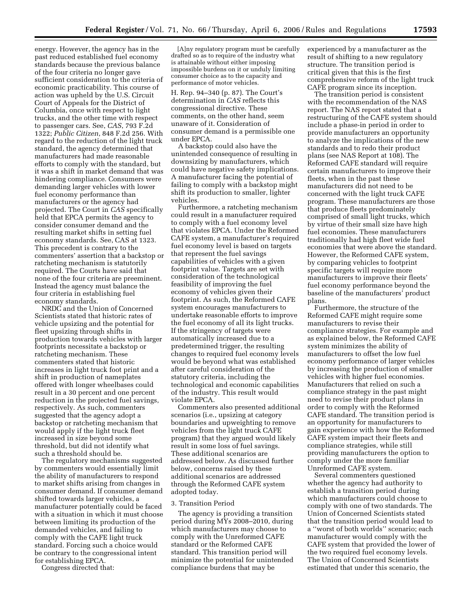energy. However, the agency has in the past reduced established fuel economy standards because the previous balance of the four criteria no longer gave sufficient consideration to the criteria of economic practicability. This course of action was upheld by the U.S. Circuit Court of Appeals for the District of Columbia, once with respect to light trucks, and the other time with respect to passenger cars. See, *CAS*, 793 F.2d 1322; *Public Citizen*, 848 F.2d 256. With regard to the reduction of the light truck standard, the agency determined that manufacturers had made reasonable efforts to comply with the standard, but it was a shift in market demand that was hindering compliance. Consumers were demanding larger vehicles with lower fuel economy performance than manufacturers or the agency had projected. The Court in *CAS* specifically held that EPCA permits the agency to consider consumer demand and the resulting market shifts in setting fuel economy standards. See, CAS at 1323. This precedent is contrary to the commenters' assertion that a backstop or ratcheting mechanism is statutorily required. The Courts have said that none of the four criteria are preeminent. Instead the agency must balance the four criteria in establishing fuel economy standards.

NRDC and the Union of Concerned Scientists stated that historic rates of vehicle upsizing and the potential for fleet upsizing through shifts in production towards vehicles with larger footprints necessitate a backstop or ratcheting mechanism. These commenters stated that historic increases in light truck foot print and a shift in production of nameplates offered with longer wheelbases could result in a 30 percent and one percent reduction in the projected fuel savings, respectively. As such, commenters suggested that the agency adopt a backstop or ratcheting mechanism that would apply if the light truck fleet increased in size beyond some threshold, but did not identify what such a threshold should be.

The regulatory mechanisms suggested by commenters would essentially limit the ability of manufacturers to respond to market shifts arising from changes in consumer demand. If consumer demand shifted towards larger vehicles, a manufacturer potentially could be faced with a situation in which it must choose between limiting its production of the demanded vehicles, and failing to comply with the CAFE light truck standard. Forcing such a choice would be contrary to the congressional intent for establishing EPCA.

Congress directed that:

[A]ny regulatory program must be carefully drafted so as to require of the industry what is attainable without either imposing impossible burdens on it or unduly limiting consumer choice as to the capacity and performance of motor vehicles.

H. Rep. 94–340 (p. 87). The Court's determination in *CAS* reflects this congressional directive. These comments, on the other hand, seem unaware of it. Consideration of consumer demand is a permissible one under EPCA.

A backstop could also have the unintended consequence of resulting in downsizing by manufacturers, which could have negative safety implications. A manufacturer facing the potential of failing to comply with a backstop might shift its production to smaller, lighter vehicles.

Furthermore, a ratcheting mechanism could result in a manufacturer required to comply with a fuel economy level that violates EPCA. Under the Reformed CAFE system, a manufacturer's required fuel economy level is based on targets that represent the fuel savings capabilities of vehicles with a given footprint value. Targets are set with consideration of the technological feasibility of improving the fuel economy of vehicles given their footprint. As such, the Reformed CAFE system encourages manufacturers to undertake reasonable efforts to improve the fuel economy of all its light trucks. If the stringency of targets were automatically increased due to a predetermined trigger, the resulting changes to required fuel economy levels would be beyond what was established after careful consideration of the statutory criteria, including the technological and economic capabilities of the industry. This result would violate EPCA.

Commenters also presented additional scenarios (i.e., upsizing at category boundaries and upweighting to remove vehicles from the light truck CAFE program) that they argued would likely result in some loss of fuel savings. These additional scenarios are addressed below. As discussed further below, concerns raised by these additional scenarios are addressed through the Reformed CAFE system adopted today.

## 3. Transition Period

The agency is providing a transition period during MYs 2008–2010, during which manufacturers may choose to comply with the Unreformed CAFE standard or the Reformed CAFE standard. This transition period will minimize the potential for unintended compliance burdens that may be

experienced by a manufacturer as the result of shifting to a new regulatory structure. The transition period is critical given that this is the first comprehensive reform of the light truck CAFE program since its inception.

The transition period is consistent with the recommendation of the NAS report. The NAS report stated that a restructuring of the CAFE system should include a phase-in period in order to provide manufacturers an opportunity to analyze the implications of the new standards and to redo their product plans (see NAS Report at 108). The Reformed CAFE standard will require certain manufacturers to improve their fleets, when in the past these manufacturers did not need to be concerned with the light truck CAFE program. These manufacturers are those that produce fleets predominately comprised of small light trucks, which by virtue of their small size have high fuel economies. These manufacturers traditionally had high fleet wide fuel economies that were above the standard. However, the Reformed CAFE system, by comparing vehicles to footprint specific targets will require more manufacturers to improve their fleets' fuel economy performance beyond the baseline of the manufacturers' product plans.

Furthermore, the structure of the Reformed CAFE might require some manufacturers to revise their compliance strategies. For example and as explained below, the Reformed CAFE system minimizes the ability of manufacturers to offset the low fuel economy performance of larger vehicles by increasing the production of smaller vehicles with higher fuel economies. Manufacturers that relied on such a compliance strategy in the past might need to revise their product plans in order to comply with the Reformed CAFE standard. The transition period is an opportunity for manufacturers to gain experience with how the Reformed CAFE system impact their fleets and compliance strategies, while still providing manufacturers the option to comply under the more familiar Unreformed CAFE system.

Several commenters questioned whether the agency had authority to establish a transition period during which manufacturers could choose to comply with one of two standards. The Union of Concerned Scientists stated that the transition period would lead to a ''worst of both worlds'' scenario; each manufacturer would comply with the CAFE system that provided the lower of the two required fuel economy levels. The Union of Concerned Scientists estimated that under this scenario, the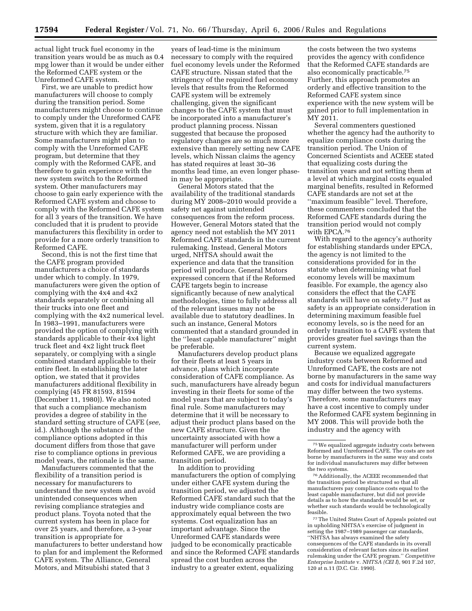actual light truck fuel economy in the transition years would be as much as 0.4 mpg lower than it would be under either the Reformed CAFE system or the Unreformed CAFE system.

First, we are unable to predict how manufacturers will choose to comply during the transition period. Some manufacturers might choose to continue to comply under the Unreformed CAFE system, given that it is a regulatory structure with which they are familiar. Some manufacturers might plan to comply with the Unreformed CAFE program, but determine that they comply with the Reformed CAFE, and therefore to gain experience with the new system switch to the Reformed system. Other manufacturers may choose to gain early experience with the Reformed CAFE system and choose to comply with the Reformed CAFE system for all 3 years of the transition. We have concluded that it is prudent to provide manufacturers this flexibility in order to provide for a more orderly transition to Reformed CAFE.

Second, this is not the first time that the CAFE program provided manufacturers a choice of standards under which to comply. In 1979, manufacturers were given the option of complying with the 4x4 and 4x2 standards separately or combining all their trucks into one fleet and complying with the 4x2 numerical level. In 1983–1991, manufacturers were provided the option of complying with standards applicable to their 4x4 light truck fleet and 4x2 light truck fleet separately, or complying with a single combined standard applicable to their entire fleet. In establishing the later option, we stated that it provides manufacturers additional flexibility in complying (45 FR 81593, 81594 (December 11, 1980)). We also noted that such a compliance mechanism provides a degree of stability in the standard setting structure of CAFE (*see,*  id.). Although the substance of the compliance options adopted in this document differs from those that gave rise to compliance options in previous model years, the rationale is the same.

Manufacturers commented that the flexibility of a transition period is necessary for manufacturers to understand the new system and avoid unintended consequences when revising compliance strategies and product plans. Toyota noted that the current system has been in place for over 25 years, and therefore, a 3-year transition is appropriate for manufacturers to better understand how to plan for and implement the Reformed CAFE system. The Alliance, General Motors, and Mitsubishi stated that 3

years of lead-time is the minimum necessary to comply with the required fuel economy levels under the Reformed CAFE structure. Nissan stated that the stringency of the required fuel economy levels that results from the Reformed CAFE system will be extremely challenging, given the significant changes to the CAFE system that must be incorporated into a manufacturer's product planning process. Nissan suggested that because the proposed regulatory changes are so much more extensive than merely setting new CAFE levels, which Nissan claims the agency has stated requires at least 30–36 months lead time, an even longer phasein may be appropriate.

General Motors stated that the availability of the traditional standards during MY 2008–2010 would provide a safety net against unintended consequences from the reform process. However, General Motors stated that the agency need not establish the MY 2011 Reformed CAFE standards in the current rulemaking. Instead, General Motors urged, NHTSA should await the experience and data that the transition period will produce. General Motors expressed concern that if the Reformed CAFE targets begin to increase significantly because of new analytical methodologies, time to fully address all of the relevant issues may not be available due to statutory deadlines. In such an instance, General Motors commented that a standard grounded in the ''least capable manufacturer'' might be preferable.

Manufacturers develop product plans for their fleets at least 5 years in advance, plans which incorporate consideration of CAFE compliance. As such, manufacturers have already begun investing in their fleets for some of the model years that are subject to today's final rule. Some manufacturers may determine that it will be necessary to adjust their product plans based on the new CAFE structure. Given the uncertainty associated with how a manufacturer will perform under Reformed CAFE, we are providing a transition period.

In addition to providing manufacturers the option of complying under either CAFE system during the transition period, we adjusted the Reformed CAFE standard such that the industry wide compliance costs are approximately equal between the two systems. Cost equalization has an important advantage. Since the Unreformed CAFE standards were judged to be economically practicable and since the Reformed CAFE standards spread the cost burden across the industry to a greater extent, equalizing

the costs between the two systems provides the agency with confidence that the Reformed CAFE standards are also economically practicable.75 Further, this approach promotes an orderly and effective transition to the Reformed CAFE system since experience with the new system will be gained prior to full implementation in MY 2011.

Several commenters questioned whether the agency had the authority to equalize compliance costs during the transition period. The Union of Concerned Scientists and ACEEE stated that equalizing costs during the transition years and not setting them at a level at which marginal costs equaled marginal benefits, resulted in Reformed CAFE standards are not set at the ''maximum feasible'' level. Therefore, these commenters concluded that the Reformed CAFE standards during the transition period would not comply with EPCA.76

With regard to the agency's authority for establishing standards under EPCA, the agency is not limited to the considerations provided for in the statute when determining what fuel economy levels will be maximum feasible. For example, the agency also considers the effect that the CAFE standards will have on safety.77 Just as safety is an appropriate consideration in determining maximum feasible fuel economy levels, so is the need for an orderly transition to a CAFE system that provides greater fuel savings than the current system.

Because we equalized aggregate industry costs between Reformed and Unreformed CAFE, the costs are not borne by manufacturers in the same way and costs for individual manufacturers may differ between the two systems. Therefore, some manufacturers may have a cost incentive to comply under the Reformed CAFE system beginning in MY 2008. This will provide both the industry and the agency with

76Additionally, the ACEEE recommended that the transition period be structured so that all manufacturers pay compliance costs equal to the least capable manufacturer, but did not provide details as to how the standards would be set, or whether such standards would be technologically feasible.

77The United States Court of Appeals pointed out in upholding NHTSA's exercise of judgment in setting the 1987–1989 passenger car standards, ''NHTSA has always examined the safety consequences of the CAFE standards in its overall consideration of relevant factors since its earliest rulemaking under the CAFE program.'' *Competitive Enterprise Institute* v. *NHTSA (CEI I*), 901 F.2d 107, 120 at n.11 (D.C. Cir. 1990).

<sup>75</sup>We equalized aggregate industry costs between Reformed and Unreformed CAFE. The costs are not borne by manufacturers in the same way and costs for individual manufacturers may differ between the two systems.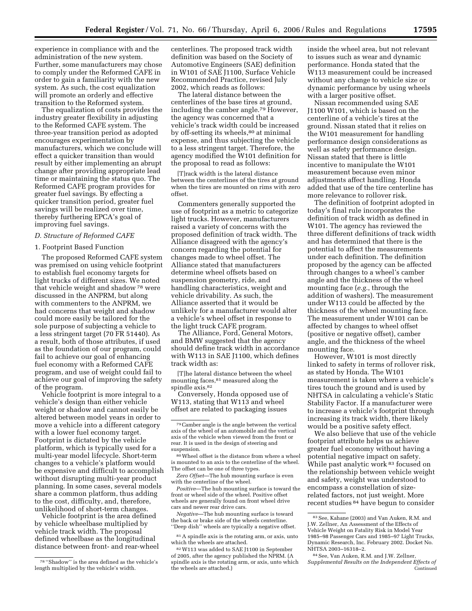experience in compliance with and the administration of the new system. Further, some manufacturers may chose to comply under the Reformed CAFE in order to gain a familiarity with the new system. As such, the cost equalization will promote an orderly and effective transition to the Reformed system.

The equalization of costs provides the industry greater flexibility in adjusting to the Reformed CAFE system. The three-year transition period as adopted encourages experimentation by manufacturers, which we conclude will effect a quicker transition than would result by either implementing an abrupt change after providing appropriate lead time or maintaining the status quo. The Reformed CAFE program provides for greater fuel savings. By effecting a quicker transition period, greater fuel savings will be realized over time, thereby furthering EPCA's goal of improving fuel savings.

## *D. Structure of Reformed CAFE*

## 1. Footprint Based Function

The proposed Reformed CAFE system was premised on using vehicle footprint to establish fuel economy targets for light trucks of different sizes. We noted that vehicle weight and shadow 78 were discussed in the ANPRM, but along with commenters to the ANPRM, we had concerns that weight and shadow could more easily be tailored for the sole purpose of subjecting a vehicle to a less stringent target (70 FR 51440). As a result, both of those attributes, if used as the foundation of our program, could fail to achieve our goal of enhancing fuel economy with a Reformed CAFE program, and use of weight could fail to achieve our goal of improving the safety of the program.

Vehicle footprint is more integral to a vehicle's design than either vehicle weight or shadow and cannot easily be altered between model years in order to move a vehicle into a different category with a lower fuel economy target. Footprint is dictated by the vehicle platform, which is typically used for a multi-year model lifecycle. Short-term changes to a vehicle's platform would be expensive and difficult to accomplish without disrupting multi-year product planning. In some cases, several models share a common platform, thus adding to the cost, difficulty, and, therefore, unlikelihood of short-term changes.

Vehicle footprint is the area defined by vehicle wheelbase multiplied by vehicle track width. The proposal defined wheelbase as the longitudinal distance between front- and rear-wheel

centerlines. The proposed track width definition was based on the Society of Automotive Engineers (SAE) definition in W101 of SAE J1100, Surface Vehicle Recommended Practice, revised July 2002, which reads as follows:

The lateral distance between the centerlines of the base tires at ground, including the camber angle.79 However, the agency was concerned that a vehicle's track width could be increased by off-setting its wheels,<sup>80</sup> at minimal expense, and thus subjecting the vehicle to a less stringent target. Therefore, the agency modified the W101 definition for the proposal to read as follows:

[T]rack width is the lateral distance between the centerlines of the tires at ground when the tires are mounted on rims with zero offset.

Commenters generally supported the use of footprint as a metric to categorize light trucks. However, manufacturers raised a variety of concerns with the proposed definition of track width. The Alliance disagreed with the agency's concern regarding the potential for changes made to wheel offset. The Alliance stated that manufacturers determine wheel offsets based on suspension geometry, ride, and handling characteristics, weight and vehicle drivability. As such, the Alliance asserted that it would be unlikely for a manufacturer would alter a vehicle's wheel offset in response to the light truck CAFE program.

The Alliance, Ford, General Motors, and BMW suggested that the agency should define track width in accordance with W113 in SAE J1100, which defines track width as:

[T]he lateral distance between the wheel mounting faces, $81$  measured along the spindle axis.82

Conversely, Honda opposed use of W113, stating that W113 and wheel offset are related to packaging issues

80Wheel offset is the distance from where a wheel is mounted to an axis to the centerline of the wheel. The offset can be one of three types.

*Zero Offset*—The hub mounting surface is even with the centerline of the wheel.

*Positive*—The hub mounting surface is toward the front or wheel side of the wheel. Positive offset wheels are generally found on front wheel drive cars and newer rear drive cars.

*Negative*—The hub mounting surface is toward the back or brake side of the wheels centerline. ''Deep dish'' wheels are typically a negative offset.

81A spindle axis is the rotating arm, or axis, unto which the wheels are attached.

inside the wheel area, but not relevant to issues such as wear and dynamic performance. Honda stated that the W113 measurement could be increased without any change to vehicle size or dynamic performance by using wheels with a larger positive offset.

Nissan recommended using SAE J1100 W101, which is based on the centerline of a vehicle's tires at the ground. Nissan stated that it relies on the W101 measurement for handling performance design considerations as well as safety performance design. Nissan stated that there is little incentive to manipulate the W101 measurement because even minor adjustments affect handling. Honda added that use of the tire centerline has more relevance to rollover risk.

The definition of footprint adopted in today's final rule incorporates the definition of track width as defined in W101. The agency has reviewed the three different definitions of track width and has determined that there is the potential to affect the measurements under each definition. The definition proposed by the agency can be affected through changes to a wheel's camber angle and the thickness of the wheel mounting face (*e.g.*, through the addition of washers). The measurement under W113 could be affected by the thickness of the wheel mounting face. The measurement under W101 can be affected by changes to wheel offset (positive or negative offset), camber angle, and the thickness of the wheel mounting face.

However, W101 is most directly linked to safety in terms of rollover risk, as stated by Honda. The W101 measurement is taken where a vehicle's tires touch the ground and is used by NHTSA in calculating a vehicle's Static Stability Factor. If a manufacturer were to increase a vehicle's footprint through increasing its track width, there likely would be a positive safety effect.

We also believe that use of the vehicle footprint attribute helps us achieve greater fuel economy without having a potential negative impact on safety. While past analytic work <sup>83</sup> focused on the relationship between vehicle weight and safety, weight was understood to encompass a constellation of sizerelated factors, not just weight. More recent studies 84 have begun to consider

<sup>78</sup> ''Shadow'' is the area defined as the vehicle's length multiplied by the vehicle's width.

<sup>79</sup>Camber angle is the angle between the vertical axis of the wheel of an automobile and the vertical axis of the vehicle when viewed from the front or rear. It is used in the design of steering and suspension.

<sup>82</sup>W113 was added to SAE J1100 in September of 2005, after the agency published the NPRM. (A spindle axis is the rotating arm, or axis, unto which the wheels are attached.)

<sup>83</sup>See, Kahane (2003) and Van Auken, R.M. and J.W. Zellner, An Assessment of the Effects of Vehicle Weight on Fatality Risk in Model Year 1985–98 Passenger Cars and 1985–97 Light Trucks, Dynamic Research, Inc. February 2002. Docket No. NHTSA 2003–16318–2.

<sup>84</sup>See, Van Auken, R.M. and J.W. Zellner, *Supplemental Results on the Independent Effects of*  Continued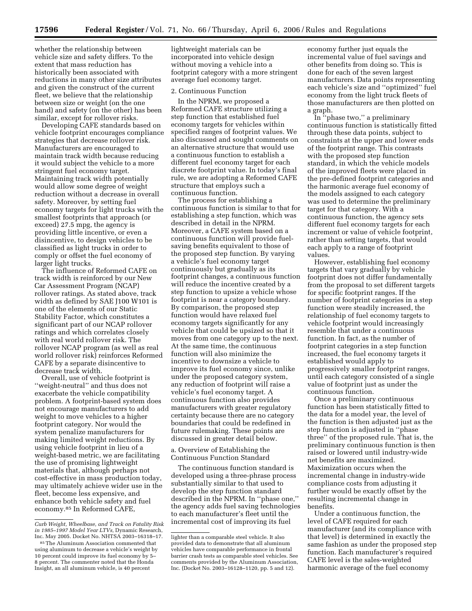whether the relationship between vehicle size and safety differs. To the extent that mass reduction has historically been associated with reductions in many other size attributes and given the construct of the current fleet, we believe that the relationship between size or weight (on the one hand) and safety (on the other) has been similar, except for rollover risks.

Developing CAFE standards based on vehicle footprint encourages compliance strategies that decrease rollover risk. Manufacturers are encouraged to maintain track width because reducing it would subject the vehicle to a more stringent fuel economy target. Maintaining track width potentially would allow some degree of weight reduction without a decrease in overall safety. Moreover, by setting fuel economy targets for light trucks with the smallest footprints that approach (or exceed) 27.5 mpg, the agency is providing little incentive, or even a disincentive, to design vehicles to be classified as light trucks in order to comply or offset the fuel economy of larger light trucks.

The influence of Reformed CAFE on track width is reinforced by our New Car Assessment Program (NCAP) rollover ratings. As stated above, track width as defined by SAE J100 W101 is one of the elements of our Static Stability Factor, which constitutes a significant part of our NCAP rollover ratings and which correlates closely with real world rollover risk. The rollover NCAP program (as well as real world rollover risk) reinforces Reformed CAFE by a separate disincentive to decrease track width.

Overall, use of vehicle footprint is ''weight-neutral'' and thus does not exacerbate the vehicle compatibility problem. A footprint-based system does not encourage manufacturers to add weight to move vehicles to a higher footprint category. Nor would the system penalize manufacturers for making limited weight reductions. By using vehicle footprint in lieu of a weight-based metric, we are facilitating the use of promising lightweight materials that, although perhaps not cost-effective in mass production today, may ultimately achieve wider use in the fleet, become less expensive, and enhance both vehicle safety and fuel economy.85 In Reformed CAFE,

lightweight materials can be incorporated into vehicle design without moving a vehicle into a footprint category with a more stringent average fuel economy target.

## 2. Continuous Function

In the NPRM, we proposed a Reformed CAFE structure utilizing a step function that established fuel economy targets for vehicles within specified ranges of footprint values. We also discussed and sought comments on an alternative structure that would use a continuous function to establish a different fuel economy target for each discrete footprint value. In today's final rule, we are adopting a Reformed CAFE structure that employs such a continuous function.

The process for establishing a continuous function is similar to that for establishing a step function, which was described in detail in the NPRM. Moreover, a CAFE system based on a continuous function will provide fuelsaving benefits equivalent to those of the proposed step function. By varying a vehicle's fuel economy target continuously but gradually as its footprint changes, a continuous function will reduce the incentive created by a step function to upsize a vehicle whose footprint is near a category boundary. By comparison, the proposed step function would have relaxed fuel economy targets significantly for any vehicle that could be upsized so that it moves from one category up to the next. At the same time, the continuous function will also minimize the incentive to downsize a vehicle to improve its fuel economy since, unlike under the proposed category system, any reduction of footprint will raise a vehicle's fuel economy target. A continuous function also provides manufacturers with greater regulatory certainty because there are no category boundaries that could be redefined in future rulemaking. These points are discussed in greater detail below.

a. Overview of Establishing the Continuous Function Standard

The continuous function standard is developed using a three-phrase process substantially similar to that used to develop the step function standard described in the NPRM. In ''phase one,'' the agency adds fuel saving technologies to each manufacturer's fleet until the incremental cost of improving its fuel

economy further just equals the incremental value of fuel savings and other benefits from doing so. This is done for each of the seven largest manufacturers. Data points representing each vehicle's size and ''optimized'' fuel economy from the light truck fleets of those manufacturers are then plotted on a graph.

In ''phase two,'' a preliminary continuous function is statistically fitted through these data points, subject to constraints at the upper and lower ends of the footprint range. This contrasts with the proposed step function standard, in which the vehicle models of the improved fleets were placed in the pre-defined footprint categories and the harmonic average fuel economy of the models assigned to each category was used to determine the preliminary target for that category. With a continuous function, the agency sets different fuel economy targets for each increment or value of vehicle footprint, rather than setting targets, that would each apply to a range of footprint values.

However, establishing fuel economy targets that vary gradually by vehicle footprint does not differ fundamentally from the proposal to set different targets for specific footprint ranges. If the number of footprint categories in a step function were steadily increased, the relationship of fuel economy targets to vehicle footprint would increasingly resemble that under a continuous function. In fact, as the number of footprint categories in a step function increased, the fuel economy targets it established would apply to progressively smaller footprint ranges, until each category consisted of a single value of footprint just as under the continuous function.

Once a preliminary continuous function has been statistically fitted to the data for a model year, the level of the function is then adjusted just as the step function is adjusted in ''phase three'' of the proposed rule. That is, the preliminary continuous function is then raised or lowered until industry-wide net benefits are maximized. Maximization occurs when the incremental change in industry-wide compliance costs from adjusting it further would be exactly offset by the resulting incremental change in benefits.

Under a continuous function, the level of CAFE required for each manufacturer (and its compliance with that level) is determined in exactly the same fashion as under the proposed step function. Each manufacturer's required CAFE level is the sales-weighted harmonic average of the fuel economy

*Curb Weight, Wheelbase, and Track on Fatality Risk in 1985–1997 Model Year LTVs,* Dynamic Research, Inc. May 2005. Docket No. NHTSA 2003–16318–17.

<sup>85</sup>The Aluminum Association commented that using aluminum to decrease a vehicle's weight by 10 percent could improve its fuel economy by 5– 8 percent. The commenter noted that the Honda Insight, an all aluminum vehicle, is 40 percent

lighter than a comparable steel vehicle. It also provided data to demonstrate that all aluminum vehicles have comparable performance in frontal barrier crash tests as comparable steel vehicles. See comments provided by the Aluminum Association, Inc. (Docket No. 2003–16128–1120, pp. 5 and 12).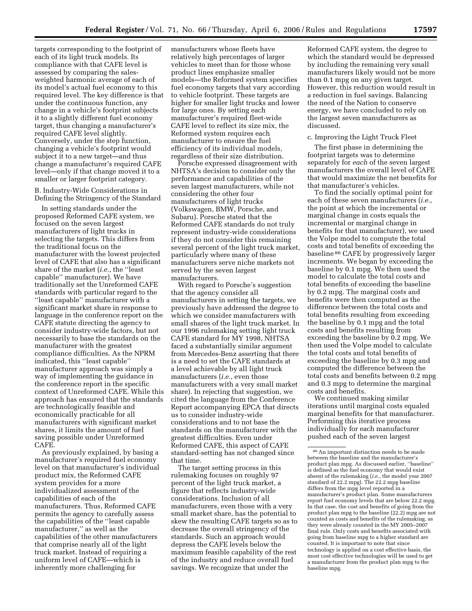targets corresponding to the footprint of each of its light truck models. Its compliance with that CAFE level is assessed by comparing the salesweighted harmonic average of each of its model's actual fuel economy to this required level. The key difference is that under the continuous function, any change in a vehicle's footprint subjects it to a slightly different fuel economy target, thus changing a manufacturer's required CAFE level slightly. Conversely, under the step function, changing a vehicle's footprint would subject it to a new target—and thus change a manufacturer's required CAFE level—only if that change moved it to a smaller or larger footprint category.

B. Industry-Wide Considerations in Defining the Stringency of the Standard

In setting standards under the proposed Reformed CAFE system, we focused on the seven largest manufacturers of light trucks in selecting the targets. This differs from the traditional focus on the manufacturer with the lowest projected level of CAFE that also has a significant share of the market (*i.e.*, the ''least capable'' manufacturer). We have traditionally set the Unreformed CAFE standards with particular regard to the ''least capable'' manufacturer with a significant market share in response to language in the conference report on the CAFE statute directing the agency to consider industry-wide factors, but not necessarily to base the standards on the manufacturer with the greatest compliance difficulties. As the NPRM indicated, this ''least capable'' manufacturer approach was simply a way of implementing the guidance in the conference report in the specific context of Unreformed CAFE. While this approach has ensured that the standards are technologically feasible and economically practicable for all manufacturers with significant market shares, it limits the amount of fuel saving possible under Unreformed CAFE.

As previously explained, by basing a manufacturer's required fuel economy level on that manufacturer's individual product mix, the Reformed CAFE system provides for a more individualized assessment of the capabilities of each of the manufacturers. Thus, Reformed CAFE permits the agency to carefully assess the capabilities of the ''least capable manufacturer,'' as well as the capabilities of the other manufacturers that comprise nearly all of the light truck market. Instead of requiring a uniform level of CAFE—which is inherently more challenging for

manufacturers whose fleets have relatively high percentages of larger vehicles to meet than for those whose product lines emphasize smaller models—the Reformed system specifies fuel economy targets that vary according to vehicle footprint. These targets are higher for smaller light trucks and lower for large ones. By setting each manufacturer's required fleet-wide CAFE level to reflect its size mix, the Reformed system requires each manufacturer to ensure the fuel efficiency of its individual models, regardless of their size distribution.

Porsche expressed disagreement with NHTSA's decision to consider only the performance and capabilities of the seven largest manufacturers, while not considering the other four manufacturers of light trucks (Volkswagen, BMW, Porsche, and Subaru). Porsche stated that the Reformed CAFE standards do not truly represent industry-wide considerations if they do not consider this remaining several percent of the light truck market, particularly where many of these manufacturers serve niche markets not served by the seven largest manufacturers.

With regard to Porsche's suggestion that the agency consider all manufacturers in setting the targets, we previously have addressed the degree to which we consider manufacturers with small shares of the light truck market. In our 1996 rulemaking setting light truck CAFE standard for MY 1998, NHTSA faced a substantially similar argument from Mercedes-Benz asserting that there is a need to set the CAFE standards at a level achievable by all light truck manufacturers (*i.e.*, even those manufacturers with a very small market share). In rejecting that suggestion, we cited the language from the Conference Report accompanying EPCA that directs us to consider industry-wide considerations and to not base the standards on the manufacturer with the greatest difficulties. Even under Reformed CAFE, this aspect of CAFE standard-setting has not changed since that time.

The target setting process in this rulemaking focuses on roughly 97 percent of the light truck market, a figure that reflects industry-wide considerations. Inclusion of all manufacturers, even those with a very small market share, has the potential to skew the resulting CAFE targets so as to decrease the overall stringency of the standards. Such an approach would depress the CAFE levels below the maximum feasible capability of the rest of the industry and reduce overall fuel savings. We recognize that under the

Reformed CAFE system, the degree to which the standard would be depressed by including the remaining very small manufacturers likely would not be more than 0.1 mpg on any given target. However, this reduction would result in a reduction in fuel savings. Balancing the need of the Nation to conserve energy, we have concluded to rely on the largest seven manufacturers as discussed.

## c. Improving the Light Truck Fleet

The first phase in determining the footprint targets was to determine separately for *each* of the seven largest manufacturers the overall level of CAFE that would maximize the net benefits for that manufacturer's vehicles.

To find the socially optimal point for each of these seven manufacturers (*i.e.*, the point at which the incremental or marginal change in costs equals the incremental or marginal change in benefits for that manufacturer), we used the Volpe model to compute the total costs and total benefits of exceeding the baseline 86 CAFE by progressively larger increments. We began by exceeding the baseline by 0.1 mpg. We then used the model to calculate the total costs and total benefits of exceeding the baseline by 0.2 mpg. The marginal costs and benefits were then computed as the difference between the total costs and total benefits resulting from exceeding the baseline by 0.1 mpg and the total costs and benefits resulting from exceeding the baseline by 0.2 mpg. We then used the Volpe model to calculate the total costs and total benefits of exceeding the baseline by 0.3 mpg and computed the difference between the total costs and benefits between 0.2 mpg and 0.3 mpg to determine the marginal costs and benefits.

We continued making similar iterations until marginal costs equaled marginal benefits for that manufacturer. Performing this iterative process individually for each manufacturer pushed each of the seven largest

<sup>86</sup>An important distinction needs to be made between the baseline and the manufacturer's product plan mpg. As discussed earlier, ''baseline'' is defined as the fuel economy that would exist absent of the rulemaking (*i.e.*, the model year 2007 standard of 22.2 mpg). The 22.2 mpg baseline differs from the mpg level reported in a manufacturer's product plan. Some manufacturers report fuel economy levels that are below 22.2 mpg. In that case, the cost and benefits of going from the product plan mpg to the baseline (22.2) mpg are not counted as costs and benefits of the rulemaking, as they were already counted in the MY 2005–2007 final rule. Only costs and benefits associated with going from baseline mpg to a higher standard are counted. It is important to note that since technology is applied on a cost effective basis, the most cost effective technologies will be used to get a manufacturer from the product plan mpg to the baseline mpg.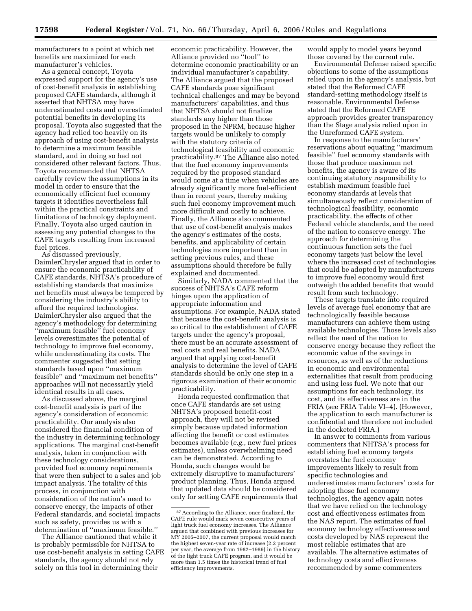manufacturers to a point at which net benefits are maximized for each manufacturer's vehicles.

As a general concept, Toyota expressed support for the agency's use of cost-benefit analysis in establishing proposed CAFE standards, although it asserted that NHTSA may have underestimated costs and overestimated potential benefits in developing its proposal. Toyota also suggested that the agency had relied too heavily on its approach of using cost-benefit analysis to determine a maximum feasible standard, and in doing so had not considered other relevant factors. Thus, Toyota recommended that NHTSA carefully review the assumptions in its model in order to ensure that the economically efficient fuel economy targets it identifies nevertheless fall within the practical constraints and limitations of technology deployment. Finally, Toyota also urged caution in assessing any potential changes to the CAFE targets resulting from increased fuel prices.

As discussed previously, DaimlerChrysler argued that in order to ensure the economic practicability of CAFE standards, NHTSA's procedure of establishing standards that maximize net benefits must always be tempered by considering the industry's ability to afford the required technologies. DaimlerChrysler also argued that the agency's methodology for determining ''maximum feasible'' fuel economy levels overestimates the potential of technology to improve fuel economy, while underestimating its costs. The commenter suggested that setting standards based upon ''maximum feasible'' and ''maximum net benefits'' approaches will not necessarily yield identical results in all cases.

As discussed above, the marginal cost-benefit analysis is part of the agency's consideration of economic practicability. Our analysis also considered the financial condition of the industry in determining technology applications. The marginal cost-benefit analysis, taken in conjunction with these technology considerations, provided fuel economy requirements that were then subject to a sales and job impact analysis. The totality of this process, in conjunction with consideration of the nation's need to conserve energy, the impacts of other Federal standards, and societal impacts such as safety, provides us with a determination of ''maximum feasible.''

The Alliance cautioned that while it is probably permissible for NHTSA to use cost-benefit analysis in setting CAFE standards, the agency should not rely solely on this tool in determining their

economic practicability. However, the Alliance provided no ''tool'' to determine economic practicability or an individual manufacturer's capability. The Alliance argued that the proposed CAFE standards pose significant technical challenges and may be beyond manufacturers' capabilities, and thus that NHTSA should not finalize standards any higher than those proposed in the NPRM, because higher targets would be unlikely to comply with the statutory criteria of technological feasibility and economic practicability.87 The Alliance also noted that the fuel economy improvements required by the proposed standard would come at a time when vehicles are already significantly more fuel-efficient than in recent years, thereby making such fuel economy improvement much more difficult and costly to achieve. Finally, the Alliance also commented that use of cost-benefit analysis makes the agency's estimates of the costs, benefits, and applicability of certain technologies more important than in setting previous rules, and these assumptions should therefore be fully explained and documented.

Similarly, NADA commented that the success of NHTSA's CAFE reform hinges upon the application of appropriate information and assumptions. For example, NADA stated that because the cost-benefit analysis is so critical to the establishment of CAFE targets under the agency's proposal, there must be an accurate assessment of real costs and real benefits. NADA argued that applying cost-benefit analysis to determine the level of CAFE standards should be only one step in a rigorous examination of their economic practicability.

Honda requested confirmation that once CAFE standards are set using NHTSA's proposed benefit-cost approach, they will not be revised simply because updated information affecting the benefit or cost estimates becomes available (*e.g.*, new fuel prices estimates), unless overwhelming need can be demonstrated. According to Honda, such changes would be extremely disruptive to manufacturers' product planning. Thus, Honda argued that updated data should be considered only for setting CAFE requirements that would apply to model years beyond those covered by the current rule.

Environmental Defense raised specific objections to some of the assumptions relied upon in the agency's analysis, but stated that the Reformed CAFE standard-setting methodology itself is reasonable. Environmental Defense stated that the Reformed CAFE approach provides greater transparency than the Stage analysis relied upon in the Unreformed CAFE system.

In response to the manufacturers' reservations about equating ''maximum feasible'' fuel economy standards with those that produce maximum net benefits, the agency is aware of its continuing statutory responsibility to establish maximum feasible fuel economy standards at levels that simultaneously reflect consideration of technological feasibility, economic practicability, the effects of other Federal vehicle standards, and the need of the nation to conserve energy. The approach for determining the continuous function sets the fuel economy targets just below the level where the increased cost of technologies that could be adopted by manufacturers to improve fuel economy would first outweigh the added benefits that would result from such technology.

These targets translate into required levels of average fuel economy that are technologically feasible because manufacturers can achieve them using available technologies. Those levels also reflect the need of the nation to conserve energy because they reflect the economic value of the savings in resources, as well as of the reductions in economic and environmental externalities that result from producing and using less fuel. We note that our assumptions for each technology, its cost, and its effectiveness are in the FRIA (see FRIA Table VI–4). (However, the application to each manufacturer is confidential and therefore not included in the docketed FRIA.)

In answer to comments from various commenters that NHTSA's process for establishing fuel economy targets overstates the fuel economy improvements likely to result from specific technologies and underestimates manufacturers' costs for adopting those fuel economy technologies, the agency again notes that we have relied on the technology cost and effectiveness estimates from the NAS report. The estimates of fuel economy technology effectiveness and costs developed by NAS represent the most reliable estimates that are available. The alternative estimates of technology costs and effectiveness recommended by some commenters

<sup>87</sup>According to the Alliance, once finalized, the CAFE rule would mark seven consecutive years of light truck fuel economy increases. The Alliance argued that combined with previous increases for MY 2005–2007, the current proposal would match the highest seven-year rate of increase (2.2 percent per year, the average from 1982–1989) in the history of the light truck CAFE program, and it would be more than 1.5 times the historical trend of fuel efficiency improvements.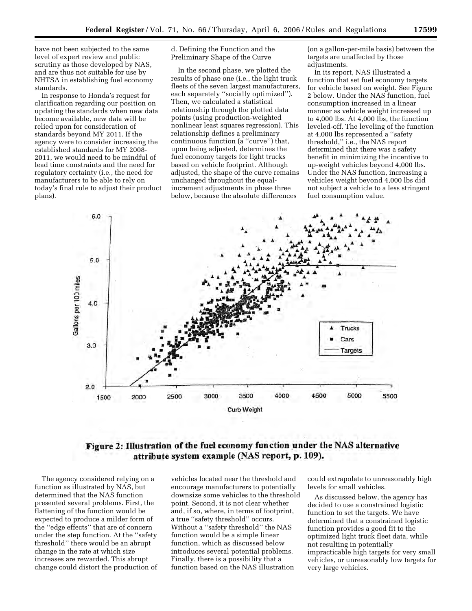have not been subjected to the same level of expert review and public scrutiny as those developed by NAS, and are thus not suitable for use by NHTSA in establishing fuel economy standards.

In response to Honda's request for clarification regarding our position on updating the standards when new data become available, new data will be relied upon for consideration of standards beyond MY 2011. If the agency were to consider increasing the established standards for MY 2008- 2011, we would need to be mindful of lead time constraints and the need for regulatory certainty (i.e., the need for manufacturers to be able to rely on today's final rule to adjust their product plans).

d. Defining the Function and the Preliminary Shape of the Curve

In the second phase, we plotted the results of phase one (i.e., the light truck fleets of the seven largest manufacturers, each separately ''socially optimized''). Then, we calculated a statistical relationship through the plotted data points (using production-weighted nonlinear least squares regression). This relationship defines a preliminary continuous function (a ''curve'') that, upon being adjusted, determines the fuel economy targets for light trucks based on vehicle footprint. Although adjusted, the shape of the curve remains unchanged throughout the equalincrement adjustments in phase three below, because the absolute differences

(on a gallon-per-mile basis) between the targets are unaffected by those adjustments.

In its report, NAS illustrated a function that set fuel economy targets for vehicle based on weight. See Figure 2 below. Under the NAS function, fuel consumption increased in a linear manner as vehicle weight increased up to  $4,000$  lbs. At  $4,000$  lbs, the function leveled-off. The leveling of the function at 4,000 lbs represented a ''safety threshold,'' i.e., the NAS report determined that there was a safety benefit in minimizing the incentive to up-weight vehicles beyond 4,000 lbs. Under the NAS function, increasing a vehicles weight beyond 4,000 lbs did not subject a vehicle to a less stringent fuel consumption value.



## Figure 2: Illustration of the fuel economy function under the NAS alternative attribute system example (NAS report, p. 109).

The agency considered relying on a function as illustrated by NAS, but determined that the NAS function presented several problems. First, the flattening of the function would be expected to produce a milder form of the ''edge effects'' that are of concern under the step function. At the ''safety threshold'' there would be an abrupt change in the rate at which size increases are rewarded. This abrupt change could distort the production of vehicles located near the threshold and encourage manufacturers to potentially downsize some vehicles to the threshold point. Second, it is not clear whether and, if so, where, in terms of footprint, a true ''safety threshold'' occurs. Without a ''safety threshold'' the NAS function would be a simple linear function, which as discussed below introduces several potential problems. Finally, there is a possibility that a function based on the NAS illustration

could extrapolate to unreasonably high levels for small vehicles.

As discussed below, the agency has decided to use a constrained logistic function to set the targets. We have determined that a constrained logistic function provides a good fit to the optimized light truck fleet data, while not resulting in potentially impracticable high targets for very small vehicles, or unreasonably low targets for very large vehicles.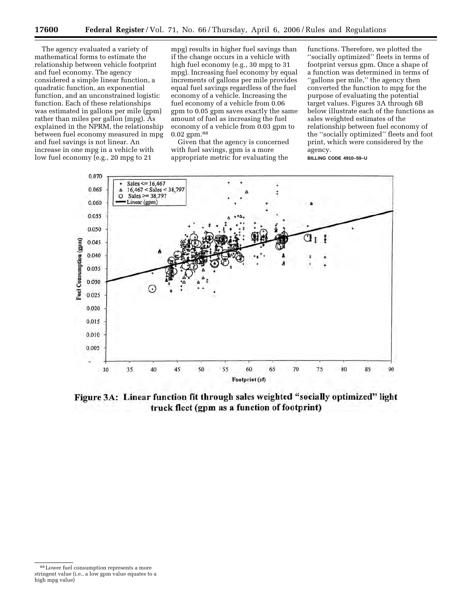The agency evaluated a variety of mathematical forms to estimate the relationship between vehicle footprint and fuel economy. The agency considered a simple linear function, a quadratic function, an exponential function, and an unconstrained logistic function. Each of these relationships was estimated in gallons per mile (gpm) rather than miles per gallon (mpg). As explained in the NPRM, the relationship between fuel economy measured in mpg and fuel savings is not linear. An increase in one mpg in a vehicle with low fuel economy (e.g., 20 mpg to 21

mpg) results in higher fuel savings than if the change occurs in a vehicle with high fuel economy (e.g., 30 mpg to 31 mpg). Increasing fuel economy by equal increments of gallons per mile provides equal fuel savings regardless of the fuel economy of a vehicle. Increasing the fuel economy of a vehicle from 0.06 gpm to 0.05 gpm saves exactly the same amount of fuel as increasing the fuel economy of a vehicle from 0.03 gpm to 0.02 gpm.88

Given that the agency is concerned with fuel savings, gpm is a more appropriate metric for evaluating the

functions. Therefore, we plotted the ''socially optimized'' fleets in terms of footprint versus gpm. Once a shape of a function was determined in terms of "gallons per mile," the agency then converted the function to mpg for the purpose of evaluating the potential target values. Figures 3A through 6B below illustrate each of the functions as sales weighted estimates of the relationship between fuel economy of the ''socially optimized'' fleets and foot print, which were considered by the agency. **BILLING CODE 4910–59–U** 

0.070 Sales <=  $16,467$ 0.065  $16,467 < Sales < 38,797$ Sales >=  $38,797$  $\circ$ 0.060 Linear (gpm) 0.055 0.050 **Fuel Consumption (gpm)** 0.045 0.040 0.035 0.030 (+ 0.025 0.020 0.015 0.010 0.005 50 55 60 65 70 75 80 30 35 40 45 85 90 Footprint (sf)

Figure 3A: Linear function fit through sales weighted "socially optimized" light truck fleet (gpm as a function of footprint)

<sup>88</sup>Lower fuel consumption represents a more stringent value (i.e., a low gpm value equates to a high mpg value)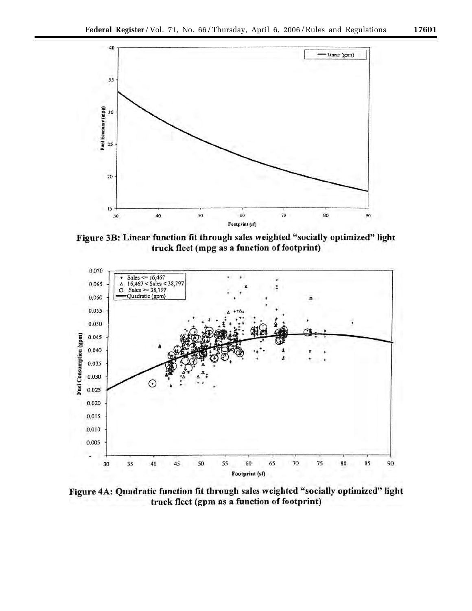

Figure 3B: Linear function fit through sales weighted "socially optimized" light truck fleet (mpg as a function of footprint)



Figure 4A: Quadratic function fit through sales weighted "socially optimized" light truck fleet (gpm as a function of footprint)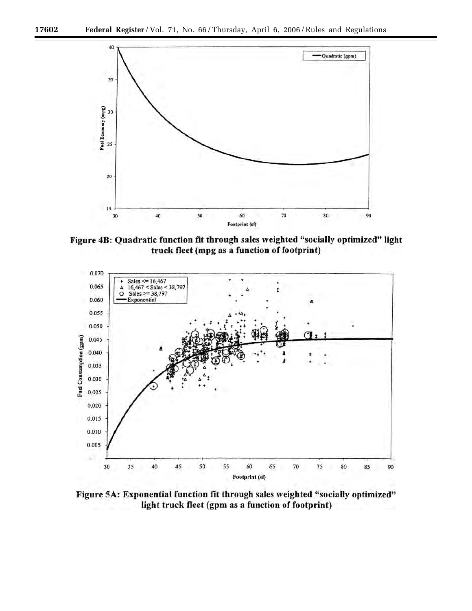

Figure 4B: Quadratic function fit through sales weighted "socially optimized" light truck fleet (mpg as a function of footprint)



Figure 5A: Exponential function fit through sales weighted "socially optimized" light truck fleet (gpm as a function of footprint)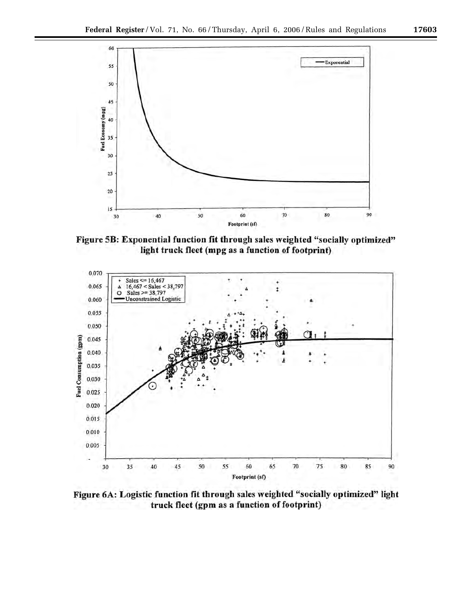

Figure 5B: Exponential function fit through sales weighted "socially optimized" light truck fleet (mpg as a function of footprint)



Figure 6A: Logistic function fit through sales weighted "socially optimized" light truck fleet (gpm as a function of footprint)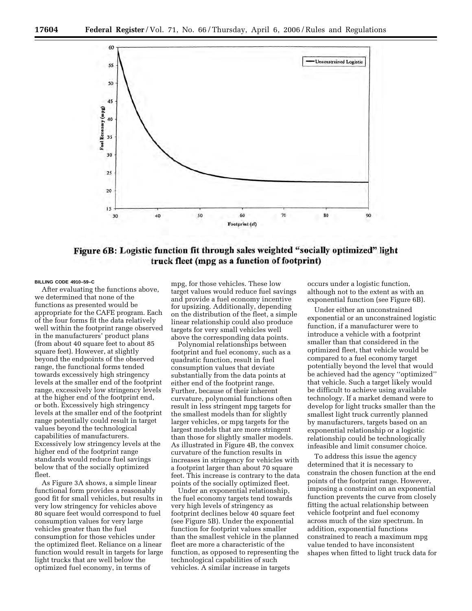

Figure 6B: Logistic function fit through sales weighted "socially optimized" light truck fleet (mpg as a function of footprint)

#### **BILLING CODE 4910–59–C**

After evaluating the functions above, we determined that none of the functions as presented would be appropriate for the CAFE program. Each of the four forms fit the data relatively well within the footprint range observed in the manufacturers' product plans (from about 40 square feet to about 85 square feet). However, at slightly beyond the endpoints of the observed range, the functional forms tended towards excessively high stringency levels at the smaller end of the footprint range, excessively low stringency levels at the higher end of the footprint end, or both. Excessively high stringency levels at the smaller end of the footprint range potentially could result in target values beyond the technological capabilities of manufacturers. Excessively low stringency levels at the higher end of the footprint range standards would reduce fuel savings below that of the socially optimized fleet.

As Figure 3A shows, a simple linear functional form provides a reasonably good fit for small vehicles, but results in very low stringency for vehicles above 80 square feet would correspond to fuel consumption values for very large vehicles greater than the fuel consumption for those vehicles under the optimized fleet. Reliance on a linear function would result in targets for large light trucks that are well below the optimized fuel economy, in terms of

mpg, for those vehicles. These low target values would reduce fuel savings and provide a fuel economy incentive for upsizing. Additionally, depending on the distribution of the fleet, a simple linear relationship could also produce targets for very small vehicles well above the corresponding data points.

Polynomial relationships between footprint and fuel economy, such as a quadratic function, result in fuel consumption values that deviate substantially from the data points at either end of the footprint range. Further, because of their inherent curvature, polynomial functions often result in less stringent mpg targets for the smallest models than for slightly larger vehicles, or mpg targets for the largest models that are more stringent than those for slightly smaller models. As illustrated in Figure 4B, the convex curvature of the function results in increases in stringency for vehicles with a footprint larger than about 70 square feet. This increase is contrary to the data points of the socially optimized fleet.

Under an exponential relationship, the fuel economy targets tend towards very high levels of stringency as footprint declines below 40 square feet (see Figure 5B). Under the exponential function for footprint values smaller than the smallest vehicle in the planned fleet are more a characteristic of the function, as opposed to representing the technological capabilities of such vehicles. A similar increase in targets

occurs under a logistic function, although not to the extent as with an exponential function (see Figure 6B).

Under either an unconstrained exponential or an unconstrained logistic function, if a manufacturer were to introduce a vehicle with a footprint smaller than that considered in the optimized fleet, that vehicle would be compared to a fuel economy target potentially beyond the level that would be achieved had the agency ''optimized'' that vehicle. Such a target likely would be difficult to achieve using available technology. If a market demand were to develop for light trucks smaller than the smallest light truck currently planned by manufacturers, targets based on an exponential relationship or a logistic relationship could be technologically infeasible and limit consumer choice.

To address this issue the agency determined that it is necessary to constrain the chosen function at the end points of the footprint range. However, imposing a constraint on an exponential function prevents the curve from closely fitting the actual relationship between vehicle footprint and fuel economy across much of the size spectrum. In addition, exponential functions constrained to reach a maximum mpg value tended to have inconsistent shapes when fitted to light truck data for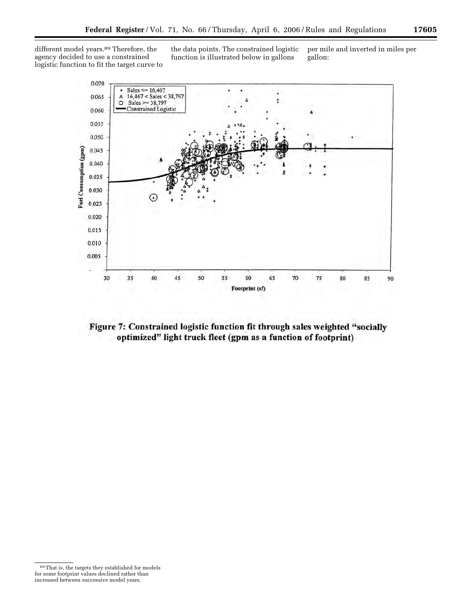different model years.<sup>89</sup> Therefore, the agency decided to use a constrained logistic function to fit the target curve to the data points. The constrained logistic function is illustrated below in gallons gallon:

per mile and inverted in miles per



Figure 7: Constrained logistic function fit through sales weighted "socially optimized" light truck fleet (gpm as a function of footprint)

<sup>89</sup>That is, the targets they established for models for some footprint values declined rather than increased between successive model years.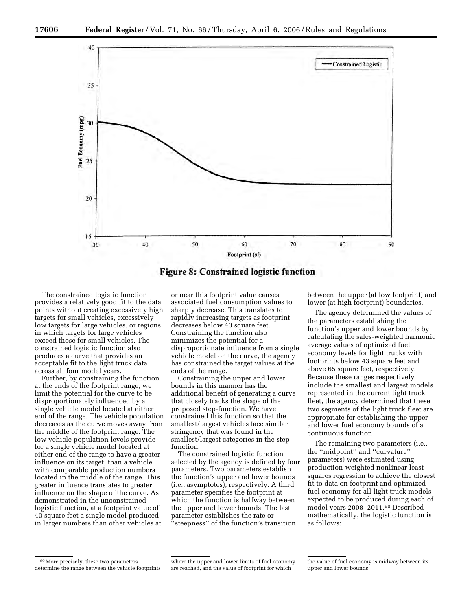

**Figure 8: Constrained logistic function** 

The constrained logistic function provides a relatively good fit to the data points without creating excessively high targets for small vehicles, excessively low targets for large vehicles, or regions in which targets for large vehicles exceed those for small vehicles. The constrained logistic function also produces a curve that provides an acceptable fit to the light truck data across all four model years.

Further, by constraining the function at the ends of the footprint range, we limit the potential for the curve to be disproportionately influenced by a single vehicle model located at either end of the range. The vehicle population decreases as the curve moves away from the middle of the footprint range. The low vehicle population levels provide for a single vehicle model located at either end of the range to have a greater influence on its target, than a vehicle with comparable production numbers located in the middle of the range. This greater influence translates to greater influence on the shape of the curve. As demonstrated in the unconstrained logistic function, at a footprint value of 40 square feet a single model produced in larger numbers than other vehicles at

or near this footprint value causes associated fuel consumption values to sharply decrease. This translates to rapidly increasing targets as footprint decreases below 40 square feet. Constraining the function also minimizes the potential for a disproportionate influence from a single vehicle model on the curve, the agency has constrained the target values at the ends of the range.

Constraining the upper and lower bounds in this manner has the additional benefit of generating a curve that closely tracks the shape of the proposed step-function. We have constrained this function so that the smallest/largest vehicles face similar stringency that was found in the smallest/largest categories in the step function.

The constrained logistic function selected by the agency is defined by four parameters. Two parameters establish the function's upper and lower bounds (i.e., asymptotes), respectively. A third parameter specifies the footprint at which the function is halfway between the upper and lower bounds. The last parameter establishes the rate or ''steepness'' of the function's transition

between the upper (at low footprint) and lower (at high footprint) boundaries.

The agency determined the values of the parameters establishing the function's upper and lower bounds by calculating the sales-weighted harmonic average values of optimized fuel economy levels for light trucks with footprints below 43 square feet and above 65 square feet, respectively. Because these ranges respectively include the smallest and largest models represented in the current light truck fleet, the agency determined that these two segments of the light truck fleet are appropriate for establishing the upper and lower fuel economy bounds of a continuous function.

The remaining two parameters (i.e., the ''midpoint'' and ''curvature'' parameters) were estimated using production-weighted nonlinear leastsquares regression to achieve the closest fit to data on footprint and optimized fuel economy for all light truck models expected to be produced during each of model years 2008–2011.90 Described mathematically, the logistic function is as follows:

<sup>90</sup>More precisely, these two parameters determine the range between the vehicle footprints

where the upper and lower limits of fuel economy are reached, and the value of footprint for which

the value of fuel economy is midway between its upper and lower bounds.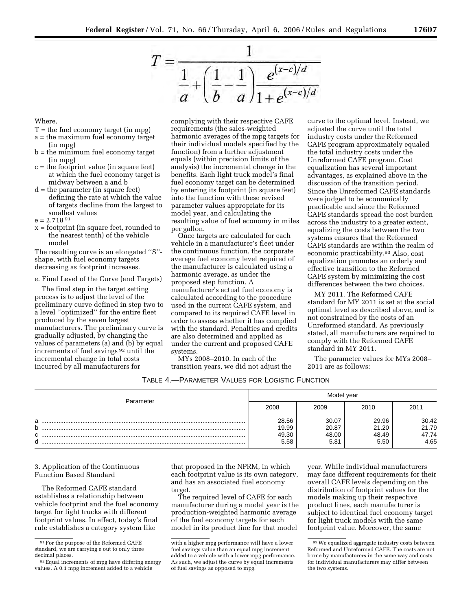

Where,

- $T =$  the fuel economy target (in mpg)
- a = the maximum fuel economy target (in mpg)
- b = the minimum fuel economy target (in mpg)
- c = the footprint value (in square feet) at which the fuel economy target is midway between a and b
- d = the parameter (in square feet) defining the rate at which the value of targets decline from the largest to smallest values

 $e = 2.71891$ 

x = footprint (in square feet, rounded to the nearest tenth) of the vehicle model

The resulting curve is an elongated ''S'' shape, with fuel economy targets decreasing as footprint increases.

e. Final Level of the Curve (and Targets)

The final step in the target setting process is to adjust the level of the preliminary curve defined in step two to a level ''optimized'' for the entire fleet produced by the seven largest manufacturers. The preliminary curve is gradually adjusted, by changing the values of parameters (a) and (b) by equal increments of fuel savings 92 until the incremental change in total costs incurred by all manufacturers for

complying with their respective CAFE requirements (the sales-weighted harmonic averages of the mpg targets for their individual models specified by the function) from a further adjustment equals (within precision limits of the analysis) the incremental change in the benefits. Each light truck model's final fuel economy target can be determined by entering its footprint (in square feet) into the function with these revised parameter values appropriate for its model year, and calculating the resulting value of fuel economy in miles per gallon.

Once targets are calculated for each vehicle in a manufacturer's fleet under the continuous function, the corporate average fuel economy level required of the manufacturer is calculated using a harmonic average, as under the proposed step function. A manufacturer's actual fuel economy is calculated according to the procedure used in the current CAFE system, and compared to its required CAFE level in order to assess whether it has complied with the standard. Penalties and credits are also determined and applied as under the current and proposed CAFE systems.

MYs 2008–2010. In each of the transition years, we did not adjust the

curve to the optimal level. Instead, we adjusted the curve until the total industry costs under the Reformed CAFE program approximately equaled the total industry costs under the Unreformed CAFE program. Cost equalization has several important advantages, as explained above in the discussion of the transition period. Since the Unreformed CAFE standards were judged to be economically practicable and since the Reformed CAFE standards spread the cost burden across the industry to a greater extent, equalizing the costs between the two systems ensures that the Reformed CAFE standards are within the realm of economic practicability.93 Also, cost equalization promotes an orderly and effective transition to the Reformed CAFE system by minimizing the cost differences between the two choices.

MY 2011. The Reformed CAFE standard for MY 2011 is set at the social optimal level as described above, and is not constrained by the costs of an Unreformed standard. As previously stated, all manufacturers are required to comply with the Reformed CAFE standard in MY 2011.

The parameter values for MYs 2008– 2011 are as follows:

| TABLE 4.-PARAMETER VALUES FOR LOGISTIC FUNCTION |
|-------------------------------------------------|
|-------------------------------------------------|

|                   |                                 | Model year                      |                                 |                                 |
|-------------------|---------------------------------|---------------------------------|---------------------------------|---------------------------------|
| Parameter         | 2008                            | 2009                            | 2010                            | 2011                            |
| a<br>b<br>C.<br>d | 28.56<br>19.99<br>49.30<br>5.58 | 30.07<br>20.87<br>48.00<br>5.81 | 29.96<br>21.20<br>48.49<br>5.50 | 30.42<br>21.79<br>47.74<br>4.65 |

3. Application of the Continuous Function Based Standard

The Reformed CAFE standard establishes a relationship between vehicle footprint and the fuel economy target for light trucks with different footprint values. In effect, today's final rule establishes a category system like

that proposed in the NPRM, in which each footprint value is its own category, and has an associated fuel economy target.

The required level of CAFE for each manufacturer during a model year is the production-weighted harmonic average of the fuel economy targets for each model in its product line for that model

year. While individual manufacturers may face different requirements for their overall CAFE levels depending on the distribution of footprint values for the models making up their respective product lines, each manufacturer is subject to identical fuel economy target for light truck models with the same footprint value. Moreover, the same

 $\ensuremath{^{91}\mathrm{For}}$  the purpose of the Reformed CAFE standard, we are carrying e out to only three decimal places.

<sup>92</sup>Equal increments of mpg have differing energy values. A 0.1 mpg increment added to a vehicle

with a higher mpg performance will have a lower fuel savings value than an equal mpg increment added to a vehicle with a lower mpg performance. As such, we adjust the curve by equal increments of fuel savings as opposed to mpg.

<sup>93</sup>We equalized aggregate industry costs between Reformed and Unreformed CAFE. The costs are not borne by manufacturers in the same way and costs for individual manufacturers may differ between the two systems.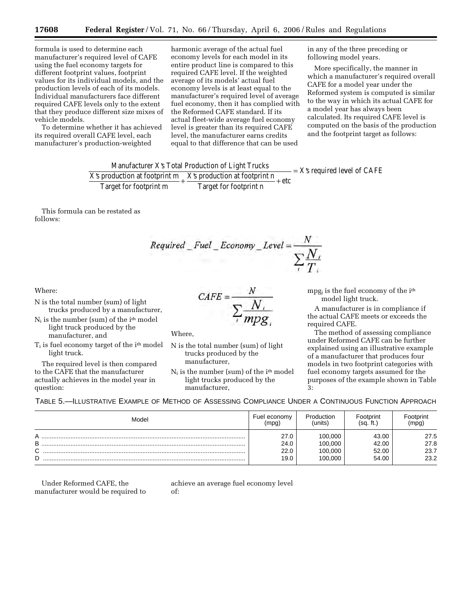formula is used to determine each manufacturer's required level of CAFE using the fuel economy targets for different footprint values, footprint values for its individual models, and the production levels of each of its models. Individual manufacturers face different required CAFE levels only to the extent that they produce different size mixes of vehicle models.

To determine whether it has achieved its required overall CAFE level, each manufacturer's production-weighted

harmonic average of the actual fuel economy levels for each model in its entire product line is compared to this required CAFE level. If the weighted average of its models' actual fuel economy levels is at least equal to the manufacturer's required level of average fuel economy, then it has complied with the Reformed CAFE standard. If its actual fleet-wide average fuel economy level is greater than its required CAFE level, the manufacturer earns credits equal to that difference that can be used

in any of the three preceding or following model years.

More specifically, the manner in which a manufacturer's required overall CAFE for a model year under the Reformed system is computed is similar to the way in which its actual CAFE for a model year has always been calculated. Its required CAFE level is computed on the basis of the production and the footprint target as follows:

Manufacturer X's Total Production of Light Trucks X's production at footprint m Target for footprint m <sup>X</sup>'s production <sup>+</sup> at footprint n Target for footprint n etc X's required le + = vel of CAFE

This formula can be restated as follows:

Required \_ Fuel \_ Economy \_ Level =  $\frac{N}{\sum_{i} N_i}$ 

### Where:

- N is the total number (sum) of light trucks produced by a manufacturer,
- $N_i$  is the number (sum) of the  $i<sup>th</sup>$  model light truck produced by the manufacturer, and
- $T_i$  is fuel economy target of the  $i<sup>th</sup>$  model light truck.

The required level is then compared to the CAFE that the manufacturer actually achieves in the model year in question:

$$
CAFE = \frac{N}{\sum_{i} \frac{N_i}{mpg_i}}
$$

Where,

- N is the total number (sum) of light trucks produced by the manufacturer,
- $N_i$  is the number (sum) of the i<sup>th</sup> model light trucks produced by the manufacturer,

mpg<sub>i</sub> is the fuel economy of the i<sup>th</sup> model light truck.

A manufacturer is in compliance if the actual CAFE meets or exceeds the required CAFE.

The method of assessing compliance under Reformed CAFE can be further explained using an illustrative example of a manufacturer that produces four models in two footprint categories with fuel economy targets assumed for the purposes of the example shown in Table 3:

TABLE 5.—ILLUSTRATIVE EXAMPLE OF METHOD OF ASSESSING COMPLIANCE UNDER A CONTINUOUS FUNCTION APPROACH

| Model                 | Fuel economy                 | Production                               | Footprint                        | Footprint                    |
|-----------------------|------------------------------|------------------------------------------|----------------------------------|------------------------------|
|                       | (mpg)                        | (units                                   | (sa. ft.                         | (mpg)                        |
| А<br>B<br>⌒<br>ັ<br>n | 27.0<br>24.0<br>22.0<br>19.0 | 100.000<br>100.000<br>100.000<br>100.000 | 43.00<br>42.00<br>52.00<br>54.00 | 27.5<br>27.8<br>23.7<br>23.2 |

Under Reformed CAFE, the manufacturer would be required to

achieve an average fuel economy level of: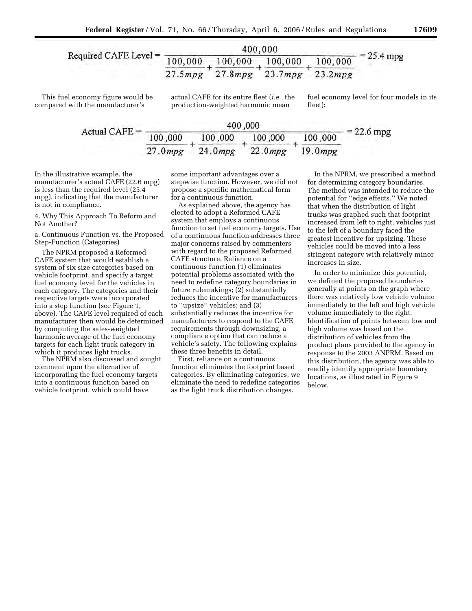

This fuel economy figure would be compared with the manufacturer's

actual CAFE for its entire fleet (*i.e.*, the production-weighted harmonic mean

fuel economy level for four models in its fleet):

|                 |         | 400,000                         |         |              |
|-----------------|---------|---------------------------------|---------|--------------|
| Actual CAFE $=$ | 100,000 | 100,000 100,000                 | 100,000 | $= 22.6$ mpg |
|                 |         | 27.0mpg 24.0mpg 22.0mpg 19.0mpg |         |              |

In the illustrative example, the manufacturer's actual CAFE (22.6 mpg) is less than the required level (25.4 mpg), indicating that the manufacturer is not in compliance.

4. Why This Approach To Reform and Not Another?

a. Continuous Function vs. the Proposed Step-Function (Categories)

The NPRM proposed a Reformed CAFE system that would establish a system of six size categories based on vehicle footprint, and specify a target fuel economy level for the vehicles in each category. The categories and their respective targets were incorporated into a step function (see Figure 1, above). The CAFE level required of each manufacturer then would be determined by computing the sales-weighted harmonic average of the fuel economy targets for each light truck category in which it produces light trucks.

The NPRM also discussed and sought comment upon the alternative of incorporating the fuel economy targets into a continuous function based on vehicle footprint, which could have

some important advantages over a stepwise function. However, we did not propose a specific mathematical form for a continuous function.

As explained above, the agency has elected to adopt a Reformed CAFE system that employs a continuous function to set fuel economy targets. Use of a continuous function addresses three major concerns raised by commenters with regard to the proposed Reformed CAFE structure. Reliance on a continuous function (1) eliminates potential problems associated with the need to redefine category boundaries in future rulemakings; (2) substantially reduces the incentive for manufacturers to ''upsize'' vehicles; and (3) substantially reduces the incentive for manufacturers to respond to the CAFE requirements through downsizing, a compliance option that can reduce a vehicle's safety. The following explains these three benefits in detail.

First, reliance on a continuous function eliminates the footprint based categories. By eliminating categories, we eliminate the need to redefine categories as the light truck distribution changes.

In the NPRM, we prescribed a method for determining category boundaries. The method was intended to reduce the potential for ''edge effects.'' We noted that when the distribution of light trucks was graphed such that footprint increased from left to right, vehicles just to the left of a boundary faced the greatest incentive for upsizing. These vehicles could be moved into a less stringent category with relatively minor increases in size.

In order to minimize this potential, we defined the proposed boundaries generally at points on the graph where there was relatively low vehicle volume immediately to the left and high vehicle volume immediately to the right. Identification of points between low and high volume was based on the distribution of vehicles from the product plans provided to the agency in response to the 2003 ANPRM. Based on this distribution, the agency was able to readily identify appropriate boundary locations, as illustrated in Figure 9 below.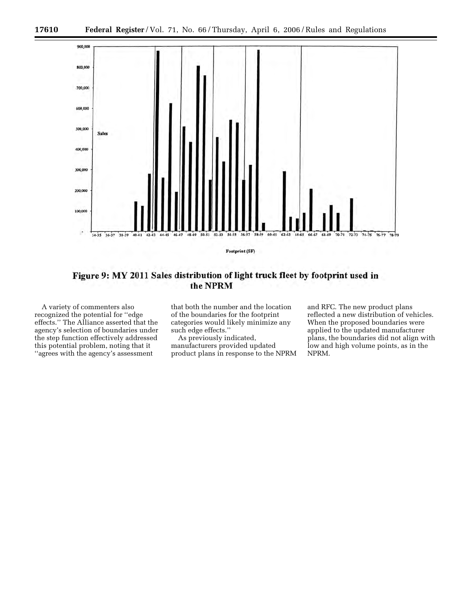

Figure 9: MY 2011 Sales distribution of light truck fleet by footprint used in the NPRM

A variety of commenters also recognized the potential for ''edge effects.'' The Alliance asserted that the agency's selection of boundaries under the step function effectively addressed this potential problem, noting that it ''agrees with the agency's assessment

that both the number and the location of the boundaries for the footprint categories would likely minimize any such edge effects.''

As previously indicated, manufacturers provided updated product plans in response to the NPRM and RFC. The new product plans reflected a new distribution of vehicles. When the proposed boundaries were applied to the updated manufacturer plans, the boundaries did not align with low and high volume points, as in the NPRM.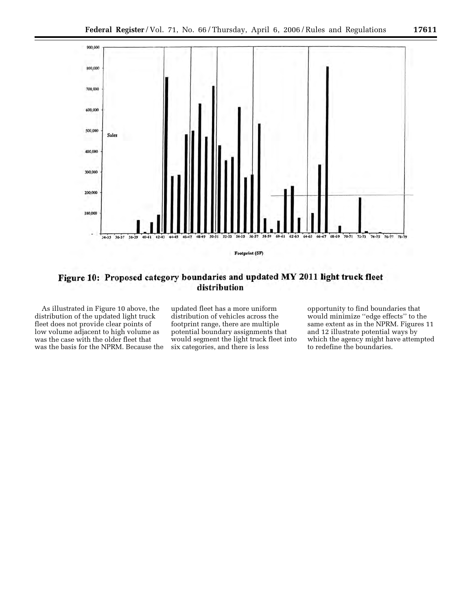

# Figure 10: Proposed category boundaries and updated MY 2011 light truck fleet distribution

As illustrated in Figure 10 above, the distribution of the updated light truck fleet does not provide clear points of low volume adjacent to high volume as was the case with the older fleet that was the basis for the NPRM. Because the

updated fleet has a more uniform distribution of vehicles across the footprint range, there are multiple potential boundary assignments that would segment the light truck fleet into six categories, and there is less

opportunity to find boundaries that would minimize ''edge effects'' to the same extent as in the NPRM. Figures 11 and 12 illustrate potential ways by which the agency might have attempted to redefine the boundaries.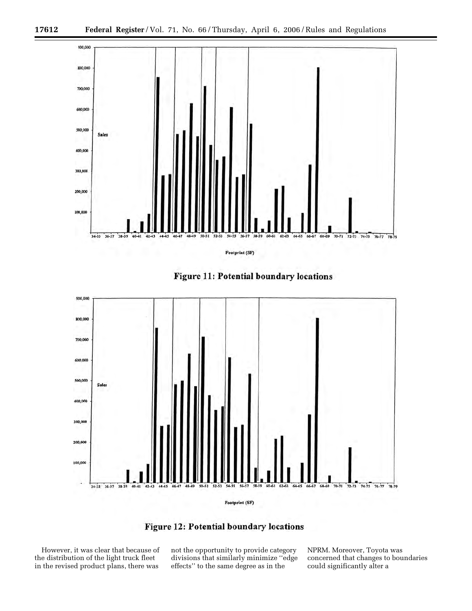







However, it was clear that because of the distribution of the light truck fleet in the revised product plans, there was

not the opportunity to provide category divisions that similarly minimize ''edge effects'' to the same degree as in the

NPRM. Moreover, Toyota was concerned that changes to boundaries could significantly alter a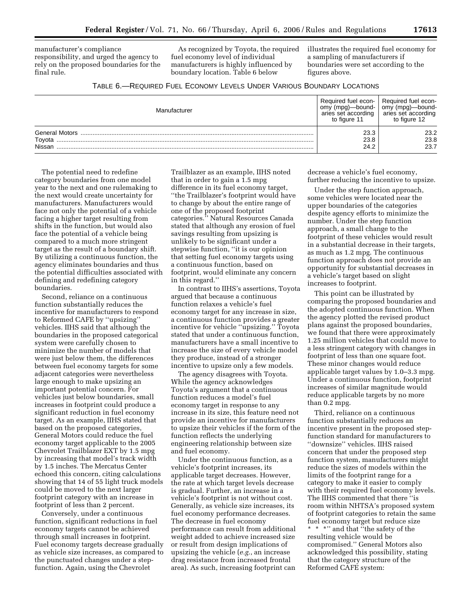manufacturer's compliance responsibility, and urged the agency to rely on the proposed boundaries for the final rule.

As recognized by Toyota, the required fuel economy level of individual manufacturers is highly influenced by boundary location. Table 6 below

illustrates the required fuel economy for a sampling of manufacturers if boundaries were set according to the figures above.

| TABLE 6.—REQUIRED FUEL ECONOMY LEVELS UNDER VARIOUS BOUNDARY LOCATIONS |  |
|------------------------------------------------------------------------|--|
|------------------------------------------------------------------------|--|

| Manufacturer                              | Required fuel econ-<br>(mpg)—bound-<br>omv<br>aries set according<br>to figure 11 | Required fuel econ-<br>omy (mpg)—bound-<br>aries set according<br>to figure 12 |
|-------------------------------------------|-----------------------------------------------------------------------------------|--------------------------------------------------------------------------------|
| <b>General Motors</b><br>Toyota<br>Nissan | 23.3<br>23.8<br>24.2                                                              | 23.2<br>23.8<br>23.7                                                           |

The potential need to redefine category boundaries from one model year to the next and one rulemaking to the next would create uncertainty for manufacturers. Manufacturers would face not only the potential of a vehicle facing a higher target resulting from shifts in the function, but would also face the potential of a vehicle being compared to a much more stringent target as the result of a boundary shift. By utilizing a continuous function, the agency eliminates boundaries and thus the potential difficulties associated with defining and redefining category boundaries.

Second, reliance on a continuous function substantially reduces the incentive for manufacturers to respond to Reformed CAFE by ''upsizing'' vehicles. IIHS said that although the boundaries in the proposed categorical system were carefully chosen to minimize the number of models that were just below them, the differences between fuel economy targets for some adjacent categories were nevertheless large enough to make upsizing an important potential concern. For vehicles just below boundaries, small increases in footprint could produce a significant reduction in fuel economy target. As an example, IIHS stated that based on the proposed categories, General Motors could reduce the fuel economy target applicable to the 2005 Chevrolet Trailblazer EXT by 1.5 mpg by increasing that model's track width by 1.5 inches. The Mercatus Center echoed this concern, citing calculations showing that 14 of 55 light truck models could be moved to the next larger footprint category with an increase in footprint of less than 2 percent.

Conversely, under a continuous function, significant reductions in fuel economy targets cannot be achieved through small increases in footprint. Fuel economy targets decrease gradually as vehicle size increases, as compared to the punctuated changes under a stepfunction. Again, using the Chevrolet

Trailblazer as an example, IIHS noted that in order to gain a 1.5 mpg difference in its fuel economy target, ''the Trailblazer's footprint would have to change by about the entire range of one of the proposed footprint categories.'' Natural Resources Canada stated that although any erosion of fuel savings resulting from upsizing is unlikely to be significant under a stepwise function, ''it is our opinion that setting fuel economy targets using a continuous function, based on footprint, would eliminate any concern in this regard.''

In contrast to IIHS's assertions, Toyota argued that because a continuous function relaxes a vehicle's fuel economy target for any increase in size, a continuous function provides a greater incentive for vehicle ''upsizing.'' Toyota stated that under a continuous function, manufacturers have a small incentive to increase the size of every vehicle model they produce, instead of a stronger incentive to upsize only a few models.

The agency disagrees with Toyota. While the agency acknowledges Toyota's argument that a continuous function reduces a model's fuel economy target in response to any increase in its size, this feature need not provide an incentive for manufacturers to upsize their vehicles if the form of the function reflects the underlying engineering relationship between size and fuel economy.

Under the continuous function, as a vehicle's footprint increases, its applicable target decreases. However, the rate at which target levels decrease is gradual. Further, an increase in a vehicle's footprint is not without cost. Generally, as vehicle size increases, its fuel economy performance decreases. The decrease in fuel economy performance can result from additional weight added to achieve increased size or result from design implications of upsizing the vehicle (*e.g.*, an increase drag resistance from increased frontal area). As such, increasing footprint can decrease a vehicle's fuel economy, further reducing the incentive to upsize.

Under the step function approach, some vehicles were located near the upper boundaries of the categories despite agency efforts to minimize the number. Under the step function approach, a small change to the footprint of these vehicles would result in a substantial decrease in their targets, as much as 1.2 mpg. The continuous function approach does not provide an opportunity for substantial decreases in a vehicle's target based on slight increases to footprint.

This point can be illustrated by comparing the proposed boundaries and the adopted continuous function. When the agency plotted the revised product plans against the proposed boundaries, we found that there were approximately 1.25 million vehicles that could move to a less stringent category with changes in footprint of less than one square foot. These minor changes would reduce applicable target values by 1.0–3.3 mpg. Under a continuous function, footprint increases of similar magnitude would reduce applicable targets by no more than 0.2 mpg.

Third, reliance on a continuous function substantially reduces an incentive present in the proposed stepfunction standard for manufacturers to ''downsize'' vehicles. IIHS raised concern that under the proposed step function system, manufacturers might reduce the sizes of models within the limits of the footprint range for a category to make it easier to comply with their required fuel economy levels. The IIHS commented that there ''is room within NHTSA's proposed system of footprint categories to retain the same fuel economy target but reduce size \* \* \*" and that "the safety of the resulting vehicle would be compromised.'' General Motors also acknowledged this possibility, stating that the category structure of the Reformed CAFE system: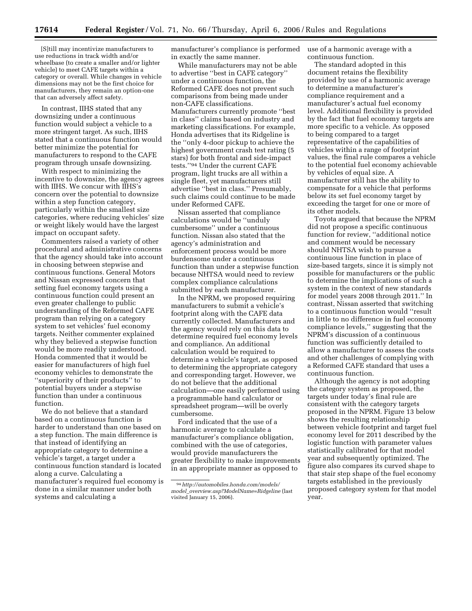[S]till may incentivize manufacturers to use reductions in track width and/or wheelbase (to create a smaller and/or lighter vehicle) to meet CAFE targets within a category or overall. While changes in vehicle dimensions may not be the first choice for manufacturers, they remain an option-one that can adversely affect safety.

In contrast, IIHS stated that any downsizing under a continuous function would subject a vehicle to a more stringent target. As such, IIHS stated that a continuous function would better minimize the potential for manufacturers to respond to the CAFE program through unsafe downsizing.

With respect to minimizing the incentive to downsize, the agency agrees with IIHS. We concur with IIHS's concern over the potential to downsize within a step function category, particularly within the smallest size categories, where reducing vehicles' size or weight likely would have the largest impact on occupant safety.

Commenters raised a variety of other procedural and administrative concerns that the agency should take into account in choosing between stepwise and continuous functions. General Motors and Nissan expressed concern that setting fuel economy targets using a continuous function could present an even greater challenge to public understanding of the Reformed CAFE program than relying on a category system to set vehicles' fuel economy targets. Neither commenter explained why they believed a stepwise function would be more readily understood. Honda commented that it would be easier for manufacturers of high fuel economy vehicles to demonstrate the ''superiority of their products'' to potential buyers under a stepwise function than under a continuous function.

We do not believe that a standard based on a continuous function is harder to understand than one based on a step function. The main difference is that instead of identifying an appropriate category to determine a vehicle's target, a target under a continuous function standard is located along a curve. Calculating a manufacturer's required fuel economy is done in a similar manner under both systems and calculating a

manufacturer's compliance is performed in exactly the same manner.

While manufacturers may not be able to advertise ''best in CAFE category'' under a continuous function, the Reformed CAFE does not prevent such comparisons from being made under non-CAFE classifications. Manufacturers currently promote ''best in class'' claims based on industry and marketing classifications. For example, Honda advertises that its Ridgeline is the ''only 4-door pickup to achieve the highest government crash test rating (5 stars) for both frontal and side-impact tests.''94 Under the current CAFE program, light trucks are all within a single fleet, yet manufacturers still advertise ''best in class.'' Presumably, such claims could continue to be made under Reformed CAFE.

Nissan asserted that compliance calculations would be ''unduly cumbersome'' under a continuous function. Nissan also stated that the agency's administration and enforcement process would be more burdensome under a continuous function than under a stepwise function because NHTSA would need to review complex compliance calculations submitted by each manufacturer.

In the NPRM, we proposed requiring manufacturers to submit a vehicle's footprint along with the CAFE data currently collected. Manufacturers and the agency would rely on this data to determine required fuel economy levels and compliance. An additional calculation would be required to determine a vehicle's target, as opposed to determining the appropriate category and corresponding target. However, we do not believe that the additional calculation—one easily performed using a programmable hand calculator or spreadsheet program—will be overly cumbersome.

Ford indicated that the use of a harmonic average to calculate a manufacturer's compliance obligation, combined with the use of categories, would provide manufacturers the greater flexibility to make improvements in an appropriate manner as opposed to

use of a harmonic average with a continuous function.

The standard adopted in this document retains the flexibility provided by use of a harmonic average to determine a manufacturer's compliance requirement and a manufacturer's actual fuel economy level. Additional flexibility is provided by the fact that fuel economy targets are more specific to a vehicle. As opposed to being compared to a target representative of the capabilities of vehicles within a range of footprint values, the final rule compares a vehicle to the potential fuel economy achievable by vehicles of equal size. A manufacturer still has the ability to compensate for a vehicle that performs below its set fuel economy target by exceeding the target for one or more of its other models.

Toyota argued that because the NPRM did not propose a specific continuous function for review, ''additional notice and comment would be necessary should NHTSA wish to pursue a continuous line function in place of size-based targets, since it is simply not possible for manufacturers or the public to determine the implications of such a system in the context of new standards for model years 2008 through 2011.'' In contrast, Nissan asserted that switching to a continuous function would ''result in little to no difference in fuel economy compliance levels,'' suggesting that the NPRM's discussion of a continuous function was sufficiently detailed to allow a manufacturer to assess the costs and other challenges of complying with a Reformed CAFE standard that uses a continuous function.

Although the agency is not adopting the category system as proposed, the targets under today's final rule are consistent with the category targets proposed in the NPRM. Figure 13 below shows the resulting relationship between vehicle footprint and target fuel economy level for 2011 described by the logistic function with parameter values statistically calibrated for that model year and subsequently optimized. The figure also compares its curved shape to that stair step shape of the fuel economy targets established in the previously proposed category system for that model year.

<sup>94</sup>*[http://automobiles.honda.com/models/](http://automobiles.honda.com/models/model_overview.asp?ModelName=Ridgeline)  model*\_*overview.asp?ModelName=Ridgeline* (last visited January 15, 2006).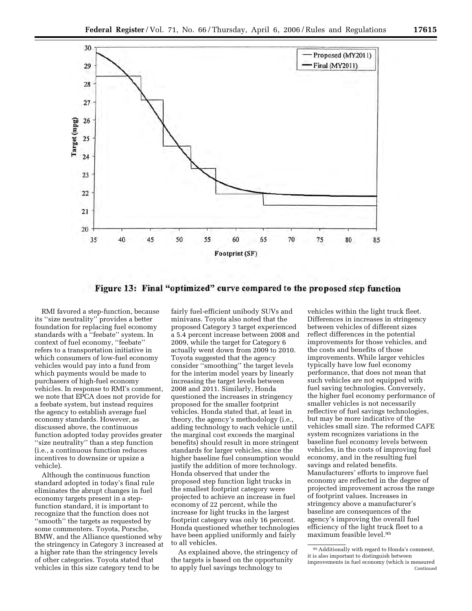

Figure 13: Final "optimized" curve compared to the proposed step function

RMI favored a step-function, because its ''size neutrality'' provides a better foundation for replacing fuel economy standards with a ''feebate'' system. In context of fuel economy, ''feebate'' refers to a transportation initiative in which consumers of low-fuel economy vehicles would pay into a fund from which payments would be made to purchasers of high-fuel economy vehicles. In response to RMI's comment, we note that EPCA does not provide for a feebate system, but instead requires the agency to establish average fuel economy standards. However, as discussed above, the continuous function adopted today provides greater ''size neutrality'' than a step function (i.e., a continuous function reduces incentives to downsize or upsize a vehicle).

Although the continuous function standard adopted in today's final rule eliminates the abrupt changes in fuel economy targets present in a stepfunction standard, it is important to recognize that the function does not ''smooth'' the targets as requested by some commenters. Toyota, Porsche, BMW, and the Alliance questioned why the stringency in Category 3 increased at a higher rate than the stringency levels of other categories. Toyota stated that vehicles in this size category tend to be

fairly fuel-efficient unibody SUVs and minivans. Toyota also noted that the proposed Category 3 target experienced a 5.4 percent increase between 2008 and 2009, while the target for Category 6 actually went down from 2009 to 2010. Toyota suggested that the agency consider ''smoothing'' the target levels for the interim model years by linearly increasing the target levels between 2008 and 2011. Similarly, Honda questioned the increases in stringency proposed for the smaller footprint vehicles. Honda stated that, at least in theory, the agency's methodology (i.e., adding technology to each vehicle until the marginal cost exceeds the marginal benefits) should result in more stringent standards for larger vehicles, since the higher baseline fuel consumption would justify the addition of more technology. Honda observed that under the proposed step function light trucks in the smallest footprint category were projected to achieve an increase in fuel economy of 22 percent, while the increase for light trucks in the largest footprint category was only 16 percent. Honda questioned whether technologies have been applied uniformly and fairly to all vehicles.

As explained above, the stringency of the targets is based on the opportunity to apply fuel savings technology to

vehicles within the light truck fleet. Differences in increases in stringency between vehicles of different sizes reflect differences in the potential improvements for those vehicles, and the costs and benefits of those improvements. While larger vehicles typically have low fuel economy performance, that does not mean that such vehicles are not equipped with fuel saving technologies. Conversely, the higher fuel economy performance of smaller vehicles is not necessarily reflective of fuel savings technologies, but may be more indicative of the vehicles small size. The reformed CAFE system recognizes variations in the baseline fuel economy levels between vehicles, in the costs of improving fuel economy, and in the resulting fuel savings and related benefits. Manufacturers' efforts to improve fuel economy are reflected in the degree of projected improvement across the range of footprint values. Increases in stringency above a manufacturer's baseline are consequences of the agency's improving the overall fuel efficiency of the light truck fleet to a maximum feasible level.95

<sup>95</sup>Additionally with regard to Honda's comment, it is also important to distinguish between improvements in fuel economy (which is measured Continued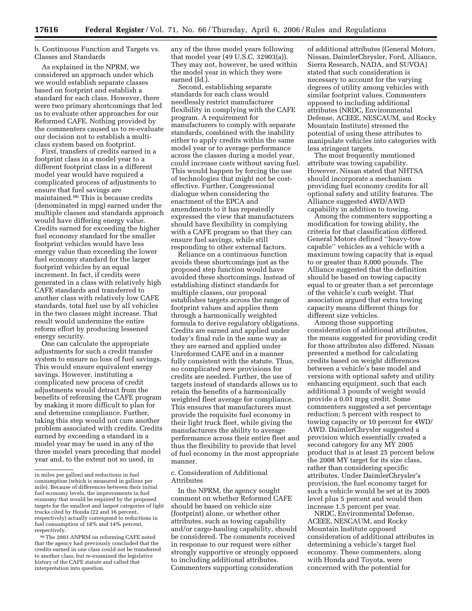b. Continuous Function and Targets vs. Classes and Standards

As explained in the NPRM, we considered an approach under which we would establish separate classes based on footprint and establish a standard for each class. However, there were two primary shortcomings that led us to evaluate other approaches for our Reformed CAFE. Nothing provided by the commenters caused us to re-evaluate our decision not to establish a multiclass system based on footprint.

First, transfers of credits earned in a footprint class in a model year to a different footprint class in a different model year would have required a complicated process of adjustments to ensure that fuel savings are maintained.96 This is because credits (denominated in mpg) earned under the multiple classes and standards approach would have differing energy value. Credits earned for exceeding the higher fuel economy standard for the smaller footprint vehicles would have less energy value than exceeding the lower fuel economy standard for the larger footprint vehicles by an equal increment. In fact, if credits were generated in a class with relatively high CAFE standards and transferred to another class with relatively low CAFE standards, total fuel use by all vehicles in the two classes might increase. That result would undermine the entire reform effort by producing lessened energy security.

One can calculate the appropriate adjustments for such a credit transfer system to ensure no loss of fuel savings. This would ensure equivalent energy savings. However, instituting a complicated new process of credit adjustments would detract from the benefits of reforming the CAFE program by making it more difficult to plan for and determine compliance. Further, taking this step would not cure another problem associated with credits. Credits earned by exceeding a standard in a model year may be used in any of the three model years preceding that model year and, to the extent not so used, in

any of the three model years following that model year (49 U.S.C. 32903(a)). They may not, however, be used within the model year in which they were earned (Id.).

Second, establishing separate standards for each class would needlessly restrict manufacturer flexibility in complying with the CAFE program. A requirement for manufacturers to comply with separate standards, combined with the inability either to apply credits within the same model year or to average performance across the classes during a model year, could increase costs without saving fuel. This would happen by forcing the use of technologies that might not be costeffective. Further, Congressional dialogue when considering the enactment of the EPCA and amendments to it has repeatedly expressed the view that manufacturers should have flexibility in complying with a CAFE program so that they can ensure fuel savings, while still responding to other external factors.

Reliance on a continuous function avoids these shortcomings just as the proposed step function would have avoided these shortcomings. Instead of establishing distinct standards for multiple classes, our proposal establishes targets across the range of footprint values and applies them through a harmonically weighted formula to derive regulatory obligations. Credits are earned and applied under today's final rule in the same way as they are earned and applied under Unreformed CAFE and in a manner fully consistent with the statute. Thus, no complicated new provisions for credits are needed. Further, the use of targets instead of standards allows us to retain the benefits of a harmonically weighted fleet average for compliance. This ensures that manufacturers must provide the requisite fuel economy in their light truck fleet, while giving the manufacturers the ability to average performance across their entire fleet and thus the flexibility to provide that level of fuel economy in the most appropriate manner.

#### c. Consideration of Additional Attributes

In the NPRM, the agency sought comment on whether Reformed CAFE should be based on vehicle size (footprint) alone, or whether other attributes, such as towing capability and/or cargo-hauling capability, should be considered. The comments received in response to our request were either strongly supportive or strongly opposed to including additional attributes. Commenters supporting consideration

of additional attributes (General Motors, Nissan, DaimlerChrysler, Ford, Alliance, Sierra Research, NADA, and SUVOA) stated that such consideration is necessary to account for the varying degrees of utility among vehicles with similar footprint values. Commenters opposed to including additional attributes (NRDC, Environmental Defense, ACEEE, NESCAUM, and Rocky Mountain Institute) stressed the potential of using these attributes to manipulate vehicles into categories with less stringent targets.

The most frequently mentioned attribute was towing capability. However, Nissan stated that NHTSA should incorporate a mechanism providing fuel economy credits for all optional safety and utility features. The Alliance suggested 4WD/AWD capability in addition to towing.

Among the commenters supporting a modification for towing ability, the criteria for that classification differed. General Motors defined ''heavy-tow capable'' vehicles as a vehicle with a maximum towing capacity that is equal to or greater than 8,000 pounds. The Alliance suggested that the definition should be based on towing capacity equal to or greater than a set percentage of the vehicle's curb weight. That association argued that extra towing capacity means different things for different size vehicles.

Among those supporting consideration of additional attributes, the means suggested for providing credit for those attributes also differed. Nissan presented a method for calculating credits based on weight differences between a vehicle's base model and versions with optional safety and utility enhancing equipment, such that each additional 3 pounds of weight would provide a 0.01 mpg credit. Some commenters suggested a set percentage reduction; 5 percent with respect to towing capacity or 10 percent for 4WD/ AWD. DaimlerChrysler suggested a provision which essentially created a second category for any MY 2005 product that is at least 25 percent below the 2008 MY target for its size class, rather than considering specific attributes. Under DaimlerChrysler's provision, the fuel economy target for such a vehicle would be set at its 2005 level plus 5 percent and would then increase 1.5 percent per year.

NRDC, Environmental Defense, ACEEE, NESCAUM, and Rocky Mountain Institute opposed consideration of additional attributes in determining a vehicle's target fuel economy. These commenters, along with Honda and Toyota, were concerned with the potential for

in miles per gallon) and reductions in fuel consumption (which is measured in gallons per mile). Because of differences between their initial fuel economy levels, the improvements in fuel economy that would be required by the proposed targets for the smallest and largest categories of light trucks cited by Honda (22 and 16 percent, respectively) actually correspond to reductions in fuel consumption of 18% and 14% percent, respectively.

<sup>96</sup>The 2003 ANPRM on reforming CAFE noted that the agency had previously concluded that the credits earned in one class could not be transferred to another class, but re-examined the legislative history of the CAFE statute and called that interpretation into question.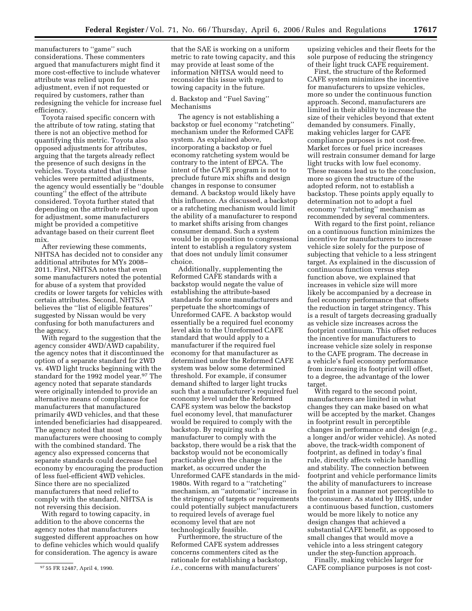manufacturers to ''game'' such considerations. These commenters argued that manufacturers might find it more cost-effective to include whatever attribute was relied upon for adjustment, even if not requested or required by customers, rather than redesigning the vehicle for increase fuel efficiency.

Toyota raised specific concern with the attribute of tow rating, stating that there is not an objective method for quantifying this metric. Toyota also opposed adjustments for attributes, arguing that the targets already reflect the presence of such designs in the vehicles. Toyota stated that if these vehicles were permitted adjustments, the agency would essentially be ''double counting'' the effect of the attribute considered. Toyota further stated that depending on the attribute relied upon for adjustment, some manufacturers might be provided a competitive advantage based on their current fleet mix.

After reviewing these comments, NHTSA has decided not to consider any additional attributes for MYs 2008– 2011. First, NHTSA notes that even some manufacturers noted the potential for abuse of a system that provided credits or lower targets for vehicles with certain attributes. Second, NHTSA believes the ''list of eligible features'' suggested by Nissan would be very confusing for both manufacturers and the agency.

With regard to the suggestion that the agency consider 4WD/AWD capability, the agency notes that it discontinued the option of a separate standard for 2WD vs. 4WD light trucks beginning with the standard for the 1992 model year.97 The agency noted that separate standards were originally intended to provide an alternative means of compliance for manufacturers that manufactured primarily 4WD vehicles, and that these intended beneficiaries had disappeared. The agency noted that most manufacturers were choosing to comply with the combined standard. The agency also expressed concerns that separate standards could decrease fuel economy by encouraging the production of less fuel-efficient 4WD vehicles. Since there are no specialized manufacturers that need relief to comply with the standard, NHTSA is not reversing this decision.

With regard to towing capacity, in addition to the above concerns the agency notes that manufacturers suggested different approaches on how to define vehicles which would qualify for consideration. The agency is aware

that the SAE is working on a uniform metric to rate towing capacity, and this may provide at least some of the information NHTSA would need to reconsider this issue with regard to towing capacity in the future.

#### d. Backstop and ''Fuel Saving'' Mechanisms

The agency is not establishing a backstop or fuel economy ''ratcheting'' mechanism under the Reformed CAFE system. As explained above, incorporating a backstop or fuel economy ratcheting system would be contrary to the intent of EPCA. The intent of the CAFE program is not to preclude future mix shifts and design changes in response to consumer demand. A backstop would likely have this influence. As discussed, a backstop or a ratcheting mechanism would limit the ability of a manufacturer to respond to market shifts arising from changes consumer demand. Such a system would be in opposition to congressional intent to establish a regulatory system that does not unduly limit consumer choice.

Additionally, supplementing the Reformed CAFE standards with a backstop would negate the value of establishing the attribute-based standards for some manufacturers and perpetuate the shortcomings of Unreformed CAFE. A backstop would essentially be a required fuel economy level akin to the Unreformed CAFE standard that would apply to a manufacturer if the required fuel economy for that manufacturer as determined under the Reformed CAFE system was below some determined threshold. For example, if consumer demand shifted to larger light trucks such that a manufacturer's required fuel economy level under the Reformed CAFE system was below the backstop fuel economy level, that manufacturer would be required to comply with the backstop. By requiring such a manufacturer to comply with the backstop, there would be a risk that the backstop would not be economically practicable given the change in the market, as occurred under the Unreformed CAFE standards in the mid-1980s. With regard to a ''ratcheting'' mechanism, an ''automatic'' increase in the stringency of targets or requirements could potentially subject manufacturers to required levels of average fuel economy level that are not technologically feasible.

Furthermore, the structure of the Reformed CAFE system addresses concerns commenters cited as the rationale for establishing a backstop, *i.e.*, concerns with manufacturers'

upsizing vehicles and their fleets for the sole purpose of reducing the stringency of their light truck CAFE requirement.

First, the structure of the Reformed CAFE system minimizes the incentive for manufacturers to upsize vehicles, more so under the continuous function approach. Second, manufacturers are limited in their ability to increase the size of their vehicles beyond that extent demanded by consumers. Finally, making vehicles larger for CAFE compliance purposes is not cost-free. Market forces or fuel price increases will restrain consumer demand for large light trucks with low fuel economy. These reasons lead us to the conclusion, more so given the structure of the adopted reform, not to establish a backstop. These points apply equally to determination not to adopt a fuel economy ''ratcheting'' mechanism as recommended by several commenters.

With regard to the first point, reliance on a continuous function minimizes the incentive for manufacturers to increase vehicle size solely for the purpose of subjecting that vehicle to a less stringent target. As explained in the discussion of continuous function versus step function above, we explained that increases in vehicle size will more likely be accompanied by a decrease in fuel economy performance that offsets the reduction in target stringency. This is a result of targets decreasing gradually as vehicle size increases across the footprint continuum. This offset reduces the incentive for manufacturers to increase vehicle size solely in response to the CAFE program. The decrease in a vehicle's fuel economy performance from increasing its footprint will offset, to a degree, the advantage of the lower target.

With regard to the second point, manufacturers are limited in what changes they can make based on what will be accepted by the market. Changes in footprint result in perceptible changes in performance and design (*e.g.*, a longer and/or wider vehicle). As noted above, the track-width component of footprint, as defined in today's final rule, directly affects vehicle handling and stability. The connection between footprint and vehicle performance limits the ability of manufacturers to increase footprint in a manner not perceptible to the consumer. As stated by IIHS, under a continuous based function, customers would be more likely to notice any design changes that achieved a substantial CAFE benefit, as opposed to small changes that would move a vehicle into a less stringent category under the step-function approach.

Finally, making vehicles larger for CAFE compliance purposes is not cost-

<sup>97</sup> 55 FR 12487, April 4, 1990.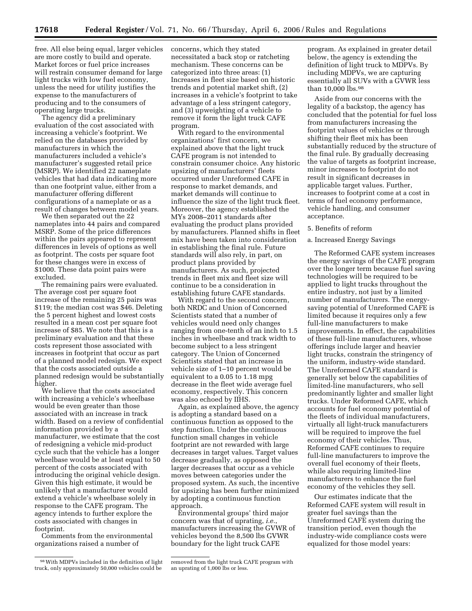free. All else being equal, larger vehicles are more costly to build and operate. Market forces or fuel price increases will restrain consumer demand for large light trucks with low fuel economy, unless the need for utility justifies the expense to the manufacturers of producing and to the consumers of operating large trucks.

The agency did a preliminary evaluation of the cost associated with increasing a vehicle's footprint. We relied on the databases provided by manufacturers in which the manufacturers included a vehicle's manufacturer's suggested retail price (MSRP). We identified 22 nameplate vehicles that had data indicating more than one footprint value, either from a manufacturer offering different configurations of a nameplate or as a result of changes between model years.

We then separated out the 22 nameplates into 44 pairs and compared MSRP. Some of the price differences within the pairs appeared to represent differences in levels of options as well as footprint. The costs per square foot for these changes were in excess of \$1000. These data point pairs were excluded.

The remaining pairs were evaluated. The average cost per square foot increase of the remaining 25 pairs was \$119; the median cost was \$46. Deleting the 5 percent highest and lowest costs resulted in a mean cost per square foot increase of \$85. We note that this is a preliminary evaluation and that these costs represent those associated with increases in footprint that occur as part of a planned model redesign. We expect that the costs associated outside a planned redesign would be substantially higher.

We believe that the costs associated with increasing a vehicle's wheelbase would be even greater than those associated with an increase in track width. Based on a review of confidential information provided by a manufacturer, we estimate that the cost of redesigning a vehicle mid-product cycle such that the vehicle has a longer wheelbase would be at least equal to 50 percent of the costs associated with introducing the original vehicle design. Given this high estimate, it would be unlikely that a manufacturer would extend a vehicle's wheelbase solely in response to the CAFE program. The agency intends to further explore the costs associated with changes in footprint.

Comments from the environmental organizations raised a number of

concerns, which they stated necessitated a back stop or ratcheting mechanism. These concerns can be categorized into three areas: (1) Increases in fleet size based on historic trends and potential market shift, (2) increases in a vehicle's footprint to take advantage of a less stringent category, and (3) upweighting of a vehicle to remove it form the light truck CAFE program.

With regard to the environmental organizations' first concern, we explained above that the light truck CAFE program is not intended to constrain consumer choice. Any historic upsizing of manufacturers' fleets occurred under Unreformed CAFE in response to market demands, and market demands will continue to influence the size of the light truck fleet. Moreover, the agency established the MYs 2008–2011 standards after evaluating the product plans provided by manufacturers. Planned shifts in fleet mix have been taken into consideration in establishing the final rule. Future standards will also rely, in part, on product plans provided by manufacturers. As such, projected trends in fleet mix and fleet size will continue to be a consideration in establishing future CAFE standards.

With regard to the second concern, both NRDC and Union of Concerned Scientists stated that a number of vehicles would need only changes ranging from one-tenth of an inch to 1.5 inches in wheelbase and track width to become subject to a less stringent category. The Union of Concerned Scientists stated that an increase in vehicle size of 1–10 percent would be equivalent to a 0.05 to 1.18 mpg decrease in the fleet wide average fuel economy, respectively. This concern was also echoed by IIHS.

Again, as explained above, the agency is adopting a standard based on a continuous function as opposed to the step function. Under the continuous function small changes in vehicle footprint are not rewarded with large decreases in target values. Target values decrease gradually, as opposed the larger decreases that occur as a vehicle moves between categories under the proposed system. As such, the incentive for upsizing has been further minimized by adopting a continuous function approach.

Environmental groups' third major concern was that of uprating, *i.e.*, manufacturers increasing the GVWR of vehicles beyond the 8,500 lbs GVWR boundary for the light truck CAFE

program. As explained in greater detail below, the agency is extending the definition of light truck to MDPVs. By including MDPVs, we are capturing essentially all SUVs with a GVWR less than 10,000 lbs.98

Aside from our concerns with the legality of a backstop, the agency has concluded that the potential for fuel loss from manufacturers increasing the footprint values of vehicles or through shifting their fleet mix has been substantially reduced by the structure of the final rule. By gradually decreasing the value of targets as footprint increase, minor increases to footprint do not result in significant decreases in applicable target values. Further, increases to footprint come at a cost in terms of fuel economy performance, vehicle handling, and consumer acceptance.

#### 5. Benefits of reform

#### a. Increased Energy Savings

The Reformed CAFE system increases the energy savings of the CAFE program over the longer term because fuel saving technologies will be required to be applied to light trucks throughout the entire industry, not just by a limited number of manufacturers. The energysaving potential of Unreformed CAFE is limited because it requires only a few full-line manufacturers to make improvements. In effect, the capabilities of these full-line manufacturers, whose offerings include larger and heavier light trucks, constrain the stringency of the uniform, industry-wide standard. The Unreformed CAFE standard is generally set below the capabilities of limited-line manufacturers, who sell predominantly lighter and smaller light trucks. Under Reformed CAFE, which accounts for fuel economy potential of the fleets of individual manufacturers, virtually all light-truck manufacturers will be required to improve the fuel economy of their vehicles. Thus, Reformed CAFE continues to require full-line manufacturers to improve the overall fuel economy of their fleets, while also requiring limited-line manufacturers to enhance the fuel economy of the vehicles they sell.

Our estimates indicate that the Reformed CAFE system will result in greater fuel savings than the Unreformed CAFE system during the transition period, even though the industry-wide compliance costs were equalized for those model years:

<sup>98</sup>With MDPVs included in the definition of light truck, only approximately 50,000 vehicles could be

removed from the light truck CAFE program with an uprating of 1,000 lbs or less.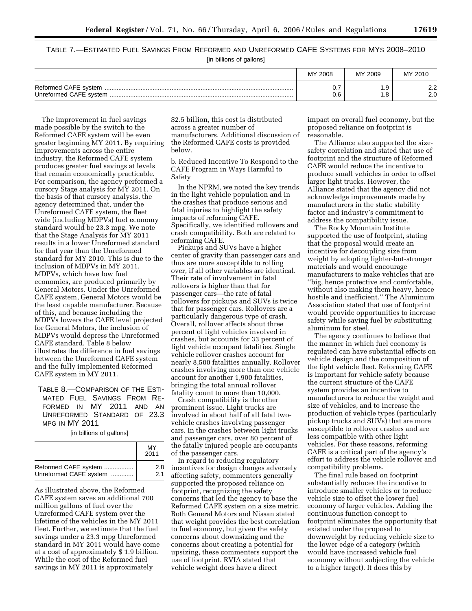# TABLE 7.—ESTIMATED FUEL SAVINGS FROM REFORMED AND UNREFORMED CAFE SYSTEMS FOR MYS 2008–2010 [in billions of gallons]

| MY.<br>′ 2008 | MY 2009 | MY 2010       |
|---------------|---------|---------------|
| ◡.            | . ب     | <u>.</u>      |
| 0.6           | . ب     | $\sim$ $\sim$ |

The improvement in fuel savings made possible by the switch to the Reformed CAFE system will be even greater beginning MY 2011. By requiring improvements across the entire industry, the Reformed CAFE system produces greater fuel savings at levels that remain economically practicable. For comparison, the agency performed a cursory Stage analysis for MY 2011. On the basis of that cursory analysis, the agency determined that, under the Unreformed CAFE system, the fleet wide (including MDPVs) fuel economy standard would be 23.3 mpg. We note that the Stage Analysis for MY 2011 results in a lower Unreformed standard for that year than the Unreformed standard for MY 2010. This is due to the inclusion of MDPVs in MY 2011. MDPVs, which have low fuel economies, are produced primarily by General Motors. Under the Unreformed CAFE system, General Motors would be the least capable manufacturer. Because of this, and because including the MDPVs lowers the CAFE level projected for General Motors, the inclusion of MDPVs would depress the Unreformed CAFE standard. Table 8 below illustrates the difference in fuel savings between the Unreformed CAFE system and the fully implemented Reformed CAFE system in MY 2011.

TABLE 8.—COMPARISON OF THE ESTI-MATED FUEL SAVINGS FROM RE-FORMED IN MY 2011 AND AN UNREFORMED STANDARD OF 23.3 MPG IN MY 2011

[in billions of gallons]

|                        | MY<br>2011 |
|------------------------|------------|
| Reformed CAFE system   | 2.8        |
| Unreformed CAFE system | 21         |

As illustrated above, the Reformed CAFE system saves an additional 700 million gallons of fuel over the Unreformed CAFE system over the lifetime of the vehicles in the MY 2011 fleet. Further, we estimate that the fuel savings under a 23.3 mpg Unreformed standard in MY 2011 would have come at a cost of approximately \$ 1.9 billion. While the cost of the Reformed fuel savings in MY 2011 is approximately

\$2.5 billion, this cost is distributed across a greater number of manufacturers. Additional discussion of the Reformed CAFE costs is provided below.

b. Reduced Incentive To Respond to the CAFE Program in Ways Harmful to Safety

In the NPRM, we noted the key trends in the light vehicle population and in the crashes that produce serious and fatal injuries to highlight the safety impacts of reforming CAFE. Specifically, we identified rollovers and crash compatibility. Both are related to reforming CAFE.

Pickups and SUVs have a higher center of gravity than passenger cars and thus are more susceptible to rolling over, if all other variables are identical. Their rate of involvement in fatal rollovers is higher than that for passenger cars—the rate of fatal rollovers for pickups and SUVs is twice that for passenger cars. Rollovers are a particularly dangerous type of crash. Overall, rollover affects about three percent of light vehicles involved in crashes, but accounts for 33 percent of light vehicle occupant fatalities. Single vehicle rollover crashes account for nearly 8,500 fatalities annually. Rollover crashes involving more than one vehicle account for another 1,900 fatalities, bringing the total annual rollover fatality count to more than 10,000.

Crash compatibility is the other prominent issue. Light trucks are involved in about half of all fatal twovehicle crashes involving passenger cars. In the crashes between light trucks and passenger cars, over 80 percent of the fatally injured people are occupants of the passenger cars.

In regard to reducing regulatory incentives for design changes adversely affecting safety, commenters generally supported the proposed reliance on footprint, recognizing the safety concerns that led the agency to base the Reformed CAFE system on a size metric. Both General Motors and Nissan stated that weight provides the best correlation to fuel economy, but given the safety concerns about downsizing and the concerns about creating a potential for upsizing, these commenters support the use of footprint. RVIA stated that vehicle weight does have a direct

impact on overall fuel economy, but the proposed reliance on footprint is reasonable.

The Alliance also supported the sizesafety correlation and stated that use of footprint and the structure of Reformed CAFE would reduce the incentive to produce small vehicles in order to offset larger light trucks. However, the Alliance stated that the agency did not acknowledge improvements made by manufacturers in the static stability factor and industry's commitment to address the compatibility issue.

The Rocky Mountain Institute supported the use of footprint, stating that the proposal would create an incentive for decoupling size from weight by adopting lighter-but-stronger materials and would encourage manufacturers to make vehicles that are ''big, hence protective and comfortable, without also making them heavy, hence hostile and inefficient.'' The Aluminum Association stated that use of footprint would provide opportunities to increase safety while saving fuel by substituting aluminum for steel.

The agency continues to believe that the manner in which fuel economy is regulated can have substantial effects on vehicle design and the composition of the light vehicle fleet. Reforming CAFE is important for vehicle safety because the current structure of the CAFE system provides an incentive to manufacturers to reduce the weight and size of vehicles, and to increase the production of vehicle types (particularly pickup trucks and SUVs) that are more susceptible to rollover crashes and are less compatible with other light vehicles. For these reasons, reforming CAFE is a critical part of the agency's effort to address the vehicle rollover and compatibility problems.

The final rule based on footprint substantially reduces the incentive to introduce smaller vehicles or to reduce vehicle size to offset the lower fuel economy of larger vehicles. Adding the continuous function concept to footprint eliminates the opportunity that existed under the proposal to downweight by reducing vehicle size to the lower edge of a category (which would have increased vehicle fuel economy without subjecting the vehicle to a higher target). It does this by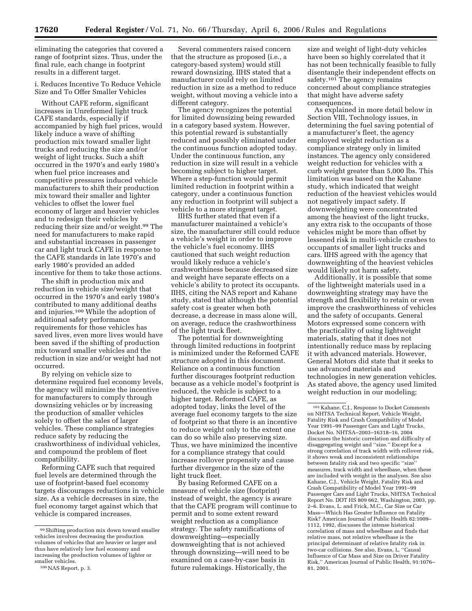eliminating the categories that covered a range of footprint sizes. Thus, under the final rule, each change in footprint results in a different target.

i. Reduces Incentive To Reduce Vehicle Size and To Offer Smaller Vehicles

Without CAFE reform, significant increases in Unreformed light truck CAFE standards, especially if accompanied by high fuel prices, would likely induce a wave of shifting production mix toward smaller light trucks and reducing the size and/or weight of light trucks. Such a shift occurred in the 1970's and early 1980's when fuel price increases and competitive pressures induced vehicle manufacturers to shift their production mix toward their smaller and lighter vehicles to offset the lower fuel economy of larger and heavier vehicles and to redesign their vehicles by reducing their size and/or weight.99 The need for manufacturers to make rapid and substantial increases in passenger car and light truck CAFE in response to the CAFE standards in late 1970's and early 1980's provided an added incentive for them to take those actions.

The shift in production mix and reduction in vehicle size/weight that occurred in the 1970's and early 1980's contributed to many additional deaths and injuries.100 While the adoption of additional safety performance requirements for those vehicles has saved lives, even more lives would have been saved if the shifting of production mix toward smaller vehicles and the reduction in size and/or weight had not occurred.

By relying on vehicle size to determine required fuel economy levels, the agency will minimize the incentive for manufacturers to comply through downsizing vehicles or by increasing the production of smaller vehicles solely to offset the sales of larger vehicles. These compliance strategies reduce safety by reducing the crashworthiness of individual vehicles, and compound the problem of fleet compatibility.

Reforming CAFE such that required fuel levels are determined through the use of footprint-based fuel economy targets discourages reductions in vehicle size. As a vehicle decreases in size, the fuel economy target against which that vehicle is compared increases.

Several commenters raised concern that the structure as proposed (i.e., a category-based system) would still reward downsizing. IIHS stated that a manufacturer could rely on limited reduction in size as a method to reduce weight, without moving a vehicle into a different category.

The agency recognizes the potential for limited downsizing being rewarded in a category based system. However, this potential reward is substantially reduced and possibly eliminated under the continuous function adopted today. Under the continuous function, any reduction in size will result in a vehicle becoming subject to higher target. Where a step-function would permit limited reduction in footprint within a category, under a continuous function any reduction in footprint will subject a vehicle to a more stringent target.

IIHS further stated that even if a manufacturer maintained a vehicle's size, the manufacturer still could reduce a vehicle's weight in order to improve the vehicle's fuel economy. IIHS cautioned that such weight reduction would likely reduce a vehicle's crashworthiness because decreased size and weight have separate effects on a vehicle's ability to protect its occupants. IIHS, citing the NAS report and Kahane study, stated that although the potential safety cost is greater when both decrease, a decrease in mass alone will, on average, reduce the crashworthiness of the light truck fleet.

The potential for downweighting through limited reductions in footprint is minimized under the Reformed CAFE structure adopted in this document. Reliance on a continuous function further discourages footprint reduction because as a vehicle model's footprint is reduced, the vehicle is subject to a higher target. Reformed CAFE, as adopted today, links the level of the average fuel economy targets to the size of footprint so that there is an incentive to reduce weight only to the extent one can do so while also preserving size. Thus, we have minimized the incentive for a compliance strategy that could increase rollover propensity and cause further divergence in the size of the light truck fleet.

By basing Reformed CAFE on a measure of vehicle size (footprint) instead of weight, the agency is aware that the CAFE program will continue to permit and to some extent reward weight reduction as a compliance strategy. The safety ramifications of downweighting—especially downweighting that is not achieved through downsizing—will need to be examined on a case-by-case basis in future rulemakings. Historically, the

size and weight of light-duty vehicles have been so highly correlated that it has not been technically feasible to fully disentangle their independent effects on safety.<sup>101</sup> The agency remains concerned about compliance strategies that might have adverse safety consequences.

As explained in more detail below in Section VIII, Technology issues, in determining the fuel saving potential of a manufacturer's fleet, the agency employed weight reduction as a compliance strategy only in limited instances. The agency only considered weight reduction for vehicles with a curb weight greater than 5,000 lbs. This limitation was based on the Kahane study, which indicated that weight reduction of the heaviest vehicles would not negatively impact safety. If downweighting were concentrated among the heaviest of the light trucks, any extra risk to the occupants of those vehicles might be more than offset by lessened risk in multi-vehicle crashes to occupants of smaller light trucks and cars. IIHS agreed with the agency that downweighting of the heaviest vehicles would likely not harm safety.

Additionally, it is possible that some of the lightweight materials used in a downweighting strategy may have the strength and flexibility to retain or even improve the crashworthiness of vehicles and the safety of occupants. General Motors expressed some concern with the practicality of using lightweight materials, stating that it does not intentionally reduce mass by replacing it with advanced materials. However, General Motors did state that it seeks to use advanced materials and technologies in new generation vehicles. As stated above, the agency used limited weight reduction in our modeling;

<sup>99</sup>Shifting production mix down toward smaller vehicles involves decreasing the production volumes of vehicles that are heavier or larger and thus have relatively low fuel economy and increasing the production volumes of lighter or smaller vehicles.

<sup>100</sup>NAS Report, p. 3.

<sup>101</sup> Kahane, C.J., Response to Docket Comments on NHTSA Technical Report, Vehicle Weight, Fatality Risk and Crash Compatibility of Model Year 1991–99 Passenger Cars and Light Trucks, Docket No. NHTSA–2003–16318–16, 2004 discusses the historic correlation and difficulty of disaggregating weight and ''size.'' Except for a strong correlation of track width with rollover risk, it shows weak and inconsistent relationships between fatality risk and two specific ''size'' measures, track width and wheelbase, when these are included with weight in the analyses. See also Kahane, C.J., Vehicle Weight, Fatality Risk and Crash Compatibility of Model Year 1991–99 Passenger Cars and Light Trucks, NHTSA Technical Report No. DOT HS 809 662, Washington, 2003, pp. 2–6. Evans, L. and Frick, M.C., Car Size or Car Mass—Which Has Greater Influence on Fatality Risk? American Journal of Public Health 82:1009– 1112, 1992, discusses the intense historical correlation of mass and wheelbase and finds that relative mass, not relative wheelbase is the principal determinant of relative fatality risk in two-car collisions. See also, Evans, L. ''Causal Influence of Car Mass and Size on Driver Fatality Risk,'' American Journal of Public Health, 91:1076– 81, 2001.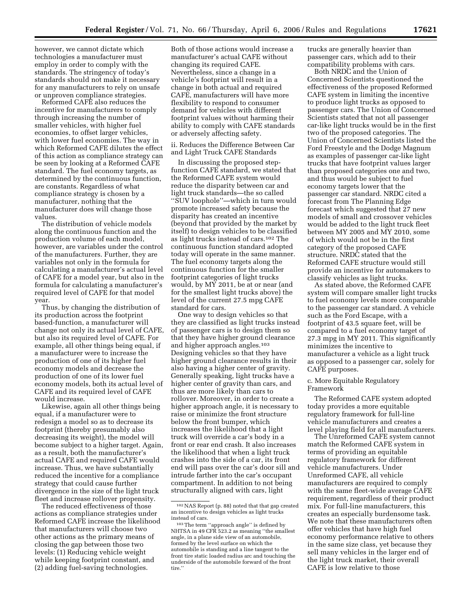however, we cannot dictate which technologies a manufacturer must employ in order to comply with the standards. The stringency of today's standards should not make it necessary for any manufacturers to rely on unsafe or unproven compliance strategies.

Reformed CAFE also reduces the incentive for manufacturers to comply through increasing the number of smaller vehicles, with higher fuel economies, to offset larger vehicles, with lower fuel economies. The way in which Reformed CAFE dilutes the effect of this action as compliance strategy can be seen by looking at a Reformed CAFE standard. The fuel economy targets, as determined by the continuous function, are constants. Regardless of what compliance strategy is chosen by a manufacturer, nothing that the manufacturer does will change those values.

The distribution of vehicle models along the continuous function and the production volume of each model, however, are variables under the control of the manufacturers. Further, they are variables not only in the formula for calculating a manufacturer's actual level of CAFE for a model year, but also in the formula for calculating a manufacturer's required level of CAFE for that model year.

Thus, by changing the distribution of its production across the footprint based-function, a manufacturer will change not only its actual level of CAFE, but also its required level of CAFE. For example, all other things being equal, if a manufacturer were to increase the production of one of its higher fuel economy models and decrease the production of one of its lower fuel economy models, both its actual level of CAFE and its required level of CAFE would increase.

Likewise, again all other things being equal, if a manufacturer were to redesign a model so as to decrease its footprint (thereby presumably also decreasing its weight), the model will become subject to a higher target. Again, as a result, both the manufacturer's actual CAFE and required CAFE would increase. Thus, we have substantially reduced the incentive for a compliance strategy that could cause further divergence in the size of the light truck fleet and increase rollover propensity.

The reduced effectiveness of those actions as compliance strategies under Reformed CAFE increase the likelihood that manufacturers will choose two other actions as the primary means of closing the gap between those two levels: (1) Reducing vehicle weight while keeping footprint constant, and (2) adding fuel-saving technologies.

Both of those actions would increase a manufacturer's actual CAFE without changing its required CAFE. Nevertheless, since a change in a vehicle's footprint will result in a change in both actual and required CAFE, manufacturers will have more flexibility to respond to consumer demand for vehicles with different footprint values without harming their ability to comply with CAFE standards or adversely affecting safety.

ii. Reduces the Difference Between Car and Light Truck CAFE Standards

In discussing the proposed stepfunction CAFE standard, we stated that the Reformed CAFE system would reduce the disparity between car and light truck standards—the so called ''SUV loophole''—which in turn would promote increased safety because the disparity has created an incentive (beyond that provided by the market by itself) to design vehicles to be classified as light trucks instead of cars.102 The continuous function standard adopted today will operate in the same manner. The fuel economy targets along the continuous function for the smaller footprint categories of light trucks would, by MY 2011, be at or near (and for the smallest light trucks above) the level of the current 27.5 mpg CAFE standard for cars.

One way to design vehicles so that they are classified as light trucks instead of passenger cars is to design them so that they have higher ground clearance and higher approach angles.103 Designing vehicles so that they have higher ground clearance results in their also having a higher center of gravity. Generally speaking, light trucks have a higher center of gravity than cars, and thus are more likely than cars to rollover. Moreover, in order to create a higher approach angle, it is necessary to raise or minimize the front structure below the front bumper, which increases the likelihood that a light truck will override a car's body in a front or rear end crash. It also increases the likelihood that when a light truck crashes into the side of a car, its front end will pass over the car's door sill and intrude farther into the car's occupant compartment. In addition to not being structurally aligned with cars, light

trucks are generally heavier than passenger cars, which add to their compatibility problems with cars.

Both NRDC and the Union of Concerned Scientists questioned the effectiveness of the proposed Reformed CAFE system in limiting the incentive to produce light trucks as opposed to passenger cars. The Union of Concerned Scientists stated that not all passenger car-like light trucks would be in the first two of the proposed categories. The Union of Concerned Scientists listed the Ford Freestyle and the Dodge Magnum as examples of passenger car-like light trucks that have footprint values larger than proposed categories one and two, and thus would be subject to fuel economy targets lower that the passenger car standard. NRDC cited a forecast from The Planning Edge forecast which suggested that 27 new models of small and crossover vehicles would be added to the light truck fleet between MY 2005 and MY 2010, some of which would not be in the first category of the proposed CAFE structure. NRDC stated that the Reformed CAFE structure would still provide an incentive for automakers to classify vehicles as light trucks.

As stated above, the Reformed CAFE system will compare smaller light trucks to fuel economy levels more comparable to the passenger car standard. A vehicle such as the Ford Escape, with a footprint of 43.5 square feet, will be compared to a fuel economy target of 27.3 mpg in MY 2011. This significantly minimizes the incentive to manufacturer a vehicle as a light truck as opposed to a passenger car, solely for CAFE purposes.

c. More Equitable Regulatory Framework

The Reformed CAFE system adopted today provides a more equitable regulatory framework for full-line vehicle manufacturers and creates a level playing field for all manufacturers.

The Unreformed CAFE system cannot match the Reformed CAFE system in terms of providing an equitable regulatory framework for different vehicle manufacturers. Under Unreformed CAFE, all vehicle manufacturers are required to comply with the same fleet-wide average CAFE requirement, regardless of their product mix. For full-line manufacturers, this creates an especially burdensome task. We note that these manufacturers often offer vehicles that have high fuel economy performance relative to others in the same size class, yet because they sell many vehicles in the larger end of the light truck market, their overall CAFE is low relative to those

<sup>102</sup>NAS Report (p. 88) noted that that gap created an incentive to design vehicles as light trucks instead of cars.

<sup>103</sup>The term ''approach angle'' is defined by NHTSA in 49 CFR 523.2 as meaning ''the smallest angle, in a plane side view of an automobile, formed by the level surface on which the automobile is standing and a line tangent to the front tire static loaded radius arc and touching the underside of the automobile forward of the front tire.'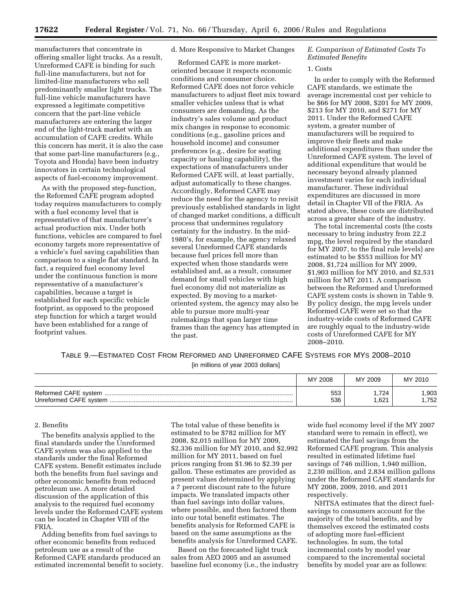manufacturers that concentrate in offering smaller light trucks. As a result, Unreformed CAFE is binding for such full-line manufacturers, but not for limited-line manufacturers who sell predominantly smaller light trucks. The full-line vehicle manufacturers have expressed a legitimate competitive concern that the part-line vehicle manufacturers are entering the larger end of the light-truck market with an accumulation of CAFE credits. While this concern has merit, it is also the case that some part-line manufacturers (e.g., Toyota and Honda) have been industry innovators in certain technological aspects of fuel-economy improvement.

As with the proposed step-function, the Reformed CAFE program adopted today requires manufacturers to comply with a fuel economy level that is representative of that manufacturer's actual production mix. Under both functions, vehicles are compared to fuel economy targets more representative of a vehicle's fuel saving capabilities than comparison to a single flat standard. In fact, a required fuel economy level under the continuous function is more representative of a manufacturer's capabilities, because a target is established for each specific vehicle footprint, as opposed to the proposed step function for which a target would have been established for a range of footprint values.

# d. More Responsive to Market Changes

Reformed CAFE is more marketoriented because it respects economic conditions and consumer choice. Reformed CAFE does not force vehicle manufacturers to adjust fleet mix toward smaller vehicles unless that is what consumers are demanding. As the industry's sales volume and product mix changes in response to economic conditions (e.g., gasoline prices and household income) and consumer preferences (e.g., desire for seating capacity or hauling capability), the expectations of manufacturers under Reformed CAFE will, at least partially, adjust automatically to these changes. Accordingly, Reformed CAFE may reduce the need for the agency to revisit previously established standards in light of changed market conditions, a difficult process that undermines regulatory certainty for the industry. In the mid-1980's, for example, the agency relaxed several Unreformed CAFE standards because fuel prices fell more than expected when those standards were established and, as a result, consumer demand for small vehicles with high fuel economy did not materialize as expected. By moving to a marketoriented system, the agency may also be able to pursue more multi-year rulemakings that span larger time frames than the agency has attempted in the past.

### *E. Comparison of Estimated Costs To Estimated Benefits*

#### 1. Costs

In order to comply with the Reformed CAFE standards, we estimate the average incremental cost per vehicle to be \$66 for MY 2008, \$201 for MY 2009, \$213 for MY 2010, and \$271 for MY 2011. Under the Reformed CAFE system, a greater number of manufacturers will be required to improve their fleets and make additional expenditures than under the Unreformed CAFE system. The level of additional expenditure that would be necessary beyond already planned investment varies for each individual manufacturer. These individual expenditures are discussed in more detail in Chapter VII of the FRIA. As stated above, these costs are distributed across a greater share of the industry.

The total incremental costs (the costs necessary to bring industry from 22.2 mpg, the level required by the standard for MY 2007, to the final rule levels) are estimated to be \$553 million for MY 2008, \$1,724 million for MY 2009, \$1,903 million for MY 2010, and \$2,531 million for MY 2011. A comparison between the Reformed and Unreformed CAFE system costs is shown in Table 9. By policy design, the mpg levels under Reformed CAFE were set so that the industry-wide costs of Reformed CAFE are roughly equal to the industry-wide costs of Unreformed CAFE for MY 2008–2010.

TABLE 9.—ESTIMATED COST FROM REFORMED AND UNREFORMED CAFE SYSTEMS FOR MYS 2008–2010

[in millions of year 2003 dollars]

| МY<br>2008 | MY 2009 | MY 2010 |
|------------|---------|---------|
| 553        | 724     | .903    |
| 536        | .621    | 752     |

#### 2. Benefits

The benefits analysis applied to the final standards under the Unreformed CAFE system was also applied to the standards under the final Reformed CAFE system. Benefit estimates include both the benefits from fuel savings and other economic benefits from reduced petroleum use. A more detailed discussion of the application of this analysis to the required fuel economy levels under the Reformed CAFE system can be located in Chapter VIII of the FRIA.

Adding benefits from fuel savings to other economic benefits from reduced petroleum use as a result of the Reformed CAFE standards produced an estimated incremental benefit to society. The total value of these benefits is estimated to be \$782 million for MY 2008, \$2,015 million for MY 2009, \$2,336 million for MY 2010, and \$2,992 million for MY 2011, based on fuel prices ranging from \$1.96 to \$2.39 per gallon. These estimates are provided as present values determined by applying a 7 percent discount rate to the future impacts. We translated impacts other than fuel savings into dollar values, where possible, and then factored them into our total benefit estimates. The benefits analysis for Reformed CAFE is based on the same assumptions as the benefits analysis for Unreformed CAFE.

Based on the forecasted light truck sales from AEO 2005 and an assumed baseline fuel economy (i.e., the industry

wide fuel economy level if the MY 2007 standard were to remain in effect), we estimated the fuel savings from the Reformed CAFE program. This analysis resulted in estimated lifetime fuel savings of 746 million, 1,940 million, 2,230 million, and 2,834 million gallons under the Reformed CAFE standards for MY 2008, 2009, 2010, and 2011 respectively.

NHTSA estimates that the direct fuelsavings to consumers account for the majority of the total benefits, and by themselves exceed the estimated costs of adopting more fuel-efficient technologies. In sum, the total incremental costs by model year compared to the incremental societal benefits by model year are as follows: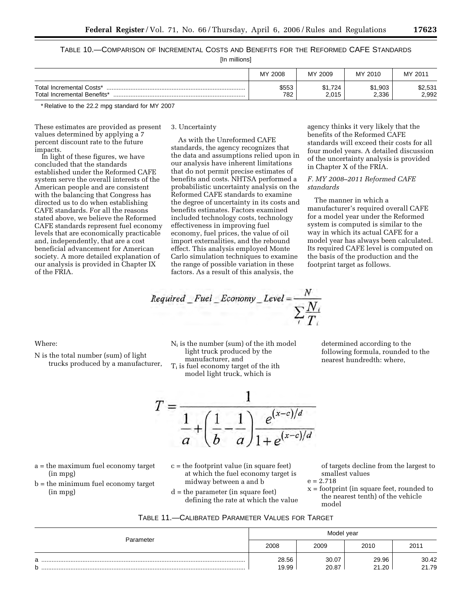TABLE 10.—COMPARISON OF INCREMENTAL COSTS AND BENEFITS FOR THE REFORMED CAFE STANDARDS

[In millions]

|                                                         | MY 2008      | MY 2009         | MY 2010          | MY 2011          |
|---------------------------------------------------------|--------------|-----------------|------------------|------------------|
| Total Incremental Costs*<br>Total Incremental Benefits* | \$553<br>782 | 1.724ه<br>2.015 | \$1,903<br>2,336 | \$2,531<br>2,992 |

\* Relative to the 22.2 mpg standard for MY 2007

These estimates are provided as present values determined by applying a 7 percent discount rate to the future impacts.

In light of these figures, we have concluded that the standards established under the Reformed CAFE system serve the overall interests of the American people and are consistent with the balancing that Congress has directed us to do when establishing CAFE standards. For all the reasons stated above, we believe the Reformed CAFE standards represent fuel economy levels that are economically practicable and, independently, that are a cost beneficial advancement for American society. A more detailed explanation of our analysis is provided in Chapter IX of the FRIA.

3. Uncertainty

As with the Unreformed CAFE standards, the agency recognizes that the data and assumptions relied upon in our analysis have inherent limitations that do not permit precise estimates of benefits and costs. NHTSA performed a probabilistic uncertainty analysis on the Reformed CAFE standards to examine the degree of uncertainty in its costs and benefits estimates. Factors examined included technology costs, technology effectiveness in improving fuel economy, fuel prices, the value of oil import externalities, and the rebound effect. This analysis employed Monte Carlo simulation techniques to examine the range of possible variation in these factors. As a result of this analysis, the

$$
Required\_Full\_Economy\_Level = \frac{N}{\sum_{i} \frac{N_i}{T_i}}
$$

Where:

N is the total number (sum) of light trucks produced by a manufacturer,

Ni is the number (sum) of the ith model light truck produced by the manufacturer, and  $T_i$  is fuel economy target of the ith model light truck, which is

determined according to the following formula, rounded to the nearest hundredth: where,

agency thinks it very likely that the benefits of the Reformed CAFE

*F. MY 2008–2011 Reformed CAFE* 

manufacturer's required overall CAFE for a model year under the Reformed system is computed is similar to the way in which its actual CAFE for a model year has always been calculated. Its required CAFE level is computed on the basis of the production and the

in Chapter X of the FRIA.

The manner in which a

footprint target as follows.

*standards* 

standards will exceed their costs for all four model years. A detailed discussion of the uncertainty analysis is provided



a = the maximum fuel economy target (in mpg) b = the minimum fuel economy target

(in mpg)

- c = the footprint value (in square feet) at which the fuel economy target is midway between a and b
- d = the parameter (in square feet) defining the rate at which the value

of targets decline from the largest to smallest values

- $e = 2.718$
- x = footprint (in square feet, rounded to the nearest tenth) of the vehicle model

| TABLE 11.-CALIBRATED PARAMETER VALUES FOR TARGET |
|--------------------------------------------------|
|--------------------------------------------------|

| Parameter |                | Model year     |                |                |
|-----------|----------------|----------------|----------------|----------------|
|           | 2008           | 2009           | 2010           | 2011           |
| a<br>b    | 28.56<br>19.99 | 30.07<br>20.87 | 29.96<br>21.20 | 30.42<br>21.79 |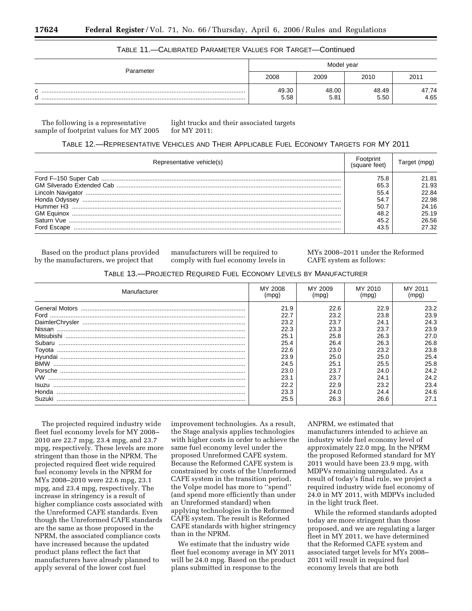| Parameter        | Model year    |               |               |               |
|------------------|---------------|---------------|---------------|---------------|
|                  | 2008          | 2009          | 2010          | 2011          |
| $\sim$<br>N<br>u | 49.30<br>5.58 | 48.00<br>5.81 | 48.49<br>5.50 | 47.74<br>4.65 |

# TABLE 11.—CALIBRATED PARAMETER VALUES FOR TARGET—Continued

The following is a representative sample of footprint values for MY 2005 light trucks and their associated targets for MY 2011:

# TABLE 12.—REPRESENTATIVE VEHICLES AND THEIR APPLICABLE FUEL ECONOMY TARGETS FOR MY 2011

| Representative vehicle(s) |      |       |
|---------------------------|------|-------|
|                           | 75.8 | 21.81 |
|                           | 65.3 | 21.93 |
|                           | 55.4 | 22.84 |
| Honda Odvssev             | 54   | 22.98 |
| Hummer H3                 | 50   | 24.16 |
| <b>GM Equinox</b>         | 48.2 | 25.19 |
| Saturn Vue                | 45 2 | 26.56 |
| Ford Escape               | 43.5 | 27.32 |

Based on the product plans provided by the manufacturers, we project that

manufacturers will be required to comply with fuel economy levels in MYs 2008–2011 under the Reformed CAFE system as follows:

# TABLE 13.—PROJECTED REQUIRED FUEL ECONOMY LEVELS BY MANUFACTURER

| Manufacturer | MY 2008<br>(mpg) | MY 2009 | MY 2010<br>(mpg) | MY 2011 |
|--------------|------------------|---------|------------------|---------|
|              | 21.9             | 22.6    | 22.9             | 23.2    |
| Ford         | 22.7             | 23.2    | 23.8             | 23.9    |
|              | 23.2             | 23.7    | 24.1             | 24.3    |
|              | 22.3             | 23.3    | 23.7             | 23.9    |
| Mitsubishi   | 25.1             | 25.8    | 26.3             | 27.0    |
| Subaru       | 25.4             | 26.4    | 26.3             | 26.8    |
| Toyota       | 22.6             | 23.0    | 23.2             | 23.8    |
|              | 23.9             | 25.0    | 25.0             | 25.4    |
| <b>BMW</b>   | 24.5             | 25.1    | 25.5             | 25.8    |
|              | 23.0             | 23.7    | 24.0             | 24.2    |
| VW           | 23.1             | 23.7    | 24.1             | 24.2    |
| Isuzu        | 22.2             | 22.9    | 23.2             | 23.4    |
| Honda        | 23.3             | 24.0    | 24.4             | 24.6    |
| Suzuki       | 25.5             | 26.3    | 26.6             | 27.1    |

The projected required industry wide fleet fuel economy levels for MY 2008– 2010 are 22.7 mpg, 23.4 mpg, and 23.7 mpg, respectively. These levels are more stringent than those in the NPRM. The projected required fleet wide required fuel economy levels in the NPRM for MYs 2008–2010 were 22.6 mpg, 23.1 mpg, and 23.4 mpg, respectively. The increase in stringency is a result of higher compliance costs associated with the Unreformed CAFE standards. Even though the Unreformed CAFE standards are the same as those proposed in the NPRM, the associated compliance costs have increased because the updated product plans reflect the fact that manufacturers have already planned to apply several of the lower cost fuel

improvement technologies. As a result, the Stage analysis applies technologies with higher costs in order to achieve the same fuel economy level under the proposed Unreformed CAFE system. Because the Reformed CAFE system is constrained by costs of the Unreformed CAFE system in the transition period, the Volpe model has more to ''spend'' (and spend more efficiently than under an Unreformed standard) when applying technologies in the Reformed CAFE system. The result is Reformed CAFE standards with higher stringency than in the NPRM.

We estimate that the industry wide fleet fuel economy average in MY 2011 will be 24.0 mpg. Based on the product plans submitted in response to the

ANPRM, we estimated that manufacturers intended to achieve an industry wide fuel economy level of approximately 22.0 mpg. In the NPRM the proposed Reformed standard for MY 2011 would have been 23.9 mpg, with MDPVs remaining unregulated. As a result of today's final rule, we project a required industry wide fuel economy of 24.0 in MY 2011, with MDPVs included in the light truck fleet.

While the reformed standards adopted today are more stringent than those proposed, and we are regulating a larger fleet in MY 2011, we have determined that the Reformed CAFE system and associated target levels for MYs 2008– 2011 will result in required fuel economy levels that are both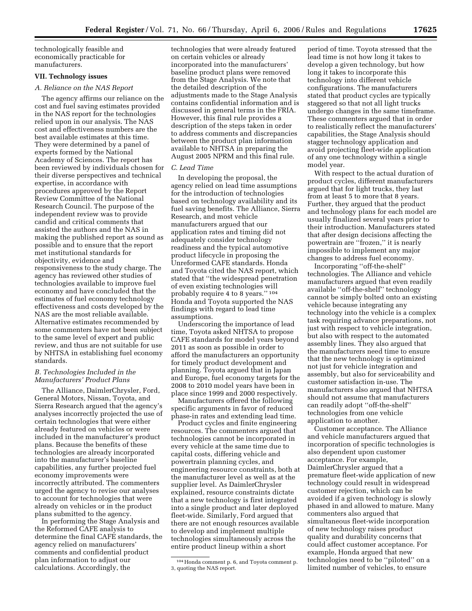technologically feasible and economically practicable for manufacturers.

# **VII. Technology issues**

## *A. Reliance on the NAS Report*

The agency affirms our reliance on the cost and fuel saving estimates provided in the NAS report for the technologies relied upon in our analysis. The NAS cost and effectiveness numbers are the best available estimates at this time. They were determined by a panel of experts formed by the National Academy of Sciences. The report has been reviewed by individuals chosen for their diverse perspectives and technical expertise, in accordance with procedures approved by the Report Review Committee of the National Research Council. The purpose of the independent review was to provide candid and critical comments that assisted the authors and the NAS in making the published report as sound as possible and to ensure that the report met institutional standards for objectivity, evidence and responsiveness to the study charge. The agency has reviewed other studies of technologies available to improve fuel economy and have concluded that the estimates of fuel economy technology effectiveness and costs developed by the NAS are the most reliable available. Alternative estimates recommended by some commenters have not been subject to the same level of expert and public review, and thus are not suitable for use by NHTSA in establishing fuel economy standards.

# *B. Technologies Included in the Manufacturers' Product Plans*

The Alliance, DaimlerChrysler, Ford, General Motors, Nissan, Toyota, and Sierra Research argued that the agency's analyses incorrectly projected the use of certain technologies that were either already featured on vehicles or were included in the manufacturer's product plans. Because the benefits of these technologies are already incorporated into the manufacturer's baseline capabilities, any further projected fuel economy improvements were incorrectly attributed. The commenters urged the agency to revise our analyses to account for technologies that were already on vehicles or in the product plans submitted to the agency.

In performing the Stage Analysis and the Reformed CAFE analysis to determine the final CAFE standards, the agency relied on manufacturers' comments and confidential product plan information to adjust our calculations. Accordingly, the

technologies that were already featured on certain vehicles or already incorporated into the manufacturers' baseline product plans were removed from the Stage Analysis. We note that the detailed description of the adjustments made to the Stage Analysis contains confidential information and is discussed in general terms in the FRIA. However, this final rule provides a description of the steps taken in order to address comments and discrepancies between the product plan information available to NHTSA in preparing the August 2005 NPRM and this final rule.

# *C. Lead Time*

In developing the proposal, the agency relied on lead time assumptions for the introduction of technologies based on technology availability and its fuel saving benefits. The Alliance, Sierra Research, and most vehicle manufacturers argued that our application rates and timing did not adequately consider technology readiness and the typical automotive product lifecycle in proposing the Unreformed CAFE standards. Honda and Toyota cited the NAS report, which stated that ''the widespread penetration of even existing technologies will probably require 4 to 8 years.'' 104 Honda and Toyota supported the NAS findings with regard to lead time assumptions.

Underscoring the importance of lead time, Toyota asked NHTSA to propose CAFE standards for model years beyond 2011 as soon as possible in order to afford the manufacturers an opportunity for timely product development and planning. Toyota argued that in Japan and Europe, fuel economy targets for the 2008 to 2010 model years have been in place since 1999 and 2000 respectively.

Manufacturers offered the following specific arguments in favor of reduced phase-in rates and extending lead time.

Product cycles and finite engineering resources. The commenters argued that technologies cannot be incorporated in every vehicle at the same time due to capital costs, differing vehicle and powertrain planning cycles, and engineering resource constraints, both at the manufacturer level as well as at the supplier level. As DaimlerChrysler explained, resource constraints dictate that a new technology is first integrated into a single product and later deployed fleet-wide. Similarly, Ford argued that there are not enough resources available to develop and implement multiple technologies simultaneously across the entire product lineup within a short

period of time. Toyota stressed that the lead time is not how long it takes to develop a given technology, but how long it takes to incorporate this technology into different vehicle configurations. The manufacturers stated that product cycles are typically staggered so that not all light trucks undergo changes in the same timeframe. These commenters argued that in order to realistically reflect the manufacturers' capabilities, the Stage Analysis should stagger technology application and avoid projecting fleet-wide application of any one technology within a single model year.

With respect to the actual duration of product cycles, different manufacturers argued that for light trucks, they last from at least 5 to more that 8 years. Further, they argued that the product and technology plans for each model are usually finalized several years prior to their introduction. Manufacturers stated that after design decisions affecting the powertrain are ''frozen,'' it is nearly impossible to implement any major changes to address fuel economy.

Incorporating ''off-the-shelf'' technologies. The Alliance and vehicle manufacturers argued that even readily available ''off-the-shelf'' technology cannot be simply bolted onto an existing vehicle because integrating any technology into the vehicle is a complex task requiring advance preparations, not just with respect to vehicle integration, but also with respect to the automated assembly lines. They also argued that the manufacturers need time to ensure that the new technology is optimized not just for vehicle integration and assembly, but also for serviceability and customer satisfaction in-use. The manufacturers also argued that NHTSA should not assume that manufacturers can readily adopt ''off-the-shelf'' technologies from one vehicle application to another.

Customer acceptance. The Alliance and vehicle manufacturers argued that incorporation of specific technologies is also dependent upon customer acceptance. For example, DaimlerChrysler argued that a premature fleet-wide application of new technology could result in widespread customer rejection, which can be avoided if a given technology is slowly phased in and allowed to mature. Many commenters also argued that simultaneous fleet-wide incorporation of new technology raises product quality and durability concerns that could affect customer acceptance. For example, Honda argued that new technologies need to be ''piloted'' on a limited number of vehicles, to ensure

<sup>104</sup>Honda comment p. 6, and Toyota comment p. 3, quoting the NAS report.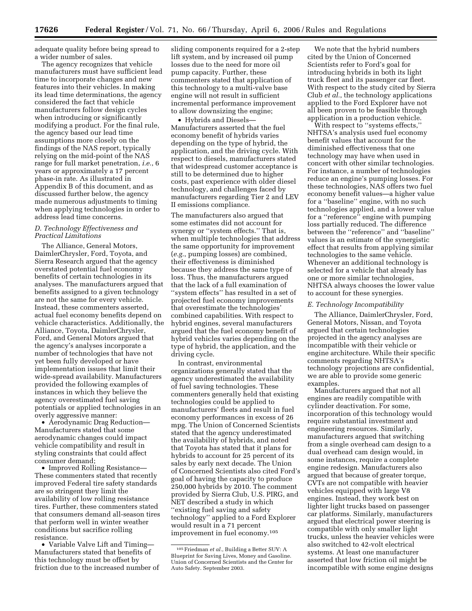adequate quality before being spread to a wider number of sales.

The agency recognizes that vehicle manufacturers must have sufficient lead time to incorporate changes and new features into their vehicles. In making its lead time determinations, the agency considered the fact that vehicle manufacturers follow design cycles when introducing or significantly modifying a product. For the final rule, the agency based our lead time assumptions more closely on the findings of the NAS report, typically relying on the mid-point of the NAS range for full market penetration, *i.e.*, 6 years or approximately a 17 percent phase-in rate. As illustrated in Appendix B of this document, and as discussed further below, the agency made numerous adjustments to timing when applying technologies in order to address lead time concerns.

## *D. Technology Effectiveness and Practical Limitations*

The Alliance, General Motors, DaimlerChrysler, Ford, Toyota, and Sierra Research argued that the agency overstated potential fuel economy benefits of certain technologies in its analyses. The manufacturers argued that benefits assigned to a given technology are not the same for every vehicle. Instead, these commenters asserted, actual fuel economy benefits depend on vehicle characteristics. Additionally, the Alliance, Toyota, DaimlerChrysler, Ford, and General Motors argued that the agency's analyses incorporate a number of technologies that have not yet been fully developed or have implementation issues that limit their wide-spread availability. Manufacturers provided the following examples of instances in which they believe the agency overestimated fuel saving potentials or applied technologies in an overly aggressive manner:

• Aerodynamic Drag Reduction— Manufacturers stated that some aerodynamic changes could impact vehicle compatibility and result in styling constraints that could affect consumer demand;

• Improved Rolling Resistance— These commenters stated that recently improved Federal tire safety standards are so stringent they limit the availability of low rolling resistance tires. Further, these commenters stated that consumers demand all-season tires that perform well in winter weather conditions but sacrifice rolling resistance.

• Variable Valve Lift and Timing— Manufacturers stated that benefits of this technology must be offset by friction due to the increased number of

sliding components required for a 2-step lift system, and by increased oil pump losses due to the need for more oil pump capacity. Further, these commenters stated that application of this technology to a multi-valve base engine will not result in sufficient incremental performance improvement to allow downsizing the engine;

• Hybrids and Diesels— Manufacturers asserted that the fuel economy benefit of hybrids varies depending on the type of hybrid, the application, and the driving cycle. With respect to diesels, manufacturers stated that widespread customer acceptance is still to be determined due to higher costs, past experience with older diesel technology, and challenges faced by manufacturers regarding Tier 2 and LEV II emissions compliance.

The manufacturers also argued that some estimates did not account for synergy or ''system effects.'' That is, when multiple technologies that address the same opportunity for improvement (*e.g.*, pumping losses) are combined, their effectiveness is diminished because they address the same type of loss. Thus, the manufacturers argued that the lack of a full examination of ''system effects'' has resulted in a set of projected fuel economy improvements that overestimate the technologies' combined capabilities. With respect to hybrid engines, several manufacturers argued that the fuel economy benefit of hybrid vehicles varies depending on the type of hybrid, the application, and the driving cycle.

In contrast, environmental organizations generally stated that the agency underestimated the availability of fuel saving technologies. These commenters generally held that existing technologies could be applied to manufacturers' fleets and result in fuel economy performances in excess of 26 mpg. The Union of Concerned Scientists stated that the agency underestimated the availability of hybrids, and noted that Toyota has stated that it plans for hybrids to account for 25 percent of its sales by early next decade. The Union of Concerned Scientists also cited Ford's goal of having the capacity to produce 250,000 hybrids by 2010. The comment provided by Sierra Club, U.S. PIRG, and NET described a study in which ''existing fuel saving and safety technology'' applied to a Ford Explorer would result in a 71 percent improvement in fuel economy.105

We note that the hybrid numbers cited by the Union of Concerned Scientists refer to Ford's goal for introducing hybrids in both its light truck fleet and its passenger car fleet. With respect to the study cited by Sierra Club *et al.*, the technology applications applied to the Ford Explorer have not all been proven to be feasible through application in a production vehicle.

With respect to ''systems effects,'' NHTSA's analysis used fuel economy benefit values that account for the diminished effectiveness that one technology may have when used in concert with other similar technologies. For instance, a number of technologies reduce an engine's pumping losses. For these technologies, NAS offers two fuel economy benefit values—a higher value for a ''baseline'' engine, with no such technologies applied, and a lower value for a ''reference'' engine with pumping loss partially reduced. The difference between the ''reference'' and ''baseline'' values is an estimate of the synergistic effect that results from applying similar technologies to the same vehicle. Whenever an additional technology is selected for a vehicle that already has one or more similar technologies, NHTSA always chooses the lower value to account for these synergies.

## *E. Technology Incompatibility*

The Alliance, DaimlerChrysler, Ford, General Motors, Nissan, and Toyota argued that certain technologies projected in the agency analyses are incompatible with their vehicle or engine architecture. While their specific comments regarding NHTSA's technology projections are confidential, we are able to provide some generic examples.

Manufacturers argued that not all engines are readily compatible with cylinder deactivation. For some, incorporation of this technology would require substantial investment and engineering resources. Similarly, manufacturers argued that switching from a single overhead cam design to a dual overhead cam design would, in some instances, require a complete engine redesign. Manufacturers also argued that because of greater torque, CVTs are not compatible with heavier vehicles equipped with large V8 engines. Instead, they work best on lighter light trucks based on passenger car platforms. Similarly, manufacturers argued that electrical power steering is compatible with only smaller light trucks, unless the heavier vehicles were also switched to 42-volt electrical systems. At least one manufacturer asserted that low friction oil might be incompatible with some engine designs

<sup>105</sup>Friedman *et al.*, Building a Better SUV: A Blueprint for Saving Lives, Money and Gasoline. Union of Concerned Scientists and the Center for Auto Safety. September 2003.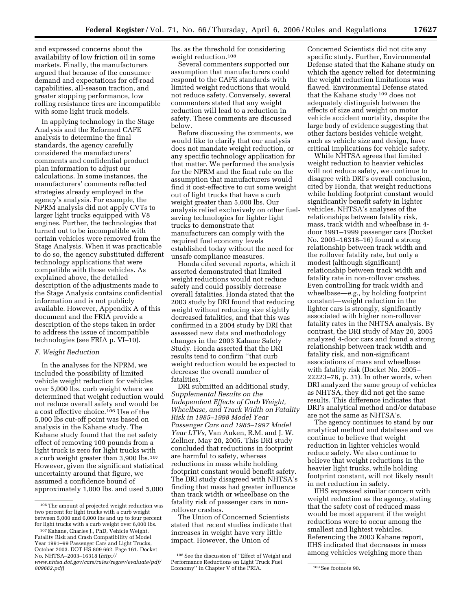and expressed concerns about the availability of low friction oil in some markets. Finally, the manufacturers argued that because of the consumer demand and expectations for off-road capabilities, all-season traction, and greater stopping performance, low rolling resistance tires are incompatible with some light truck models.

In applying technology in the Stage Analysis and the Reformed CAFE analysis to determine the final standards, the agency carefully considered the manufacturers' comments and confidential product plan information to adjust our calculations. In some instances, the manufacturers' comments reflected strategies already employed in the agency's analysis. For example, the NPRM analysis did not apply CVTs to larger light trucks equipped with V8 engines. Further, the technologies that turned out to be incompatible with certain vehicles were removed from the Stage Analysis. When it was practicable to do so, the agency substituted different technology applications that were compatible with those vehicles. As explained above, the detailed description of the adjustments made to the Stage Analysis contains confidential information and is not publicly available. However, Appendix A of this document and the FRIA provide a description of the steps taken in order to address the issue of incompatible technologies (see FRIA p. VI–10).

## *F. Weight Reduction*

In the analyses for the NPRM, we included the possibility of limited vehicle weight reduction for vehicles over 5,000 lbs. curb weight where we determined that weight reduction would not reduce overall safety and would be a cost effective choice.106 Use of the 5,000 lbs cut-off point was based on analysis in the Kahane study. The Kahane study found that the net safety effect of removing 100 pounds from a light truck is zero for light trucks with a curb weight greater than 3,900 lbs.107 However, given the significant statistical uncertainty around that figure, we assumed a confidence bound of approximately 1,000 lbs. and used 5,000

lbs. as the threshold for considering weight reduction.108

Several commenters supported our assumption that manufacturers could respond to the CAFE standards with limited weight reductions that would not reduce safety. Conversely, several commenters stated that any weight reduction will lead to a reduction in safety. These comments are discussed below.

Before discussing the comments, we would like to clarify that our analysis does not mandate weight reduction, or any specific technology application for that matter. We performed the analysis for the NPRM and the final rule on the assumption that manufacturers would find it cost-effective to cut some weight out of light trucks that have a curb weight greater than 5,000 lbs. Our analysis relied exclusively on other fuelsaving technologies for lighter light trucks to demonstrate that manufacturers can comply with the required fuel economy levels established today without the need for unsafe compliance measures.

Honda cited several reports, which it asserted demonstrated that limited weight reductions would not reduce safety and could possibly decrease overall fatalities. Honda stated that the 2003 study by DRI found that reducing weight without reducing size slightly decreased fatalities, and that this was confirmed in a 2004 study by DRI that assessed new data and methodology changes in the 2003 Kahane Safety Study. Honda asserted that the DRI results tend to confirm ''that curb weight reduction would be expected to decrease the overall number of fatalities.''

DRI submitted an additional study, *Supplemental Results on the Independent Effects of Curb Weight, Wheelbase, and Track Width on Fatality Risk in 1985–1998 Model Year Passenger Cars and 1985–1997 Model Year LTVs,* Van Auken, R.M. and J. W. Zellner, May 20, 2005. This DRI study concluded that reductions in footprint are harmful to safety, whereas reductions in mass while holding footprint constant would benefit safety. The DRI study disagreed with NHTSA's finding that mass had greater influence than track width or wheelbase on the fatality risk of passenger cars in nonrollover crashes.

The Union of Concerned Scientists stated that recent studies indicate that increases in weight have very little impact. However, the Union of

Concerned Scientists did not cite any specific study. Further, Environmental Defense stated that the Kahane study on which the agency relied for determining the weight reduction limitations was flawed. Environmental Defense stated that the Kahane study 109 does not adequately distinguish between the effects of size and weight on motor vehicle accident mortality, despite the large body of evidence suggesting that other factors besides vehicle weight, such as vehicle size and design, have critical implications for vehicle safety.

While NHTSA agrees that limited weight reduction to heavier vehicles will not reduce safety, we continue to disagree with DRI's overall conclusion, cited by Honda, that weight reductions while holding footprint constant would significantly benefit safety in lighter vehicles. NHTSA's analyses of the relationships between fatality risk, mass, track width and wheelbase in 4 door 1991–1999 passenger cars (Docket No. 2003–16318–16) found a strong relationship between track width and the rollover fatality rate, but only a modest (although significant) relationship between track width and fatality rate in non-rollover crashes. Even controlling for track width and wheelbase—*e.g.*, by holding footprint constant—weight reduction in the lighter cars is strongly, significantly associated with higher non-rollover fatality rates in the NHTSA analysis. By contrast, the DRI study of May 20, 2005 analyzed 4-door cars and found a strong relationship between track width and fatality risk, and non-significant associations of mass and wheelbase with fatality risk (Docket No. 2005– 22223–78, p. 31). In other words, when DRI analyzed the same group of vehicles as NHTSA, they did not get the same results. This difference indicates that DRI's analytical method and/or database are not the same as NHTSA's.

The agency continues to stand by our analytical method and database and we continue to believe that weight reduction in lighter vehicles would reduce safety. We also continue to believe that weight reductions in the heavier light trucks, while holding footprint constant, will not likely result in net reduction in safety.

IIHS expressed similar concern with weight reduction as the agency, stating that the safety cost of reduced mass would be most apparent if the weight reductions were to occur among the smallest and lightest vehicles. Referencing the 2003 Kahane report, IIHS indicated that decreases in mass among vehicles weighing more than

<sup>106</sup>The amount of projected weight reduction was two percent for light trucks with a curb weight between 5,000 and 6,000 lbs and up to four percent for light trucks with a curb weight over 6,000 lbs.

<sup>107</sup> Kahane, Charles J., PhD, Vehicle Weight, Fatality Risk and Crash Compatibility of Model Year 1991–99 Passenger Cars and Light Trucks, October 2003. DOT HS 809 662. Page 161. Docket No. NHTSA–2003–16318 (*[http://](http://www.nhtsa.dot.gov/cars/rules/regrev/evaluate/pdf/809662.pdf) [www.nhtsa.dot.gov/cars/rules/regrev/evaluate/pdf/](http://www.nhtsa.dot.gov/cars/rules/regrev/evaluate/pdf/809662.pdf)* 

*[<sup>809662.</sup>pdf](http://www.nhtsa.dot.gov/cars/rules/regrev/evaluate/pdf/809662.pdf)*)

<sup>108</sup>See the discussion of ''Effect of Weight and Performance Reductions on Light Truck Fuel Economy" in Chapter V of the PRIA. 109 See footnote 90.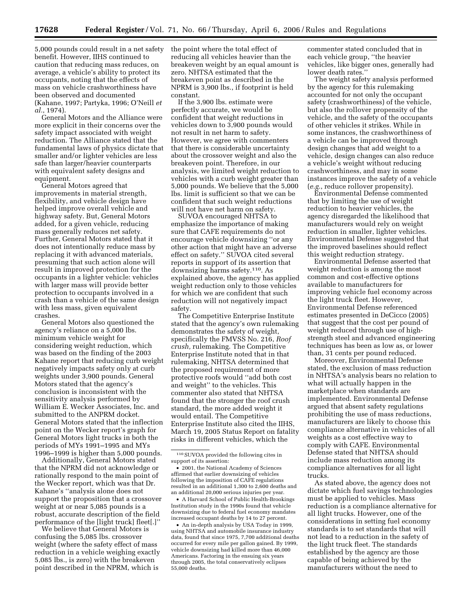5,000 pounds could result in a net safety benefit. However, IIHS continued to caution that reducing mass reduces, on average, a vehicle's ability to protect its occupants, noting that the effects of mass on vehicle crashworthiness have been observed and documented (Kahane, 1997; Partyka, 1996; O'Neill *et al.*, 1974).

General Motors and the Alliance were more explicit in their concerns over the safety impact associated with weight reduction. The Alliance stated that the fundamental laws of physics dictate that smaller and/or lighter vehicles are less safe than larger/heavier counterparts with equivalent safety designs and equipment.

General Motors agreed that improvements in material strength, flexibility, and vehicle design have helped improve overall vehicle and highway safety. But, General Motors added, for a given vehicle, reducing mass generally reduces net safety. Further, General Motors stated that it does not intentionally reduce mass by replacing it with advanced materials, presuming that such action alone will result in improved protection for the occupants in a lighter vehicle: vehicles with larger mass will provide better protection to occupants involved in a crash than a vehicle of the same design with less mass, given equivalent crashes.

General Motors also questioned the agency's reliance on a 5,000 lbs. minimum vehicle weight for considering weight reduction, which was based on the finding of the 2003 Kahane report that reducing curb weight negatively impacts safety only at curb weights under 3,900 pounds. General Motors stated that the agency's conclusion is inconsistent with the sensitivity analysis performed by William E. Wecker Associates, Inc. and submitted to the ANPRM docket. General Motors stated that the inflection point on the Wecker report's graph for General Motors light trucks in both the periods of MYs 1991–1995 and MYs 1996–1999 is higher than 5,000 pounds.

Additionally, General Motors stated that the NPRM did not acknowledge or rationally respond to the main point of the Wecker report, which was that Dr. Kahane's ''analysis alone does not support the proposition that a crossover weight at or near 5,085 pounds is a robust, accurate description of the field performance of the [light truck] fleet[.]''

We believe that General Motors is confusing the 5,085 lbs. crossover weight (where the safety effect of mass reduction in a vehicle weighing exactly 5,085 lbs., is zero) with the breakeven point described in the NPRM, which is

the point where the total effect of reducing all vehicles heavier than the breakeven weight by an equal amount is zero. NHTSA estimated that the breakeven point as described in the NPRM is 3,900 lbs., if footprint is held constant.

If the 3,900 lbs. estimate were perfectly accurate, we would be confident that weight reductions in vehicles down to 3,900 pounds would not result in net harm to safety. However, we agree with commenters that there is considerable uncertainty about the crossover weight and also the breakeven point. Therefore, in our analysis, we limited weight reduction to vehicles with a curb weight greater than 5,000 pounds. We believe that the 5,000 lbs. limit is sufficient so that we can be confident that such weight reductions will not have net harm on safety.

SUVOA encouraged NHTSA to emphasize the importance of making sure that CAFE requirements do not encourage vehicle downsizing ''or any other action that might have an adverse effect on safety.'' SUVOA cited several reports in support of its assertion that downsizing harms safety.110. As explained above, the agency has applied weight reduction only to those vehicles for which we are confident that such reduction will not negatively impact safety.

The Competitive Enterprise Institute stated that the agency's own rulemaking demonstrates the safety of weight, specifically the FMVSS No. 216, *Roof crush,* rulemaking. The Competitive Enterprise Institute noted that in that rulemaking, NHTSA determined that the proposed requirement of more protective roofs would ''add both cost and weight'' to the vehicles. This commenter also stated that NHTSA found that the stronger the roof crush standard, the more added weight it would entail. The Competitive Enterprise Institute also cited the IIHS, March 19, 2005 Status Report on fatality risks in different vehicles, which the

• A Harvard School of Public Health-Brookings Institution study in the 1990s found that vehicle downsizing due to federal fuel economy mandates increased occupant deaths by 14 to 27 percent.

• An in-depth analysis by USA Today in 1999, using NHTSA and automobile insurance industry data, found that since 1975, 7,700 additional deaths occurred for every mile per gallon gained. By 1999, vehicle downsizing had killed more than 46,000 Americans. Factoring in the ensuing six years through 2005, the total conservatively eclipses 55,000 deaths.

commenter stated concluded that in each vehicle group, ''the heavier vehicles, like bigger ones, generally had lower death rates.''

The weight safety analysis performed by the agency for this rulemaking accounted for not only the occupant safety (crashworthiness) of the vehicle, but also the rollover propensity of the vehicle, and the safety of the occupants of other vehicles it strikes. While in some instances, the crashworthiness of a vehicle can be improved through design changes that add weight to a vehicle, design changes can also reduce a vehicle's weight without reducing crashworthiness, and may in some instances improve the safety of a vehicle (*e.g.*, reduce rollover propensity).

Environmental Defense commented that by limiting the use of weight reduction to heavier vehicles, the agency disregarded the likelihood that manufacturers would rely on weight reduction in smaller, lighter vehicles. Environmental Defense suggested that the improved baselines should reflect this weight reduction strategy.

Environmental Defense asserted that weight reduction is among the most common and cost-effective options available to manufacturers for improving vehicle fuel economy across the light truck fleet. However, Environmental Defense referenced estimates presented in DeCicco (2005) that suggest that the cost per pound of weight reduced through use of highstrength steel and advanced engineering techniques has been as low as, or lower than, 31 cents per pound reduced.

Moreover, Environmental Defense stated, the exclusion of mass reduction in NHTSA's analysis bears no relation to what will actually happen in the marketplace when standards are implemented. Environmental Defense argued that absent safety regulations prohibiting the use of mass reductions, manufacturers are likely to choose this compliance alternative in vehicles of all weights as a cost effective way to comply with CAFE. Environmental Defense stated that NHTSA should include mass reduction among its compliance alternatives for all light trucks.

As stated above, the agency does not dictate which fuel savings technologies must be applied to vehicles. Mass reduction is a compliance alternative for all light trucks. However, one of the considerations in setting fuel economy standards is to set standards that will not lead to a reduction in the safety of the light truck fleet. The standards established by the agency are those capable of being achieved by the manufacturers without the need to

<sup>110</sup>SUVOA provided the following cites in support of its assertion:

<sup>•</sup> 2001, the National Academy of Sciences affirmed that earlier downsizing of vehicles following the imposition of CAFE regulations resulted in an additional 1,300 to 2,600 deaths and an additional 20,000 serious injuries per year.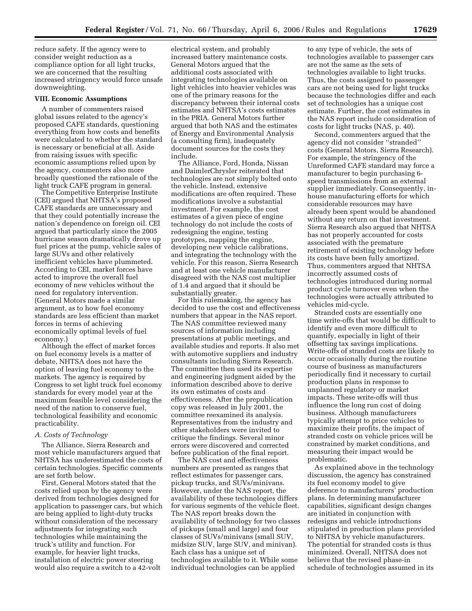reduce safety. If the agency were to consider weight reduction as a compliance option for all light trucks, we are concerned that the resulting increased stringency would force unsafe downweighting.

#### **VIII. Economic Assumptions**

A number of commenters raised global issues related to the agency's proposed CAFE standards, questioning everything from how costs and benefits were calculated to whether the standard is necessary or beneficial at all. Aside from raising issues with specific economic assumptions relied upon by the agency, commenters also more broadly questioned the rationale of the light truck CAFE program in general.

The Competitive Enterprise Institute (CEI) argued that NHTSA's proposed CAFE standards are unnecessary and that they could potentially increase the nation's dependence on foreign oil. CEI argued that particularly since the 2005 hurricane season dramatically drove up fuel prices at the pump, vehicle sales of large SUVs and other relatively inefficient vehicles have plummeted. According to CEI, market forces have acted to improve the overall fuel economy of new vehicles without the need for regulatory intervention. (General Motors made a similar argument, as to how fuel economy standards are less efficient than market forces in terms of achieving economically optimal levels of fuel economy.)

Although the effect of market forces on fuel economy levels is a matter of debate, NHTSA does not have the option of leaving fuel economy to the markets. The agency is required by Congress to set light truck fuel economy standards for every model year at the maximum feasible level considering the need of the nation to conserve fuel, technological feasibility and economic practicability.

### *A. Costs of Technology*

The Alliance, Sierra Research and most vehicle manufacturers argued that NHTSA has underestimated the costs of certain technologies. Specific comments are set forth below.

First, General Motors stated that the costs relied upon by the agency were derived from technologies designed for application to passenger cars, but which are being applied to light-duty trucks without consideration of the necessary adjustments for integrating such technologies while maintaining the truck's utility and function. For example, for heavier light trucks, installation of electric power steering would also require a switch to a 42-volt

electrical system, and probably increased battery maintenance costs. General Motors argued that the additional costs associated with integrating technologies available on light vehicles into heavier vehicles was one of the primary reasons for the discrepancy between their internal costs estimates and NHTSA's costs estimates in the PRIA. General Motors further argued that both NAS and the estimates of Energy and Environmental Analysis (a consulting firm), inadequately document sources for the costs they include.

The Alliance, Ford, Honda, Nissan and DaimlerChrysler reiterated that technologies are not simply bolted onto the vehicle. Instead, extensive modifications are often required. These modifications involve a substantial investment. For example, the cost estimates of a given piece of engine technology do not include the costs of redesigning the engine, testing prototypes, mapping the engine, developing new vehicle calibrations, and integrating the technology with the vehicle. For this reason, Sierra Research and at least one vehicle manufacturer disagreed with the NAS cost multiplier of 1.4 and argued that it should be substantially greater.

For this rulemaking, the agency has decided to use the cost and effectiveness numbers that appear in the NAS report. The NAS committee reviewed many sources of information including presentations at public meetings, and available studies and reports. It also met with automotive suppliers and industry consultants including Sierra Research. The committee then used its expertise and engineering judgment aided by the information described above to derive its own estimates of costs and effectiveness. After the prepublication copy was released in July 2001, the committee reexamined its analysis. Representatives from the industry and other stakeholders were invited to critique the findings. Several minor errors were discovered and corrected before publication of the final report.

The NAS cost and effectiveness numbers are presented as ranges that reflect estimates for passenger cars, pickup trucks, and SUVs/minivans. However, under the NAS report, the availability of these technologies differs for various segments of the vehicle fleet. The NAS report breaks down the availability of technology for two classes of pickups (small and large) and four classes of SUVs/minivans (small SUV, midsize SUV, large SUV, and minivan). Each class has a unique set of technologies available to it. While some individual technologies can be applied

to any type of vehicle, the sets of technologies available to passenger cars are not the same as the sets of technologies available to light trucks. Thus, the costs assigned to passenger cars are not being used for light trucks because the technologies differ and each set of technologies has a unique cost estimate. Further, the cost estimates in the NAS report include consideration of costs for light trucks (NAS, p. 40).

Second, commenters argued that the agency did not consider ''stranded'' costs (General Motors, Sierra Research). For example, the stringency of the Unreformed CAFE standard may force a manufacturer to begin purchasing 6 speed transmissions from an external supplier immediately. Consequently, inhouse manufacturing efforts for which considerable resources may have already been spent would be abandoned without any return on that investment. Sierra Research also argued that NHTSA has not properly accounted for costs associated with the premature retirement of existing technology before its costs have been fully amortized. Thus, commenters argued that NHTSA incorrectly assumed costs of technologies introduced during normal product cycle turnover even when the technologies were actually attributed to vehicles mid-cycle.

Stranded costs are essentially one time write-offs that would be difficult to identify and even more difficult to quantify, especially in light of their offsetting tax savings implications. Write-offs of stranded costs are likely to occur occasionally during the routine course of business as manufacturers periodically find it necessary to curtail production plans in response to unplanned regulatory or market impacts. These write-offs will thus influence the long run cost of doing business. Although manufacturers typically attempt to price vehicles to maximize their profits, the impact of stranded costs on vehicle prices will be constrained by market conditions, and measuring their impact would be problematic.

As explained above in the technology discussion, the agency has constrained its fuel economy model to give deference to manufacturers' production plans. In determining manufacturer capabilities, significant design changes are initiated in conjunction with redesigns and vehicle introductions stipulated in production plans provided to NHTSA by vehicle manufacturers. The potential for stranded costs is thus minimized. Overall, NHTSA does not believe that the revised phase-in schedule of technologies assumed in its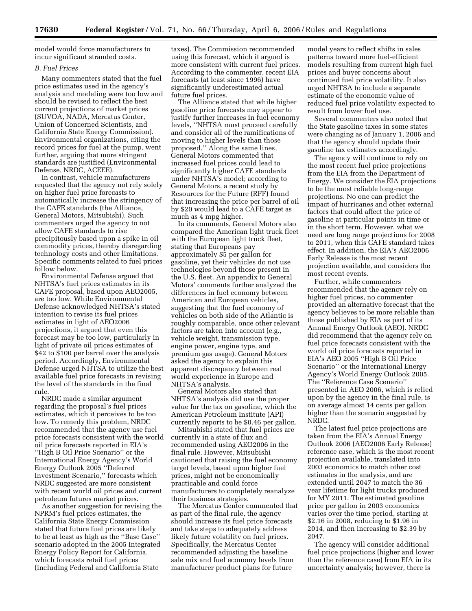model would force manufacturers to incur significant stranded costs.

# *B. Fuel Prices*

Many commenters stated that the fuel price estimates used in the agency's analysis and modeling were too low and should be revised to reflect the best current projections of market prices (SUVOA, NADA, Mercatus Center, Union of Concerned Scientists, and California State Energy Commission). Environmental organizations, citing the record prices for fuel at the pump, went further, arguing that more stringent standards are justified (Environmental Defense, NRDC, ACEEE).

In contrast, vehicle manufacturers requested that the agency not rely solely on higher fuel price forecasts to automatically increase the stringency of the CAFE standards (the Alliance, General Motors, Mitsubishi). Such commenters urged the agency to not allow CAFE standards to rise precipitously based upon a spike in oil commodity prices, thereby disregarding technology costs and other limitations. Specific comments related to fuel prices follow below.

Environmental Defense argued that NHTSA's fuel prices estimates in its CAFE proposal, based upon AEO2005, are too low. While Environmental Defense acknowledged NHTSA's stated intention to revise its fuel prices estimates in light of AEO2006 projections, it argued that even this forecast may be too low, particularly in light of private oil prices estimates of \$42 to \$100 per barrel over the analysis period. Accordingly, Environmental Defense urged NHTSA to utilize the best available fuel price forecasts in revising the level of the standards in the final rule.

NRDC made a similar argument regarding the proposal's fuel prices estimates, which it perceives to be too low. To remedy this problem, NRDC recommended that the agency use fuel price forecasts consistent with the world oil price forecasts reported in EIA's ''High B Oil Price Scenario'' or the International Energy Agency's World Energy Outlook 2005 ''Deferred Investment Scenario,'' forecasts which NRDC suggested are more consistent with recent world oil prices and current petroleum futures market prices.

As another suggestion for revising the NPRM's fuel prices estimates, the California State Energy Commission stated that future fuel prices are likely to be at least as high as the ''Base Case'' scenario adopted in the 2005 Integrated Energy Policy Report for California, which forecasts retail fuel prices (including Federal and California State

taxes). The Commission recommended using this forecast, which it argued is more consistent with current fuel prices. According to the commenter, recent EIA forecasts (at least since 1996) have significantly underestimated actual future fuel prices.

The Alliance stated that while higher gasoline price forecasts may appear to justify further increases in fuel economy levels, ''NHTSA must proceed carefully and consider all of the ramifications of moving to higher levels than those proposed.'' Along the same lines, General Motors commented that increased fuel prices could lead to significantly higher CAFE standards under NHTSA's model; according to General Motors, a recent study by Resources for the Future (RFF) found that increasing the price per barrel of oil by \$20 would lead to a CAFE target as much as 4 mpg higher.

In its comments, General Motors also compared the American light truck fleet with the European light truck fleet, stating that Europeans pay approximately \$5 per gallon for gasoline, yet their vehicles do not use technologies beyond those present in the U.S. fleet. An appendix to General Motors' comments further analyzed the differences in fuel economy between American and European vehicles, suggesting that the fuel economy of vehicles on both side of the Atlantic is roughly comparable, once other relevant factors are taken into account (e.g., vehicle weight, transmission type, engine power, engine type, and premium gas usage). General Motors asked the agency to explain this apparent discrepancy between real world experience in Europe and NHTSA's analysis.

General Motors also stated that NHTSA's analysis did use the proper value for the tax on gasoline, which the American Petroleum Institute (API) currently reports to be \$0.46 per gallon.

Mitsubishi stated that fuel prices are currently in a state of flux and recommended using AEO2006 in the final rule. However, Mitsubishi cautioned that raising the fuel economy target levels, based upon higher fuel prices, might not be economically practicable and could force manufacturers to completely reanalyze their business strategies.

The Mercatus Center commented that as part of the final rule, the agency should increase its fuel price forecasts and take steps to adequately address likely future volatility on fuel prices. Specifically, the Mercatus Center recommended adjusting the baseline sale mix and fuel economy levels from manufacturer product plans for future

model years to reflect shifts in sales patterns toward more fuel-efficient models resulting from current high fuel prices and buyer concerns about continued fuel price volatility. It also urged NHTSA to include a separate estimate of the economic value of reduced fuel price volatility expected to result from lower fuel use.

Several commenters also noted that the State gasoline taxes in some states were changing as of January 1, 2006 and that the agency should update their gasoline tax estimates accordingly.

The agency will continue to rely on the most recent fuel price projections from the EIA from the Department of Energy. We consider the EIA projections to be the most reliable long-range projections. No one can predict the impact of hurricanes and other external factors that could affect the price of gasoline at particular points in time or in the short term. However, what we need are long range projections for 2008 to 2011, when this CAFE standard takes effect. In addition, the EIA's AEO2006 Early Release is the most recent projection available, and considers the most recent events.

Further, while commenters recommended that the agency rely on higher fuel prices, no commenter provided an alternative forecast that the agency believes to be more reliable than those published by EIA as part of its Annual Energy Outlook (AEO). NRDC did recommend that the agency rely on fuel price forecasts consistent with the world oil price forecasts reported in EIA's AEO 2005 ''High B Oil Price Scenario'' or the International Energy Agency's World Energy Outlook 2005. The ''Reference Case Scenario'' presented in AEO 2006, which is relied upon by the agency in the final rule, is on average almost 14 cents per gallon higher than the scenario suggested by NRDC.

The latest fuel price projections are taken from the EIA's Annual Energy Outlook 2006 (AEO2006 Early Release) reference case, which is the most recent projection available, translated into 2003 economics to match other cost estimates in the analysis, and are extended until 2047 to match the 36 year lifetime for light trucks produced for MY 2011. The estimated gasoline price per gallon in 2003 economics varies over the time period, starting at \$2.16 in 2008, reducing to \$1.96 in 2014, and then increasing to \$2.39 by 2047.

The agency will consider additional fuel price projections (higher and lower than the reference case) from EIA in its uncertainty analysis; however, there is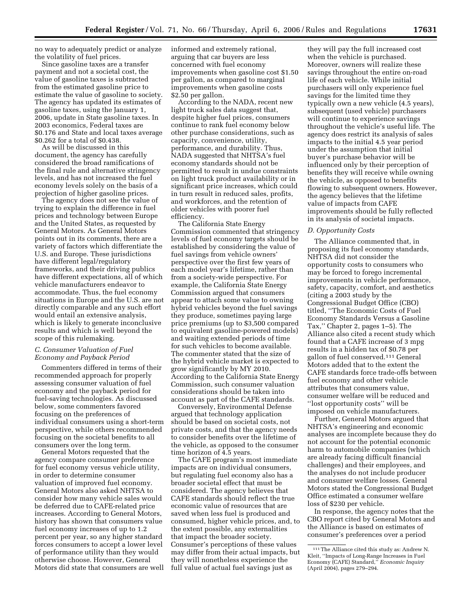no way to adequately predict or analyze the volatility of fuel prices.

Since gasoline taxes are a transfer payment and not a societal cost, the value of gasoline taxes is subtracted from the estimated gasoline price to estimate the value of gasoline to society. The agency has updated its estimates of gasoline taxes, using the January 1, 2006, update in State gasoline taxes. In 2003 economics, Federal taxes are \$0.176 and State and local taxes average \$0.262 for a total of \$0.438.

As will be discussed in this document, the agency has carefully considered the broad ramifications of the final rule and alternative stringency levels, and has not increased the fuel economy levels solely on the basis of a projection of higher gasoline prices.

The agency does not see the value of trying to explain the difference in fuel prices and technology between Europe and the United States, as requested by General Motors. As General Motors points out in its comments, there are a variety of factors which differentiate the U.S. and Europe. These jurisdictions have different legal/regulatory frameworks, and their driving publics have different expectations, all of which vehicle manufacturers endeavor to accommodate. Thus, the fuel economy situations in Europe and the U.S. are not directly comparable and any such effort would entail an extensive analysis, which is likely to generate inconclusive results and which is well beyond the scope of this rulemaking.

# *C. Consumer Valuation of Fuel Economy and Payback Period*

Commenters differed in terms of their recommended approach for properly assessing consumer valuation of fuel economy and the payback period for fuel-saving technologies. As discussed below, some commenters favored focusing on the preferences of individual consumers using a short-term perspective, while others recommended focusing on the societal benefits to all consumers over the long term.

General Motors requested that the agency compare consumer preference for fuel economy versus vehicle utility, in order to determine consumer valuation of improved fuel economy. General Motors also asked NHTSA to consider how many vehicle sales would be deferred due to CAFE-related price increases. According to General Motors, history has shown that consumers value fuel economy increases of up to 1.2 percent per year, so any higher standard forces consumers to accept a lower level of performance utility than they would otherwise choose. However, General Motors did state that consumers are well informed and extremely rational, arguing that car buyers are less concerned with fuel economy improvements when gasoline cost \$1.50 per gallon, as compared to marginal improvements when gasoline costs \$2.50 per gallon.

According to the NADA, recent new light truck sales data suggest that, despite higher fuel prices, consumers continue to rank fuel economy below other purchase considerations, such as capacity, convenience, utility, performance, and durability. Thus, NADA suggested that NHTSA's fuel economy standards should not be permitted to result in undue constraints on light truck product availability or in significant price increases, which could in turn result in reduced sales, profits, and workforces, and the retention of older vehicles with poorer fuel efficiency.

The California State Energy Commission commented that stringency levels of fuel economy targets should be established by considering the value of fuel savings from vehicle owners' perspective over the first few years of each model year's lifetime, rather than from a society-wide perspective. For example, the California State Energy Commission argued that consumers appear to attach some value to owning hybrid vehicles beyond the fuel savings they produce, sometimes paying large price premiums (up to \$3,500 compared to equivalent gasoline-powered models) and waiting extended periods of time for such vehicles to become available. The commenter stated that the size of the hybrid vehicle market is expected to grow significantly by MY 2010. According to the California State Energy Commission, such consumer valuation considerations should be taken into account as part of the CAFE standards.

Conversely, Environmental Defense argued that technology application should be based on societal costs, not private costs, and that the agency needs to consider benefits over the lifetime of the vehicle, as opposed to the consumer time horizon of 4.5 years.

The CAFE program's most immediate impacts are on individual consumers, but regulating fuel economy also has a broader societal effect that must be considered. The agency believes that CAFE standards should reflect the true economic value of resources that are saved when less fuel is produced and consumed, higher vehicle prices, and, to the extent possible, any externalities that impact the broader society. Consumer's perceptions of these values may differ from their actual impacts, but they will nonetheless experience the full value of actual fuel savings just as

they will pay the full increased cost when the vehicle is purchased. Moreover, owners will realize these savings throughout the entire on-road life of each vehicle. While initial purchasers will only experience fuel savings for the limited time they typically own a new vehicle (4.5 years), subsequent (used vehicle) purchasers will continue to experience savings throughout the vehicle's useful life. The agency does restrict its analysis of sales impacts to the initial 4.5 year period under the assumption that initial buyer's purchase behavior will be influenced only by their perception of benefits they will receive while owning the vehicle, as opposed to benefits flowing to subsequent owners. However, the agency believes that the lifetime value of impacts from CAFE improvements should be fully reflected in its analysis of societal impacts.

#### *D. Opportunity Costs*

The Alliance commented that, in proposing its fuel economy standards, NHTSA did not consider the opportunity costs to consumers who may be forced to forego incremental improvements in vehicle performance, safety, capacity, comfort, and aesthetics (citing a 2003 study by the Congressional Budget Office (CBO) titled, ''The Economic Costs of Fuel Economy Standards Versus a Gasoline Tax,'' Chapter 2, pages 1–5). The Alliance also cited a recent study which found that a CAFE increase of 3 mpg results in a hidden tax of \$0.78 per gallon of fuel conserved.111 General Motors added that to the extent the CAFE standards force trade-offs between fuel economy and other vehicle attributes that consumers value, consumer welfare will be reduced and ''lost opportunity costs'' will be imposed on vehicle manufacturers.

Further, General Motors argued that NHTSA's engineering and economic analyses are incomplete because they do not account for the potential economic harm to automobile companies (which are already facing difficult financial challenges) and their employees, and the analyses do not include producer and consumer welfare losses. General Motors stated the Congressional Budget Office estimated a consumer welfare loss of \$230 per vehicle.

In response, the agency notes that the CBO report cited by General Motors and the Alliance is based on estimates of consumer's preferences over a period

<sup>111</sup>The Alliance cited this study as: Andrew N. Kleit, ''Impacts of Long-Range Increases in Fuel Economy (CAFE) Standard,'' *Economic Inquiry*  (April 2004), pages 279–294.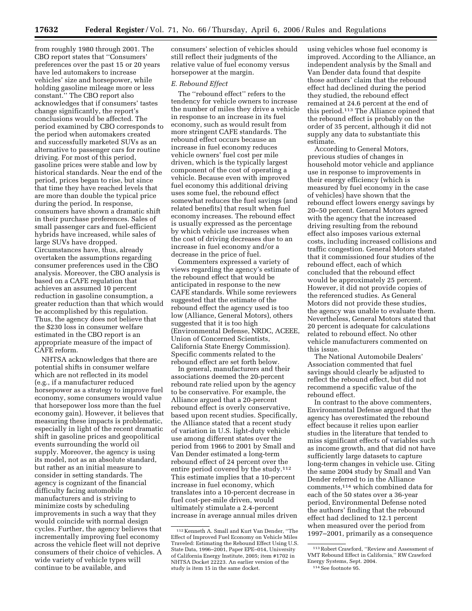from roughly 1980 through 2001. The CBO report states that ''Consumers' preferences over the past 15 or 20 years have led automakers to increase vehicles' size and horsepower, while holding gasoline mileage more or less constant.'' The CBO report also acknowledges that if consumers' tastes change significantly, the report's conclusions would be affected. The period examined by CBO corresponds to the period when automakers created and successfully marketed SUVs as an alternative to passenger cars for routine driving. For most of this period, gasoline prices were stable and low by historical standards. Near the end of the period, prices began to rise, but since that time they have reached levels that are more than double the typical price during the period. In response, consumers have shown a dramatic shift in their purchase preferences. Sales of small passenger cars and fuel-efficient hybrids have increased, while sales of large SUVs have dropped. Circumstances have, thus, already overtaken the assumptions regarding consumer preferences used in the CBO analysis. Moreover, the CBO analysis is based on a CAFE regulation that achieves an assumed 10 percent reduction in gasoline consumption, a greater reduction than that which would be accomplished by this regulation. Thus, the agency does not believe that the \$230 loss in consumer welfare estimated in the CBO report is an appropriate measure of the impact of CAFE reform.

NHTSA acknowledges that there are potential shifts in consumer welfare which are not reflected in its model (e.g., if a manufacturer reduced horsepower as a strategy to improve fuel economy, some consumers would value that horsepower loss more than the fuel economy gain). However, it believes that measuring these impacts is problematic, especially in light of the recent dramatic shift in gasoline prices and geopolitical events surrounding the world oil supply. Moreover, the agency is using its model, not as an absolute standard, but rather as an initial measure to consider in setting standards. The agency is cognizant of the financial difficulty facing automobile manufacturers and is striving to minimize costs by scheduling improvements in such a way that they would coincide with normal design cycles. Further, the agency believes that incrementally improving fuel economy across the vehicle fleet will not deprive consumers of their choice of vehicles. A wide variety of vehicle types will continue to be available, and

consumers' selection of vehicles should still reflect their judgments of the relative value of fuel economy versus horsepower at the margin.

#### *E. Rebound Effect*

The ''rebound effect'' refers to the tendency for vehicle owners to increase the number of miles they drive a vehicle in response to an increase in its fuel economy, such as would result from more stringent CAFE standards. The rebound effect occurs because an increase in fuel economy reduces vehicle owners' fuel cost per mile driven, which is the typically largest component of the cost of operating a vehicle. Because even with improved fuel economy this additional driving uses some fuel, the rebound effect somewhat reduces the fuel savings (and related benefits) that result when fuel economy increases. The rebound effect is usually expressed as the percentage by which vehicle use increases when the cost of driving decreases due to an increase in fuel economy and/or a decrease in the price of fuel.

Commenters expressed a variety of views regarding the agency's estimate of the rebound effect that would be anticipated in response to the new CAFE standards. While some reviewers suggested that the estimate of the rebound effect the agency used is too low (Alliance, General Motors), others suggested that it is too high (Environmental Defense, NRDC, ACEEE, Union of Concerned Scientists, California State Energy Commission). Specific comments related to the rebound effect are set forth below.

In general, manufacturers and their associations deemed the 20-percent rebound rate relied upon by the agency to be conservative. For example, the Alliance argued that a 20-percent rebound effect is overly conservative, based upon recent studies. Specifically, the Alliance stated that a recent study of variation in U.S. light-duty vehicle use among different states over the period from 1966 to 2001 by Small and Van Dender estimated a long-term rebound effect of 24 percent over the entire period covered by the study.112 This estimate implies that a 10-percent increase in fuel economy, which translates into a 10-percent decrease in fuel cost-per-mile driven, would ultimately stimulate a 2.4-percent increase in average annual miles driven

using vehicles whose fuel economy is improved. According to the Alliance, an independent analysis by the Small and Van Dender data found that despite those authors' claim that the rebound effect had declined during the period they studied, the rebound effect remained at 24.6 percent at the end of this period.113 The Alliance opined that the rebound effect is probably on the order of 35 percent, although it did not supply any data to substantiate this estimate.

According to General Motors, previous studies of changes in household motor vehicle and appliance use in response to improvements in their energy efficiency (which is measured by fuel economy in the case of vehicles) have shown that the rebound effect lowers energy savings by 20–50 percent. General Motors agreed with the agency that the increased driving resulting from the rebound effect also imposes various external costs, including increased collisions and traffic congestion. General Motors stated that it commissioned four studies of the rebound effect, each of which concluded that the rebound effect would be approximately 25 percent. However, it did not provide copies of the referenced studies. As General Motors did not provide these studies, the agency was unable to evaluate them. Nevertheless, General Motors stated that 20 percent is adequate for calculations related to rebound effect. No other vehicle manufacturers commented on this issue.

The National Automobile Dealers' Association commented that fuel savings should clearly be adjusted to reflect the rebound effect, but did not recommend a specific value of the rebound effect.

In contrast to the above commenters, Environmental Defense argued that the agency has overestimated the rebound effect because it relies upon earlier studies in the literature that tended to miss significant effects of variables such as income growth, and that did not have sufficiently large datasets to capture long-term changes in vehicle use. Citing the same 2004 study by Small and Van Dender referred to in the Alliance comments,114 which combined data for each of the 50 states over a 36-year period, Environmental Defense noted the authors' finding that the rebound effect had declined to 12.1 percent when measured over the period from 1997–2001, primarily as a consequence

<sup>112</sup> Kenneth A. Small and Kurt Van Dender, ''The Effect of Improved Fuel Economy on Vehicle Miles Traveled: Estimating the Rebound Effect Using U.S. State Data, 1996–2001, Paper EPE–014, University of California Energy Institute, 2005; item #1702 in NHTSA Docket 22223. An earlier version of the study is item 15 in the same docket.

<sup>113</sup>Robert Crawford, ''Review and Assessment of VMT Rebound Effect in California,'' RW Crawford Energy Systems, Sept. 2004. 114See footnote 95.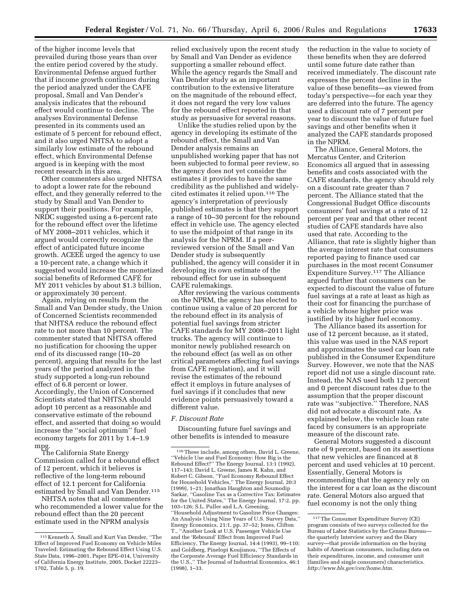of the higher income levels that prevailed during those years than over the entire period covered by the study. Environmental Defense argued further that if income growth continues during the period analyzed under the CAFE proposal, Small and Van Dender's analysis indicates that the rebound effect would continue to decline. The analyses Environmental Defense presented in its comments used an estimate of 5 percent for rebound effect, and it also urged NHTSA to adopt a similarly low estimate of the rebound effect, which Environmental Defense argued is in keeping with the most recent research in this area.

Other commenters also urged NHTSA to adopt a lower rate for the rebound effect, and they generally referred to the study by Small and Van Dender to support their positions. For example, NRDC suggested using a 6-percent rate for the rebound effect over the lifetime of MY 2008–2011 vehicles, which it argued would correctly recognize the effect of anticipated future income growth. ACEEE urged the agency to use a 10-percent rate, a change which it suggested would increase the monetized social benefits of Reformed CAFE´ for MY 2011 vehicles by about \$1.3 billion, or approximately 30 percent.

Again, relying on results from the Small and Van Dender study, the Union of Concerned Scientists recommended that NHTSA reduce the rebound effect rate to not more than 10 percent. The commenter stated that NHTSA offered no justification for choosing the upper end of its discussed range (10–20 percent), arguing that results for the last years of the period analyzed in the study supported a long-run rebound effect of 6.8 percent or lower. Accordingly, the Union of Concerned Scientists stated that NHTSA should adopt 10 percent as a reasonable and conservative estimate of the rebound effect, and asserted that doing so would increase the ''social optimum'' fuel economy targets for 2011 by 1.4–1.9 mpg.

The California State Energy Commission called for a rebound effect of 12 percent, which it believes is reflective of the long-term rebound effect of 12.1 percent for California estimated by Small and Van Dender.115

NHTSA notes that all commenters who recommended a lower value for the rebound effect than the 20 percent estimate used in the NPRM analysis

relied exclusively upon the recent study by Small and Van Dender as evidence supporting a smaller rebound effect. While the agency regards the Small and Van Dender study as an important contribution to the extensive literature on the magnitude of the rebound effect, it does not regard the very low values for the rebound effect reported in that study as persuasive for several reasons.

Unlike the studies relied upon by the agency in developing its estimate of the rebound effect, the Small and Van Dender analysis remains an unpublished working paper that has not been subjected to formal peer review, so the agency does not yet consider the estimates it provides to have the same credibility as the published and widelycited estimates it relied upon.116 The agency's interpretation of previously published estimates is that they support a range of 10–30 percent for the rebound effect in vehicle use. The agency elected to use the midpoint of that range in its analysis for the NPRM. If a peerreviewed version of the Small and Van Dender study is subsequently published, the agency will consider it in developing its own estimate of the rebound effect for use in subsequent CAFE rulemakings.

After reviewing the various comments on the NPRM, the agency has elected to continue using a value of 20 percent for the rebound effect in its analysis of potential fuel savings from stricter CAFE standards for MY 2008–2011 light trucks. The agency will continue to monitor newly published research on the rebound effect (as well as on other critical parameters affecting fuel savings from CAFE regulation), and it will revise the estimates of the rebound effect it employs in future analyses of fuel savings if it concludes that new evidence points persuasively toward a different value.

## *F. Discount Rate*

Discounting future fuel savings and other benefits is intended to measure

the reduction in the value to society of these benefits when they are deferred until some future date rather than received immediately. The discount rate expresses the percent decline in the value of these benefits—as viewed from today's perspective—for each year they are deferred into the future. The agency used a discount rate of 7 percent per year to discount the value of future fuel savings and other benefits when it analyzed the CAFE standards proposed in the NPRM.

The Alliance, General Motors, the Mercatus Center, and Criterion Economics all argued that in assessing benefits and costs associated with the CAFE standards, the agency should rely on a discount rate greater than 7 percent. The Alliance stated that the Congressional Budget Office discounts consumers' fuel savings at a rate of 12 percent per year and that other recent studies of CAFE standards have also used that rate. According to the Alliance, that rate is slightly higher than the average interest rate that consumers reported paying to finance used car purchases in the most recent Consumer Expenditure Survey.117 The Alliance argued further that consumers can be expected to discount the value of future fuel savings at a rate at least as high as their cost for financing the purchase of a vehicle whose higher price was justified by its higher fuel economy.

The Alliance based its assertion for use of 12 percent because, as it stated, this value was used in the NAS report and approximates the used car loan rate published in the Consumer Expenditure Survey. However, we note that the NAS report did not use a single discount rate. Instead, the NAS used both 12 percent and 0 percent discount rates due to the assumption that the proper discount rate was ''subjective.'' Therefore, NAS did not advocate a discount rate. As explained below, the vehicle loan rate faced by consumers is an appropriate measure of the discount rate.

General Motors suggested a discount rate of 9 percent, based on its assertions that new vehicles are financed at 8 percent and used vehicles at 10 percent. Essentially, General Motors is recommending that the agency rely on the interest for a car loan as the discount rate. General Motors also argued that fuel economy is not the only thing

<sup>115</sup> Kenneth A. Small and Kurt Van Dender, ''The Effect of Improved Fuel Economy on Vehicle Miles Traveled: Estimating the Rebound Effect Using U.S. State Data, 1996–2001, Paper EPE–014, University of California Energy Institute, 2005, Docket 22223– 1702, Table 5, p. 19.

<sup>116</sup>These include, among others, David L. Greene, ''Vehicle Use and Fuel Economy: How Big is the Rebound Effect?'' The Energy Journal, 13:1 (1992), 117–143; David L. Greene, James R. Kahn, and Robert C. Gibson, ''Fuel Economy Rebound Effect for Household Vehicles,'' The Energy Journal, 20:3 (1999), 1–21; Jonathan Haughton and Soumodip Sarkar, ''Gasoline Tax as a Corrective Tax: Estimates for the United States,'' The Energy Journal, 17:2, pp. 103–126; S.L. Puller and L.A. Greening, ''Household Adjustment to Gasoline Price Changes: An Analysis Using Nine Years of U.S. Survey Data,'' Energy Economics, 21:1, pp. 37–52; Jones, Clifton T., ''Another Look at U.S. Passenger Vehicle Use and the 'Rebound' Effect from Improved Fuel Efficiency, The Energy Journal, 14:4 (1993), 99–110; and Goldberg, Pinelopi Koujianou, ''The Effects of the Corporate Average Fuel Efficiency Standards in the U.S.,'' The Journal of Industrial Economics, 46:1 (1998), 1–33.

<sup>117</sup>The Consumer Expenditure Survey (CE) program consists of two surveys collected for the Bureau of Labor Statistics by the Census Bureau the quarterly Interview survey and the Diary survey—that provide information on the buying habits of American consumers, including data on their expenditures, income, and consumer unit (families and single consumers) characteristics. *[http://www.bls.gov/cex/home.htm.](http://www.bls.gov/cex/home.htm)*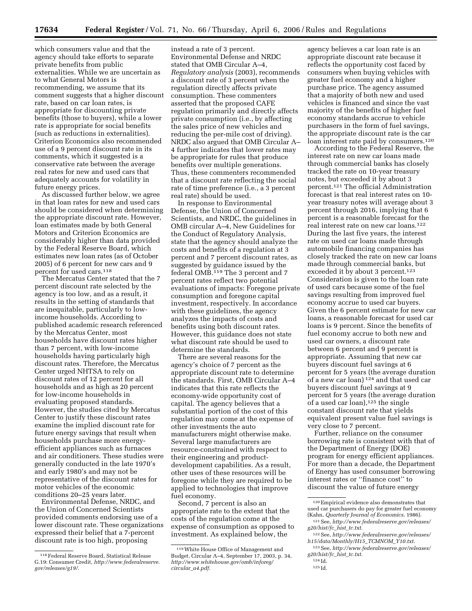which consumers value and that the agency should take efforts to separate private benefits from public externalities. While we are uncertain as to what General Motors is recommending, we assume that its comment suggests that a higher discount rate, based on car loan rates, is appropriate for discounting private benefits (those to buyers), while a lower rate is appropriate for social benefits (such as reductions in externalities). Criterion Economics also recommended use of a 9 percent discount rate in its comments, which it suggested is a conservative rate between the average real rates for new and used cars that adequately accounts for volatility in future energy prices.

As discussed further below, we agree in that loan rates for new and used cars should be considered when determining the appropriate discount rate. However, loan estimates made by both General Motors and Criterion Economics are considerably higher than data provided by the Federal Reserve Board, which estimates new loan rates (as of October 2005) of 6 percent for new cars and 9 percent for used cars.118

The Mercatus Center stated that the 7 percent discount rate selected by the agency is too low, and as a result, it results in the setting of standards that are inequitable, particularly to lowincome households. According to published academic research referenced by the Mercatus Center, most households have discount rates higher than 7 percent, with low-income households having particularly high discount rates. Therefore, the Mercatus Center urged NHTSA to rely on discount rates of 12 percent for all households and as high as 20 percent for low-income households in evaluating proposed standards. However, the studies cited by Mercatus Center to justify these discount rates examine the implied discount rate for future energy savings that result when households purchase more energyefficient appliances such as furnaces and air conditioners. These studies were generally conducted in the late 1970's and early 1980's and may not be representative of the discount rates for motor vehicles of the economic conditions 20–25 years later.

Environmental Defense, NRDC, and the Union of Concerned Scientists provided comments endorsing use of a lower discount rate. These organizations expressed their belief that a 7-percent discount rate is too high, proposing

instead a rate of 3 percent. Environmental Defense and NRDC stated that OMB Circular A–4, *Regulatory analysis* (2003), recommends a discount rate of 3 percent when the regulation directly affects private consumption. These commenters asserted that the proposed CAFE regulation primarily and directly affects private consumption (i.e., by affecting the sales price of new vehicles and reducing the per-mile cost of driving). NRDC also argued that OMB Circular A– 4 further indicates that lower rates may be appropriate for rules that produce benefits over multiple generations. Thus, these commenters recommended that a discount rate reflecting the social rate of time preference (i.e., a 3 percent real rate) should be used.

In response to Environmental Defense, the Union of Concerned Scientists, and NRDC, the guidelines in OMB circular A–4, New Guidelines for the Conduct of Regulatory Analysis, state that the agency should analyze the costs and benefits of a regulation at 3 percent and 7 percent discount rates, as suggested by guidance issued by the federal OMB.119 The 3 percent and 7 percent rates reflect two potential evaluations of impacts: Foregone private consumption and foregone capital investment, respectively. In accordance with these guidelines, the agency analyzes the impacts of costs and benefits using both discount rates. However, this guidance does not state what discount rate should be used to determine the standards.

There are several reasons for the agency's choice of 7 percent as the appropriate discount rate to determine the standards. First, OMB Circular A–4 indicates that this rate reflects the economy-wide opportunity cost of capital. The agency believes that a substantial portion of the cost of this regulation may come at the expense of other investments the auto manufacturers might otherwise make. Several large manufacturers are resource-constrained with respect to their engineering and productdevelopment capabilities. As a result, other uses of these resources will be foregone while they are required to be applied to technologies that improve fuel economy.

Second, 7 percent is also an appropriate rate to the extent that the costs of the regulation come at the expense of consumption as opposed to investment. As explained below, the

agency believes a car loan rate is an appropriate discount rate because it reflects the opportunity cost faced by consumers when buying vehicles with greater fuel economy and a higher purchase price. The agency assumed that a majority of both new and used vehicles is financed and since the vast majority of the benefits of higher fuel economy standards accrue to vehicle purchasers in the form of fuel savings, the appropriate discount rate is the car loan interest rate paid by consumers.<sup>120</sup>

According to the Federal Reserve, the interest rate on new car loans made through commercial banks has closely tracked the rate on 10-year treasury notes, but exceeded it by about 3 percent.121 The official Administration forecast is that real interest rates on 10 year treasury notes will average about 3 percent through 2016, implying that 6 percent is a reasonable forecast for the real interest rate on new car loans.122 During the last five years, the interest rate on used car loans made through automobile financing companies has closely tracked the rate on new car loans made through commercial banks, but exceeded it by about 3 percent.123 Consideration is given to the loan rate of used cars because some of the fuel savings resulting from improved fuel economy accrue to used car buyers. Given the 6 percent estimate for new car loans, a reasonable forecast for used car loans is 9 percent. Since the benefits of fuel economy accrue to both new and used car owners, a discount rate between 6 percent and 9 percent is appropriate. Assuming that new car buyers discount fuel savings at 6 percent for 5 years (the average duration of a new car loan) 124 and that used car buyers discount fuel savings at 9 percent for 5 years (the average duration of a used car loan),125 the single constant discount rate that yields equivalent present value fuel savings is very close to 7 percent.

Further, reliance on the consumer borrowing rate is consistent with that of the Department of Energy (DOE) program for energy efficient appliances. For more than a decade, the Department of Energy has used consumer borrowing interest rates or ''finance cost'' to discount the value of future energy

<sup>118</sup>Federal Reserve Board, Statistical Release G.19: Consumer Credit, *[http://www.federalreserve.](http://www.federalreserve.gov/releases/g19/) gov/releases/g19/*.

<sup>119</sup>White House Office of Management and Budget, Circular A–4, September 17, 2003, p. 34, *[http://www.whitehouse.gov/omb/inforeg/](http://www.whitehouse.gov/omb/inforeg/circular_a4.pdf)  circular*\_*a4.pdf*.

<sup>120</sup>Empirical evidence also demonstrates that used car purchasers do pay for greater fuel economy (Kahn, *Quarterly Journal of Economics*, 1986).

<sup>121</sup>See, *[http://www.federalreserve.gov/releases/](http://www.federalreserve.gov/releases/g20/hist/fc_hist_tc.txt)  g20/hist/fc*\_*hist*\_*tc.txt.* 

<sup>122</sup>See, *[http://www.federalreserve.gov/releases/](http://www.federalreserve.gov/releases/h15/data/Monthly/H15_TCMNOM_Y10.txt)  h15/data/Monthly/H15*\_*TCMNOM*\_*Y10.txt.* 

<sup>123</sup>See, *[http://www.federalreserve.gov/releases/](http://www.federalreserve.gov/releases/g20/hist/fc_hist_tc.txt)  g20/hist/fc*\_*hist*\_*tc.txt.* 

<sup>124</sup> Id. 125 Id.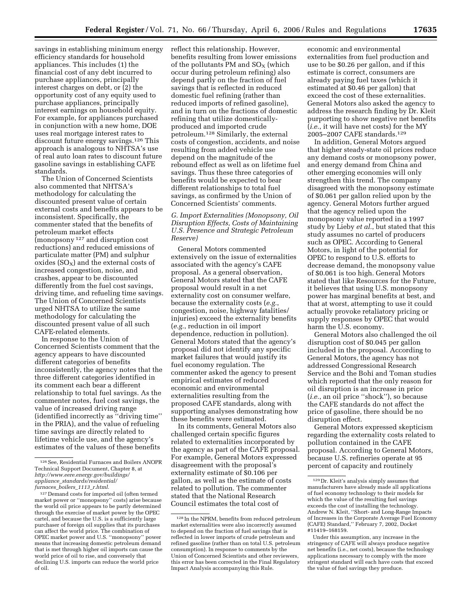savings in establishing minimum energy efficiency standards for household appliances. This includes (1) the financial cost of any debt incurred to purchase appliances, principally interest charges on debt, or (2) the opportunity cost of any equity used to purchase appliances, principally interest earnings on household equity. For example, for appliances purchased in conjunction with a new home, DOE uses real mortgage interest rates to discount future energy savings.126 This approach is analogous to NHTSA's use of real auto loan rates to discount future gasoline savings in establishing CAFE standards.

The Union of Concerned Scientists also commented that NHTSA's methodology for calculating the discounted present value of certain external costs and benefits appears to be inconsistent. Specifically, the commenter stated that the benefits of petroleum market effects (monopsony 127 and disruption cost reductions) and reduced emissions of particulate matter (PM) and sulphur oxides  $(SO_X)$  and the external costs of increased congestion, noise, and crashes, appear to be discounted differently from the fuel cost savings, driving time, and refueling time savings. The Union of Concerned Scientists urged NHTSA to utilize the same methodology for calculating the discounted present value of all such CAFE-related elements.

In response to the Union of Concerned Scientists comment that the agency appears to have discounted different categories of benefits inconsistently, the agency notes that the three different categories identified in its comment each bear a different relationship to total fuel savings. As the commenter notes, fuel cost savings, the value of increased driving range (identified incorrectly as ''driving time'' in the PRIA), and the value of refueling time savings are directly related to lifetime vehicle use, and the agency's estimates of the values of these benefits

reflect this relationship. However, benefits resulting from lower emissions of the pollutants PM and  $SO<sub>x</sub>$  (which occur during petroleum refining) also depend partly on the fraction of fuel savings that is reflected in reduced domestic fuel refining (rather than reduced imports of refined gasoline), and in turn on the fractions of domestic refining that utilize domesticallyproduced and imported crude petroleum.128 Similarly, the external costs of congestion, accidents, and noise resulting from added vehicle use depend on the magnitude of the rebound effect as well as on lifetime fuel savings. Thus these three categories of benefits would be expected to bear different relationships to total fuel savings, as confirmed by the Union of Concerned Scientists' comments.

# *G. Import Externalities (Monopsony, Oil Disruption Effects, Costs of Maintaining U.S. Presence and Strategic Petroleum Reserve)*

General Motors commented extensively on the issue of externalities associated with the agency's CAFE proposal. As a general observation, General Motors stated that the CAFE proposal would result in a net externality cost on consumer welfare, because the externality costs (*e.g.*, congestion, noise, highway fatalities/ injuries) exceed the externality benefits (*e.g.*, reduction in oil import dependence, reduction in pollution). General Motors stated that the agency's proposal did not identify any specific market failures that would justify its fuel economy regulation. The commenter asked the agency to present empirical estimates of reduced economic and environmental externalities resulting from the proposed CAFE standards, along with supporting analyses demonstrating how these benefits were estimated.

In its comments, General Motors also challenged certain specific figures related to externalities incorporated by the agency as part of the CAFE proposal. For example, General Motors expressed disagreement with the proposal's externality estimate of \$0.106 per gallon, as well as the estimate of costs related to pollution. The commenter stated that the National Research Council estimates the total cost of

economic and environmental externalities from fuel production and use to be \$0.26 per gallon, and if this estimate is correct, consumers are already paying fuel taxes (which it estimated at \$0.46 per gallon) that exceed the cost of these externalities. General Motors also asked the agency to address the research finding by Dr. Kleit purporting to show negative net benefits (*i.e.*, it will have net costs) for the MY 2005–2007 CAFE standards.129

In addition, General Motors argued that higher steady-state oil prices reduce any demand costs or monopsony power, and energy demand from China and other emerging economies will only strengthen this trend. The company disagreed with the monopsony estimate of \$0.061 per gallon relied upon by the agency. General Motors further argued that the agency relied upon the monopsony value reported in a 1997 study by Lieby *et al.*, but stated that this study assumes no cartel of producers such as OPEC. According to General Motors, in light of the potential for OPEC to respond to U.S. efforts to decrease demand, the monopsony value of \$0.061 is too high. General Motors stated that like Resources for the Future, it believes that using U.S. monopsony power has marginal benefits at best, and that at worst, attempting to use it could actually provoke retaliatory pricing or supply responses by OPEC that would harm the U.S. economy.

General Motors also challenged the oil disruption cost of \$0.045 per gallon included in the proposal. According to General Motors, the agency has not addressed Congressional Research Service and the Bohi and Toman studies which reported that the only reason for oil disruption is an increase in price (*i.e.*, an oil price ''shock''), so because the CAFE standards do not affect the price of gasoline, there should be no disruption effect.

General Motors expressed skepticism regarding the externality costs related to pollution contained in the CAFE proposal. According to General Motors, because U.S. refineries operate at 95 percent of capacity and routinely

<sup>126</sup>See, Residential Furnaces and Boilers ANOPR Technical Support Document, Chapter 8, at *[http://www.eere.energy.gov/buildings/](http://www.eere.energy.gov/buildings/appliance_standards/residential/furnaces_boilers_1113_r.html)  appliance*\_*standards/residential/ furnaces*\_*boilers*\_*1113*\_*r.html.* 

<sup>127</sup> Demand costs for imported oil (often termed market power or ''monopsony'' costs) arise because the world oil price appears to be partly determined through the exercise of market power by the OPEC cartel, and because the U.S. is a sufficiently large purchaser of foreign oil supplies that its purchases can affect the world price. The combination of OPEC market power and U.S. ''monopsony'' power means that increasing domestic petroleum demand that is met through higher oil imports can cause the world price of oil to rise, and conversely that declining U.S. imports can reduce the world price of oil.

<sup>128</sup> In the NPRM, benefits from reduced petroleum market externalities were also incorrectly assumed to depend on the fraction of fuel savings that is reflected in lower imports of crude petroleum and refined gasoline (rather than on total U.S. petroleum consumption). In response to comments by the Union of Concerned Scientists and other reviewers, this error has been corrected in the Final Regulatory Impact Analysis accompanying this Rule.

<sup>129</sup> Dr. Kleit's analysis simply assumes that manufacturers have already made all applications of fuel economy technology to their models for which the value of the resulting fuel savings exceeds the cost of installing the technology. Andrew N. Kleit, ''Short- and Long-Range Impacts of Increases in the Corporate Average Fuel Economy (CAFE) Standard,'' February 7, 2002, Docket #11419–168159.

Under this assumption, any increase in the stringency of CAFE will always produce negative net benefits (i.e., net costs), because the technology applications necessary to comply with the more stringent standard will each have costs that exceed the value of fuel savings they produce.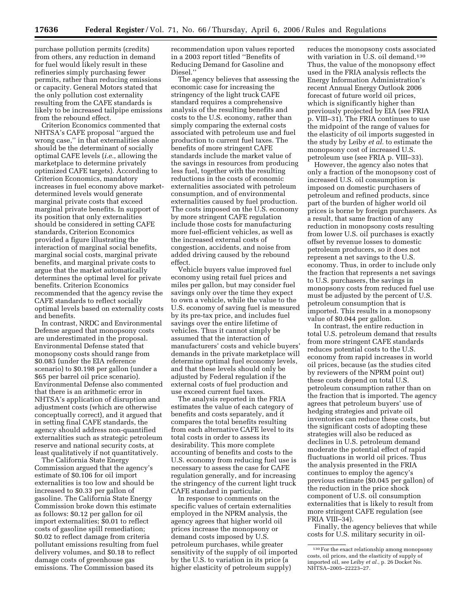purchase pollution permits (credits) from others, any reduction in demand for fuel would likely result in these refineries simply purchasing fewer permits, rather than reducing emissions or capacity. General Motors stated that the only pollution cost externality resulting from the CAFE standards is likely to be increased tailpipe emissions from the rebound effect.

Criterion Economics commented that NHTSA's CAFE proposal ''argued the wrong case,'' in that externalities alone should be the determinant of socially optimal CAFE levels (*i.e.*, allowing the marketplace to determine privately optimized CAFE targets). According to Criterion Economics, mandatory increases in fuel economy above marketdetermined levels would generate marginal private costs that exceed marginal private benefits. In support of its position that only externalities should be considered in setting CAFE standards, Criterion Economics provided a figure illustrating the interaction of marginal social benefits, marginal social costs, marginal private benefits, and marginal private costs to argue that the market automatically determines the optimal level for private benefits. Criterion Economics recommended that the agency revise the CAFE standards to reflect socially optimal levels based on externality costs and benefits.

In contrast, NRDC and Environmental Defense argued that monopsony costs are underestimated in the proposal. Environmental Defense stated that monopsony costs should range from \$0.083 (under the EIA reference scenario) to \$0.198 per gallon (under a \$65 per barrel oil price scenario). Environmental Defense also commented that there is an arithmetic error in NHTSA's application of disruption and adjustment costs (which are otherwise conceptually correct), and it argued that in setting final CAFE standards, the agency should address non-quantified externalities such as strategic petroleum reserve and national security costs, at least qualitatively if not quantitatively.

The California State Energy Commission argued that the agency's estimate of \$0.106 for oil import externalities is too low and should be increased to \$0.33 per gallon of gasoline. The California State Energy Commission broke down this estimate as follows: \$0.12 per gallon for oil import externalities; \$0.01 to reflect costs of gasoline spill remediation; \$0.02 to reflect damage from criteria pollutant emissions resulting from fuel delivery volumes, and \$0.18 to reflect damage costs of greenhouse gas emissions. The Commission based its

recommendation upon values reported in a 2003 report titled ''Benefits of Reducing Demand for Gasoline and Diesel.''

The agency believes that assessing the economic case for increasing the stringency of the light truck CAFE standard requires a comprehensive analysis of the resulting benefits and costs to the U.S. economy, rather than simply comparing the external costs associated with petroleum use and fuel production to current fuel taxes. The benefits of more stringent CAFE standards include the market value of the savings in resources from producing less fuel, together with the resulting reductions in the costs of economic externalities associated with petroleum consumption, and of environmental externalities caused by fuel production. The costs imposed on the U.S. economy by more stringent CAFE regulation include those costs for manufacturing more fuel-efficient vehicles, as well as the increased external costs of congestion, accidents, and noise from added driving caused by the rebound effect.

Vehicle buyers value improved fuel economy using retail fuel prices and miles per gallon, but may consider fuel savings only over the time they expect to own a vehicle, while the value to the U.S. economy of saving fuel is measured by its pre-tax price, and includes fuel savings over the entire lifetime of vehicles. Thus it cannot simply be assumed that the interaction of manufacturers' costs and vehicle buyers' demands in the private marketplace will determine optimal fuel economy levels, and that these levels should only be adjusted by Federal regulation if the external costs of fuel production and use exceed current fuel taxes.

The analysis reported in the FRIA estimates the value of each category of benefits and costs separately, and it compares the total benefits resulting from each alternative CAFE level to its total costs in order to assess its desirability. This more complete accounting of benefits and costs to the U.S. economy from reducing fuel use is necessary to assess the case for CAFE regulation generally, and for increasing the stringency of the current light truck CAFE standard in particular.

In response to comments on the specific values of certain externalities employed in the NPRM analysis, the agency agrees that higher world oil prices increase the monopsony or demand costs imposed by U.S. petroleum purchases, while greater sensitivity of the supply of oil imported by the U.S. to variation in its price (a higher elasticity of petroleum supply)

reduces the monopsony costs associated with variation in U.S. oil demand.<sup>130</sup> Thus, the value of the monopsony effect used in the FRIA analysis reflects the Energy Information Administration's recent Annual Energy Outlook 2006 forecast of future world oil prices, which is significantly higher than previously projected by EIA (see FRIA p. VIII–31). The FRIA continues to use the midpoint of the range of values for the elasticity of oil imports suggested in the study by Leiby *et al.* to estimate the monopsony cost of increased U.S. petroleum use (see FRIA p. VIII–33).

However, the agency also notes that only a fraction of the monopsony cost of increased U.S. oil consumption is imposed on domestic purchasers of petroleum and refined products, since part of the burden of higher world oil prices is borne by foreign purchasers. As a result, that same fraction of any reduction in monopsony costs resulting from lower U.S. oil purchases is exactly offset by revenue losses to domestic petroleum producers, so it does not represent a net savings to the U.S. economy. Thus, in order to include only the fraction that represents a net savings to U.S. purchasers, the savings in monopsony costs from reduced fuel use must be adjusted by the percent of U.S. petroleum consumption that is imported. This results in a monopsony value of \$0.044 per gallon.

In contrast, the entire reduction in total U.S. petroleum demand that results from more stringent CAFE standards reduces potential costs to the U.S. economy from rapid increases in world oil prices, because (as the studies cited by reviewers of the NPRM point out) these costs depend on total U.S. petroleum consumption rather than on the fraction that is imported. The agency agrees that petroleum buyers' use of hedging strategies and private oil inventories can reduce these costs, but the significant costs of adopting these strategies will also be reduced as declines in U.S. petroleum demand moderate the potential effect of rapid fluctuations in world oil prices. Thus the analysis presented in the FRIA continues to employ the agency's previous estimate (\$0.045 per gallon) of the reduction in the price shock component of U.S. oil consumption externalities that is likely to result from more stringent CAFE regulation (see FRIA VIII–34).

Finally, the agency believes that while costs for U.S. military security in oil-

<sup>130</sup>For the exact relationship among monopsony costs, oil prices, and the elasticity of supply of imported oil, see Leiby *et al.*, p. 26 Docket No. NHTSA–2005–22223–27.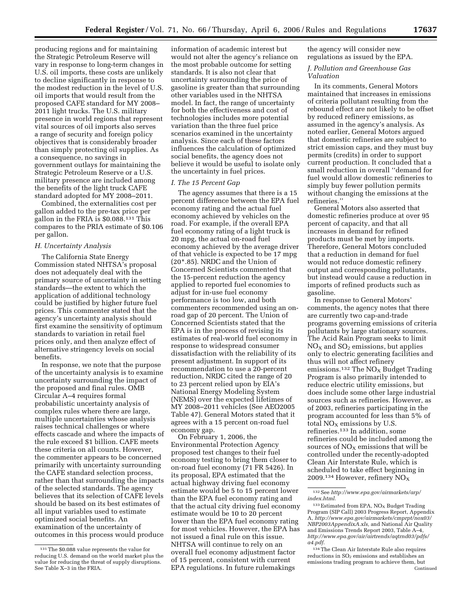producing regions and for maintaining the Strategic Petroleum Reserve will vary in response to long-term changes in U.S. oil imports, these costs are unlikely to decline significantly in response to the modest reduction in the level of U.S. oil imports that would result from the proposed CAFE standard for MY 2008– 2011 light trucks. The U.S. military presence in world regions that represent vital sources of oil imports also serves a range of security and foreign policy objectives that is considerably broader than simply protecting oil supplies. As a consequence, no savings in government outlays for maintaining the Strategic Petroleum Reserve or a U.S. military presence are included among the benefits of the light truck CAFE standard adopted for MY 2008–2011.

Combined, the externalities cost per gallon added to the pre-tax price per gallon in the FRIA is \$0.088.131 This compares to the PRIA estimate of \$0.106 per gallon.

## *H. Uncertainty Analysis*

The California State Energy Commission stated NHTSA's proposal does not adequately deal with the primary source of uncertainty in setting standards—the extent to which the application of additional technology could be justified by higher future fuel prices. This commenter stated that the agency's uncertainty analysis should first examine the sensitivity of optimum standards to variation in retail fuel prices only, and then analyze effect of alternative stringency levels on social benefits.

In response, we note that the purpose of the uncertainty analysis is to examine uncertainty surrounding the impact of the proposed and final rules. OMB Circular A–4 requires formal probabilistic uncertainty analysis of complex rules where there are large, multiple uncertainties whose analysis raises technical challenges or where effects cascade and where the impacts of the rule exceed \$1 billion. CAFE meets these criteria on all counts. However, the commenter appears to be concerned primarily with uncertainty surrounding the CAFE standard selection process, rather than that surrounding the impacts of the selected standards. The agency believes that its selection of CAFE levels should be based on its best estimates of all input variables used to estimate optimized social benefits. An examination of the uncertainty of outcomes in this process would produce

information of academic interest but would not alter the agency's reliance on the most probable outcome for setting standards. It is also not clear that uncertainty surrounding the price of gasoline is greater than that surrounding other variables used in the NHTSA model. In fact, the range of uncertainty for both the effectiveness and cost of technologies includes more potential variation than the three fuel price scenarios examined in the uncertainty analysis. Since each of these factors influences the calculation of optimized social benefits, the agency does not believe it would be useful to isolate only the uncertainty in fuel prices.

## *I. The 15 Percent Gap*

The agency assumes that there is a 15 percent difference between the EPA fuel economy rating and the actual fuel economy achieved by vehicles on the road. For example, if the overall EPA fuel economy rating of a light truck is 20 mpg, the actual on-road fuel economy achieved by the average driver of that vehicle is expected to be 17 mpg (20\*.85). NRDC and the Union of Concerned Scientists commented that the 15-percent reduction the agency applied to reported fuel economies to adjust for in-use fuel economy performance is too low, and both commenters recommended using an onroad gap of 20 percent. The Union of Concerned Scientists stated that the EPA is in the process of revising its estimates of real-world fuel economy in response to widespread consumer dissatisfaction with the reliability of its present adjustment. In support of its recommendation to use a 20-percent reduction, NRDC cited the range of 20 to 23 percent relied upon by EIA's National Energy Modeling System (NEMS) over the expected lifetimes of MY 2008–2011 vehicles (See AEO2005 Table 47). General Motors stated that it agrees with a 15 percent on-road fuel economy gap.

On February 1, 2006, the Environmental Protection Agency proposed test changes to their fuel economy testing to bring them closer to on-road fuel economy (71 FR 5426). In its proposal, EPA estimated that the actual highway driving fuel economy estimate would be 5 to 15 percent lower than the EPA fuel economy rating and that the actual city driving fuel economy estimate would be 10 to 20 percent lower than the EPA fuel economy rating for most vehicles. However, the EPA has not issued a final rule on this issue. NHTSA will continue to rely on an overall fuel economy adjustment factor of 15 percent, consistent with current EPA regulations. In future rulemakings

the agency will consider new regulations as issued by the EPA.

## *J. Pollution and Greenhouse Gas Valuation*

In its comments, General Motors maintained that increases in emissions of criteria pollutant resulting from the rebound effect are not likely to be offset by reduced refinery emissions, as assumed in the agency's analysis. As noted earlier, General Motors argued that domestic refineries are subject to strict emission caps, and they must buy permits (credits) in order to support current production. It concluded that a small reduction in overall ''demand for fuel would allow domestic refineries to simply buy fewer pollution permits without changing the emissions at the refineries.''

General Motors also asserted that domestic refineries produce at over 95 percent of capacity, and that all increases in demand for refined products must be met by imports. Therefore, General Motors concluded that a reduction in demand for fuel would not reduce domestic refinery output and corresponding pollutants, but instead would cause a reduction in imports of refined products such as gasoline.

In response to General Motors' comments, the agency notes that there are currently two cap-and-trade programs governing emissions of criteria pollutants by large stationary sources. The Acid Rain Program seeks to limit  $NO<sub>X</sub>$  and  $SO<sub>2</sub>$  emissions, but applies only to electric generating facilities and thus will not affect refinery emissions.<sup>132</sup> The  $NO<sub>X</sub>$  Budget Trading Program is also primarily intended to reduce electric utility emissions, but does include some other large industrial sources such as refineries. However, as of 2003, refineries participating in the program accounted for less than 5% of total  $NO<sub>x</sub>$  emissions by U.S. refineries.133 In addition, some refineries could be included among the sources of  $NO<sub>x</sub>$  emissions that will be controlled under the recently-adopted Clean Air Interstate Rule, which is scheduled to take effect beginning in 2009.<sup>134</sup> However, refinery  $NO<sub>X</sub>$ 

<sup>131</sup>The \$0.088 value represents the value for reducing U.S. demand on the world market plus the value for reducing the threat of supply disruptions. See Table X–3 in the FRIA.

<sup>132</sup>See *[http://www.epa.gov/airmarkets/arp/](http://www.epa.gov/airmarkets/arp/index.html)  index.html.* 

 $133$  Estimated from EPA, NO<sub>x</sub> Budget Trading Program (SIP Call) 2003 Progress Report, Appendix A, *[http://www.epa.gov/airmarkets/cmprpt/nox03/](http://www.epa.gov/airmarkets/cmprpt/nox03/NBP2003AppendixA.xls)  NBP2003AppendixA.xls,* and National Air Quality and Emissions Trends Report 2003, Table A–4, *[http://www.epa.gov/air/airtrends/aqtrnd03/pdfs/](http://www.epa.gov/air/airtrends/aqtrnd03/pdfs/a4.pdf)  a4.pdf.* 

<sup>134</sup>The Clean Air Interstate Rule also requires reductions in  $\mathrm{SO}_2$  emissions and establishes an emissions trading program to achieve them, but Continued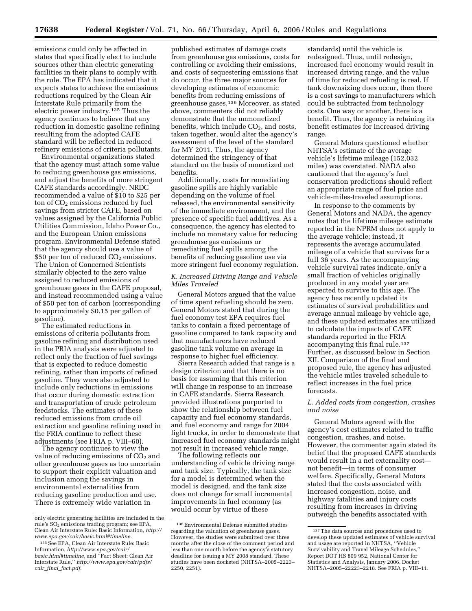emissions could only be affected in states that specifically elect to include sources other than electric generating facilities in their plans to comply with the rule. The EPA has indicated that it expects states to achieve the emissions reductions required by the Clean Air Interstate Rule primarily from the electric power industry.135 Thus the agency continues to believe that any reduction in domestic gasoline refining resulting from the adopted CAFE standard will be reflected in reduced refinery emissions of criteria pollutants.

Environmental organizations stated that the agency must attach some value to reducing greenhouse gas emissions, and adjust the benefits of more stringent CAFE standards accordingly. NRDC recommended a value of \$10 to \$25 per ton of  $CO<sub>2</sub>$  emissions reduced by fuel savings from stricter CAFE, based on values assigned by the California Public Utilities Commission, Idaho Power Co., and the European Union emissions program. Environmental Defense stated that the agency should use a value of \$50 per ton of reduced  $CO<sub>2</sub>$  emissions. The Union of Concerned Scientists similarly objected to the zero value assigned to reduced emissions of greenhouse gases in the CAFE proposal, and instead recommended using a value of \$50 per ton of carbon (corresponding to approximately \$0.15 per gallon of gasoline).

The estimated reductions in emissions of criteria pollutants from gasoline refining and distribution used in the PRIA analysis were adjusted to reflect only the fraction of fuel savings that is expected to reduce domestic refining, rather than imports of refined gasoline. They were also adjusted to include only reductions in emissions that occur during domestic extraction and transportation of crude petroleum feedstocks. The estimates of these reduced emissions from crude oil extraction and gasoline refining used in the FRIA continue to reflect these adjustments (see FRIA p. VIII–60).

The agency continues to view the value of reducing emissions of  $CO<sub>2</sub>$  and other greenhouse gases as too uncertain to support their explicit valuation and inclusion among the savings in environmental externalities from reducing gasoline production and use. There is extremely wide variation in

published estimates of damage costs from greenhouse gas emissions, costs for controlling or avoiding their emissions, and costs of sequestering emissions that do occur, the three major sources for developing estimates of economic benefits from reducing emissions of greenhouse gases.136 Moreover, as stated above, commenters did not reliably demonstrate that the unmonetized benefits, which include  $CO<sub>2</sub>$ , and costs, taken together, would alter the agency's assessment of the level of the standard for MY 2011. Thus, the agency determined the stringency of that standard on the basis of monetized net benefits.

Additionally, costs for remediating gasoline spills are highly variable depending on the volume of fuel released, the environmental sensitivity of the immediate environment, and the presence of specific fuel additives. As a consequence, the agency has elected to include no monetary value for reducing greenhouse gas emissions or remediating fuel spills among the benefits of reducing gasoline use via more stringent fuel economy regulation.

## *K. Increased Driving Range and Vehicle Miles Traveled*

General Motors argued that the value of time spent refueling should be zero. General Motors stated that during the fuel economy test EPA requires fuel tanks to contain a fixed percentage of gasoline compared to tank capacity and that manufacturers have reduced gasoline tank volume on average in response to higher fuel efficiency.

Sierra Research added that range is a design criterion and that there is no basis for assuming that this criterion will change in response to an increase in CAFE standards. Sierra Research provided illustrations purported to show the relationship between fuel capacity and fuel economy standards, and fuel economy and range for 2004 light trucks, in order to demonstrate that increased fuel economy standards might not result in increased vehicle range.

The following reflects our understanding of vehicle driving range and tank size. Typically, the tank size for a model is determined when the model is designed, and the tank size does not change for small incremental improvements in fuel economy (as would occur by virtue of these

standards) until the vehicle is redesigned. Thus, until redesign, increased fuel economy would result in increased driving range, and the value of time for reduced refueling is real. If tank downsizing does occur, then there is a cost savings to manufacturers which could be subtracted from technology costs. One way or another, there is a benefit. Thus, the agency is retaining its benefit estimates for increased driving range.

General Motors questioned whether NHTSA's estimate of the average vehicle's lifetime mileage (152,032 miles) was overstated. NADA also cautioned that the agency's fuel conservation predictions should reflect an appropriate range of fuel price and vehicle-miles-traveled assumptions.

In response to the comments by General Motors and NADA, the agency notes that the lifetime mileage estimate reported in the NPRM does not apply to the average vehicle; instead, it represents the average accumulated mileage of a vehicle that survives for a full 36 years. As the accompanying vehicle survival rates indicate, only a small fraction of vehicles originally produced in any model year are expected to survive to this age. The agency has recently updated its estimates of survival probabilities and average annual mileage by vehicle age, and these updated estimates are utilized to calculate the impacts of CAFE standards reported in the FRIA accompanying this final rule.<sup>137</sup> Further, as discussed below in Section XII. Comparison of the final and proposed rule, the agency has adjusted the vehicle miles traveled schedule to reflect increases in the fuel price forecasts.

## *L. Added costs from congestion, crashes and noise*

General Motors agreed with the agency's cost estimates related to traffic congestion, crashes, and noise. However, the commenter again stated its belief that the proposed CAFE standards would result in a net externality cost not benefit—in terms of consumer welfare. Specifically, General Motors stated that the costs associated with increased congestion, noise, and highway fatalities and injury costs resulting from increases in driving outweigh the benefits associated with

only electric generating facilities are included in the rule's SO<sub>2</sub> emissions trading program; see EPA, Clean Air Interstate Rule: Basic Information, *[http://](http://www.epa.gov/cair/basic.html#timeline)  [www.epa.gov/cair/basic.html#timeline.](http://www.epa.gov/cair/basic.html#timeline)* 

<sup>135</sup>See EPA, Clean Air Interstate Rule: Basic Information, *[http://www.epa.gov/cair/](http://www.epa.gov/cair/basic.html#timeline)  basic.html#timeline,* and ''Fact Sheet: Clean Air Interstate Rule,'' *[http://www.epa.gov/cair/pdfs/](http://www.epa.gov/cair/pdfs/cair_final_fact.pdf)  cair*\_*final*\_*fact.pdf.* 

 $^{136}\mathrm{Environmental}$  Defense submitted studies regarding the valuation of greenhouse gases. However, the studies were submitted over three months after the close of the comment period and less than one month before the agency's statutory deadline for issuing a MY 2008 standard. These studies have been docketed (NHTSA–2005–2223– 2250, 2251).

<sup>137</sup>The data sources and procedures used to develop these updated estimates of vehicle survival and usage are reported in NHTSA, ''Vehicle Survivability and Travel Mileage Schedules,'' Report DOT HS 809 952, National Center for Statistics and Analysis, January 2006, Docket NHTSA–2005–22223–2218. See FRIA p. VIII–11.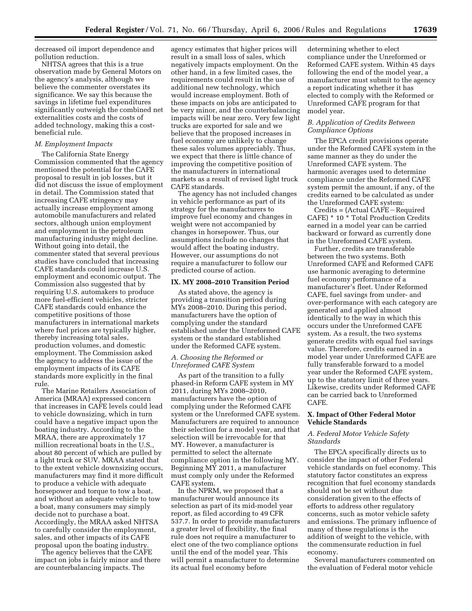decreased oil import dependence and pollution reduction.

NHTSA agrees that this is a true observation made by General Motors on the agency's analysis, although we believe the commenter overstates its significance. We say this because the savings in lifetime fuel expenditures significantly outweigh the combined net externalities costs and the costs of added technology, making this a costbeneficial rule.

### *M. Employment Impacts*

The California State Energy Commission commented that the agency mentioned the potential for the CAFE proposal to result in job losses, but it did not discuss the issue of employment in detail. The Commission stated that increasing CAFE stringency may actually increase employment among automobile manufacturers and related sectors, although union employment and employment in the petroleum manufacturing industry might decline. Without going into detail, the commenter stated that several previous studies have concluded that increasing CAFE standards could increase U.S. employment and economic output. The Commission also suggested that by requiring U.S. automakers to produce more fuel-efficient vehicles, stricter CAFE standards could enhance the competitive positions of those manufacturers in international markets where fuel prices are typically higher, thereby increasing total sales, production volumes, and domestic employment. The Commission asked the agency to address the issue of the employment impacts of its CAFE standards more explicitly in the final rule.

The Marine Retailers Association of America (MRAA) expressed concern that increases in CAFE levels could lead to vehicle downsizing, which in turn could have a negative impact upon the boating industry. According to the MRAA, there are approximately 17 million recreational boats in the U.S., about 80 percent of which are pulled by a light truck or SUV. MRAA stated that to the extent vehicle downsizing occurs, manufacturers may find it more difficult to produce a vehicle with adequate horsepower and torque to tow a boat, and without an adequate vehicle to tow a boat, many consumers may simply decide not to purchase a boat. Accordingly, the MRAA asked NHTSA to carefully consider the employment, sales, and other impacts of its CAFE proposal upon the boating industry.

The agency believes that the CAFE impact on jobs is fairly minor and there are counterbalancing impacts. The

agency estimates that higher prices will result in a small loss of sales, which negatively impacts employment. On the other hand, in a few limited cases, the requirements could result in the use of additional new technology, which would increase employment. Both of these impacts on jobs are anticipated to be very minor, and the counterbalancing impacts will be near zero. Very few light trucks are exported for sale and we believe that the proposed increases in fuel economy are unlikely to change these sales volumes appreciably. Thus, we expect that there is little chance of improving the competitive position of the manufacturers in international markets as a result of revised light truck CAFE standards.

The agency has not included changes in vehicle performance as part of its strategy for the manufacturers to improve fuel economy and changes in weight were not accompanied by changes in horsepower. Thus, our assumptions include no changes that would affect the boating industry. However, our assumptions do not require a manufacturer to follow our predicted course of action.

#### **IX. MY 2008–2010 Transition Period**

As stated above, the agency is providing a transition period during MYs 2008–2010. During this period, manufacturers have the option of complying under the standard established under the Unreformed CAFE system or the standard established under the Reformed CAFE system.

## *A. Choosing the Reformed or Unreformed CAFE System*

As part of the transition to a fully phased-in Reform CAFE system in MY 2011, during MYs 2008–2010, manufacturers have the option of complying under the Reformed CAFE system or the Unreformed CAFE system. Manufacturers are required to announce their selection for a model year, and that selection will be irrevocable for that MY. However, a manufacturer is permitted to select the alternate compliance option in the following MY. Beginning MY 2011, a manufacturer must comply only under the Reformed CAFE system.

In the NPRM, we proposed that a manufacturer would announce its selection as part of its mid-model year report, as filed according to 49 CFR 537.7. In order to provide manufacturers a greater level of flexibility, the final rule does not require a manufacturer to elect one of the two compliance options until the end of the model year. This will permit a manufacturer to determine its actual fuel economy before

determining whether to elect compliance under the Unreformed or Reformed CAFE system. Within 45 days following the end of the model year, a manufacturer must submit to the agency a report indicating whether it has elected to comply with the Reformed or Unreformed CAFE program for that model year.

## *B. Application of Credits Between Compliance Options*

The EPCA credit provisions operate under the Reformed CAFE system in the same manner as they do under the Unreformed CAFE system. The harmonic averages used to determine compliance under the Reformed CAFE system permit the amount, if any, of the credits earned to be calculated as under the Unreformed CAFE system:

 $Credits = (Actual CAFE - Required$ CAFE) \* 10 \* Total Production Credits earned in a model year can be carried backward or forward as currently done in the Unreformed CAFE system.

Further, credits are transferable between the two systems. Both Unreformed CAFE and Reformed CAFE use harmonic averaging to determine fuel economy performance of a manufacturer's fleet. Under Reformed CAFE, fuel savings from under- and over-performance with each category are generated and applied almost identically to the way in which this occurs under the Unreformed CAFE system. As a result, the two systems generate credits with equal fuel savings value. Therefore, credits earned in a model year under Unreformed CAFE are fully transferable forward to a model year under the Reformed CAFE system, up to the statutory limit of three years. Likewise, credits under Reformed CAFE can be carried back to Unreformed CAFE.

## **X. Impact of Other Federal Motor Vehicle Standards**

## *A. Federal Motor Vehicle Safety Standards*

The EPCA specifically directs us to consider the impact of other Federal vehicle standards on fuel economy. This statutory factor constitutes an express recognition that fuel economy standards should not be set without due consideration given to the effects of efforts to address other regulatory concerns, such as motor vehicle safety and emissions. The primary influence of many of these regulations is the addition of weight to the vehicle, with the commensurate reduction in fuel economy.

Several manufacturers commented on the evaluation of Federal motor vehicle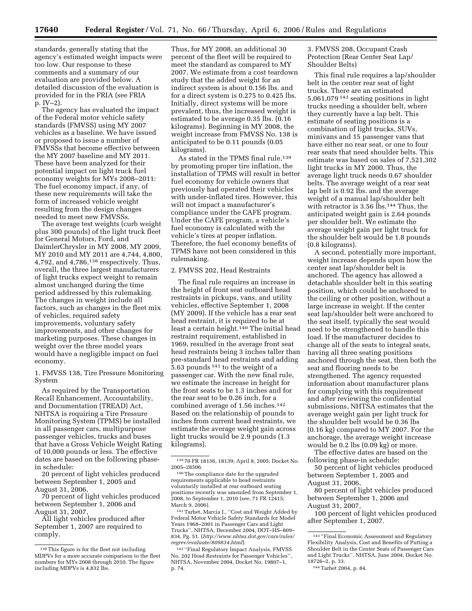standards, generally stating that the agency's estimated weight impacts were too low. Our response to these comments and a summary of our evaluation are provided below. A detailed discussion of the evaluation is provided for in the FRIA (see FRIA p. IV–2).

The agency has evaluated the impact of the Federal motor vehicle safety standards (FMVSS) using MY 2007 vehicles as a baseline. We have issued or proposed to issue a number of FMVSSs that become effective between the MY 2007 baseline and MY 2011. These have been analyzed for their potential impact on light truck fuel economy weights for MYs 2008–2011: The fuel economy impact, if any, of these new requirements will take the form of increased vehicle weight resulting from the design changes needed to meet new FMVSSs.

The average test weights (curb weight plus 300 pounds) of the light truck fleet for General Motors, Ford, and DaimlerChrysler in MY 2008, MY 2009, MY 2010 and MY 2011 are 4,744, 4,800, 4,792, and 4,786,138 respectively. Thus, overall, the three largest manufacturers of light trucks expect weight to remain almost unchanged during the time period addressed by this rulemaking. The changes in weight include all factors, such as changes in the fleet mix of vehicles, required safety improvements, voluntary safety improvements, and other changes for marketing purposes. These changes in weight over the three model years would have a negligible impact on fuel economy.

1. FMVSS 138, Tire Pressure Monitoring System

As required by the Transportation Recall Enhancement, Accountability, and Documentation (TREAD) Act, NHTSA is requiring a Tire Pressure Monitoring System (TPMS) be installed in all passenger cars, multipurpose passenger vehicles, trucks and buses that have a Gross Vehicle Weight Rating of 10,000 pounds or less. The effective dates are based on the following phasein schedule:

20 percent of light vehicles produced between September 1, 2005 and August 31, 2006,

70 percent of light vehicles produced between September 1, 2006 and August 31, 2007,

All light vehicles produced after September 1, 2007 are required to comply.

Thus, for MY 2008, an additional 30 percent of the fleet will be required to meet the standard as compared to MY 2007. We estimate from a cost teardown study that the added weight for an indirect system is about 0.156 lbs. and for a direct system is 0.275 to 0.425 lbs. Initially, direct systems will be more prevalent, thus, the increased weight is estimated to be average 0.35 lbs. (0.16 kilograms). Beginning in MY 2008, the weight increase from FMVSS No. 138 is anticipated to be 0.11 pounds (0.05 kilograms).

As stated in the TPMS final rule,<sup>139</sup> by promoting proper tire inflation, the installation of TPMS will result in better fuel economy for vehicle owners that previously had operated their vehicles with under-inflated tires. However, this will not impact a manufacturer's compliance under the CAFE program. Under the CAFE program, a vehicle's fuel economy is calculated with the vehicle's tires at proper inflation. Therefore, the fuel economy benefits of TPMS have not been considered in this rulemaking.

#### 2. FMVSS 202, Head Restraints

The final rule requires an increase in the height of front seat outboard head restraints in pickups, vans, and utility vehicles, effective September 1, 2008 (MY 2009). If the vehicle has a rear seat head restraint, it is required to be at least a certain height.<sup>140</sup> The initial head restraint requirement, established in 1969, resulted in the average front seat head restraints being 3 inches taller than pre-standard head restraints and adding 5.63 pounds 141 to the weight of a passenger car. With the new final rule, we estimate the increase in height for the front seats to be 1.3 inches and for the rear seat to be 0.26 inch, for a combined average of 1.56 inches.142 Based on the relationship of pounds to inches from current head restraints, we estimate the average weight gain across light trucks would be 2.9 pounds (1.3 kilograms).

141Tarbet, Marcia J., ''Cost and Weight Added by Federal Motor Vehicle Safety Standards for Model Years 1968–2001 in Passenger Cars and Light Trucks'', NHTSA, December 2004, DOT–HS–809– 834. Pg. 51. (*[http://www.nhtsa.dot.gov/cars/rules/](http://www.nhtsa.dot.gov/cars/rules/regrev/evaluate/809834.html)  [regrev/evaluate/809834.html](http://www.nhtsa.dot.gov/cars/rules/regrev/evaluate/809834.html)*).

142 ''Final Regulatory Impact Analysis, FMVSS No. 202 Head Restraints for Passenger Vehicles'', NHTSA, November 2004, Docket No. 19807–1, p. 74.

## 3. FMVSS 208, Occupant Crash Protection (Rear Center Seat Lap/ Shoulder Belts)

This final rule requires a lap/shoulder belt in the center rear seat of light trucks. There are an estimated 5,061,079 143 seating positions in light trucks needing a shoulder belt, where they currently have a lap belt. This estimate of seating positions is a combination of light trucks, SUVs, minivans and 15 passenger vans that have either no rear seat, or one to four rear seats that need shoulder belts. This estimate was based on sales of 7,521,302 light trucks in MY 2000. Thus, the average light truck needs 0.67 shoulder belts. The average weight of a rear seat lap belt is 0.92 lbs. and the average weight of a manual lap/shoulder belt with retractor is 3.56 lbs.144 Thus, the anticipated weight gain is 2.64 pounds per shoulder belt. We estimate the average weight gain per light truck for the shoulder belt would be 1.8 pounds (0.8 kilograms).

A second, potentially more important, weight increase depends upon how the center seat lap/shoulder belt is anchored. The agency has allowed a detachable shoulder belt in this seating position, which could be anchored to the ceiling or other position, without a large increase in weight. If the center seat lap/shoulder belt were anchored to the seat itself, typically the seat would need to be strengthened to handle this load. If the manufacturer decides to change all of the seats to integral seats, having all three seating positions anchored through the seat, then both the seat and flooring needs to be strengthened. The agency requested information about manufacturer plans for complying with this requirement and after reviewing the confidential submissions, NHTSA estimates that the average weight gain per light truck for the shoulder belt would be 0.36 lbs (0.16 kg) compared to MY 2007. For the anchorage, the average weight increase would be 0.2 lbs (0.09 kg) or more.

The effective dates are based on the following phase-in schedule:

50 percent of light vehicles produced between September 1, 2005 and August 31, 2006,

80 percent of light vehicles produced between September 1, 2006 and August 31, 2007,

100 percent of light vehicles produced after September 1, 2007.

<sup>138</sup>This figure is for the fleet not including MDPVs for a more accurate comparison to the fleet numbers for MYs 2008 through 2010. The figure including MDPVs is 4,832 lbs.

<sup>139</sup> 70 FR 18136, 18139; April 8, 2005; Docket No. 2005–28506.

<sup>140</sup>The compliance date for the upgraded requirements applicable to head restraints voluntarily installed at rear outboard seating positions recently was amended from September 1, 2008, to September 1, 2010 (see, 71 FR 12415; March 9, 2006).

<sup>143</sup> ''Final Economic Assessment and Regulatory Flexibility Analysis, Cost and Benefits of Putting a Shoulder Belt in the Center Seats of Passenger Cars and Light Trucks'', NHTSA, June 2004, Docket No. 18726–2, p. 33.

<sup>144</sup>Tarbet 2004, p. 84.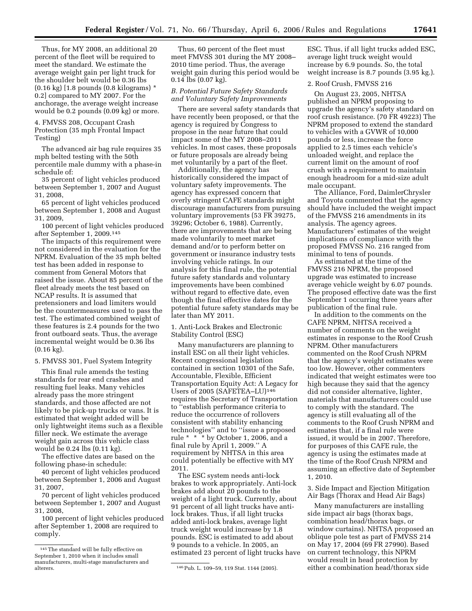Thus, for MY 2008, an additional 20 percent of the fleet will be required to meet the standard. We estimate the average weight gain per light truck for the shoulder belt would be 0.36 lbs (0.16 kg) [1.8 pounds (0.8 kilograms) \* 0.2] compared to MY 2007. For the anchorage, the average weight increase would be 0.2 pounds (0.09 kg) or more.

4. FMVSS 208, Occupant Crash Protection (35 mph Frontal Impact Testing)

The advanced air bag rule requires 35 mph belted testing with the 50th percentile male dummy with a phase-in schedule of:

35 percent of light vehicles produced between September 1, 2007 and August 31, 2008,

65 percent of light vehicles produced between September 1, 2008 and August 31, 2009,

100 percent of light vehicles produced after September 1, 2009.145

The impacts of this requirement were not considered in the evaluation for the NPRM. Evaluation of the 35 mph belted test has been added in response to comment from General Motors that raised the issue. About 85 percent of the fleet already meets the test based on NCAP results. It is assumed that pretensioners and load limiters would be the countermeasures used to pass the test. The estimated combined weight of these features is 2.4 pounds for the two front outboard seats. Thus, the average incremental weight would be 0.36 lbs (0.16 kg).

5. FMVSS 301, Fuel System Integrity

This final rule amends the testing standards for rear end crashes and resulting fuel leaks. Many vehicles already pass the more stringent standards, and those affected are not likely to be pick-up trucks or vans. It is estimated that weight added will be only lightweight items such as a flexible filler neck. We estimate the average weight gain across this vehicle class would be 0.24 lbs (0.11 kg).

The effective dates are based on the following phase-in schedule:

40 percent of light vehicles produced between September 1, 2006 and August 31, 2007,

70 percent of light vehicles produced between September 1, 2007 and August 31, 2008,

100 percent of light vehicles produced after September 1, 2008 are required to comply.

Thus, 60 percent of the fleet must meet FMVSS 301 during the MY 2008– 2010 time period. Thus, the average weight gain during this period would be 0.14 lbs (0.07 kg).

## *B. Potential Future Safety Standards and Voluntary Safety Improvements*

There are several safety standards that have recently been proposed, or that the agency is required by Congress to propose in the near future that could impact some of the MY 2008–2011 vehicles. In most cases, these proposals or future proposals are already being met voluntarily by a part of the fleet.

Additionally, the agency has historically considered the impact of voluntary safety improvements. The agency has expressed concern that overly stringent CAFE standards might discourage manufacturers from pursuing voluntary improvements (53 FR 39275, 39296; October 6, 1988). Currently, there are improvements that are being made voluntarily to meet market demand and/or to perform better on government or insurance industry tests involving vehicle ratings. In our analysis for this final rule, the potential future safety standards and voluntary improvements have been combined without regard to effective date, even though the final effective dates for the potential future safety standards may be later than MY 2011.

1. Anti-Lock Brakes and Electronic Stability Control (ESC)

Many manufacturers are planning to install ESC on all their light vehicles. Recent congressional legislation contained in section 10301 of the Safe, Accountable, Flexible, Efficient Transportation Equity Act: A Legacy for Users of 2005 (SAFETEA–LU)146 requires the Secretary of Transportation to ''establish performance criteria to reduce the occurrence of rollovers consistent with stability enhancing technologies'' and to ''issue a proposed rule \* \* \* by October 1, 2006, and a final rule by April 1, 2009.'' A requirement by NHTSA in this area could potentially be effective with MY 2011.

The ESC system needs anti-lock brakes to work appropriately. Anti-lock brakes add about 20 pounds to the weight of a light truck. Currently, about 91 percent of all light trucks have antilock brakes. Thus, if all light trucks added anti-lock brakes, average light truck weight would increase by 1.8 pounds. ESC is estimated to add about 9 pounds to a vehicle. In 2005, an estimated 23 percent of light trucks have ESC. Thus, if all light trucks added ESC, average light truck weight would increase by 6.9 pounds. So, the total weight increase is 8.7 pounds (3.95 kg.).

## 2. Roof Crush, FMVSS 216

On August 23, 2005, NHTSA published an NPRM proposing to upgrade the agency's safety standard on roof crush resistance. (70 FR 49223) The NPRM proposed to extend the standard to vehicles with a GVWR of 10,000 pounds or less, increase the force applied to 2.5 times each vehicle's unloaded weight, and replace the current limit on the amount of roof crush with a requirement to maintain enough headroom for a mid-size adult male occupant.

The Alliance, Ford, DaimlerChrysler and Toyota commented that the agency should have included the weight impact of the FMVSS 216 amendments in its analysis. The agency agrees. Manufacturers' estimates of the weight implications of compliance with the proposed FMVSS No. 216 ranged from minimal to tens of pounds.

As estimated at the time of the FMVSS 216 NPRM, the proposed upgrade was estimated to increase average vehicle weight by 6.07 pounds. The proposed effective date was the first September 1 occurring three years after publication of the final rule.

In addition to the comments on the CAFE NPRM, NHTSA received a number of comments on the weight estimates in response to the Roof Crush NPRM. Other manufacturers commented on the Roof Crush NPRM that the agency's weight estimates were too low. However, other commenters indicated that weight estimates were too high because they said that the agency did not consider alternative, lighter, materials that manufacturers could use to comply with the standard. The agency is still evaluating all of the comments to the Roof Crush NPRM and estimates that, if a final rule were issued, it would be in 2007. Therefore, for purposes of this CAFE rule, the agency is using the estimates made at the time of the Roof Crush NPRM and assuming an effective date of September 1, 2010.

3. Side Impact and Ejection Mitigation Air Bags (Thorax and Head Air Bags)

Many manufacturers are installing side impact air bags (thorax bags, combination head/thorax bags, or window curtains). NHTSA proposed an oblique pole test as part of FMVSS 214 on May 17, 2004 (69 FR 27990). Based on current technology, this NPRM would result in head protection by either a combination head/thorax side

<sup>145</sup>The standard will be fully effective on September 1, 2010 when it includes small manufacturers, multi-stage manufacturers and

<sup>146</sup> Pub. L. 109-59, 119 Stat. 1144 (2005).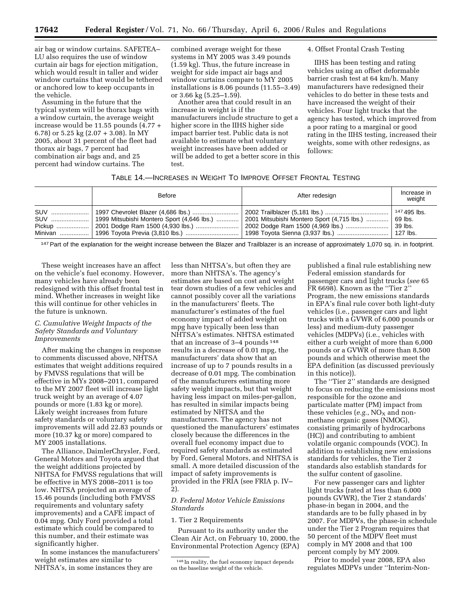air bag or window curtains. SAFETEA– LU also requires the use of window curtain air bags for ejection mitigation, which would result in taller and wider window curtains that would be tethered or anchored low to keep occupants in the vehicle.

Assuming in the future that the typical system will be thorax bags with a window curtain, the average weight increase would be 11.55 pounds (4.77 + 6.78) or 5.25 kg (2.07 + 3.08). In MY 2005, about 31 percent of the fleet had thorax air bags, 7 percent had combination air bags and, and 25 percent had window curtains. The

combined average weight for these systems in MY 2005 was 3.49 pounds (1.59 kg). Thus, the future increase in weight for side impact air bags and window curtains compare to MY 2005 installations is 8.06 pounds (11.55–3.49) or 3.66 kg (5.25–1.59).

Another area that could result in an increase in weight is if the manufacturers include structure to get a higher score in the IIHS higher side impact barrier test. Public data is not available to estimate what voluntary weight increases have been added or will be added to get a better score in this test.

#### 4. Offset Frontal Crash Testing

IIHS has been testing and rating vehicles using an offset deformable barrier crash test at 64 km/h. Many manufacturers have redesigned their vehicles to do better in these tests and have increased the weight of their vehicles. Four light trucks that the agency has tested, which improved from a poor rating to a marginal or good rating in the IIHS testing, increased their weights, some with other redesigns, as follows:

#### TABLE 14.—INCREASES IN WEIGHT TO IMPROVE OFFSET FRONTAL TESTING

| Before | After redesign                             | Increase in<br>weight               |
|--------|--------------------------------------------|-------------------------------------|
|        | 2001 Mitsubishi Montero Sport (4,715 lbs.) | $147495$ lbs.<br>69 lbs.<br>39 lbs. |

147 Part of the explanation for the weight increase between the Blazer and Trailblazer is an increase of approximately 1,070 sq. in. in footprint.

These weight increases have an affect on the vehicle's fuel economy. However, many vehicles have already been redesigned with this offset frontal test in mind. Whether increases in weight like this will continue for other vehicles in the future is unknown.

## *C. Cumulative Weight Impacts of the Safety Standards and Voluntary Improvements*

After making the changes in response to comments discussed above, NHTSA estimates that weight additions required by FMVSS regulations that will be effective in MYs 2008–2011, compared to the MY 2007 fleet will increase light truck weight by an average of 4.07 pounds or more (1.83 kg or more). Likely weight increases from future safety standards or voluntary safety improvements will add 22.83 pounds or more (10.37 kg or more) compared to MY 2005 installations.

The Alliance, DaimlerChrysler, Ford, General Motors and Toyota argued that the weight additions projected by NHTSA for FMVSS regulations that will be effective in MYS 2008–2011 is too low. NHTSA projected an average of 15.46 pounds (including both FMVSS requirements and voluntary safety improvements) and a CAFE impact of 0.04 mpg. Only Ford provided a total estimate which could be compared to this number, and their estimate was significantly higher.

In some instances the manufacturers' weight estimates are similar to NHTSA's, in some instances they are

less than NHTSA's, but often they are more than NHTSA's. The agency's estimates are based on cost and weight tear down studies of a few vehicles and cannot possibly cover all the variations in the manufacturers' fleets. The manufacturer's estimates of the fuel economy impact of added weight on mpg have typically been less than NHTSA's estimates. NHTSA estimated that an increase of 3–4 pounds 148 results in a decrease of 0.01 mpg, the manufacturers' data show that an increase of up to 7 pounds results in a decrease of 0.01 mpg. The combination of the manufacturers estimating more safety weight impacts, but that weight having less impact on miles-per-gallon, has resulted in similar impacts being estimated by NHTSA and the manufacturers. The agency has not questioned the manufacturers' estimates closely because the differences in the overall fuel economy impact due to required safety standards as estimated by Ford, General Motors, and NHTSA is small. A more detailed discussion of the impact of safety improvements is provided in the FRIA (see FRIA p. IV– 2).

## *D. Federal Motor Vehicle Emissions Standards*

#### 1. Tier 2 Requirements

Pursuant to its authority under the Clean Air Act, on February 10, 2000, the Environmental Protection Agency (EPA)

published a final rule establishing new Federal emission standards for passenger cars and light trucks (*see* 65 FR 6698). Known as the ''Tier 2'' Program, the new emissions standards in EPA's final rule cover both light-duty vehicles (i.e., passenger cars and light trucks with a GVWR of 6,000 pounds or less) and medium-duty passenger vehicles (MDPVs) (i.e., vehicles with either a curb weight of more than 6,000 pounds or a GVWR of more than 8,500 pounds and which otherwise meet the EPA definition (as discussed previously in this notice)).

The ''Tier 2'' standards are designed to focus on reducing the emissions most responsible for the ozone and particulate matter (PM) impact from these vehicles  $(e.g., NO<sub>X</sub>$  and nonmethane organic gases (NMOG), consisting primarily of hydrocarbons (HC)) and contributing to ambient volatile organic compounds (VOC). In addition to establishing new emissions standards for vehicles, the Tier 2 standards also establish standards for the sulfur content of gasoline.

For new passenger cars and lighter light trucks (rated at less than 6,000 pounds GVWR), the Tier 2 standards' phase-in began in 2004, and the standards are to be fully phased in by 2007. For MDPVs, the phase-in schedule under the Tier 2 Program requires that 50 percent of the MDPV fleet must comply in MY 2008 and that 100 percent comply by MY 2009.

Prior to model year 2008, EPA also regulates MDPVs under ''Interim-Non-

<sup>148</sup> In reality, the fuel economy impact depends on the baseline weight of the vehicle.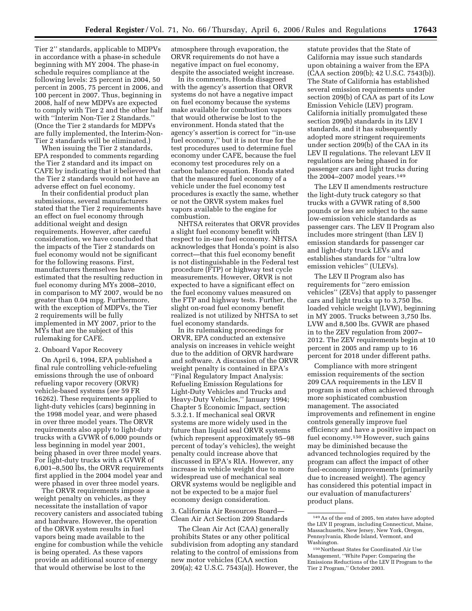Tier 2'' standards, applicable to MDPVs in accordance with a phase-in schedule beginning with MY 2004. The phase-in schedule requires compliance at the following levels: 25 percent in 2004, 50 percent in 2005, 75 percent in 2006, and 100 percent in 2007. Thus, beginning in 2008, half of new MDPVs are expected to comply with Tier 2 and the other half with ''Interim Non-Tier 2 Standards.'' (Once the Tier 2 standards for MDPVs are fully implemented, the Interim-Non-Tier 2 standards will be eliminated.)

When issuing the Tier 2 standards, EPA responded to comments regarding the Tier 2 standard and its impact on CAFE by indicating that it believed that the Tier 2 standards would not have an adverse effect on fuel economy.

In their confidential product plan submissions, several manufacturers stated that the Tier 2 requirements have an effect on fuel economy through additional weight and design requirements. However, after careful consideration, we have concluded that the impacts of the Tier 2 standards on fuel economy would not be significant for the following reasons. First, manufacturers themselves have estimated that the resulting reduction in fuel economy during MYs 2008–2010, in comparison to MY 2007, would be no greater than 0.04 mpg. Furthermore, with the exception of MDPVs, the Tier 2 requirements will be fully implemented in MY 2007, prior to the MYs that are the subject of this rulemaking for CAFE.

## 2. Onboard Vapor Recovery

On April 6, 1994, EPA published a final rule controlling vehicle-refueling emissions through the use of onboard refueling vapor recovery (ORVR) vehicle-based systems (*see* 59 FR 16262). These requirements applied to light-duty vehicles (cars) beginning in the 1998 model year, and were phased in over three model years. The ORVR requirements also apply to light-duty trucks with a GVWR of 6,000 pounds or less beginning in model year 2001, being phased in over three model years. For light-duty trucks with a GVWR of 6,001–8,500 lbs, the ORVR requirements first applied in the 2004 model year and were phased in over three model years.

The ORVR requirements impose a weight penalty on vehicles, as they necessitate the installation of vapor recovery canisters and associated tubing and hardware. However, the operation of the ORVR system results in fuel vapors being made available to the engine for combustion while the vehicle is being operated. As these vapors provide an additional source of energy that would otherwise be lost to the

atmosphere through evaporation, the ORVR requirements do not have a negative impact on fuel economy, despite the associated weight increase.

In its comments, Honda disagreed with the agency's assertion that ORVR systems do not have a negative impact on fuel economy because the systems make available for combustion vapors that would otherwise be lost to the environment. Honda stated that the agency's assertion is correct for ''in-use fuel economy,'' but it is not true for the test procedures used to determine fuel economy under CAFE, because the fuel economy test procedures rely on a carbon balance equation. Honda stated that the measured fuel economy of a vehicle under the fuel economy test procedures is exactly the same, whether or not the ORVR system makes fuel vapors available to the engine for combustion.

NHTSA reiterates that ORVR provides a slight fuel economy benefit with respect to in-use fuel economy. NHTSA acknowledges that Honda's point is also correct—that this fuel economy benefit is not distinguishable in the Federal test procedure (FTP) or highway test cycle measurements. However, ORVR is not expected to have a significant effect on the fuel economy values measured on the FTP and highway tests. Further, the slight on-road fuel economy benefit realized is not utilized by NHTSA to set fuel economy standards.

In its rulemaking proceedings for ORVR, EPA conducted an extensive analysis on increases in vehicle weight due to the addition of ORVR hardware and software. A discussion of the ORVR weight penalty is contained in EPA's ''Final Regulatory Impact Analysis: Refueling Emission Regulations for Light-Duty Vehicles and Trucks and Heavy-Duty Vehicles,'' January 1994; Chapter 5 Economic Impact, section 5.3.2.1. If mechanical seal ORVR systems are more widely used in the future than liquid seal ORVR systems (which represent approximately 95–98 percent of today's vehicles), the weight penalty could increase above that discussed in EPA's RIA. However, any increase in vehicle weight due to more widespread use of mechanical seal ORVR systems would be negligible and not be expected to be a major fuel economy design consideration.

3. California Air Resources Board— Clean Air Act Section 209 Standards

The Clean Air Act (CAA) generally prohibits States or any other political subdivision from adopting any standard relating to the control of emissions from new motor vehicles (CAA section 209(a); 42 U.S.C. 7543(a)). However, the statute provides that the State of California may issue such standards upon obtaining a waiver from the EPA (CAA section 209(b); 42 U.S.C. 7543(b)). The State of California has established several emission requirements under section 209(b) of CAA as part of its Low Emission Vehicle (LEV) program. California initially promulgated these section 209(b) standards in its LEV I standards, and it has subsequently adopted more stringent requirements under section 209(b) of the CAA in its LEV II regulations. The relevant LEV II regulations are being phased in for passenger cars and light trucks during the 2004–2007 model years.149

The LEV II amendments restructure the light-duty truck category so that trucks with a GVWR rating of 8,500 pounds or less are subject to the same low-emission vehicle standards as passenger cars. The LEV II Program also includes more stringent (than LEV I) emission standards for passenger car and light-duty truck LEVs and establishes standards for ''ultra low emission vehicles'' (ULEVs).

The LEV II Program also has requirements for ''zero emission vehicles'' (ZEVs) that apply to passenger cars and light trucks up to 3,750 lbs. loaded vehicle weight (LVW), beginning in MY 2005. Trucks between 3,750 lbs. LVW and 8,500 lbs. GVWR are phased in to the ZEV regulation from 2007– 2012. The ZEV requirements begin at 10 percent in 2005 and ramp up to 16 percent for 2018 under different paths.

Compliance with more stringent emission requirements of the section 209 CAA requirements in the LEV II program is most often achieved through more sophisticated combustion management. The associated improvements and refinement in engine controls generally improve fuel efficiency and have a positive impact on fuel economy.150 However, such gains may be diminished because the advanced technologies required by the program can affect the impact of other fuel-economy improvements (primarily due to increased weight). The agency has considered this potential impact in our evaluation of manufacturers' product plans.

<sup>149</sup>As of the end of 2005, ten states have adopted the LEV II program, including Connecticut, Maine, Massachusetts, New Jersey, New York, Oregon, Pennsylvania, Rhode Island, Vermont, and Washington.

<sup>150</sup>Northeast States for Coordinated Air Use Management, ''White Paper: Comparing the Emissions Reductions of the LEV II Program to the Tier 2 Program,'' October 2003.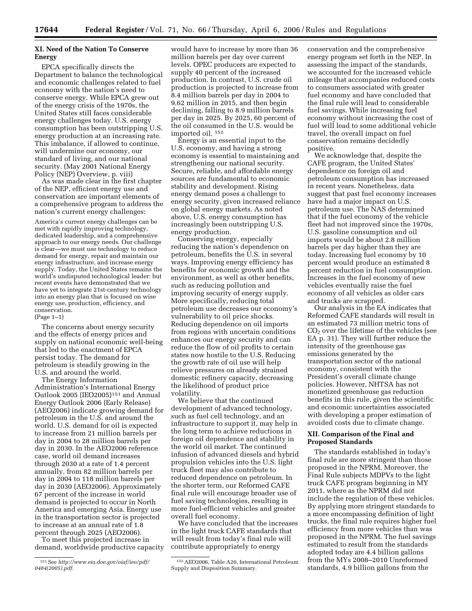## **XI. Need of the Nation To Conserve Energy**

EPCA specifically directs the Department to balance the technological and economic challenges related to fuel economy with the nation's need to conserve energy. While EPCA grew out of the energy crisis of the 1970s, the United States still faces considerable energy challenges today. U.S. energy consumption has been outstripping U.S. energy production at an increasing rate. This imbalance, if allowed to continue, will undermine our economy, our standard of living, and our national security. (May 2001 National Energy Policy (NEP) Overview, p. viii)

As was made clear in the first chapter of the NEP, efficient energy use and conservation are important elements of a comprehensive program to address the nation's current energy challenges:

America's current energy challenges can be met with rapidly improving technology, dedicated leadership, and a comprehensive approach to our energy needs. Our challenge is clear—we must use technology to reduce demand for energy, repair and maintain our energy infrastructure, and increase energy supply. Today, the United States remains the world's undisputed technological leader: but recent events have demonstrated that we have yet to integrate 21st-century technology into an energy plan that is focused on wise energy use, production, efficiency, and conservation. (Page 1–1)

The concerns about energy security and the effects of energy prices and supply on national economic well-being that led to the enactment of EPCA persist today. The demand for petroleum is steadily growing in the U.S. and around the world.

The Energy Information Administration's International Energy Outlook 2005 (IEO2005)151 and Annual Energy Outlook 2006 (Early Release) (AEO2006) indicate growing demand for petroleum in the U.S. and around the world. U.S. demand for oil is expected to increase from 21 million barrels per day in 2004 to 28 million barrels per day in 2030. In the AEO2006 reference case, world oil demand increases through 2030 at a rate of 1.4 percent annually, from 82 million barrels per day in 2004 to 118 million barrels per day in 2030 (AEO2006). Approximately 67 percent of the increase in world demand is projected to occur in North America and emerging Asia. Energy use in the transportation sector is projected to increase at an annual rate of 1.8 percent through 2025 (AEO2006).

To meet this projected increase in demand, worldwide productive capacity

would have to increase by more than 36 million barrels per day over current levels. OPEC producers are expected to supply 40 percent of the increased production. In contrast, U.S. crude oil production is projected to increase from 8.4 million barrels per day in 2004 to 9.62 million in 2015, and then begin declining, falling to 8.9 million barrels per day in 2025. By 2025, 60 percent of the oil consumed in the U.S. would be imported oil. 152

Energy is an essential input to the U.S. economy, and having a strong economy is essential to maintaining and strengthening our national security. Secure, reliable, and affordable energy sources are fundamental to economic stability and development. Rising energy demand poses a challenge to energy security, given increased reliance on global energy markets. As noted above, U.S. energy consumption has increasingly been outstripping U.S. energy production.

Conserving energy, especially reducing the nation's dependence on petroleum, benefits the U.S. in several ways. Improving energy efficiency has benefits for economic growth and the environment, as well as other benefits, such as reducing pollution and improving security of energy supply. More specifically, reducing total petroleum use decreases our economy's vulnerability to oil price shocks. Reducing dependence on oil imports from regions with uncertain conditions enhances our energy security and can reduce the flow of oil profits to certain states now hostile to the U.S. Reducing the growth rate of oil use will help relieve pressures on already strained domestic refinery capacity, decreasing the likelihood of product price volatility.

We believe that the continued development of advanced technology, such as fuel cell technology, and an infrastructure to support it, may help in the long term to achieve reductions in foreign oil dependence and stability in the world oil market. The continued infusion of advanced diesels and hybrid propulsion vehicles into the U.S. light truck fleet may also contribute to reduced dependence on petroleum. In the shorter term, our Reformed CAFE final rule will encourage broader use of fuel saving technologies, resulting in more fuel-efficient vehicles and greater overall fuel economy.

We have concluded that the increases in the light truck CAFE standards that will result from today's final rule will contribute appropriately to energy

conservation and the comprehensive energy program set forth in the NEP. In assessing the impact of the standards, we accounted for the increased vehicle mileage that accompanies reduced costs to consumers associated with greater fuel economy and have concluded that the final rule will lead to considerable fuel savings. While increasing fuel economy without increasing the cost of fuel will lead to some additional vehicle travel, the overall impact on fuel conservation remains decidedly positive.

We acknowledge that, despite the CAFE program, the United States' dependence on foreign oil and petroleum consumption has increased in recent years. Nonetheless, data suggest that past fuel economy increases have had a major impact on U.S. petroleum use. The NAS determined that if the fuel economy of the vehicle fleet had not improved since the 1970s, U.S. gasoline consumption and oil imports would be about 2.8 million barrels per day higher than they are today. Increasing fuel economy by 10 percent would produce an estimated 8 percent reduction in fuel consumption. Increases in the fuel economy of new vehicles eventually raise the fuel economy of all vehicles as older cars and trucks are scrapped.

Our analysis in the EA indicates that Reformed CAFE standards will result in an estimated 73 million metric tons of CO2 over the lifetime of the vehicles (see EA p. 31). They will further reduce the intensity of the greenhouse gas emissions generated by the transportation sector of the national economy, consistent with the President's overall climate change policies. However, NHTSA has not monetized greenhouse gas reduction benefits in this rule, given the scientific and economic uncertainties associated with developing a proper estimation of avoided costs due to climate change.

## **XII. Comparison of the Final and Proposed Standards**

The standards established in today's final rule are more stringent than those proposed in the NPRM. Moreover, the Final Rule subjects MDPVs to the light truck CAFE program beginning in MY 2011, where as the NPRM did not include the regulation of these vehicles. By applying more stringent standards to a more encompassing definition of light trucks, the final rule requires higher fuel efficiency from more vehicles than was proposed in the NPRM. The fuel savings estimated to result from the standards adopted today are 4.4 billion gallons from the MYs 2008–2010 Unreformed standards, 4.9 billion gallons from the

<sup>151</sup>See *[http://www.eia.doe.gov/oiaf/ieo/pdf/](http://www.eia.doe.gov/oiaf/ieo/pdf/0484(2005).pdf)  0484(2005).pdf.* 

<sup>152</sup>AEO2006, Table A20, International Petroleum Supply and Disposition Summary.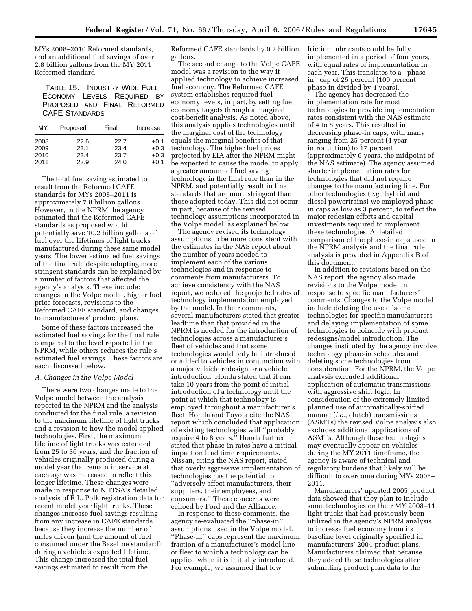MYs 2008–2010 Reformed standards, and an additional fuel savings of over 2.8 billion gallons from the MY 2011 Reformed standard.

TABLE 15.—INDUSTRY-WIDE FUEL ECONOMY LEVELS REQUIRED BY PROPOSED AND FINAL REFORMED CAFE STANDARDS

| MY   | Proposed | Final | Increase |
|------|----------|-------|----------|
| 2008 | 22.6     | 22.7  | $+0.1$   |
| 2009 | 23.1     | 23.4  | $+0.3$   |
| 2010 | 23.4     | 23.7  | $+0.3$   |
| 2011 | 23.9     | 24.0  | $+0.1$   |

The total fuel saving estimated to result from the Reformed CAFE standards for MYs 2008–2011 is approximately 7.8 billion gallons. However, in the NPRM the agency estimated that the Reformed CAFE standards as proposed would potentially save 10.2 billion gallons of fuel over the lifetimes of light trucks manufactured during these same model years. The lower estimated fuel savings of the final rule despite adopting more stringent standards can be explained by a number of factors that affected the agency's analysis. These include: changes in the Volpe model, higher fuel price forecasts, revisions to the Reformed CAFE standard, and changes to manufacturers' product plans.

Some of these factors increased the estimated fuel savings for the final rule compared to the level reported in the NPRM, while others reduces the rule's estimated fuel savings. These factors are each discussed below.

#### *A. Changes in the Volpe Model*

There were two changes made to the Volpe model between the analysis reported in the NPRM and the analysis conducted for the final rule, a revision to the maximum lifetime of light trucks and a revision to how the model applied technologies. First, the maximum lifetime of light trucks was extended from 25 to 36 years, and the fraction of vehicles originally produced during a model year that remain in service at each age was increased to reflect this longer lifetime. These changes were made in response to NHTSA's detailed analysis of R.L. Polk registration data for recent model year light trucks. These changes increase fuel savings resulting from any increase in CAFE standards because they increase the number of miles driven (and the amount of fuel consumed under the Baseline standard) during a vehicle's expected lifetime. This change increased the total fuel savings estimated to result from the

Reformed CAFE standards by 0.2 billion gallons.

The second change to the Volpe CAFE model was a revision to the way it applied technology to achieve increased fuel economy. The Reformed CAFE system establishes required fuel economy levels, in part, by setting fuel economy targets through a marginal cost-benefit analysis. As noted above, this analysis applies technologies until the marginal cost of the technology equals the marginal benefits of that technology. The higher fuel prices projected by EIA after the NPRM might be expected to cause the model to apply a greater amount of fuel saving technology in the final rule than in the NPRM, and potentially result in final standards that are more stringent than those adopted today. This did not occur, in part, because of the revised technology assumptions incorporated in the Volpe model, as explained below.

The agency revised its technology assumptions to be more consistent with the estimates in the NAS report about the number of years needed to implement each of the various technologies and in response to comments from manufacturers. To achieve consistency with the NAS report, we reduced the projected rates of technology implementation employed by the model. In their comments, several manufacturers stated that greater leadtime than that provided in the NPRM is needed for the introduction of technologies across a manufacturer's fleet of vehicles and that some technologies would only be introduced or added to vehicles in conjunction with a major vehicle redesign or a vehicle introduction. Honda stated that it can take 10 years from the point of initial introduction of a technology until the point at which that technology is employed throughout a manufacturer's fleet. Honda and Toyota cite the NAS report which concluded that application of existing technologies will ''probably require 4 to 8 years.'' Honda further stated that phase-in rates have a critical impact on lead time requirements. Nissan, citing the NAS report, stated that overly aggressive implementation of technologies has the potential to ''adversely affect manufacturers, their suppliers, their employees, and consumers.'' These concerns were echoed by Ford and the Alliance.

In response to these comments, the agency re-evaluated the ''phase-in'' assumptions used in the Volpe model. ''Phase-in'' caps represent the maximum fraction of a manufacturer's model line or fleet to which a technology can be applied when it is initially introduced. For example, we assumed that low

friction lubricants could be fully implemented in a period of four years, with equal rates of implementation in each year. This translates to a ''phasein'' cap of 25 percent (100 percent phase-in divided by 4 years).

The agency has decreased the implementation rate for most technologies to provide implementation rates consistent with the NAS estimate of 4 to 8 years. This resulted in decreasing phase-in caps, with many ranging from 25 percent (4 year introduction) to 17 percent (approximately 6 years, the midpoint of the NAS estimate). The agency assumed shorter implementation rates for technologies that did not require changes to the manufacturing line. For other technologies (*e.g.*, hybrid and diesel powertrains) we employed phasein caps as low as 3 percent, to reflect the major redesign efforts and capital investments required to implement these technologies. A detailed comparison of the phase-in caps used in the NPRM analysis and the final rule analysis is provided in Appendix B of this document.

In addition to revisions based on the NAS report, the agency also made revisions to the Volpe model in response to specific manufacturers' comments. Changes to the Volpe model include deleting the use of some technologies for specific manufacturers and delaying implementation of some technologies to coincide with product redesigns/model introduction. The changes instituted by the agency involve technology phase-in schedules and deleting some technologies from consideration. For the NPRM, the Volpe analysis excluded additional application of automatic transmissions with aggressive shift logic. In consideration of the extremely limited planned use of automatically-shifted manual (*i.e.*, clutch) transmissions (ASMTs) the revised Volpe analysis also excludes additional applications of ASMTs. Although these technologies may eventually appear on vehicles during the MY 2011 timeframe, the agency is aware of technical and regulatory burdens that likely will be difficult to overcome during MYs 2008– 2011.

Manufacturers' updated 2005 product data showed that they plan to include some technologies on their MY 2008–11 light trucks that had previously been utilized in the agency's NPRM analysis to increase fuel economy from its baseline level originally specified in manufacturers' 2004 product plans. Manufacturers claimed that because they added these technologies after submitting product plan data to the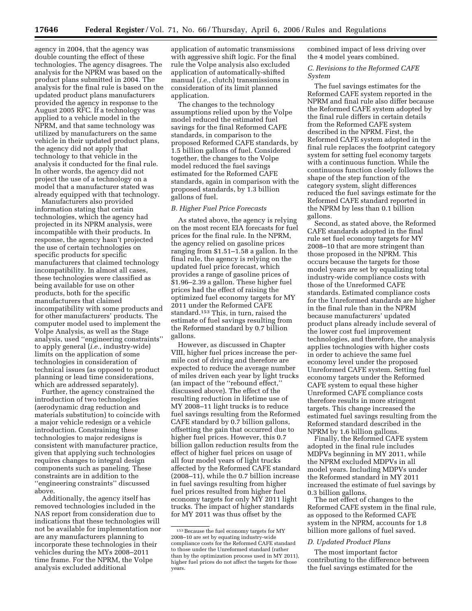agency in 2004, that the agency was double counting the effect of these technologies. The agency disagrees. The analysis for the NPRM was based on the product plans submitted in 2004. The analysis for the final rule is based on the updated product plans manufacturers provided the agency in response to the August 2005 RFC. If a technology was applied to a vehicle model in the NPRM, and that same technology was utilized by manufacturers on the same vehicle in their updated product plans, the agency did not apply that technology to that vehicle in the analysis it conducted for the final rule. In other words, the agency did not project the use of a technology on a model that a manufacturer stated was already equipped with that technology.

Manufacturers also provided information stating that certain technologies, which the agency had projected in its NPRM analysis, were incompatible with their products. In response, the agency hasn't projected the use of certain technologies on specific products for specific manufacturers that claimed technology incompatibility. In almost all cases, these technologies were classified as being available for use on other products, both for the specific manufacturers that claimed incompatibility with some products and for other manufacturers' products. The computer model used to implement the Volpe Analysis, as well as the Stage analysis, used ''engineering constraints'' to apply general (*i.e.*, industry-wide) limits on the application of some technologies in consideration of technical issues (as opposed to product planning or lead time considerations, which are addressed separately).

Further, the agency constrained the introduction of two technologies (aerodynamic drag reduction and materials substitution) to coincide with a major vehicle redesign or a vehicle introduction. Constraining these technologies to major redesigns is consistent with manufacturer practice, given that applying such technologies requires changes to integral design components such as paneling. These constraints are in addition to the ''engineering constraints'' discussed above.

Additionally, the agency itself has removed technologies included in the NAS report from consideration due to indications that these technologies will not be available for implementation nor are any manufacturers planning to incorporate these technologies in their vehicles during the MYs 2008–2011 time frame. For the NPRM, the Volpe analysis excluded additional

application of automatic transmissions with aggressive shift logic. For the final rule the Volpe analysis also excluded application of automatically-shifted manual (*i.e.*, clutch) transmissions in consideration of its limit planned application.

The changes to the technology assumptions relied upon by the Volpe model reduced the estimated fuel savings for the final Reformed CAFE standards, in comparison to the proposed Reformed CAFE standards, by 1.5 billion gallons of fuel. Considered together, the changes to the Volpe model reduced the fuel savings estimated for the Reformed CAFE standards, again in comparison with the proposed standards, by 1.3 billion gallons of fuel.

## *B. Higher Fuel Price Forecasts*

As stated above, the agency is relying on the most recent EIA forecasts for fuel prices for the final rule. In the NPRM, the agency relied on gasoline prices ranging from \$1.51–1.58 a gallon. In the final rule, the agency is relying on the updated fuel price forecast, which provides a range of gasoline prices of \$1.96–2.39 a gallon. These higher fuel prices had the effect of raising the optimized fuel economy targets for MY 2011 under the Reformed CAFE standard.153 This, in turn, raised the estimate of fuel savings resulting from the Reformed standard by 0.7 billion gallons.

However, as discussed in Chapter VIII, higher fuel prices increase the permile cost of driving and therefore are expected to reduce the average number of miles driven each year by light trucks (an impact of the ''rebound effect,'' discussed above). The effect of the resulting reduction in lifetime use of MY 2008–11 light trucks is to reduce fuel savings resulting from the Reformed CAFE standard by 0.7 billion gallons, offsetting the gain that occurred due to higher fuel prices. However, this 0.7 billion gallon reduction results from the effect of higher fuel prices on usage of all four model years of light trucks affected by the Reformed CAFE standard (2008–11), while the 0.7 billion increase in fuel savings resulting from higher fuel prices resulted from higher fuel economy targets for only MY 2011 light trucks. The impact of higher standards for MY 2011 was thus offset by the

combined impact of less driving over the 4 model years combined.

## *C. Revisions to the Reformed CAFE System*

The fuel savings estimates for the Reformed CAFE system reported in the NPRM and final rule also differ because the Reformed CAFE system adopted by the final rule differs in certain details from the Reformed CAFE system described in the NPRM. First, the Reformed CAFE system adopted in the final rule replaces the footprint category system for setting fuel economy targets with a continuous function. While the continuous function closely follows the shape of the step function of the category system, slight differences reduced the fuel savings estimate for the Reformed CAFE standard reported in the NPRM by less than 0.1 billion gallons.

Second, as stated above, the Reformed CAFE standards adopted in the final rule set fuel economy targets for MY 2008–10 that are more stringent than those proposed in the NPRM. This occurs because the targets for those model years are set by equalizing total industry-wide compliance costs with those of the Unreformed CAFE standards. Estimated compliance costs for the Unreformed standards are higher in the final rule than in the NPRM because manufacturers' updated product plans already include several of the lower cost fuel improvement technologies, and therefore, the analysis applies technologies with higher costs in order to achieve the same fuel economy level under the proposed Unreformed CAFE system. Setting fuel economy targets under the Reformed CAFE system to equal these higher Unreformed CAFE compliance costs therefore results in more stringent targets. This change increased the estimated fuel savings resulting from the Reformed standard described in the NPRM by 1.6 billion gallons.

Finally, the Reformed CAFE system adopted in the final rule includes MDPVs beginning in MY 2011, while the NPRM excluded MDPVs in all model years. Including MDPVs under the Reformed standard in MY 2011 increased the estimate of fuel savings by 0.3 billion gallons.

The net effect of changes to the Reformed CAFE system in the final rule, as opposed to the Reformed CAFE system in the NPRM, accounts for 1.8 billion more gallons of fuel saved.

## *D. Updated Product Plans*

The most important factor contributing to the difference between the fuel savings estimated for the

<sup>153</sup>Because the fuel economy targets for MY 2008–10 are set by equating industry-wide compliance costs for the Reformed CAFE standard to those under the Unreformed standard (rather than by the optimization process used in MY 2011), higher fuel prices do not affect the targets for those years.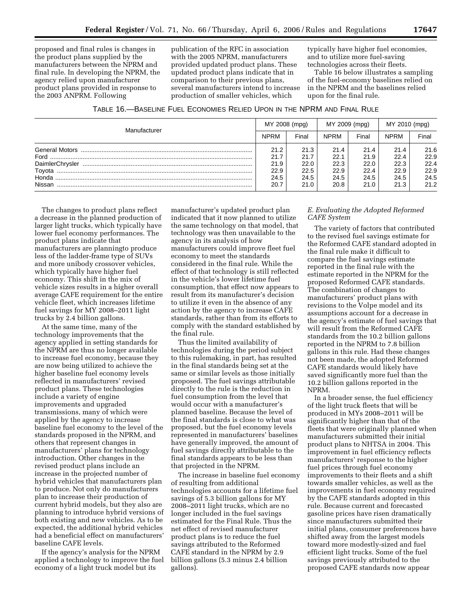proposed and final rules is changes in the product plans supplied by the manufacturers between the NPRM and final rule. In developing the NPRM, the agency relied upon manufacturer product plans provided in response to the 2003 ANPRM. Following

publication of the RFC in association with the 2005 NPRM, manufacturers provided updated product plans. These updated product plans indicate that in comparison to their previous plans, several manufacturers intend to increase production of smaller vehicles, which

typically have higher fuel economies, and to utilize more fuel-saving technologies across their fleets.

Table 16 below illustrates a sampling of the fuel-economy baselines relied on in the NPRM and the baselines relied upon for the final rule.

| TABLE 16.—BASELINE FUEL ECONOMIES RELIED UPON IN THE NPRM AND FINAL RULE |
|--------------------------------------------------------------------------|
|--------------------------------------------------------------------------|

| Manufacturer | MY 2008 (mpg) |       | MY 2009 (mpg) |       | MY 2010 (mpg) |       |
|--------------|---------------|-------|---------------|-------|---------------|-------|
|              | <b>NPRM</b>   | Final | <b>NPRM</b>   | Final | <b>NPRM</b>   | Final |
|              | 21.2          | 21.3  | 21.4          | 21.4  | 21.4          | 21.6  |
|              | 21.7          | 21.7  | 22.1          | 21.9  | 22.4          | 22.9  |
|              | 21.9          | 22.0  | 22.3          | 22.0  | 22.3          | 22.4  |
|              | 22.9          | 22.5  | 22.9          | 22.4  | 22.9          | 22.9  |
|              | 24.5          | 24.5  | 24.5          | 24.5  | 24.5          | 24.5  |
| Nissan       | 20.7          | 21.0  | 20.8          | 21.0  | 21.3          | 21.2  |

The changes to product plans reflect a decrease in the planned production of larger light trucks, which typically have lower fuel economy performances. The product plans indicate that manufacturers are planningto produce less of the ladder-frame type of SUVs and more unibody crossover vehicles, which typically have higher fuel economy. This shift in the mix of vehicle sizes results in a higher overall average CAFE requirement for the entire vehicle fleet, which increases lifetime fuel savings for MY 2008–2011 light trucks by 2.4 billion gallons.

At the same time, many of the technology improvements that the agency applied in setting standards for the NPRM are thus no longer available to increase fuel economy, because they are now being utilized to achieve the higher baseline fuel economy levels reflected in manufacturers' revised product plans. These technologies include a variety of engine improvements and upgraded transmissions, many of which were applied by the agency to increase baseline fuel economy to the level of the standards proposed in the NPRM, and others that represent changes in manufacturers' plans for technology introduction. Other changes in the revised product plans include an increase in the projected number of hybrid vehicles that manufacturers plan to produce. Not only do manufacturers plan to increase their production of current hybrid models, but they also are planning to introduce hybrid versions of both existing and new vehicles. As to be expected, the additional hybrid vehicles had a beneficial effect on manufacturers' baseline CAFE levels.

If the agency's analysis for the NPRM applied a technology to improve the fuel economy of a light truck model but its

manufacturer's updated product plan indicated that it now planned to utilize the same technology on that model, that technology was then unavailable to the agency in its analysis of how manufacturers could improve fleet fuel economy to meet the standards considered in the final rule. While the effect of that technology is still reflected in the vehicle's lower lifetime fuel consumption, that effect now appears to result from its manufacturer's decision to utilize it even in the absence of any action by the agency to increase CAFE standards, rather than from its efforts to comply with the standard established by the final rule.

Thus the limited availability of technologies during the period subject to this rulemaking, in part, has resulted in the final standards being set at the same or similar levels as those initially proposed. The fuel savings attributable directly to the rule is the reduction in fuel consumption from the level that would occur with a manufacturer's planned baseline. Because the level of the final standards is close to what was proposed, but the fuel economy levels represented in manufacturers' baselines have generally improved, the amount of fuel savings directly attributable to the final standards appears to be less than that projected in the NPRM.

The increase in baseline fuel economy of resulting from additional technologies accounts for a lifetime fuel savings of 5.3 billion gallons for MY 2008–2011 light trucks, which are no longer included in the fuel savings estimated for the Final Rule. Thus the net effect of revised manufacturer product plans is to reduce the fuel savings attributed to the Reformed CAFE standard in the NPRM by 2.9 billion gallons (5.3 minus 2.4 billion gallons).

## *E. Evaluating the Adopted Reformed CAFE System*

The variety of factors that contributed to the revised fuel savings estimate for the Reformed CAFE standard adopted in the final rule make it difficult to compare the fuel savings estimate reported in the final rule with the estimate reported in the NPRM for the proposed Reformed CAFE standards. The combination of changes to manufacturers' product plans with revisions to the Volpe model and its assumptions account for a decrease in the agency's estimate of fuel savings that will result from the Reformed CAFE standards from the 10.2 billion gallons reported in the NPRM to 7.8 billion gallons in this rule. Had these changes not been made, the adopted Reformed CAFE standards would likely have saved significantly more fuel than the 10.2 billion gallons reported in the NPRM.

In a broader sense, the fuel efficiency of the light truck fleets that will be produced in MYs 2008–2011 will be significantly higher than that of the fleets that were originally planned when manufacturers submitted their initial product plans to NHTSA in 2004. This improvement in fuel efficiency reflects manufacturers' response to the higher fuel prices through fuel economy improvements to their fleets and a shift towards smaller vehicles, as well as the improvements in fuel economy required by the CAFE standards adopted in this rule. Because current and forecasted gasoline prices have risen dramatically since manufacturers submitted their initial plans, consumer preferences have shifted away from the largest models toward more modestly-sized and fuel efficient light trucks. Some of the fuel savings previously attributed to the proposed CAFE standards now appear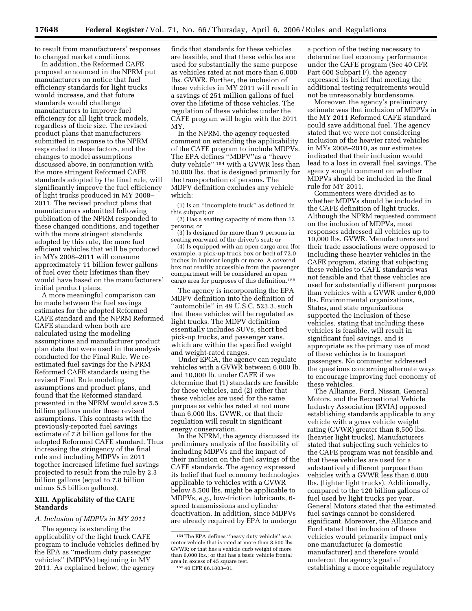to result from manufacturers' responses to changed market conditions.

In addition, the Reformed CAFE proposal announced in the NPRM put manufacturers on notice that fuel efficiency standards for light trucks would increase, and that future standards would challenge manufacturers to improve fuel efficiency for all light truck models, regardless of their size. The revised product plans that manufacturers submitted in response to the NPRM responded to these factors, and the changes to model assumptions discussed above, in conjunction with the more stringent Reformed CAFE standards adopted by the final rule, will significantly improve the fuel efficiency of light trucks produced in MY 2008– 2011. The revised product plans that manufacturers submitted following publication of the NPRM responded to these changed conditions, and together with the more stringent standards adopted by this rule, the more fuel efficient vehicles that will be produced in MYs 2008–2011 will consume approximately 11 billion fewer gallons of fuel over their lifetimes than they would have based on the manufacturers' initial product plans.

A more meaningful comparison can be made between the fuel savings estimates for the adopted Reformed CAFE standard and the NPRM Reformed CAFE standard when both are calculated using the modeling assumptions and manufacturer product plan data that were used in the analysis conducted for the Final Rule. We reestimated fuel savings for the NPRM Reformed CAFE standards using the revised Final Rule modeling assumptions and product plans, and found that the Reformed standard presented in the NPRM would save 5.5 billion gallons under these revised assumptions. This contrasts with the previously-reported fuel savings estimate of 7.8 billion gallons for the adopted Reformed CAFE standard. Thus increasing the stringency of the final rule and including MDPVs in 2011 together increased lifetime fuel savings projected to result from the rule by 2.3 billion gallons (equal to 7.8 billion minus 5.5 billion gallons).

## **XIII. Applicability of the CAFE Standards**

#### *A. Inclusion of MDPVs in MY 2011*

The agency is extending the applicability of the light truck CAFE program to include vehicles defined by the EPA as ''medium duty passenger vehicles'' (MDPVs) beginning in MY 2011. As explained below, the agency

finds that standards for these vehicles are feasible, and that these vehicles are used for substantially the same purpose as vehicles rated at not more than 6,000 lbs. GVWR. Further, the inclusion of these vehicles in MY 2011 will result in a savings of 251 million gallons of fuel over the lifetime of those vehicles. The regulation of these vehicles under the CAFE program will begin with the 2011 MY.

In the NPRM, the agency requested comment on extending the applicability of the CAFE program to include MDPVs. The EPA defines ''MDPV''as a ''heavy duty vehicle'' 154 with a GVWR less than 10,000 lbs. that is designed primarily for the transportation of persons. The MDPV definition excludes any vehicle which:

(1) Is an ''incomplete truck'' as defined in this subpart; or

(2) Has a seating capacity of more than 12 persons; or

(3) Is designed for more than 9 persons in seating rearward of the driver's seat; or

(4) Is equipped with an open cargo area (for example, a pick-up truck box or bed) of 72.0 inches in interior length or more. A covered box not readily accessible from the passenger compartment will be considered an open cargo area for purposes of this definition.155

The agency is incorporating the EPA MDPV definition into the definition of "automobile" in 49 U.S.C. 523.3, such that these vehicles will be regulated as light trucks. The MDPV definition essentially includes SUVs, short bed pick-up trucks, and passenger vans, which are within the specified weight and weight-rated ranges.

Under EPCA, the agency can regulate vehicles with a GVWR between 6,000 lb. and 10,000 lb. under CAFE if we determine that (1) standards are feasible for these vehicles, and (2) either that these vehicles are used for the same purpose as vehicles rated at not more than 6,000 lbs. GVWR, or that their regulation will result in significant energy conservation.

In the NPRM, the agency discussed its preliminary analysis of the feasibility of including MDPVs and the impact of their inclusion on the fuel savings of the CAFE standards. The agency expressed its belief that fuel economy technologies applicable to vehicles with a GVWR below 8,500 lbs. might be applicable to MDPVs, *e.g.*, low-friction lubricants, 6 speed transmissions and cylinder deactivation. In addition, since MDPVs are already required by EPA to undergo

a portion of the testing necessary to determine fuel economy performance under the CAFE program (See 40 CFR Part 600 Subpart F), the agency expressed its belief that meeting the additional testing requirements would not be unreasonably burdensome.

Moreover, the agency's preliminary estimate was that inclusion of MDPVs in the MY 2011 Reformed CAFE standard could save additional fuel. The agency stated that we were not considering inclusion of the heavier rated vehicles in MYs 2008–2010, as our estimates indicated that their inclusion would lead to a loss in overall fuel savings. The agency sought comment on whether MDPVs should be included in the final rule for MY 2011.

Commenters were divided as to whether MDPVs should be included in the CAFE definition of light trucks. Although the NPRM requested comment on the inclusion of MDPVs, most responses addressed all vehicles up to 10,000 lbs. GVWR. Manufacturers and their trade associations were opposed to including these heavier vehicles in the CAFE program, stating that subjecting these vehicles to CAFE standards was not feasible and that these vehicles are used for substantially different purposes than vehicles with a GVWR under 6,000 lbs. Environmental organizations, States, and state organizations supported the inclusion of these vehicles, stating that including these vehicles is feasible, will result in significant fuel savings, and is appropriate as the primary use of most of these vehicles is to transport passengers. No commenter addressed the questions concerning alternate ways to encourage improving fuel economy of these vehicles.

The Alliance, Ford, Nissan, General Motors, and the Recreational Vehicle Industry Association (RVIA) opposed establishing standards applicable to any vehicle with a gross vehicle weight rating (GVWR) greater than 8,500 lbs. (heavier light trucks). Manufacturers stated that subjecting such vehicles to the CAFE program was not feasible and that these vehicles are used for a substantively different purpose than vehicles with a GVWR less than 6,000 lbs. (lighter light trucks). Additionally, compared to the 120 billion gallons of fuel used by light trucks per year, General Motors stated that the estimated fuel savings cannot be considered significant. Moreover, the Alliance and Ford stated that inclusion of these vehicles would primarily impact only one manufacturer (a domestic manufacturer) and therefore would undercut the agency's goal of establishing a more equitable regulatory

<sup>154</sup>The EPA defines ''heavy duty vehicle'' as a motor vehicle that is rated at more than 8,500 lbs. GVWR; or that has a vehicle curb weight of more than 6,000 lbs.; or that has a basic vehicle frontal area in excess of 45 square feet. 155 40 CFR 86.1803–01.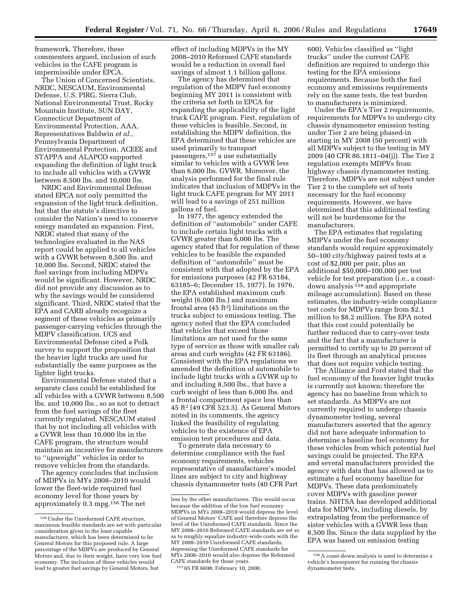framework. Therefore, these commenters argued, inclusion of such vehicles in the CAFE program is impermissible under EPCA.

The Union of Concerned Scientists, NRDC, NESCAUM, Environmental Defense, U.S. PIRG, Sierra Club, National Environmental Trust, Rocky Mountain Institute, SUN DAY, Connecticut Department of Environmental Protection, AAA, Representatives Baldwin *et al.*, Pennsylvania Department of Environmental Protection, ACEEE and STAPPA and ALAPCO supported expanding the definition of light truck to include all vehicles with a GVWR between 8,500 lbs. and 10,000 lbs.

NRDC and Environmental Defense stated EPCA not only permitted the expansion of the light truck definition, but that the statute's directive to consider the Nation's need to conserve energy mandated an expansion. First, NRDC stated that many of the technologies evaluated in the NAS report could be applied to all vehicles with a GVWR between 8,500 lbs. and 10,000 lbs. Second, NRDC stated the fuel savings from including MDPVs would be significant. However, NRDC did not provide any discussion as to why the savings would be considered significant. Third, NRDC stated that the EPA and CARB already recognize a segment of these vehicles as primarily passenger-carrying vehicles through the MDPV classification. UCS and Environmental Defense cited a Polk survey to support the proposition that the heavier light trucks are used for substantially the same purposes as the lighter light trucks.

Environmental Defense stated that a separate class could be established for all vehicles with a GVWR between 8,500 lbs. and 10,000 lbs., so as not to detract from the fuel savings of the fleet currently regulated. NESCAUM stated that by not including all vehicles with a GVWR less than 10,000 lbs in the CAFE program, the structure would maintain an incentive for manufacturers to ''upweight'' vehicles in order to remove vehicles from the standards.

The agency concludes that inclusion of MDPVs in MYs 2008–2010 would lower the fleet-wide required fuel economy level for those years by approximately 0.3 mpg.156 The net

effect of including MDPVs in the MY 2008–2010 Reformed CAFE standards would be a reduction in overall fuel savings of almost 1.1 billion gallons.

The agency has determined that regulation of the MDPV fuel economy beginning MY 2011 is consistent with the criteria set forth in EPCA for expanding the applicability of the light truck CAFE program. First, regulation of these vehicles is feasible. Second, in establishing the MDPV definition, the EPA determined that these vehicles are used primarily to transport passengers,157 a use substantially similar to vehicles with a GVWR less than 6,000 lbs. GVWR. Moreover, the analysis performed for the final rule indicates that inclusion of MDPVs in the light truck CAFE program for MY 2011 will lead to a savings of 251 million gallons of fuel.

In 1977, the agency extended the definition of ''automobile'' under CAFE to include certain light trucks with a GVWR greater than 6,000 lbs. The agency stated that for regulation of these vehicles to be feasible the expanded definition of ''automobile'' must be consistent with that adopted by the EPA for emissions purposes (42 FR 63184, 63185–6; December 15, 1977). In 1976, the EPA established maximum curb weight (6,000 lbs.) and maximum frontal area  $(45 \text{ ft}^3)$  limitations on the trucks subject to emissions testing. The agency noted that the EPA concluded that vehicles that exceed those limitations are not used for the same type of service as those with smaller cab areas and curb weights (42 FR 63186). Consistent with the EPA regulations we amended the definition of automobile to include light trucks with a GVWR up to and including 8,500 lbs., that have a curb weight of less than 6,000 lbs. and a frontal compartment space less than 45 ft2 (49 CFR 523.3). As General Motors noted in its comments, the agency linked the feasibility of regulating vehicles to the existence of EPA emission test procedures and data.

To generate data necessary to determine compliance with the fuel economy requirements, vehicles representative of manufacturer's model lines are subject to city and highway chassis dynamometer tests (40 CFR Part

600). Vehicles classified as ''light trucks'' under the current CAFE definition are required to undergo this testing for the EPA emissions requirements. Because both the fuel economy and emissions requirements rely on the same tests, the test burden to manufacturers is minimized.

Under the EPA's Tier 2 requirements, requirements for MDPVs to undergo city chassis dynamometer emission testing under Tier 2 are being phased-in starting in MY 2008 (50 percent) with all MDPVs subject to the testing in MY 2009 (40 CFR 86.1811–04(j)). The Tier 2 regulation exempts MDPVs from highway chassis dynamometer testing. Therefore, MDPVs are not subject under Tier 2 to the complete set of tests necessary for the fuel economy requirements. However, we have determined that this additional testing will not be burdensome for the manufacturers.

The EPA estimates that regulating MDPVs under the fuel economy standards would require approximately 50–100 city/highway paired tests at a cost of \$2,000 per pair, plus an additional \$50,000–100,000 per test vehicle for test preparation (i.e., a coastdown analysis 158 and appropriate mileage accumulation). Based on these estimates, the industry-wide compliance test costs for MDPVs range from \$2.1 million to \$8.2 million. The EPA noted that this cost could potentially be further reduced due to carry-over tests and the fact that a manufacturer is permitted to certify up to 20 percent of its fleet through an analytical process that does not require vehicle testing.

The Alliance and Ford stated that the fuel economy of the heavier light trucks is currently not known; therefore the agency has no baseline from which to set standards. As MDPVs are not currently required to undergo chassis dynamometer testing, several manufacturers asserted that the agency did not have adequate information to determine a baseline fuel economy for these vehicles from which potential fuel savings could be projected. The EPA and several manufacturers provided the agency with data that has allowed us to estimate a fuel economy baseline for MDPVs. These data predominately cover MDPVs with gasoline power trains. NHTSA has developed additional data for MDPVs, including diesels, by extrapolating from the performance of sister vehicles with a GVWR less than 8,500 lbs. Since the data supplied by the EPA was based on emission testing

<sup>156</sup>Under the Unreformed CAFE structure, maximum feasible standards are set with particular consideration given to the least capable manufacturer, which has been determined to be General Motors for this proposed rule. A large percentage of the MDPVs are produced by General Motors and, due to their weight, have very low fuel economy. The inclusion of these vehicles would lead to greater fuel savings by General Motors, but

less by the other manufacturers. This would occur because the addition of the low fuel economy MDPVs in MYs 2008–2010 would depress the level of General Motors' CAFE and therefore depress the level of the Unreformed CAFE standards. Since the MY 2008–2010 Reformed CAFE standards are set so as to roughly equalize industry-wide costs with the MY 2008–2010 Unreformed CAFE standards, depressing the Unreformed CAFE standards for MYs 2008–2010 would also depress the Reformed CAFE standards for those years.

<sup>157</sup> 65 FR 6698; February 10, 2000.

<sup>158</sup>A coast-down analysis is used to determine a vehicle's horsepower for running the chassis dynamometer tests.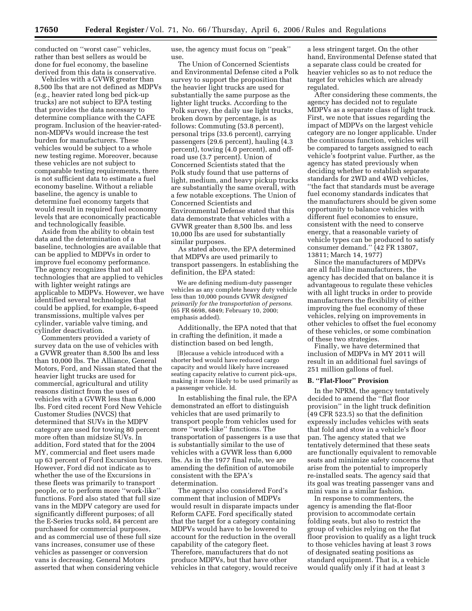conducted on ''worst case'' vehicles, rather than best sellers as would be done for fuel economy, the baseline derived from this data is conservative.

Vehicles with a GVWR greater than 8,500 lbs that are not defined as MDPVs (e.g., heavier rated long bed pick-up trucks) are not subject to EPA testing that provides the data necessary to determine compliance with the CAFE program. Inclusion of the heavier-ratednon-MDPVs would increase the test burden for manufacturers. These vehicles would be subject to a whole new testing regime. Moreover, because these vehicles are not subject to comparable testing requirements, there is not sufficient data to estimate a fuel economy baseline. Without a reliable baseline, the agency is unable to determine fuel economy targets that would result in required fuel economy levels that are economically practicable and technologically feasible.

Aside from the ability to obtain test data and the determination of a baseline, technologies are available that can be applied to MDPVs in order to improve fuel economy performance. The agency recognizes that not all technologies that are applied to vehicles with lighter weight ratings are applicable to MDPVs. However, we have identified several technologies that could be applied, for example, 6-speed transmissions, multiple valves per cylinder, variable valve timing, and cylinder deactivation.

Commenters provided a variety of survey data on the use of vehicles with a GVWR greater than 8,500 lbs and less than 10,000 lbs. The Alliance, General Motors, Ford, and Nissan stated that the heavier light trucks are used for commercial, agricultural and utility reasons distinct from the uses of vehicles with a GVWR less than 6,000 lbs. Ford cited recent Ford New Vehicle Customer Studies (NVCS) that determined that SUVs in the MDPV category are used for towing 80 percent more often than midsize SUVs. In addition, Ford stated that for the 2004 MY, commercial and fleet users made up 63 percent of Ford Excursion buyers. However, Ford did not indicate as to whether the use of the Excursions in these fleets was primarily to transport people, or to perform more ''work-like'' functions. Ford also stated that full size vans in the MDPV category are used for significantly different purposes; of all the E-Series trucks sold, 84 percent are purchased for commercial purposes, and as commercial use of these full size vans increases, consumer use of these vehicles as passenger or conversion vans is decreasing. General Motors asserted that when considering vehicle

use, the agency must focus on ''peak'' use.

The Union of Concerned Scientists and Environmental Defense cited a Polk survey to support the proposition that the heavier light trucks are used for substantially the same purpose as the lighter light trucks. According to the Polk survey, the daily use light trucks, broken down by percentage, is as follows: Commuting (53.8 percent), personal trips (33.6 percent), carrying passengers (29.6 percent), hauling (4.3 percent), towing (4.0 percent), and offroad use (3.7 percent). Union of Concerned Scientists stated that the Polk study found that use patterns of light, medium, and heavy pickup trucks are substantially the same overall, with a few notable exceptions. The Union of Concerned Scientists and Environmental Defense stated that this data demonstrate that vehicles with a GVWR greater than 8,500 lbs. and less 10,000 lbs are used for substantially similar purposes.

As stated above, the EPA determined that MDPVs are used primarily to transport passengers. In establishing the definition, the EPA stated:

We are defining medium-duty passenger vehicles as any complete heavy duty vehicle less than 10,000 pounds GVWR *designed primarily for the transportation of persons*. (65 FR 6698, 6849; February 10, 2000; emphasis added).

Additionally, the EPA noted that that in crafting the definition, it made a distinction based on bed length,

[B]ecause a vehicle introduced with a shorter bed would have reduced cargo capacity and would likely have increased seating capacity relative to current pick-ups, making it more likely to be used primarily as a passenger vehicle. Id.

In establishing the final rule, the EPA demonstrated an effort to distinguish vehicles that are used primarily to transport people from vehicles used for more ''work-like'' functions. The transportation of passengers is a use that is substantially similar to the use of vehicles with a GVWR less than 6,000 lbs. As in the 1977 final rule, we are amending the definition of automobile consistent with the EPA's determination.

The agency also considered Ford's comment that inclusion of MDPVs would result in disparate impacts under Reform CAFE. Ford specifically stated that the target for a category containing MDPVs would have to be lowered to account for the reduction in the overall capability of the category fleet. Therefore, manufacturers that do not produce MDPVs, but that have other vehicles in that category, would receive

a less stringent target. On the other hand, Environmental Defense stated that a separate class could be created for heavier vehicles so as to not reduce the target for vehicles which are already regulated.

After considering these comments, the agency has decided not to regulate MDPVs as a separate class of light truck. First, we note that issues regarding the impact of MDPVs on the largest vehicle category are no longer applicable. Under the continuous function, vehicles will be compared to targets assigned to each vehicle's footprint value. Further, as the agency has stated previously when deciding whether to establish separate standards for 2WD and 4WD vehicles, ''the fact that standards must be average fuel economy standards indicates that the manufacturers should be given some opportunity to balance vehicles with different fuel economies to ensure, consistent with the need to conserve energy, that a reasonable variety of vehicle types can be produced to satisfy consumer demand.'' (42 FR 13807, 13811; March 14, 1977)

Since the manufacturers of MDPVs are all full-line manufacturers, the agency has decided that on balance it is advantageous to regulate these vehicles with all light trucks in order to provide manufacturers the flexibility of either improving the fuel economy of these vehicles, relying on improvements in other vehicles to offset the fuel economy of these vehicles, or some combination of these two strategies.

Finally, we have determined that inclusion of MDPVs in MY 2011 will result in an additional fuel savings of 251 million gallons of fuel.

## **B. ''Flat-Floor'' Provision**

In the NPRM, the agency tentatively decided to amend the ''flat floor provision'' in the light truck definition (49 CFR 523.5) so that the definition expressly includes vehicles with seats that fold and stow in a vehicle's floor pan. The agency stated that we tentatively determined that these seats are functionally equivalent to removable seats and minimize safety concerns that arise from the potential to improperly re-installed seats. The agency said that its goal was treating passenger vans and mini vans in a similar fashion.

In response to commenters, the agency is amending the flat-floor provision to accommodate certain folding seats, but also to restrict the group of vehicles relying on the flat floor provision to qualify as a light truck to those vehicles having at least 3 rows of designated seating positions as standard equipment. That is, a vehicle would qualify only if it had at least 3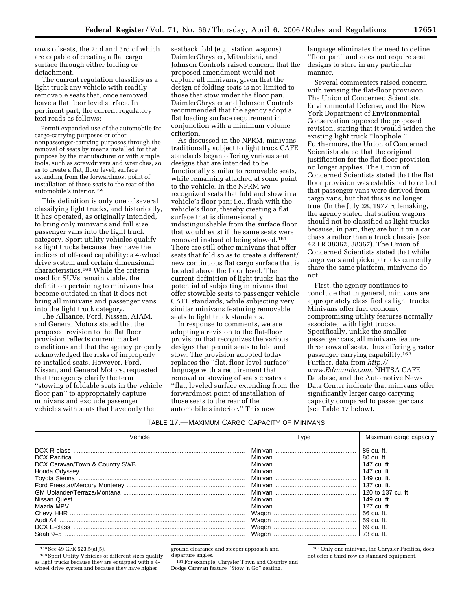rows of seats, the 2nd and 3rd of which are capable of creating a flat cargo surface through either folding or detachment.

The current regulation classifies as a light truck any vehicle with readily removable seats that, once removed, leave a flat floor level surface. In pertinent part, the current regulatory text reads as follows:

Permit expanded use of the automobile for cargo-carrying purposes or other nonpassenger-carrying purposes through the removal of seats by means installed for that purpose by the manufacturer or with simple tools, such as screwdrivers and wrenches, so as to create a flat, floor level, surface extending from the forwardmost point of installation of those seats to the rear of the automobile's interior.159

This definition is only one of several classifying light trucks, and historically, it has operated, as originally intended, to bring only minivans and full size passenger vans into the light truck category. Sport utility vehicles qualify as light trucks because they have the indices of off-road capability: a 4-wheel drive system and certain dimensional characteristics.160 While the criteria used for SUVs remain viable, the definition pertaining to minivans has become outdated in that it does not bring all minivans and passenger vans into the light truck category.

The Alliance, Ford, Nissan, AIAM, and General Motors stated that the proposed revision to the flat floor provision reflects current market conditions and that the agency properly acknowledged the risks of improperly re-installed seats. However, Ford, Nissan, and General Motors, requested that the agency clarify the term ''stowing of foldable seats in the vehicle floor pan'' to appropriately capture minivans and exclude passenger vehicles with seats that have only the

seatback fold (e.g., station wagons). DaimlerChrysler, Mitsubishi, and Johnson Controls raised concern that the proposed amendment would not capture all minivans, given that the design of folding seats is not limited to those that stow under the floor pan. DaimlerChrysler and Johnson Controls recommended that the agency adopt a flat loading surface requirement in conjunction with a minimum volume criterion.

As discussed in the NPRM, minivans traditionally subject to light truck CAFE standards began offering various seat designs that are intended to be functionally similar to removable seats, while remaining attached at some point to the vehicle. In the NPRM we recognized seats that fold and stow in a vehicle's floor pan; i.e., flush with the vehicle's floor, thereby creating a flat surface that is dimensionally indistinguishable from the surface floor that would exist if the same seats were removed instead of being stowed.161 There are still other minivans that offer seats that fold so as to create a different/ new continuous flat cargo surface that is located above the floor level. The current definition of light trucks has the potential of subjecting minivans that offer stowable seats to passenger vehicle CAFE standards, while subjecting very similar minivans featuring removable seats to light truck standards.

In response to comments, we are adopting a revision to the flat-floor provision that recognizes the various designs that permit seats to fold and stow. The provision adopted today replaces the ''flat, floor level surface'' language with a requirement that removal or stowing of seats creates a ''flat, leveled surface extending from the forwardmost point of installation of those seats to the rear of the automobile's interior.'' This new

language eliminates the need to define ''floor pan'' and does not require seat designs to store in any particular manner.

Several commenters raised concern with revising the flat-floor provision. The Union of Concerned Scientists, Environmental Defense, and the New York Department of Environmental Conservation opposed the proposed revision, stating that it would widen the existing light truck ''loophole.'' Furthermore, the Union of Concerned Scientists stated that the original justification for the flat floor provision no longer applies. The Union of Concerned Scientists stated that the flat floor provision was established to reflect that passenger vans were derived from cargo vans, but that this is no longer true. (In the July 28, 1977 rulemaking, the agency stated that station wagons should not be classified as light trucks because, in part, they are built on a car chassis rather than a truck chassis (see 42 FR 38362, 38367). The Union of Concerned Scientists stated that while cargo vans and pickup trucks currently share the same platform, minivans do not.

First, the agency continues to conclude that in general, minivans are appropriately classified as light trucks. Minivans offer fuel economy compromising utility features normally associated with light trucks. Specifically, unlike the smaller passenger cars, all minivans feature three rows of seats, thus offering greater passenger carrying capability.162 Further, data from *[http://](http://www.Edmunds.com) [www.Edmunds.com,](http://www.Edmunds.com)* NHTSA CAFE Database, and the Automotive News Data Center indicate that minivans offer significantly larger cargo carrying capacity compared to passenger cars (see Table 17 below).

| Table 17.—Maximum Cargo Capacity of Minivans |  |  |  |
|----------------------------------------------|--|--|--|
|----------------------------------------------|--|--|--|

| Vehicle      | Type    | Maximum cargo capacity |
|--------------|---------|------------------------|
| DCX R-class  | Minivan | 85 cu. ft.             |
| DCX Pacifica |         | 80 cu. ft.             |
|              |         | 147 cu. ft.            |
|              |         | 147 cu. ft.            |
|              |         | 149 cu. ft.            |
|              |         | $137 \text{ cu}$ . ft. |
|              |         | 120 to 137 cu. ft.     |
|              |         | 149 cu. ft.            |
| Mazda MPV    |         | 127 cu. ft.            |
|              | Wagon   | 56 cu. ft.             |
|              | Wagon   | 59 cu. ft.             |
| DCX E-class  | Wagon   | 69 cu. ft.             |
| Saab 9-5     | Wagon   | -73 cu. ft.            |

<sup>159</sup> See 49 CFR 523.5(a)(5).<br><sup>160</sup> Sport Utility Vehicles of different sizes qualify as light trucks because they are equipped with a 4 wheel drive system and because they have higher

ground clearance and steeper approach and departure angles.

161For example, Chrysler Town and Country and Dodge Caravan feature ''Stow 'n Go'' seating.

162Only one minivan, the Chrysler Pacifica, does not offer a third row as standard equipment.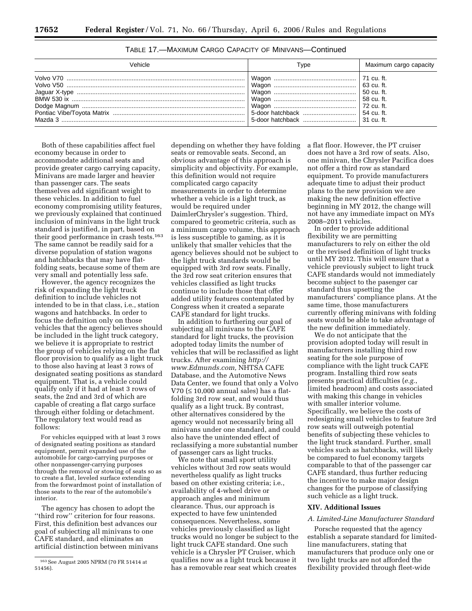| Type | Maximum cargo capacity |
|------|------------------------|
|      |                        |

TABLE 17.—MAXIMUM CARGO CAPACITY OF MINIVANS—Continued

Both of these capabilities affect fuel economy because in order to accommodate additional seats and provide greater cargo carrying capacity, Minivans are made larger and heavier than passenger cars. The seats themselves add significant weight to these vehicles. In addition to fuel economy compromising utility features, we previously explained that continued inclusion of minivans in the light truck standard is justified, in part, based on their good performance in crash tests.<sup>163</sup> The same cannot be readily said for a diverse population of station wagons and hatchbacks that may have flatfolding seats, because some of them are very small and potentially less safe.

However, the agency recognizes the risk of expanding the light truck definition to include vehicles not intended to be in that class, i.e., station wagons and hatchbacks. In order to focus the definition only on those vehicles that the agency believes should be included in the light truck category, we believe it is appropriate to restrict the group of vehicles relying on the flat floor provision to qualify as a light truck to those also having at least 3 rows of designated seating positions as standard equipment. That is, a vehicle could qualify only if it had at least 3 rows of seats, the 2nd and 3rd of which are capable of creating a flat cargo surface through either folding or detachment. The regulatory text would read as follows:

For vehicles equipped with at least 3 rows of designated seating positions as standard equipment, permit expanded use of the automobile for cargo-carrying purposes or other nonpassenger-carrying purposes through the removal or stowing of seats so as to create a flat, leveled surface extending from the forwardmost point of installation of those seats to the rear of the automobile's interior.

The agency has chosen to adopt the ''third row'' criterion for four reasons. First, this definition best advances our goal of subjecting all minivans to one CAFE standard, and eliminates an artificial distinction between minivans

depending on whether they have folding seats or removable seats. Second, an obvious advantage of this approach is simplicity and objectivity. For example, this definition would not require complicated cargo capacity measurements in order to determine whether a vehicle is a light truck, as would be required under DaimlerChrysler's suggestion. Third, compared to geometric criteria, such as a minimum cargo volume, this approach is less susceptible to gaming, as it is unlikely that smaller vehicles that the agency believes should not be subject to the light truck standards would be equipped with 3rd row seats. Finally, the 3rd row seat criterion ensures that vehicles classified as light trucks continue to include those that offer added utility features contemplated by Congress when it created a separate CAFE standard for light trucks.

In addition to furthering our goal of subjecting all minivans to the CAFE standard for light trucks, the provision adopted today limits the number of vehicles that will be reclassified as light trucks. After examining *[http://](http://www.Edmunds.com) [www.Edmunds.com,](http://www.Edmunds.com)* NHTSA CAFE Database, and the Automotive News Data Center, we found that only a Volvo V70 (≤ 10,000 annual sales) has a flatfolding 3rd row seat, and would thus qualify as a light truck. By contrast, other alternatives considered by the agency would not necessarily bring all minivans under one standard, and could also have the unintended effect of reclassifying a more substantial number of passenger cars as light trucks.

We note that small sport utility vehicles without 3rd row seats would nevertheless qualify as light trucks based on other existing criteria; i.e., availability of 4-wheel drive or approach angles and minimum clearance. Thus, our approach is expected to have few unintended consequences. Nevertheless, some vehicles previously classified as light trucks would no longer be subject to the light truck CAFE standard. One such vehicle is a Chrysler PT Cruiser, which qualifies now as a light truck because it has a removable rear seat which creates

a flat floor. However, the PT cruiser does not have a 3rd row of seats. Also, one minivan, the Chrysler Pacifica does not offer a third row as standard equipment. To provide manufacturers adequate time to adjust their product plans to the new provision we are making the new definition effective beginning in MY 2012, the change will not have any immediate impact on MYs 2008–2011 vehicles.

In order to provide additional flexibility we are permitting manufacturers to rely on either the old or the revised definition of light trucks until MY 2012. This will ensure that a vehicle previously subject to light truck CAFE standards would not immediately become subject to the pasenger car standard thus upsetting the manufacturers' compliance plans. At the same time, those manufacturers currently offering minivans with folding seats would be able to take advantage of the new definition immediately.

We do not anticipate that the provision adopted today will result in manufacturers installing third row seating for the sole purpose of compliance with the light truck CAFE program. Installing third row seats presents practical difficulties (*e.g.*, limited headroom) and costs associated with making this change in vehicles with smaller interior volume. Specifically, we believe the costs of redesigning small vehicles to feature 3rd row seats will outweigh potential benefits of subjecting these vehicles to the light truck standard. Further, small vehicles such as hatchbacks, will likely be compared to fuel economy targets comparable to that of the passenger car CAFE standard, thus further reducing the incentive to make major design changes for the purpose of classifying such vehicle as a light truck.

#### **XIV. Additional Issues**

#### *A. Limited-Line Manufacturer Standard*

Porsche requested that the agency establish a separate standard for limitedline manufacturers, stating that manufacturers that produce only one or two light trucks are not afforded the flexibility provided through fleet-wide

<sup>163</sup>See August 2005 NPRM (70 FR 51414 at 51456).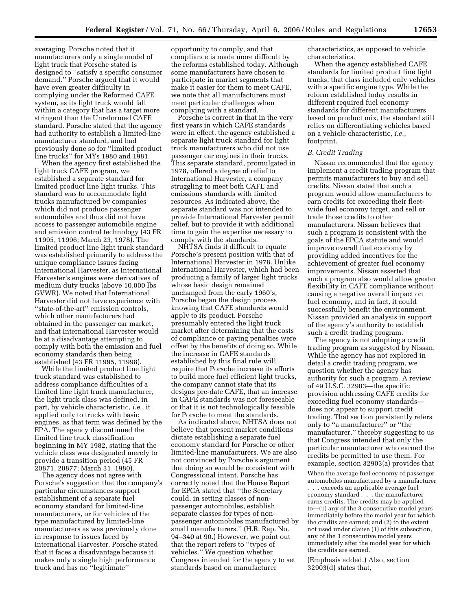averaging. Porsche noted that it manufacturers only a single model of light truck that Porsche stated is designed to ''satisfy a specific consumer demand.'' Porsche argued that it would have even greater difficulty in complying under the Reformed CAFE system, as its light truck would fall within a category that has a target more stringent than the Unreformed CAFE standard. Porsche stated that the agency had authority to establish a limited-line manufacturer standard, and had previously done so for ''limited product line trucks'' for MYs 1980 and 1981.

When the agency first established the light truck CAFE program, we established a separate standard for limited product line light trucks. This standard was to accommodate light trucks manufactured by companies which did not produce passenger automobiles and thus did not have access to passenger automobile engine and emission control technology (43 FR 11995, 11996; March 23, 1978). The limited product line light truck standard was established primarily to address the unique compliance issues facing International Harvester, as International Harvester's engines were derivatives of medium duty trucks (above 10,000 lbs GVWR). We noted that International Harvester did not have experience with ''state-of-the-art'' emission controls, which other manufacturers had obtained in the passenger car market, and that International Harvester would be at a disadvantage attempting to comply with both the emission and fuel economy standards then being established (43 FR 11995, 11998).

While the limited product line light truck standard was established to address compliance difficulties of a limited line light truck manufacturer, the light truck class was defined, in part, by vehicle characteristic, *i.e.*, it applied only to trucks with basic engines, as that term was defined by the EPA. The agency discontinued the limited line truck classification beginning in MY 1982, stating that the vehicle class was designated merely to provide a transition period (45 FR 20871, 20877; March 31, 1980).

The agency does not agree with Porsche's suggestion that the company's particular circumstances support establishment of a separate fuel economy standard for limited-line manufacturers, or for vehicles of the type manufactured by limited-line manufacturers as was previously done in response to issues faced by International Harvester. Porsche stated that it faces a disadvantage because it makes only a single high performance truck and has no ''legitimate''

opportunity to comply, and that compliance is made more difficult by the reforms established today. Although some manufacturers have chosen to participate in market segments that make it easier for them to meet CAFE, we note that all manufacturers must meet particular challenges when complying with a standard.

Porsche is correct in that in the very first years in which CAFE standards were in effect, the agency established a separate light truck standard for light truck manufacturers who did not use passenger car engines in their trucks. This separate standard, promulgated in 1978, offered a degree of relief to International Harvester, a company struggling to meet both CAFE and emissions standards with limited resources. As indicated above, the separate standard was not intended to provide International Harvester permit relief, but to provide it with additional time to gain the expertise necessary to comply with the standards.

NHTSA finds it difficult to equate Porsche's present position with that of International Harvester in 1978. Unlike International Harvester, which had been producing a family of larger light trucks whose basic design remained unchanged from the early 1960's, Porsche began the design process knowing that CAFE standards would apply to its product. Porsche presumably entered the light truck market after determining that the costs of compliance or paying penalties were offset by the benefits of doing so. While the increase in CAFE standards established by this final rule will require that Porsche increase its efforts to build more fuel efficient light trucks, the company cannot state that its designs pre-date CAFE, that an increase in CAFE standards was not foreseeable or that it is not technologically feasible for Porsche to meet the standards.

As indicated above, NHTSA does not believe that present market conditions dictate establishing a separate fuel economy standard for Porsche or other limited-line manufacturers. We are also not convinced by Porsche's argument that doing so would be consistent with Congressional intent. Porsche has correctly noted that the House Report for EPCA stated that ''the Secretary could, in setting classes of nonpassenger automobiles, establish separate classes for types of nonpassenger automobiles manufactured by small manufacturers.'' (H.R. Rep. No. 94–340 at 90.) However, we point out that the report refers to ''types of vehicles.'' We question whether Congress intended for the agency to set standards based on manufacturer

characteristics, as opposed to vehicle characteristics.

When the agency established CAFE standards for limited product line light trucks, that class included only vehicles with a specific engine type. While the reform established today results in different required fuel economy standards for different manufacturers based on product mix, the standard still relies on differentiating vehicles based on a vehicle characteristic, *i.e.*, footprint.

#### *B. Credit Trading*

Nissan recommended that the agency implement a credit trading program that permits manufacturers to buy and sell credits. Nissan stated that such a program would allow manufacturers to earn credits for exceeding their fleetwide fuel economy target, and sell or trade those credits to other manufacturers. Nissan believes that such a program is consistent with the goals of the EPCA statute and would improve overall fuel economy by providing added incentives for the achievement of greater fuel economy improvements. Nissan asserted that such a program also would allow greater flexibility in CAFE compliance without causing a negative overall impact on fuel economy, and in fact, it could successfully benefit the environment. Nissan provided an analysis in support of the agency's authority to establish such a credit trading program.

The agency is not adopting a credit trading program as suggested by Nissan. While the agency has not explored in detail a credit trading program, we question whether the agency has authority for such a program. A review of 49 U.S.C. 32903—the specific provision addressing CAFE credits for exceeding fuel economy standards does not appear to support credit trading. That section persistently refers only to ''a manufacturer'' or ''the manufacturer,'' thereby suggesting to us that Congress intended that only the particular manufacturer who earned the credits be permitted to use them. For example, section 32903(a) provides that

When the average fuel economy of passenger automobiles manufactured by a manufacturer . . . exceeds an applicable average fuel economy standard . . . the manufacturer earns credits. The credits may be applied to—(1) any of the 3 consecutive model years immediately before the model year for which the credits are earned; and (2) to the extent not used under clause (1) of this subsection, any of the 3 consecutive model years immediately after the model year for which the credits are earned.

(Emphasis added.) Also, section 32903(d) states that,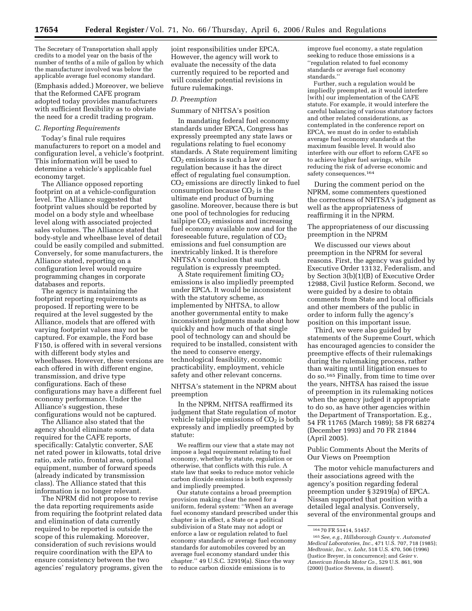The Secretary of Transportation shall apply credits to a model year on the basis of the number of tenths of a mile of gallon by which the manufacturer involved was below the applicable average fuel economy standard.

(Emphasis added.) Moreover, we believe that the Reformed CAFE program adopted today provides manufacturers with sufficient flexibility as to obviate the need for a credit trading program.

#### *C. Reporting Requirements*

Today's final rule requires manufacturers to report on a model and configuration level, a vehicle's footprint. This information will be used to determine a vehicle's applicable fuel economy target.

The Alliance opposed reporting footprint on at a vehicle-configuration level. The Alliance suggested that footprint values should be reported by model on a body style and wheelbase level along with associated projected sales volumes. The Alliance stated that body-style and wheelbase level of detail could be easily compiled and submitted. Conversely, for some manufacturers, the Alliance stated, reporting on a configuration level would require programming changes in corporate databases and reports.

The agency is maintaining the footprint reporting requirements as proposed. If reporting were to be required at the level suggested by the Alliance, models that are offered with varying footprint values may not be captured. For example, the Ford base F150, is offered with in several versions with different body styles and wheelbases. However, these versions are each offered in with different engine, transmission, and drive type configurations. Each of these configurations may have a different fuel economy performance. Under the Alliance's suggestion, these configurations would not be captured.

The Alliance also stated that the agency should eliminate some of data required for the CAFE reports, specifically: Catalytic converter, SAE net rated power in kilowatts, total drive ratio, axle ratio, frontal area, optional equipment, number of forward speeds (already indicated by transmission class). The Alliance stated that this information is no longer relevant.

The NPRM did not propose to revise the data reporting requirements aside from requiring the footprint related data and elimination of data currently required to be reported is outside the scope of this rulemaking. Moreover, consideration of such revisions would require coordination with the EPA to ensure consistency between the two agencies' regulatory programs, given the

joint responsibilities under EPCA. However, the agency will work to evaluate the necessity of the data currently required to be reported and will consider potential revisions in future rulemakings.

#### *D. Preemption*

#### Summary of NHTSA's position

In mandating federal fuel economy standards under EPCA, Congress has expressly preempted any state laws or regulations relating to fuel economy standards. A State requirement limiting CO2 emissions is such a law or regulation because it has the direct effect of regulating fuel consumption. CO2 emissions are directly linked to fuel consumption because  $CO<sub>2</sub>$  is the ultimate end product of burning gasoline. Moreover, because there is but one pool of technologies for reducing tailpipe  $CO<sub>2</sub>$  emissions and increasing fuel economy available now and for the foreseeable future, regulation of  $CO<sub>2</sub>$ emissions and fuel consumption are inextricably linked. It is therefore NHTSA's conclusion that such regulation is expressly preempted.

 $\AA$  State requirement limiting  $CO<sub>2</sub>$ emissions is also impliedly preempted under EPCA. It would be inconsistent with the statutory scheme, as implemented by NHTSA, to allow another governmental entity to make inconsistent judgments made about how quickly and how much of that single pool of technology can and should be required to be installed, consistent with the need to conserve energy, technological feasibility, economic practicability, employment, vehicle safety and other relevant concerns.

NHTSA's statement in the NPRM about preemption

In the NPRM, NHTSA reaffirmed its judgment that State regulation of motor vehicle tailpipe emissions of  $CO<sub>2</sub>$  is both expressly and impliedly preempted by statute:

We reaffirm our view that a state may not impose a legal requirement relating to fuel economy, whether by statute, regulation or otherwise, that conflicts with this rule. A state law that seeks to reduce motor vehicle carbon dioxide emissions is both expressly and impliedly preempted.

Our statute contains a broad preemption provision making clear the need for a uniform, federal system: ''When an average fuel economy standard prescribed under this chapter is in effect, a State or a political subdivision of a State may not adopt or enforce a law or regulation related to fuel economy standards or average fuel economy standards for automobiles covered by an average fuel economy standard under this chapter.'' 49 U.S.C. 32919(a). Since the way to reduce carbon dioxide emissions is to

improve fuel economy, a state regulation seeking to reduce those emissions is a ''regulation related to fuel economy standards or average fuel economy standards.''

Further, such a regulation would be impliedly preempted, as it would interfere [with] our implementation of the CAFE statute. For example, it would interfere the careful balancing of various statutory factors and other related considerations, as contemplated in the conference report on EPCA, we must do in order to establish average fuel economy standards at the maximum feasible level. It would also interfere with our effort to reform CAFE so to achieve higher fuel savings, while reducing the risk of adverse economic and safety consequences.  $^{164}$ 

During the comment period on the NPRM, some commenters questioned the correctness of NHTSA's judgment as well as the appropriateness of reaffirming it in the NPRM.

The appropriateness of our discussing preemption in the NPRM

We discussed our views about preemption in the NPRM for several reasons. First, the agency was guided by Executive Order 13132, Federalism, and by Section 3(b)(1)(B) of Executive Order 12988, Civil Justice Reform. Second, we were guided by a desire to obtain comments from State and local officials and other members of the public in order to inform fully the agency's position on this important issue.

Third, we were also guided by statements of the Supreme Court, which has encouraged agencies to consider the preemptive effects of their rulemakings during the rulemaking process, rather than waiting until litigation ensues to do so.165 Finally, from time to time over the years, NHTSA has raised the issue of preemption in its rulemaking notices when the agency judged it appropriate to do so, as have other agencies within the Department of Transportation. E.g., 54 FR 11765 (March 1989); 58 FR 68274 (December 1993) and 70 FR 21844 (April 2005).

Public Comments About the Merits of Our Views on Preemption

The motor vehicle manufacturers and their associations agreed with the agency's position regarding federal preemption under § 32919(a) of EPCA. Nissan supported that position with a detailed legal analysis. Conversely, several of the environmental groups and

<sup>164</sup> 70 FR 51414, 51457.

<sup>165</sup>*See, e.g., Hillsborough County* v. *Automated Medical Laboratories, Inc.*, 471 U.S. 707, 718 (1985); *Medtronic, Inc.*, v. *Lohr*, 518 U.S. 470, 506 (1996) (Justice Breyer, in concurrence); and *Geier* v. *American Honda Motor Co.*, 529 U.S. 861, 908 (2000) (Justice Stevens, in dissent).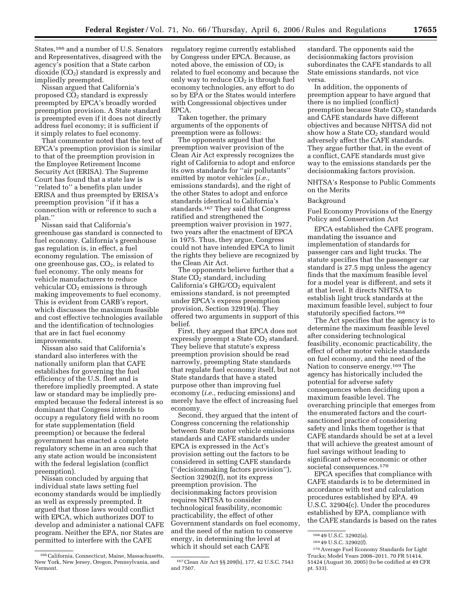States,<sup>166</sup> and a number of U.S. Senators and Representatives, disagreed with the agency's position that a State carbon dioxide (CO<sub>2</sub>) standard is expressly and impliedly preempted.

Nissan argued that California's proposed CO2 standard is expressly preempted by EPCA's broadly worded preemption provision. A State standard is preempted even if it does not directly address fuel economy; it is sufficient if it simply relates to fuel economy.

That commenter noted that the text of EPCA's preemption provision is similar to that of the preemption provision in the Employee Retirement Income Security Act (ERISA). The Supreme Court has found that a state law is ''related to'' a benefits plan under ERISA and thus preempted by ERISA's preemption provision "if it has a connection with or reference to such a plan.''

Nissan said that California's greenhouse gas standard is connected to fuel economy. California's greenhouse gas regulation is, in effect, a fuel economy regulation. The emission of one greenhouse gas,  $CO<sub>2</sub>$ , is related to fuel economy. The only means for vehicle manufacturers to reduce vehicular  $CO<sub>2</sub>$  emissions is through making improvements to fuel economy. This is evident from CARB's report, which discusses the maximum feasible and cost effective technologies available and the identification of technologies that are in fact fuel economy improvements.

Nissan also said that California's standard also interferes with the nationally uniform plan that CAFE establishes for governing the fuel efficiency of the U.S. fleet and is therefore impliedly preempted. A state law or standard may be impliedly preempted because the federal interest is so dominant that Congress intends to occupy a regulatory field with no room for state supplementation (field preemption) or because the federal government has enacted a complete regulatory scheme in an area such that any state action would be inconsistent with the federal legislation (conflict preemption).

Nissan concluded by arguing that individual state laws setting fuel economy standards would be impliedly as well as expressly preempted. It argued that those laws would conflict with EPCA, which authorizes DOT to develop and administer a national CAFE program. Neither the EPA, nor States are permitted to interfere with the CAFE

regulatory regime currently established by Congress under EPCA. Because, as noted above, the emission of  $CO<sub>2</sub>$  is related to fuel economy and because the only way to reduce  $CO<sub>2</sub>$  is through fuel economy technologies, any effort to do so by EPA or the States would interfere with Congressional objectives under EPCA.

Taken together, the primary arguments of the opponents of preemption were as follows:

The opponents argued that the preemption waiver provision of the Clean Air Act expressly recognizes the right of California to adopt and enforce its own standards for ''air pollutants'' emitted by motor vehicles (*i.e.*, emissions standards), and the right of the other States to adopt and enforce standards identical to California's standards.167 They said that Congress ratified and strengthened the preemption waiver provision in 1977, two years after the enactment of EPCA in 1975. Thus, they argue, Congress could not have intended EPCA to limit the rights they believe are recognized by the Clean Air Act.

The opponents believe further that a State  $CO<sub>2</sub>$  standard, including California's  $GHG/CO<sub>2</sub>$  equivalent emissions standard, is not preempted under EPCA's express preemption provision, Section 32919(a). They offered two arguments in support of this belief.

First, they argued that EPCA does not expressly preempt a State CO<sub>2</sub> standard. They believe that statute's express preemption provision should be read narrowly, preempting State standards that regulate fuel economy itself, but not State standards that have a stated purpose other than improving fuel economy (*i.e.*, reducing emissions) and merely have the effect of increasing fuel economy.

Second, they argued that the intent of Congress concerning the relationship between State motor vehicle emissions standards and CAFE standards under EPCA is expressed in the Act's provision setting out the factors to be considered in setting CAFE standards (''decisionmaking factors provision''), Section 32902(f), not its express preemption provision. The decisionmaking factors provision requires NHTSA to consider technological feasibility, economic practicability, the effect of other Government standards on fuel economy, and the need of the nation to conserve energy, in determining the level at which it should set each CAFE

standard. The opponents said the decisionmaking factors provision subordinates the CAFE standards to all State emissions standards, not vice versa.

In addition, the opponents of preemption appear to have argued that there is no implied (conflict) preemption because State  $CO<sub>2</sub>$  standards and CAFE standards have different objectives and because NHTSA did not show how a State  $CO<sub>2</sub>$  standard would adversely affect the CAFE standards. They argue further that, in the event of a conflict, CAFE standards must give way to the emissions standards per the decisionmaking factors provision.

NHTSA's Response to Public Comments on the Merits

#### Background

Fuel Economy Provisions of the Energy Policy and Conservation Act

EPCA established the CAFE program, mandating the issuance and implementation of standards for passenger cars and light trucks. The statute specifies that the passenger car standard is 27.5 mpg unless the agency finds that the maximum feasible level for a model year is different, and sets it at that level. It directs NHTSA to establish light truck standards at the maximum feasible level, subject to four statutorily specified factors.168

The Act specifies that the agency is to determine the maximum feasible level after considering technological feasibility, economic practicability, the effect of other motor vehicle standards on fuel economy, and the need of the Nation to conserve energy.169 The agency has historically included the potential for adverse safety consequences when deciding upon a maximum feasible level. The overarching principle that emerges from the enumerated factors and the courtsanctioned practice of considering safety and links them together is that CAFE standards should be set at a level that will achieve the greatest amount of fuel savings without leading to significant adverse economic or other societal consequences.170

EPCA specifies that compliance with CAFE standards is to be determined in accordance with test and calculation procedures established by EPA. 49 U.S.C. 32904(c). Under the procedures established by EPA, compliance with the CAFE standards is based on the rates

<sup>166</sup>California, Connecticut, Maine, Massachusetts, New York, New Jersey, Oregon, Pennsylvania, and Vermont.

<sup>167</sup>Clean Air Act §§ 209(b), 177, 42 U.S.C. 7543 and 7507.

<sup>168</sup> 49 U.S.C. 32902(a).

<sup>169</sup> 49 U.S.C. 32902(f).

<sup>170</sup>Average Fuel Economy Standards for Light Trucks; Model Years 2008–2011, 70 FR 51414, 51424 (August 30, 2005) (to be codified at 49 CFR pt. 533).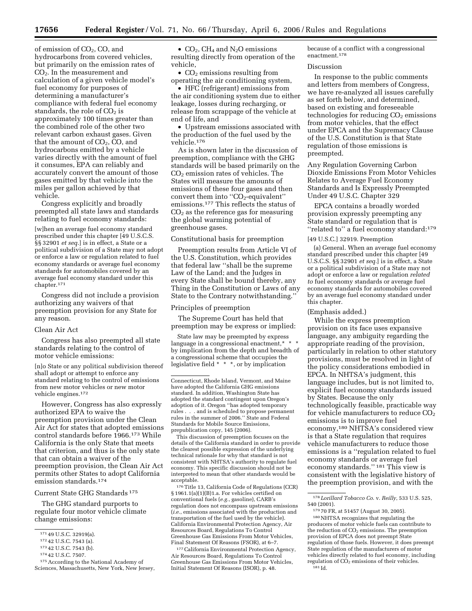of emission of CO2, CO, and hydrocarbons from covered vehicles, but primarily on the emission rates of CO2. In the measurement and calculation of a given vehicle model's fuel economy for purposes of determining a manufacturer's compliance with federal fuel economy standards, the role of  $CO<sub>2</sub>$  is approximately 100 times greater than the combined role of the other two relevant carbon exhaust gases. Given that the amount of  $CO<sub>2</sub>$ ,  $CO<sub>1</sub>$  and hydrocarbons emitted by a vehicle varies directly with the amount of fuel it consumes, EPA can reliably and accurately convert the amount of those gases emitted by that vehicle into the miles per gallon achieved by that vehicle.

Congress explicitly and broadly preempted all state laws and standards relating to fuel economy standards:

[w]hen an average fuel economy standard prescribed under this chapter [49 U.S.C.S. §§ 32901 *et seq.*] is in effect, a State or a political subdivision of a State may not adopt or enforce a law or regulation related to fuel economy standards or average fuel economy standards for automobiles covered by an average fuel economy standard under this chapter.171

Congress did not include a provision authorizing any waivers of that preemption provision for any State for any reason.

## Clean Air Act

Congress has also preempted all state standards relating to the control of motor vehicle emissions:

[n]o State or any political subdivision thereof shall adopt or attempt to enforce any standard relating to the control of emissions from new motor vehicles or new motor vehicle engines.172

However, Congress has also expressly authorized EPA to waive the preemption provision under the Clean Air Act for states that adopted emissions control standards before 1966.173 While California is the only State that meets that criterion, and thus is the only state that can obtain a waiver of the preemption provision, the Clean Air Act permits other States to adopt California emission standards.174

## Current State GHG Standards 175

The GHG standard purports to regulate four motor vehicle climate change emissions:

175According to the National Academy of Sciences, Massachusetts, New York, New Jersey,

•  $CO<sub>2</sub>$ , CH<sub>4</sub> and N<sub>2</sub>O emissions resulting directly from operation of the vehicle,

•  $CO<sub>2</sub>$  emissions resulting from operating the air conditioning system,

• HFC (refrigerant) emissions from the air conditioning system due to either leakage, losses during recharging, or release from scrappage of the vehicle at end of life, and

• Upstream emissions associated with the production of the fuel used by the vehicle.176

As is shown later in the discussion of preemption, compliance with the GHG standards will be based primarily on the CO2 emission rates of vehicles. The States will measure the amounts of emissions of these four gases and then convert them into " $CO<sub>2</sub>$ -equivalent" emissions.177 This reflects the status of  $CO<sub>2</sub>$  as the reference gas for measuring the global warming potential of greenhouse gases.

#### Constitutional basis for preemption

Preemption results from Article VI of the U.S. Constitution, which provides that federal law ''shall be the supreme Law of the Land; and the Judges in every State shall be bound thereby, any Thing in the Constitution or Laws of any State to the Contrary notwithstanding.''

#### Principles of preemption

The Supreme Court has held that preemption may be express or implied:

State law may be preempted by express language in a congressional enactment,\* \* \* by implication from the depth and breadth of a congressional scheme that occupies the legislative field \* \* \*, or by implication

This discussion of preemption focuses on the details of the California standard in order to provide the clearest possible expression of the underlying technical rationale for why that standard is not consistent with NHTSA's authority to regulate fuel economy. This specific discussion should not be interpreted to mean that other standards would be acceptable.

176Title 13, California Code of Regulations (CCR) § 1961.1(a)(1)(B)1.a. For vehicles certified on conventional fuels (*e.g.*, gasoline), CARB's regulation does not encompass upstream emissions (*i.e.*, emissions associated with the production and transportation of the fuel used by the vehicle). California Environmental Protection Agency, Air Resources Board, Regulations To Control Greenhouse Gas Emissions From Motor Vehicles, Final Statement Of Reasons (FSOR), at 6–7.

177California Environmental Protection Agency, Air Resources Board, Regulations To Control Greenhouse Gas Emissions From Motor Vehicles, Initial Statement Of Reasons (ISOR), p. 48.

because of a conflict with a congressional enactment.178

#### Discussion

In response to the public comments and letters from members of Congress, we have re-analyzed all issues carefully as set forth below, and determined, based on existing and foreseeable technologies for reducing  $CO<sub>2</sub>$  emissions from motor vehicles, that the effect under EPCA and the Supremacy Clause of the U.S. Constitution is that State regulation of those emissions is preempted.

Any Regulation Governing Carbon Dioxide Emissions From Motor Vehicles Relates to Average Fuel Economy Standards and Is Expressly Preempted Under 49 U.S.C. Chapter 329

EPCA contains a broadly worded provision expressly preempting any State standard or regulation that is "related to" a fuel economy standard:<sup>179</sup>

#### [49 U.S.C.] 32919. Preemption

(a) General. When an average fuel economy standard prescribed under this chapter [49 U.S.C.S. §§ 32901 *et seq.*] is in effect, a State or a political subdivision of a State may not adopt or enforce a law or regulation *related to* fuel economy standards or average fuel economy standards for automobiles covered by an average fuel economy standard under this chapter.

#### (Emphasis added.)

While the express preemption provision on its face uses expansive language, any ambiguity regarding the appropriate reading of the provision, particularly in relation to other statutory provisions, must be resolved in light of the policy considerations embodied in EPCA. In NHTSA's judgment, this language includes, but is not limited to, explicit fuel economy standards issued by States. Because the only technologically feasible, practicable way for vehicle manufacturers to reduce  $CO<sub>2</sub>$ emissions is to improve fuel economy,180 NHTSA's considered view is that a State regulation that requires vehicle manufacturers to reduce those emissions is a ''regulation related to fuel economy standards or average fuel economy standards.'' 181 This view is consistent with the legislative history of the preemption provision, and with the

180NHTSA recognizes that regulating the producers of motor vehicle fuels can contribute to the reduction of  $CO<sub>2</sub>$  emissions. The preemption provision of EPCA does not preempt State regulation of those fuels. However, it does preempt State regulation of the manufacturers of motor vehicles directly related to fuel economy, including regulation of CO<sub>2</sub> emissions of their vehicles. 181 Id.

<sup>171</sup> 49 U.S.C. 32919(a).

<sup>172</sup> 42 U.S.C. 7543 (a).

<sup>173</sup> 42 U.S.C. 7543 (b).

<sup>174</sup> 42 U.S.C. 7507.

Connecticut, Rhode Island, Vermont, and Maine have adopted the California GHG emissions standard. In addition, Washington State has adopted the standard contingent upon Oregon's adoption of it. Oregon ''has adopted temporary rules . . . and is scheduled to propose permanent rules in the summer of 2006.'' State and Federal Standards for Mobile Source Emissions, prepublication copy, 145 (2006).

<sup>178</sup> *Lorillard Tobacco Co*. v. *Reilly*, 533 U.S. 525, 540 (2001).

<sup>179</sup> 70 FR, at 51457 (August 30, 2005).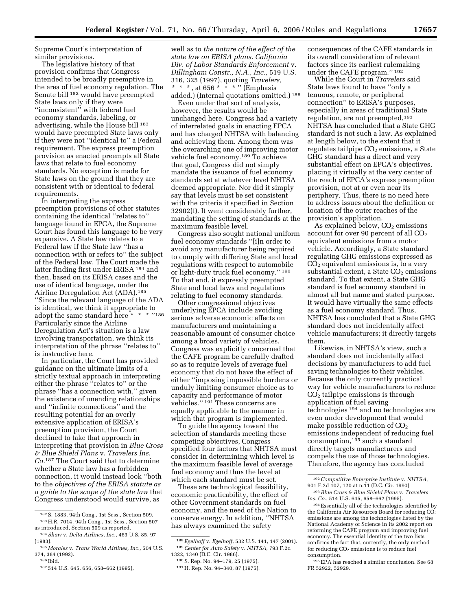Supreme Court's interpretation of similar provisions.

The legislative history of that provision confirms that Congress intended to be broadly preemptive in the area of fuel economy regulation. The Senate bill 182 would have preempted State laws only if they were "inconsistent" with federal fuel economy standards, labeling, or advertising, while the House bill 183 would have preempted State laws only if they were not ''identical to'' a Federal requirement. The express preemption provision as enacted preempts all State laws that relate to fuel economy standards. No exception is made for State laws on the ground that they are consistent with or identical to federal requirements.

In interpreting the express preemption provisions of other statutes containing the identical ''relates to'' language found in EPCA, the Supreme Court has found this language to be very expansive. A State law relates to a Federal law if the State law ''has a connection with or refers to'' the subject of the Federal law. The Court made the latter finding first under ERISA 184 and then, based on its ERISA cases and the use of identical language, under the Airline Deregulation Act (ADA).185 ''Since the relevant language of the ADA is identical, we think it appropriate to adopt the same standard here \* \* \* ''186 Particularly since the Airline Deregulation Act's situation is a law involving transportation, we think its interpretation of the phrase ''relates to'' is instructive here.

In particular, the Court has provided guidance on the ultimate limits of a strictly textual approach in interpreting either the phrase ''relates to'' or the phrase ''has a connection with,'' given the existence of unending relationships and ''infinite connections'' and the resulting potential for an overly extensive application of ERISA's preemption provision, the Court declined to take that approach in interpreting that provision in *Blue Cross & Blue Shield Plans* v. *Travelers Ins. Co.*187 The Court said that to determine whether a State law has a forbidden connection, it would instead look ''both to the *objectives of the ERISA statute as a guide to the scope of the state law* that Congress understood would survive, as

well as to *the nature of the effect of the state law on ERISA plans*. *California Div. of Labor Standards Enforcement* v. *Dillingham Constr., N.A., Inc.*, 519 U.S. 316, 325 (1997), quoting *Travelers, \* \* \* ,* at 656 \* \* \* '' (Emphasis added.) (Internal quotations omitted.) 188

Even under that sort of analysis, however, the results would be unchanged here. Congress had a variety of interrelated goals in enacting EPCA and has charged NHTSA with balancing and achieving them. Among them was the overarching one of improving motor vehicle fuel economy.189 To achieve that goal, Congress did not simply mandate the issuance of fuel economy standards set at whatever level NHTSA deemed appropriate. Nor did it simply say that levels must be set consistent with the criteria it specified in Section 32902(f). It went considerably further, mandating the setting of standards at the maximum feasible level.

Congress also sought national uniform fuel economy standards ''[i]n order to avoid any manufacturer being required to comply with differing State and local regulations with respect to automobile or light-duty truck fuel economy.'' 190 To that end, it expressly preempted State and local laws and regulations relating to fuel economy standards.

Other congressional objectives underlying EPCA include avoiding serious adverse economic effects on manufacturers and maintaining a reasonable amount of consumer choice among a broad variety of vehicles. Congress was explicitly concerned that the CAFE program be carefully drafted so as to require levels of average fuel economy that do not have the effect of either ''imposing impossible burdens or unduly limiting consumer choice as to capacity and performance of motor vehicles.'' 191 These concerns are equally applicable to the manner in which that program is implemented.

To guide the agency toward the selection of standards meeting these competing objectives, Congress specified four factors that NHTSA must consider in determining which level is the maximum feasible level of average fuel economy and thus the level at which each standard must be set.

These are technological feasibility, economic practicability, the effect of other Government standards on fuel economy, and the need of the Nation to conserve energy. In addition, ''NHTSA has always examined the safety

consequences of the CAFE standards in its overall consideration of relevant factors since its earliest rulemaking under the CAFE program.'' 192

While the Court in *Travelers* said State laws found to have ''only a tenuous, remote, or peripheral connection'' to ERISA's purposes, especially in areas of traditional State regulation, are not preempted,193 NHTSA has concluded that a State GHG standard is not such a law. As explained at length below, to the extent that it regulates tailpipe  $CO<sub>2</sub>$  emissions, a State GHG standard has a direct and very substantial effect on EPCA's objectives, placing it virtually at the very center of the reach of EPCA's express preemption provision, not at or even near its periphery. Thus, there is no need here to address issues about the definition or location of the outer reaches of the provision's application.

As explained below,  $CO<sub>2</sub>$  emissions account for over 90 percent of all  $CO<sub>2</sub>$ equivalent emissions from a motor vehicle. Accordingly, a State standard regulating GHG emissions expressed as  $CO<sub>2</sub>$  equivalent emissions is, to a very substantial extent, a State  $CO<sub>2</sub>$  emissions standard. To that extent, a State GHG standard is fuel economy standard in almost all but name and stated purpose. It would have virtually the same effects as a fuel economy standard. Thus, NHTSA has concluded that a State GHG standard does not incidentally affect vehicle manufacturers; it directly targets them.

Likewise, in NHTSA's view, such a standard does not incidentally affect decisions by manufacturers to add fuel saving technologies to their vehicles. Because the only currently practical way for vehicle manufacturers to reduce CO2 tailpipe emissions is through application of fuel saving technologies 194 and no technologies are even under development that would make possible reduction of  $CO<sub>2</sub>$ emissions independent of reducing fuel consumption,195 such a standard directly targets manufacturers and compels the use of those technologies. Therefore, the agency has concluded

<sup>182</sup>S. 1883, 94th Cong., 1st Sess., Section 509. 183H.R. 7014, 94th Cong., 1st Sess., Section 507 as introduced, Section 509 as reported.

<sup>184</sup>*Shaw* v. *Delta Airlines, Inc.,* 463 U.S. 85, 97 (1983).

<sup>185</sup> *Morales* v. *Trans World Airlines, Inc.,* 504 U.S. 374, 384 (1992).

<sup>186</sup> Ibid.

<sup>187</sup> 514 U.S. 645, 656, 658–662 (1995),

<sup>188</sup>*Egelhoff* v. *Egelhoff*, 532 U.S. 141, 147 (2001). 189*Center for Auto Safety* v. *NHTSA*, 793 F.2d 1322, 1340 (D.C. Cir. 1986).

<sup>190</sup>S. Rep. No. 94–179, 25 (1975).

<sup>191</sup>H. Rep. No. 94–340, 87 (1975).

<sup>192</sup>*Competitive Enterprise Institute* v. *NHTSA*, 901 F.2d 107, 120 at n.11 (D.C. Cir. 1990).

<sup>193</sup>*Blue Cross & Blue Shield Plans* v. *Travelers Ins. Co.*, 514 U.S. 645, 658–662 (1995).

<sup>194</sup>Essentially all of the technologies identified by the California Air Resources Board for reducing  $CO<sub>2</sub>$ emissions are among the technologies listed by the National Academy of Science in its 2002 report on reforming the CAFE program and improving fuel economy. The essential identity of the two lists confirms the fact that, currently, the only method for reducing CO<sub>2</sub> emissions is to reduce fuel consumption.

<sup>195</sup>EPA has reached a similar conclusion. See 68 FR 52922, 52929.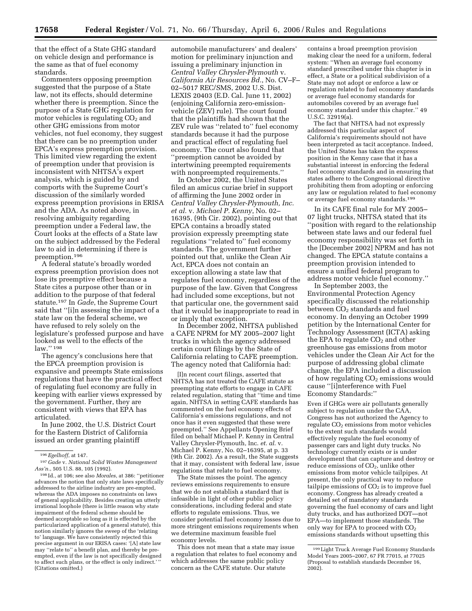that the effect of a State GHG standard on vehicle design and performance is the same as that of fuel economy standards.

Commenters opposing preemption suggested that the purpose of a State law, not its effects, should determine whether there is preemption. Since the purpose of a State GHG regulation for motor vehicles is regulating  $CO<sub>2</sub>$  and other GHG emissions from motor vehicles, not fuel economy, they suggest that there can be no preemption under EPCA's express preemption provision. This limited view regarding the extent of preemption under that provision is inconsistent with NHTSA's expert analysis, which is guided by and comports with the Supreme Court's discussion of the similarly worded express preemption provisions in ERISA and the ADA. As noted above, in resolving ambiguity regarding preemption under a Federal law, the Court looks at the effects of a State law on the subject addressed by the Federal law to aid in determining if there is preemption.196

A federal statute's broadly worded express preemption provision does not lose its preemptive effect because a State cites a purpose other than or in addition to the purpose of that federal statute.197 In *Gade*, the Supreme Court said that ''[i]n assessing the impact of a state law on the federal scheme, we have refused to rely solely on the legislature's professed purpose and have looked as well to the effects of the law.'' 198

The agency's conclusions here that the EPCA preemption provision is expansive and preempts State emissions regulations that have the practical effect of regulating fuel economy are fully in keeping with earlier views expressed by the government. Further, they are consistent with views that EPA has articulated.

In June 2002, the U.S. District Court for the Eastern District of California issued an order granting plaintiff

198 Id., at 106; see also *Morales*, at 386: ''petitioner advances the notion that only state laws specifically addressed to the airline industry are pre-empted, whereas the ADA imposes no constraints on laws of general applicability. Besides creating an utterly irrational loophole (there is little reason why state impairment of the federal scheme should be deemed acceptable so long as it is effected by the particularized application of a general statute), this notion similarly ignores the sweep of the 'relating to' language. We have consistently rejected this precise argument in our ERISA cases: '[A] state law may ''relate to'' a benefit plan, and thereby be preempted, even if the law is not specifically designed to affect such plans, or the effect is only indirect.' (Citations omitted.)

automobile manufacturers' and dealers' motion for preliminary injunction and issuing a preliminary injunction in *Central Valley Chrysler-Plymouth* v. *California Air Resources Bd.*, No. CV–F– 02–5017 REC/SMS, 2002 U.S. Dist. LEXIS 20403 (E.D. Cal. June 11, 2002) (enjoining California zero-emissionvehicle (ZEV) rule). The court found that the plaintiffs had shown that the ZEV rule was ''related to'' fuel economy standards because it had the purpose and practical effect of regulating fuel economy. The court also found that ''preemption cannot be avoided by intertwining preempted requirements with nonpreempted requirements.''

In October 2002, the United States filed an amicus curiae brief in support of affirming the June 2002 order in *Central Valley Chrysler-Plymouth, Inc. et al.* v. *Michael P. Kenny*, No. 02– 16395, (9th Cir. 2002), pointing out that EPCA contains a broadly stated provision expressly preempting state regulations ''related to'' fuel economy standards. The government further pointed out that, unlike the Clean Air Act, EPCA does not contain an exception allowing a state law that regulates fuel economy, regardless of the purpose of the law. Given that Congress had included some exceptions, but not that particular one, the government said that it would be inappropriate to read in or imply that exception.

In December 2002, NHTSA published a CAFE NPRM for MY 2005–2007 light trucks in which the agency addressed certain court filings by the State of California relating to CAFE preemption. The agency noted that California had:

[I]n recent court filings, asserted that NHTSA has not treated the CAFE statute as preempting state efforts to engage in CAFE related regulation, stating that ''time and time again, NHTSA in setting CAFE standards has commented on the fuel economy effects of California's emissions regulations, and not once has it even suggested that these were preempted.'' See Appellants Opening Brief filed on behalf Michael P. Kenny in Central Valley Chrysler-Plymouth, Inc. *et. al*. v. Michael P. Kenny, No. 02–16395, at p. 33 (9th Cir. 2002). As a result, the State suggests that it may, consistent with federal law, issue regulations that relate to fuel economy.

The State misses the point. The agency reviews emissions requirements to ensure that we do not establish a standard that is infeasible in light of other public policy considerations, including federal and state efforts to regulate emissions. Thus, we consider potential fuel economy losses due to more stringent emissions requirements when we determine maximum feasible fuel economy levels.

This does not mean that a state may issue a regulation that relates to fuel economy and which addresses the same public policy concern as the CAFE statute. Our statute

contains a broad preemption provision making clear the need for a uniform, federal system: ''When an average fuel economy standard prescribed under this chapter is in effect, a State or a political subdivision of a State may not adopt or enforce a law or regulation related to fuel economy standards or average fuel economy standards for automobiles covered by an average fuel economy standard under this chapter.'' 49 U.S.C. 32919(a).

The fact that NHTSA had not expressly addressed this particular aspect of California's requirements should not have been interpreted as tacit acceptance. Indeed, the United States has taken the express position in the Kenny case that it has a substantial interest in enforcing the federal fuel economy standards and in ensuring that states adhere to the Congressional directive prohibiting them from adopting or enforcing any law or regulation related to fuel economy or average fuel economy standards.199

In its CAFE final rule for MY 2005– 07 light trucks, NHTSA stated that its ''position with regard to the relationship between state laws and our federal fuel economy responsibility was set forth in the [December 2002] NPRM and has not changed. The EPCA statute contains a preemption provision intended to ensure a unified federal program to address motor vehicle fuel economy.''

In September 2003, the Environmental Protection Agency specifically discussed the relationship between CO<sub>2</sub> standards and fuel economy. In denying an October 1999 petition by the International Center for Technology Assessment (ICTA) asking the EPA to regulate  $CO<sub>2</sub>$  and other greenhouse gas emissions from motor vehicles under the Clean Air Act for the purpose of addressing global climate change, the EPA included a discussion of how regulating  $CO<sub>2</sub>$  emissions would cause ''[i]nterference with Fuel Economy Standards:''

Even if GHGs were air pollutants generally subject to regulation under the CAA, Congress has not authorized the Agency to regulate CO<sub>2</sub> emissions from motor vehicles to the extent such standards would effectively regulate the fuel economy of passenger cars and light duty trucks. No technology currently exists or is under development that can capture and destroy or reduce emissions of CO<sub>2</sub>, unlike other emissions from motor vehicle tailpipes. At present, the only practical way to reduce tailpipe emissions of  $CO<sub>2</sub>$  is to improve fuel economy. Congress has already created a detailed set of mandatory standards governing the fuel economy of cars and light duty trucks, and has authorized DOT—not EPA—to implement those standards. The only way for EPA to proceed with  $CO<sub>2</sub>$ emissions standards without upsetting this

<sup>196</sup>*Egelhoff*, at 147.

<sup>197</sup> *Gade* v. *National Solid Wastes Management Ass'n.*, 505 U.S. 88, 105 (1992).

<sup>199</sup>Light Truck Average Fuel Economy Standards Model Years 2005–2007, 67 FR 77015, at 77025 (Proposal to establish standards December 16, 2002).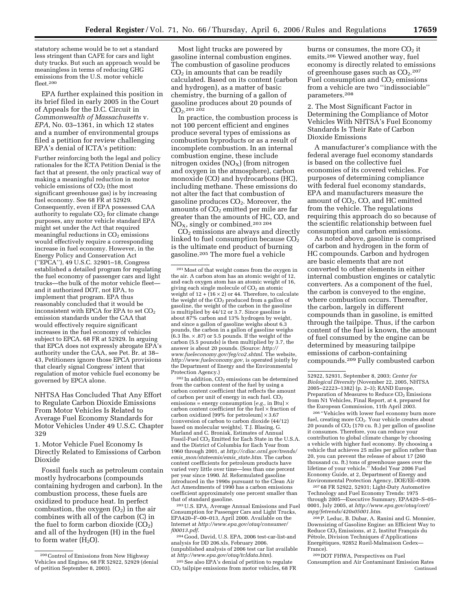statutory scheme would be to set a standard less stringent than CAFE for cars and light duty trucks. But such an approach would be meaningless in terms of reducing GHG emissions from the U.S. motor vehicle fleet.200

EPA further explained this position in its brief filed in early 2005 in the Court of Appeals for the D.C. Circuit in *Commonwealth of Massachusetts* v. *EPA*, No. 03–1361, in which 12 states and a number of environmental groups filed a petition for review challenging EPA's denial of ICTA's petition:

Further reinforcing both the legal and policy rationales for the ICTA Petition Denial is the fact that at present, the only practical way of making a meaningful reduction in motor vehicle emissions of CO<sub>2</sub> (the most significant greenhouse gas) is by increasing fuel economy. See 68 FR at 52929. Consequently, even if EPA possessed CAA authority to regulate  $CO<sub>2</sub>$  for climate change purposes, any motor vehicle standard EPA might set under the Act that required meaningful reductions in  $CO<sub>2</sub>$  emissions would effectively require a corresponding increase in fuel economy. However, in the Energy Policy and Conservation Act (''EPCA''), 49 U.S.C. 32901–18, Congress established a detailed program for regulating the fuel economy of passenger cars and light trucks—the bulk of the motor vehicle fleet and it authorized DOT, not EPA, to implement that program. EPA thus reasonably concluded that it would be inconsistent with EPCA for EPA to set  $CO<sub>2</sub>$ emission standards under the CAA that would effectively require significant increases in the fuel economy of vehicles subject to EPCA. 68 FR at 52929. In arguing that EPCA does not expressly abrogate EPA's authority under the CAA, see Pet. Br. at 38– 43, Petitioners ignore those EPCA provisions that clearly signal Congress' intent that regulation of motor vehicle fuel economy be governed by EPCA alone.

NHTSA Has Concluded That Any Effort to Regulate Carbon Dioxide Emissions From Motor Vehicles Is Related to Average Fuel Economy Standards for Motor Vehicles Under 49 U.S.C. Chapter 329

1. Motor Vehicle Fuel Economy Is Directly Related to Emissions of Carbon Dioxide

Fossil fuels such as petroleum contain mostly hydrocarbons (compounds containing hydrogen and carbon). In the combustion process, these fuels are oxidized to produce heat. In perfect combustion, the oxygen  $(O_2)$  in the air combines with all of the carbon (C) in the fuel to form carbon dioxide  $(CO<sub>2</sub>)$ and all of the hydrogen (H) in the fuel to form water  $(H<sub>2</sub>O)$ .

Most light trucks are powered by gasoline internal combustion engines. The combustion of gasoline produces  $CO<sub>2</sub>$  in amounts that can be readily calculated. Based on its content (carbon and hydrogen), as a matter of basic chemistry, the burning of a gallon of gasoline produces about 20 pounds of  $CO<sub>2</sub>$ .201 202

In practice, the combustion process is not 100 percent efficient and engines produce several types of emissions as combustion byproducts or as a result of incomplete combustion. In an internal combustion engine, these include nitrogen oxides  $(NO_X)$  (from nitrogen and oxygen in the atmosphere), carbon monoxide (CO) and hydrocarbons (HC), including methane. These emissions do not alter the fact that combustion of gasoline produces  $CO<sub>2</sub>$ . Moreover, the amounts of  $CO<sub>2</sub>$  emitted per mile are far greater than the amounts of HC, CO, and  $NO<sub>X</sub>$ , singly or combined.<sup>203 204</sup>

CO2 emissions are always and directly linked to fuel consumption because  $CO<sub>2</sub>$ is the ultimate end product of burning gasoline.205 The more fuel a vehicle

<sup>202</sup> In addition, CO<sub>2</sub> emissions can be determined from the carbon content of the fuel by using a carbon content coefficient that reflects the amount of carbon per unit of energy in each fuel. CO<sub>2</sub> emissions = energy consumption [*e.g.*, in Btu] × carbon content coefficient for the fuel × fraction of carbon oxidized [99% for petroleum]  $\times$  3.67 [conversion of carbon to carbon dioxide (44/12) based on molecular weights]. T.J. Blasing, G. Marland and C. Broniak, Estimates of Annual Fossil-Fuel CO<sub>2</sub> Emitted for Each State in the U.S.A. and the District of Columbia for Each Year from 1960 through 2001, at *[http://cdiac.ornl.gov/trends/](http://cdiac.ornl.gov/trends/emis_mon/stateemis/emis_state.htm)  emis*\_*mon/stateemis/emis*\_*state.htm*. The carbon content coefficients for petroleum products have varied very little over time—less than one percent per year since 1990. *Id*. Reformulated gasoline introduced in the 1990s pursuant to the Clean Air Act Amendments of 1990 has a carbon emissions coefficient approximately one percent smaller than that of standard gasoline.

203U.S. EPA, Average Annual Emissions and Fuel Consumption for Passenger Cars and Light Trucks, EPA420–F–00–013, April 2000. Available on the Internet at *[http://www.epa.gov/otaq/consumer/](http://www.epa.gov/otaq/consumer/f00013.pdf)  f00013.pdf*. 204 Good, David, U.S. EPA, 2006 test-car-list-and

analysis for DD 206.xls, February 2006. (unpublished analysis of 2006 test car list available at *<http://www.epa.gov/otaq/tcldata.htm>*).

205See also EPA's denial of petition to regulate CO2 tailpipe emissions from motor vehicles, 68 FR

burns or consumes, the more  $CO<sub>2</sub>$  it emits.206 Viewed another way, fuel economy is directly related to emissions of greenhouse gases such as  $CO<sub>2</sub>$ .<sup>207</sup> Fuel consumption and  $CO<sub>2</sub>$  emissions from a vehicle are two ''indissociable'' parameters.208

2. The Most Significant Factor in Determining the Compliance of Motor Vehicles With NHTSA's Fuel Economy Standards Is Their Rate of Carbon Dioxide Emissions

A manufacturer's compliance with the federal average fuel economy standards is based on the collective fuel economies of its covered vehicles. For purposes of determining compliance with federal fuel economy standards, EPA and manufacturers measure the amount of  $CO<sub>2</sub>$ , CO, and HC emitted from the vehicle. The regulations requiring this approach do so because of the scientific relationship between fuel consumption and carbon emissions.

As noted above, gasoline is comprised of carbon and hydrogen in the form of HC compounds. Carbon and hydrogen are basic elements that are not converted to other elements in either internal combustion engines or catalytic converters. As a component of the fuel, the carbon is conveyed to the engine, where combustion occurs. Thereafter, the carbon, largely in different compounds than in gasoline, is emitted through the tailpipe. Thus, if the carbon content of the fuel is known, the amount of fuel consumed by the engine can be determined by measuring tailpipe emissions of carbon-containing compounds.209 Fully combusted carbon

206 ''Vehicles with lower fuel economy burn more fuel, creating more CO<sub>2</sub>. Your vehicle creates about 20 pounds of  $CO<sub>2</sub>$  (170 cu. ft.) per gallon of gasoline it consumes. Therefore, you can reduce your contribution to global climate change by choosing a vehicle with higher fuel economy. By choosing a vehicle that achieves 25 miles per gallon rather than 20, you can prevent the release of about 17 (260 thousand cu. ft.) tons of greenhouse gases over the lifetime of your vehicle.'' Model Year 2006 Fuel Economy Guide, at 2, Department of Energy and Environmental Protection Agency, DOE/EE–0309.

207 68 FR 52922, 52931; Light-Duty Automotive Technology and Fuel Economy Trends: 1975 through 2005—Executive Summary, EPA420–S–05– 0001, July 2005, at *[http://www.epa.gov/otaq/cert/](http://www.epa.gov/otaq/cert/mpg/fetrends/420s05001.htm)  mpg/fetrends/420s05001.htm*.

208P. Leduc, B. Dubar, A. Ranini and G. Monnier, Downsizing of Gasoline Engine: an Efficient Way to Reduce CO<sub>2</sub> Emissions, at 2, Institut Français du Pétrole, Division Techniques d'Applications Energétiques, 92852 Rueil-Malmaison Cedex-France).

209 DOT FHWA, Perspectives on Fuel Consumption and Air Contaminant Emission Rates Continued

<sup>200</sup>Control of Emissions from New Highway Vehicles and Engines, 68 FR 52922, 52929 (denial of petition September 8, 2003).

<sup>201</sup>Most of that weight comes from the oxygen in the air. A carbon atom has an atomic weight of 12, and each oxygen atom has an atomic weight of 16, giving each single molecule of  $CO<sub>2</sub>$  an atomic weight of  $12 + (16 \times 2)$  or 44. Therefore, to calculate the weight of the CO<sub>2</sub> produced from a gallon of<br>gasoline, the weight of the carbon in the gasoline is multiplied by 44/12 or 3.7. Since gasoline is about 87% carbon and 13% hydrogen by weight, and since a gallon of gasoline weighs about 6.3 pounds, the carbon in a gallon of gasoline weighs  $(6.3 \text{ lbs.} \times .87)$  or 5.5 pounds. If the weight of the carbon (5.5 pounds) is then multiplied by 3.7, the answer is about 20 pounds. (Source: *[http://](http://www.fueleconomy.gov/feg/co2.shtml)  [www.fueleconomy.gov/feg/co2.shtml](http://www.fueleconomy.gov/feg/co2.shtml)*. The website, *<http://www.fueleconomy.gov>*, is operated jointly by the Department of Energy and the Environmental Protection Agency.)

<sup>52922, 52931,</sup> September 8, 2003; *Center for Biological Diversity* (November 22, 2005, NHTSA 2005–22223–1382) (p. 2–3); RAND Europe, Preparation of Measures to Reduce  $CO<sub>2</sub>$  Emissions from N1 Vehicles, Final Report, at 4, prepared for the European Commission, 11th April 2003.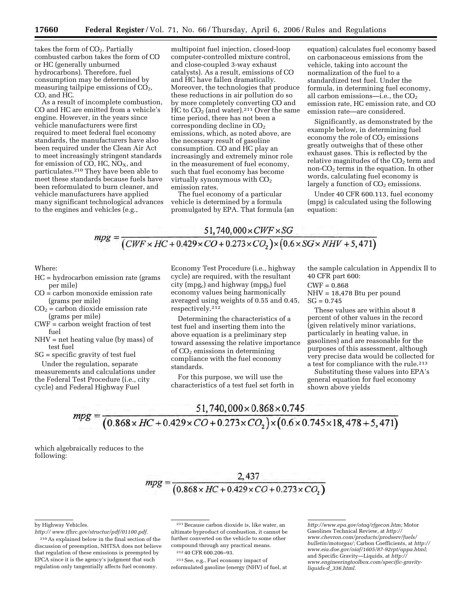takes the form of  $CO<sub>2</sub>$ . Partially combusted carbon takes the form of CO or HC (generally unburned hydrocarbons). Therefore, fuel consumption may be determined by measuring tailpipe emissions of  $CO<sub>2</sub>$ , CO, and HC.

As a result of incomplete combustion, CO and HC are emitted from a vehicle's engine. However, in the years since vehicle manufacturers were first required to meet federal fuel economy standards, the manufacturers have also been required under the Clean Air Act to meet increasingly stringent standards for emission of CO, HC,  $NO<sub>X</sub>$ , and particulates.210 They have been able to meet these standards because fuels have been reformulated to burn cleaner, and vehicle manufacturers have applied many significant technological advances to the engines and vehicles (e.g.,

multipoint fuel injection, closed-loop computer-controlled mixture control, and close-coupled 3-way exhaust catalysts). As a result, emissions of CO and HC have fallen dramatically. Moreover, the technologies that produce these reductions in air pollution do so by more completely converting CO and HC to  $CO<sub>2</sub>$  (and water).<sup>211</sup> Over the same time period, there has not been a corresponding decline in CO<sub>2</sub> emissions, which, as noted above, are the necessary result of gasoline consumption. CO and HC play an increasingly and extremely minor role in the measurement of fuel economy, such that fuel economy has become virtually synonymous with  $CO<sub>2</sub>$ emission rates.

The fuel economy of a particular vehicle is determined by a formula promulgated by EPA. That formula (an

equation) calculates fuel economy based on carbonaceous emissions from the vehicle, taking into account the normalization of the fuel to a standardized test fuel. Under the formula, in determining fuel economy, all carbon emissions—i.e., the  $CO<sub>2</sub>$ emission rate, HC emission rate, and CO emission rate—are considered.

Significantly, as demonstrated by the example below, in determining fuel economy the role of  $CO<sub>2</sub>$  emissions greatly outweighs that of these other exhaust gases. This is reflected by the relative magnitudes of the  $CO<sub>2</sub>$  term and non- $CO<sub>2</sub>$  terms in the equation. In other words, calculating fuel economy is largely a function of  $CO<sub>2</sub>$  emissions.

Under 40 CFR 600.113, fuel economy (mpg) is calculated using the following equation:

 $51.740.000 \times CWF \times SG$  $mpg = \frac{51,740,000 \times CWF \times SG}{(CWF \times HC + 0.429 \times CO + 0.273 \times CO_2) \times (0.6 \times SG \times NHV + 5,471)}$ 

Where:

- HC = hydrocarbon emission rate (grams per mile)
- CO = carbon monoxide emission rate (grams per mile)
- $CO<sub>2</sub> =$  carbon dioxide emission rate (grams per mile)
- CWF = carbon weight fraction of test fuel
- NHV = net heating value (by mass) of test fuel
- SG = specific gravity of test fuel

Under the regulation, separate measurements and calculations under the Federal Test Procedure (i.e., city cycle) and Federal Highway Fuel

Economy Test Procedure (i.e., highway cycle) are required, with the resultant city (mpg<sub>c</sub>) and highway (mpg<sub>h</sub>) fuel economy values being harmonically averaged using weights of 0.55 and 0.45, respectively.212

Determining the characteristics of a test fuel and inserting them into the above equation is a preliminary step toward assessing the relative importance of CO2 emissions in determining compliance with the fuel economy standards.

For this purpose, we will use the characteristics of a test fuel set forth in

the sample calculation in Appendix II to 40 CFR part 600:

- CWF = 0.868
- NHV = 18,478 Btu per pound  $SG = 0.745$

These values are within about 8 percent of other values in the record (given relatively minor variations, particularly in heating value, in gasolines) and are reasonable for the purposes of this assessment, although very precise data would be collected for a test for compliance with the rule.213

Substituting these values into EPA's general equation for fuel economy shown above yields

$$
mpg = \frac{51,740,000 \times 0.868 \times 0.745}{(0.868 \times HC + 0.429 \times CO + 0.273 \times CO_2) \times (0.6 \times 0.745 \times 18,478 + 5,471)}
$$

which algebraically reduces to the following:

# $\frac{2,437}{(0.868 \times HC + 0.429 \times CO + 0.273 \times CO,)}$

213See, e.g., Fuel economy impact of reformulated gasoline (energy (NHV) of fuel, at

by Highway Vehicles.

*[http:// www.tfhrc.gov/structur/pdf/01100.pdf.](http://www.tfhrc.gov/structur/pdf/01100.pdf)* 

<sup>210</sup>As explained below in the final section of the discussion of preemption, NHTSA does not believe that regulation of these emissions is preempted by EPCA since it is the agency's judgment that such regulation only tangentially affects fuel economy.

<sup>211</sup>Because carbon dioxide is, like water, an ultimate byproduct of combustion, it cannot be further converted on the vehicle to some other compound through any practical means.

<sup>212</sup> 40 CFR 600.206–93.

*[http://www.epa.gov/otaq/rfgecon.htm;](http://www.epa.gov/otaq/rfgecon.htm)* Motor Gasolines Technical Review, at *[http://](http://www.chevron.com/products/prodserv/fuels)  [www.chevron.com/products/prodserv/fuels/](http://www.chevron.com/products/prodserv/fuels) bulletin/motorgas/;* Carbon Coefficients, at *[http://](http://www.eia.doe.gov/oiaf/1605/87-92rpt/appa.html)  [www.eia.doe.gov/oiaf/1605/87-92rpt/appa.html;](http://www.eia.doe.gov/oiaf/1605/87-92rpt/appa.html)*  and Specific Gravity—Liquids, at *[http://](http://www.engineeringtoolbox.com/specific-gravity-liquids-d_336.html) [www.engineeringtoolbox.com/specific-gravity](http://www.engineeringtoolbox.com/specific-gravity-liquids-d_336.html)liquids-d*\_*[336.html.](http://www.engineeringtoolbox.com/specific-gravity-liquids-d_336.html)*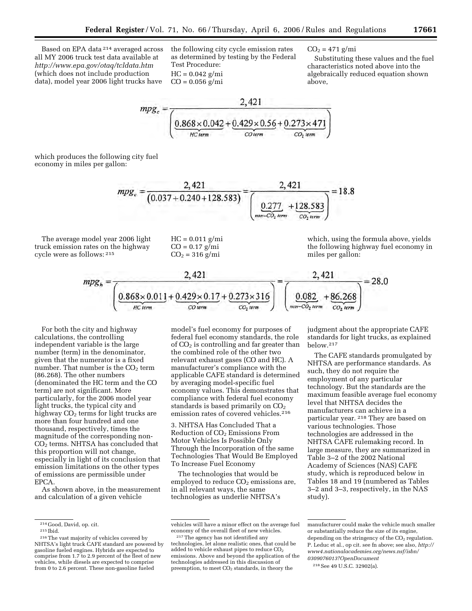Based on EPA data 214 averaged across all MY 2006 truck test data available at *<http://www.epa.gov/otaq/tcldata.htm>* (which does not include production data), model year 2006 light trucks have

the following city cycle emission rates as determined by testing by the Federal Test Procedure:  $HC = 0.042$  g/mi  $CO = 0.056$  g/mi

 $CO<sub>2</sub> = 471$  g/mi

Substituting these values and the fuel characteristics noted above into the algebraically reduced equation shown above,

$$
mpg_c = \frac{2,421}{\left(\underbrace{0.868 \times 0.042}_{HC term} + \underbrace{0.429 \times 0.56}_{CO term} + \underbrace{0.273 \times 471}_{CO_2 \text{ term}}\right)}
$$

which produces the following city fuel economy in miles per gallon:

$$
mpg_c = \frac{2,421}{(0.037 + 0.240 + 128.583)} = \frac{2,421}{\left(\underbrace{0.277}_{\text{non-CO}_2 \text{ term}} + \underbrace{128.583}_{\text{CO}_2 \text{ term}}\right)} = 18.8
$$

The average model year 2006 light truck emission rates on the highway cycle were as follows: 215

 $HC = 0.011$  g/mi  $CO = 0.17$  g/mi  $CO<sub>2</sub> = 316$  g/mi

which, using the formula above, yields the following highway fuel economy in miles per gallon:

$$
mpg_h = \frac{2,421}{\left(\underbrace{0.868 \times 0.011}_{HCI term} + \underbrace{0.429 \times 0.17}_{CO \text{ term}} + \underbrace{0.273 \times 316}_{CO_2 \text{ term}}\right)} = \frac{2,421}{\left(\underbrace{0.082}_{non-CO_2 \text{ term}} + \underbrace{86,268}_{CO_2 \text{ term}}\right)} = 28.0
$$

For both the city and highway calculations, the controlling independent variable is the large number (term) in the denominator, given that the numerator is a fixed number. That number is the  $CO<sub>2</sub>$  term (86.268). The other numbers (denominated the HC term and the CO term) are not significant. More particularly, for the 2006 model year light trucks, the typical city and highway  $CO<sub>2</sub>$  terms for light trucks are more than four hundred and one thousand, respectively, times the magnitude of the corresponding non-CO2 terms. NHTSA has concluded that this proportion will not change, especially in light of its conclusion that emission limitations on the other types of emissions are permissible under EPCA.

As shown above, in the measurement and calculation of a given vehicle

model's fuel economy for purposes of federal fuel economy standards, the role of  $CO<sub>2</sub>$  is controlling and far greater than the combined role of the other two relevant exhaust gases (CO and HC). A manufacturer's compliance with the applicable CAFE standard is determined by averaging model-specific fuel economy values. This demonstrates that compliance with federal fuel economy standards is based primarily on  $CO<sub>2</sub>$ emission rates of covered vehicles.<sup>216</sup>

3. NHTSA Has Concluded That a Reduction of CO<sub>2</sub> Emissions From Motor Vehicles Is Possible Only Through the Incorporation of the same Technologies That Would Be Employed To Increase Fuel Economy

The technologies that would be employed to reduce  $CO<sub>2</sub>$  emissions are, in all relevant ways, the same technologies as underlie NHTSA's

judgment about the appropriate CAFE standards for light trucks, as explained below.217

The CAFE standards promulgated by NHTSA are performance standards. As such, they do not require the employment of any particular technology. But the standards are the maximum feasible average fuel economy level that NHTSA decides the manufacturers can achieve in a particular year. 218 They are based on various technologies. Those technologies are addressed in the NHTSA CAFE rulemaking record. In large measure, they are summarized in Table 3–2 of the 2002 National Academy of Sciences (NAS) CAFE study, which is reproduced below in Tables 18 and 19 (numbered as Tables 3–2 and 3–3, respectively, in the NAS study).

<sup>214</sup> Good, David, op. cit. 215 Ibid. 216The vast majority of vehicles covered by NHTSA's light truck CAFE standard are powered by gasoline fueled engines. Hybrids are expected to comprise from 1.7 to 2.9 percent of the fleet of new vehicles, while diesels are expected to comprise from 0 to 2.6 percent. These non-gasoline fueled

vehicles will have a minor effect on the average fuel economy of the overall fleet of new vehicles.

<sup>217</sup>The agency has not identified any technologies, let alone realistic ones, that could be added to vehicle exhaust pipes to reduce CO<sub>2</sub> emissions. Above and beyond the application of the technologies addressed in this discussion of preemption, to meet  $CO<sub>2</sub>$  standards, in theory the

manufacturer could make the vehicle much smaller or substantially reduce the size of its engine, depending on the stringency of the  $CO<sub>2</sub>$  regulation. P. Leduc et al., op cit. see fn above; see also, *http:// [www4.nationalacademies.org/news.nsf/isbn/](http://www4.nationalacademies.org/news.nsf/isbn/0309076013?OpenDocument) 0309076013?OpenDocument* 

<sup>218</sup>See 49 U.S.C. 32902(a).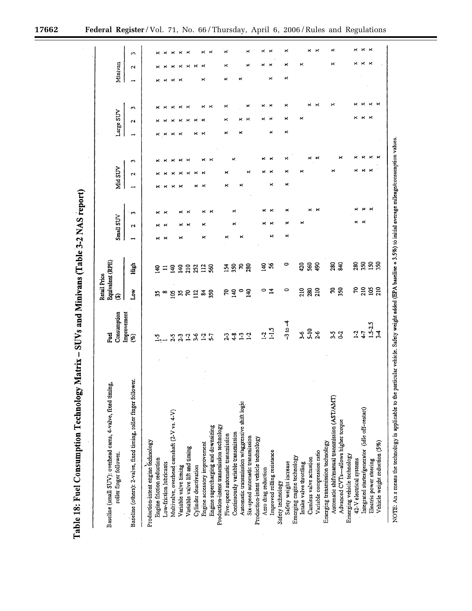Table 18: Fuel Consumption Technology Matrix - SUVs and Minivans (Table 3-2 NAS report)

| Baseline (small SUV): overhead cams, 4-valve, fixed timing,<br>roller finger follower. | Consumption<br><b>Fuel</b> | Equivalent (RPE)<br>Retail Price<br>⊕ |                |   | Small SUV    |                   |   | Mid SUV |   |   | Large SUV             |          |         | Minivan |                       |
|----------------------------------------------------------------------------------------|----------------------------|---------------------------------------|----------------|---|--------------|-------------------|---|---------|---|---|-----------------------|----------|---------|---------|-----------------------|
| Baseline (others): 2-valve, fixed timing, roller finger follower.                      | Improvement<br>$(\%)$      | ہو⊾                                   | High           |   | $\mathbf{r}$ | $\mathbf{c}$      |   | 2       | S | ÷ | Z                     | S        |         | Ν       | S                     |
| Production-intent engine technology                                                    |                            |                                       |                |   |              |                   |   |         |   |   |                       |          |         |         |                       |
| Engine friction reduction                                                              | $\ddot{2}$                 | 55                                    | $\Xi$          |   |              |                   |   |         |   | × |                       |          |         |         | ×                     |
| Low-friction lubricants                                                                |                            | $\bullet$                             | ≍              | × | ×            | $\mathbf{\times}$ |   |         |   |   |                       | ×        | ×       |         | ×                     |
| Multivalve, overhead camshaft (2-V vs. 4-V)                                            |                            | g                                     | $\overline{a}$ |   |              |                   |   |         |   |   |                       | ×        | $\star$ |         | ×                     |
| Variable valve timing                                                                  | $2 - 3$                    | $\frac{5}{2}$                         | $\frac{3}{4}$  | × |              |                   |   | ×       |   |   |                       | ×        | ×       | ×       | ×                     |
| Variable valve lift and timing                                                         | $\mathbf{L}$               | 50                                    | 210            |   | ×            |                   |   | ×       |   |   |                       | $\times$ |         | ×       | $\boldsymbol{\times}$ |
| Cylinder deactivation                                                                  | $3-6$                      | $\Xi$                                 | 252            |   |              |                   |   | ×       |   |   |                       |          |         |         |                       |
| Engine accessory improvement                                                           | $1-2$                      | $\mathbf{z}$                          | 112            | × | ×            |                   |   |         |   |   |                       | ×        | ×       |         | ×                     |
| Engine supercharging and downsizing                                                    | 57                         | 50                                    | S60            |   |              |                   |   |         |   |   |                       | ×        |         |         |                       |
| Production-intent transmission technology                                              |                            |                                       |                |   |              |                   |   |         |   |   |                       |          |         |         |                       |
| Five-speed automatic transmission                                                      |                            | 5                                     |                |   |              |                   | × | ×       |   | × | ×                     | ×        | ×       | ×       | ×                     |
| Continuously variable transmission                                                     | 23                         | $\overline{a}$                        | 154            |   | ×            |                   |   |         | × |   |                       |          |         |         |                       |
| Automatic transmission w/aggressive shift logic                                        | 1.2                        | $\circ$                               | R              | × |              |                   |   |         |   | × |                       |          | ×       |         |                       |
| Six-speed automatic transmission                                                       |                            | 140                                   | 280            |   |              |                   |   | ×       |   |   |                       |          |         | ×       | ×                     |
| Production-intent vehicle technology                                                   |                            |                                       |                |   |              |                   |   |         |   |   |                       |          |         |         |                       |
| Aero drag reduction                                                                    | $\mathbf{L}$               | 0                                     | 340            |   |              |                   |   | ×       | × |   |                       | ×        |         |         | ×                     |
| Improved rolling resistance                                                            | 1.5                        | $\overline{a}$                        | S,             | × |              |                   | × |         | × | × |                       |          | ×       |         |                       |
| Safety technology                                                                      |                            |                                       |                |   |              |                   |   |         |   |   |                       |          |         |         |                       |
| Safety weight increase                                                                 | $-3$ to $-4$               | 0                                     | 0              | × |              | ×                 | × |         | × | × | ×                     |          | ×       | ×       | ×                     |
| Emerging engine technology                                                             |                            |                                       |                |   |              |                   |   |         |   |   |                       |          |         |         |                       |
| Intake valve throttling                                                                | $3-6$                      | 210                                   | 420            |   | ×            |                   |   |         |   |   | ×                     |          |         | ×       |                       |
| Camless valve actuation                                                                | $5-10$                     | 280                                   | <b>S60</b>     |   |              | ×                 |   |         | × |   |                       |          |         |         | ×                     |
| Variable compression ratio                                                             | $2-6$                      | 210                                   | ąp             |   |              | ×                 |   |         |   |   |                       |          |         |         | ×                     |
| Emerging transmission technology                                                       |                            |                                       |                |   |              |                   |   |         |   |   |                       |          |         |         |                       |
| Automatic shift/manual transmission (AST/AMT)                                          | Σî                         | R                                     | 280            |   |              |                   |   | ×       |   |   |                       | ×        |         | ×       | ×                     |
| Advanced CVTs-allows higher torque                                                     | $\tilde{c}$                | 350                                   | <b>S40</b>     |   |              |                   |   |         |   |   |                       |          |         |         |                       |
| Emerging vehicle technology                                                            |                            |                                       |                |   |              |                   |   |         |   |   |                       |          |         |         |                       |
| 42-V electrical systems                                                                | $\mathbf{L}^2$             | π                                     | 280            |   |              |                   |   |         |   |   | ×                     |          |         |         |                       |
| Integrated starter/generator (idle off-restart)                                        | $\ddot{ }$                 | 210                                   | 350            |   |              |                   |   |         |   |   | ×                     |          |         |         |                       |
| Electric power steering                                                                | $1.5 - 2.5$                | 105                                   | 50             |   |              |                   |   |         |   |   | $\boldsymbol{\times}$ | ×        |         | ×       |                       |
| Vehicle weight reduction (5%)                                                          | $\mathcal{L}$              | 210                                   | 50             |   |              |                   |   |         |   |   |                       |          |         |         |                       |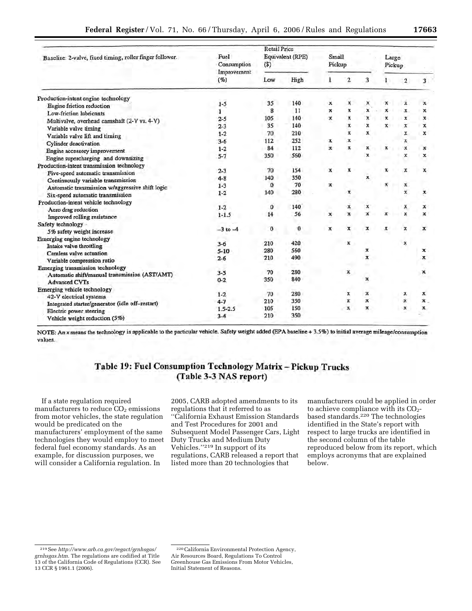|                                                          |                                    | <b>Retail Price</b> |                  |                  |                    |              |                           |                |                |
|----------------------------------------------------------|------------------------------------|---------------------|------------------|------------------|--------------------|--------------|---------------------------|----------------|----------------|
| Baseline: 2-valve, fixed timing, roller finger follower. | Fuel<br>Consumption<br>Improvement | (5)                 | Equivalent (RPE) | Small<br>Pickup  |                    |              | Large<br>Pickup           |                |                |
|                                                          | (%)                                | Low                 | High             | 1                | $\overline{2}$     | 3            | $\mathbf{1}$              | $\overline{2}$ | 3              |
| Production-intent engine technology                      |                                    |                     |                  |                  |                    |              |                           |                |                |
| Engine friction reduction                                | $1 - 5$                            | 35                  | 140              | $\mathbf{x}$     | $\mathbf x$        | x            | $\boldsymbol{\mathsf{x}}$ | x              | x              |
| Low-friction lubricants                                  |                                    | 8                   | $_{11}$          | $\boldsymbol{x}$ | $\mathbf x$        | x            | $\boldsymbol{x}$          | $\mathbf x$    | x.             |
| Multivalve, overhead camshaft (2-V vs. 4-V)              | $2 - 5$                            | 105                 | 140              | $\mathbf{x}$     | $\overline{x}$     | x            | х                         | $\mathbf x$    | $\mathbf{x}$   |
| Variable valve timing                                    | $2 - 3$                            | 35                  | 140              |                  | $\mathbf{x}$       | x            | $\mathbf{x}$              | $\mathbf x$    | x              |
| Variable valve lift and timing                           | $1 - 2$                            | 70                  | 210              |                  | $\mathbf x$        | $\mathbf{x}$ |                           | x              | x              |
| Cylinder deactivation                                    | $3 - 6$                            | 112                 | 252              | x                | x                  |              |                           | х              |                |
| Engine accessory improvement                             | $1 - 2$                            | 84                  | 112              | $\mathbf{x}$     | x                  | x            | $\mathbf x$               | x              | x              |
| Engine supercharging and downsizing                      | $5 - 7$                            | 350                 | 560              |                  |                    | x            |                           | x              | x              |
| Production-intent transmission technology                |                                    |                     |                  |                  |                    |              |                           |                |                |
| Five-speed automatic transmission                        | $2 - 3$                            | 70                  | 154              | x                | x                  |              | $\mathbf x$               | x              | x              |
| Continuously variable transmission                       | $4 - 8$                            | 140                 | 350              |                  |                    | $\mathbf{x}$ |                           |                |                |
| Automatic transmission w/aggressive shift logic          | $1-3$                              | $\bf{0}$            | 70               | x                |                    |              | $\mathbf x$               | х              |                |
| Six-speed automatic transmission                         | $1 - 2$                            | 140                 | 280              |                  | $\pmb{\mathrm{x}}$ |              |                           | x              | x              |
| Production-intent vehicle technology                     |                                    |                     |                  |                  |                    |              |                           |                |                |
| Aero drag reduction                                      | $1 - 2$                            | $\bf{0}$            | 140              |                  | x                  | x            |                           |                | x              |
| Improved rolling resistance                              | $1-1.5$                            | 14                  | 56               | $\mathbf x$      | $\mathbf{x}$       | x            | ×                         |                | x              |
| Safety technology -                                      |                                    |                     |                  |                  |                    |              |                           |                |                |
| 5% safety weight increase                                | $-3$ to $-4$                       | 0                   | 0                | x                | x                  | x            | ×                         | x              | x              |
| Emerging engine technology                               |                                    |                     |                  |                  |                    |              |                           |                |                |
| Intake valve throttling                                  | $3 - 6$                            | 210                 | 420              |                  | ×                  |              |                           | $\mathbf x$    |                |
| Camless valve actuation                                  | $5 - 10$                           | 280                 | 560              |                  |                    | х            |                           |                | x              |
| Variable compression ratio                               | $2-6$                              | 210                 | 490              |                  |                    | x            |                           |                | x              |
| Emerging transmission technology                         |                                    |                     |                  |                  |                    |              |                           |                |                |
| Automatic shift/manual transmission (AST/AMT)            | $3 - 5$                            | 70                  | 280              |                  | x                  |              |                           |                | x              |
| <b>Advanced CVTs</b>                                     | $0 - 2$                            | 350                 | 840              |                  |                    | x            |                           |                |                |
| Emerging vehicle technology                              |                                    |                     |                  |                  |                    |              |                           |                |                |
| 42-V electrical systems                                  | $1 - 2$                            | 70                  | 280              |                  | x                  | $\mathbf x$  |                           | х              | x              |
| Integrated starter/generator (idle off-restart)          | $4 - 7$                            | 210                 | 350              |                  | $\boldsymbol{x}$   | $\mathbf x$  |                           | $\pmb{\chi}$   | $\mathbf{x}$ . |
| Electric power steering                                  | $1.5 - 2.5$                        | 105                 | 150              |                  | $\mathbf{x}$       | x            |                           | $\mathbf x$    | $\mathbf{x}$   |
| Vehicle weight reduction (5%)                            | $3-4$                              | 210                 | 350              |                  |                    |              |                           |                |                |

NOTE: An x means the technology is applicable to the particular vehicle. Safety weight added (EPA baseline + 3.5%) to initial average mileage/consumption values.

# Table 19: Fuel Consumption Technology Matrix - Pickup Trucks (Table 3-3 NAS report)

If a state regulation required manufacturers to reduce  $CO<sub>2</sub>$  emissions from motor vehicles, the state regulation would be predicated on the manufacturers' employment of the same technologies they would employ to meet federal fuel economy standards. As an example, for discussion purposes, we will consider a California regulation. In

2005, CARB adopted amendments to its regulations that it referred to as ''California Exhaust Emission Standards and Test Procedures for 2001 and Subsequent Model Passenger Cars, Light Duty Trucks and Medium Duty Vehicles.''219 In support of its regulations, CARB released a report that listed more than 20 technologies that

manufacturers could be applied in order to achieve compliance with its  $CO<sub>2</sub>$ based standards.220 The technologies identified in the State's report with respect to large trucks are identified in the second column of the table reproduced below from its report, which employs acronyms that are explained below.

<sup>219</sup>See *[http://www.arb.ca.gov/regact/grnhsgas/](http://www.arb.ca.gov/regact/grnhsgas/grnhsgas.htm)  grnhsgas.htm.* The regulations are codified at Title 13 of the California Code of Regulations (CCR). See 13 CCR § 1961.1 (2006).

<sup>220</sup>California Environmental Protection Agency, Air Resources Board, Regulations To Control Greenhouse Gas Emissions From Motor Vehicles, Initial Statement of Reasons.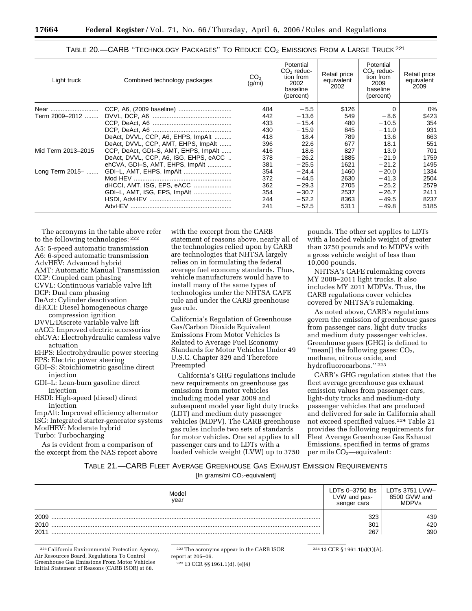| Light truck        | Combined technology packages          | CO <sub>2</sub><br>(g/mi) | Potential<br>$CO2$ reduc-<br>tion from<br>2002<br>baseline<br>(percent) | Retail price<br>equivalent<br>2002 | Potential<br>$CO2$ reduc-<br>tion from<br>2009<br>baseline<br>(percent) | Retail price<br>equivalent<br>2009 |
|--------------------|---------------------------------------|---------------------------|-------------------------------------------------------------------------|------------------------------------|-------------------------------------------------------------------------|------------------------------------|
| Near               |                                       | 484                       | $-5.5$                                                                  | \$126                              | 0                                                                       | 0%                                 |
| Term 2009-2012     |                                       | 442                       | $-13.6$                                                                 | 549                                | $-8.6$                                                                  | \$423                              |
|                    |                                       | 433                       | $-15.4$                                                                 | 480                                | $-10.5$                                                                 | 354                                |
|                    |                                       | 430                       | $-15.9$                                                                 | 845                                | $-11.0$                                                                 | 931                                |
|                    | DeAct. DVVL, CCP, A6, EHPS, ImpAlt    | 418                       | $-18.4$                                                                 | 789                                | $-13.6$                                                                 | 663                                |
|                    | DeAct, DVVL, CCP, AMT, EHPS, ImpAlt   | 396                       | $-22.6$                                                                 | 677                                | $-18.1$                                                                 | 551                                |
| Mid Term 2013-2015 | CCP, DeAct, GDI-S, AMT, EHPS, ImpAlt  | 416                       | $-18.6$                                                                 | 827                                | $-13.9$                                                                 | 701                                |
|                    | DeAct, DVVL, CCP, A6, ISG, EHPS, eACC | 378                       | $-26.2$                                                                 | 1885                               | $-21.9$                                                                 | 1759                               |
|                    | ehCVA, GDI-S, AMT, EHPS, ImpAlt       | 381                       | $-25.5$                                                                 | 1621                               | $-21.2$                                                                 | 1495                               |
| Long Term 2015-    | GDI-L, AMT, EHPS, ImpAlt              | 354                       | $-24.4$                                                                 | 1460                               | $-20.0$                                                                 | 1334                               |
|                    |                                       | 372                       | $-44.5$                                                                 | 2630                               | $-41.3$                                                                 | 2504                               |
|                    | dHCCI, AMT, ISG, EPS, eACC            | 362                       | $-29.3$                                                                 | 2705                               | $-25.2$                                                                 | 2579                               |
|                    | GDI-L, AMT, ISG, EPS, ImpAlt          | 354                       | $-30.7$                                                                 | 2537                               | $-26.7$                                                                 | 2411                               |
|                    |                                       | 244                       | $-52.2$                                                                 | 8363                               | $-49.5$                                                                 | 8237                               |
|                    |                                       | 241                       | $-52.5$                                                                 | 5311                               | $-49.8$                                                                 | 5185                               |

|  | TABLE 20. CARB "TECHNOLOGY PACKAGES" TO REDUCE CO <sub>2</sub> EMISSIONS FROM A LARGE TRUCK <sup>221</sup> |  |
|--|------------------------------------------------------------------------------------------------------------|--|
|--|------------------------------------------------------------------------------------------------------------|--|

The acronyms in the table above refer to the following technologies: 222 A5: 5-speed automatic transmission A6: 6-speed automatic transmission AdvHEV: Advanced hybrid AMT: Automatic Manual Transmission CCP: Coupled cam phasing CVVL: Continuous variable valve lift DCP: Dual cam phasing DeAct: Cylinder deactivation dHCCI: Diesel homogeneous charge compression ignition DVVL:Discrete variable valve lift eACC: Improved electric accessories ehCVA: Electrohydraulic camless valve

actuation EHPS: Electrohydraulic power steering EPS: Electric power steering

- GDI–S: Stoichiometric gasoline direct
- injection GDI–L: Lean-burn gasoline direct injection
- HSDI: High-speed (diesel) direct injection

ImpAlt: Improved efficiency alternator ISG: Integrated starter-generator systems ModHEV: Moderate hybrid Turbo: Turbocharging

As is evident from a comparison of the excerpt from the NAS report above with the excerpt from the CARB statement of reasons above, nearly all of the technologies relied upon by CARB are technologies that NHTSA largely relies on in formulating the federal average fuel economy standards. Thus, vehicle manufacturers would have to install many of the same types of technologies under the NHTSA CAFE rule and under the CARB greenhouse gas rule.

California's Regulation of Greenhouse Gas/Carbon Dioxide Equivalent Emissions From Motor Vehicles Is Related to Average Fuel Economy Standards for Motor Vehicles Under 49 U.S.C. Chapter 329 and Therefore Preempted

California's GHG regulations include new requirements on greenhouse gas emissions from motor vehicles including model year 2009 and subsequent model year light duty trucks (LDT) and medium duty passenger vehicles (MDPV). The CARB greenhouse gas rules include two sets of standards for motor vehicles. One set applies to all passenger cars and to LDTs with a loaded vehicle weight (LVW) up to 3750

pounds. The other set applies to LDTs with a loaded vehicle weight of greater than 3750 pounds and to MDPVs with a gross vehicle weight of less than 10,000 pounds.

NHTSA's CAFE rulemaking covers MY 2008–2011 light trucks. It also includes MY 2011 MDPVs. Thus, the CARB regulations cover vehicles covered by NHTSA's rulemaking.

As noted above, CARB's regulations govern the emission of greenhouse gases from passenger cars, light duty trucks and medium duty passenger vehicles. Greenhouse gases (GHG) is defined to "mean[] the following gases: CO<sub>2</sub>, methane, nitrous oxide, and hydrofluorocarbons.'' 223

CARB's GHG regulation states that the fleet average greenhouse gas exhaust emission values from passenger cars, light-duty trucks and medium-duty passenger vehicles that are produced and delivered for sale in California shall not exceed specified values.224 Table 21 provides the following requirements for Fleet Average Greenhouse Gas Exhaust Emissions, specified in terms of grams per mile CO<sub>2</sub>—equivalent:

## TABLE 21.—CARB FLEET AVERAGE GREENHOUSE GAS EXHAUST EMISSION REQUIREMENTS

[In grams/mi CO<sub>2</sub>-equivalent]

| Model<br>year | LVW and pas-<br>senger cars | LDTs 3751 LVW-<br>8500 GVW and<br><b>MDPVs</b> |
|---------------|-----------------------------|------------------------------------------------|
| 2009          | 323                         | 439                                            |
| 2010          | 301                         | 420                                            |
| 2011          | 267                         | 390                                            |

221California Environmental Protection Agency, Air Resources Board, Regulations To Control Greenhouse Gas Emissions From Motor Vehicles Initial Statement of Reasons (CARB ISOR) at 68.

222The acronyms appear in the CARB ISOR report at 205–06.

223 13 CCR §§ 1961.1(d), (e)(4)

224 13 CCR § 1961.1(a)(1)(A).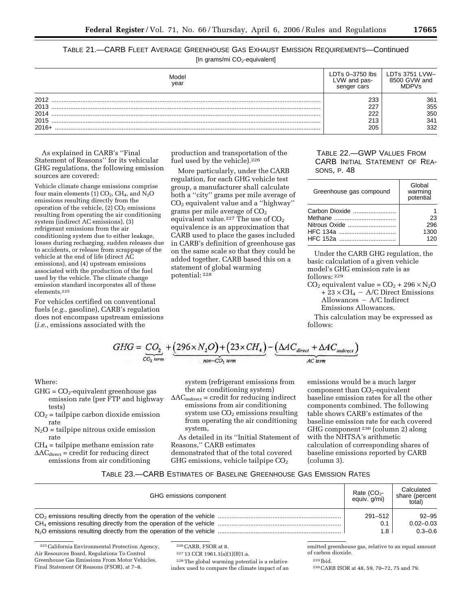TABLE 21.—CARB FLEET AVERAGE GREENHOUSE GAS EXHAUST EMISSION REQUIREMENTS—Continued

[In grams/mi CO<sub>2</sub>-equivalent]

| Model<br>vear                | -VW and pas-<br>senger cars | LDTs 3751 LVW-<br>8500 GVW and<br>MDPVs |
|------------------------------|-----------------------------|-----------------------------------------|
| 2012<br>2013<br>2014<br>2015 | 233<br>227<br>222<br>213    | 361<br>355<br>350<br>341                |
| $2016+$                      | 205                         | 332                                     |

As explained in CARB's ''Final Statement of Reasons'' for its vehicular GHG regulations, the following emission sources are covered:

Vehicle climate change emissions comprise four main elements (1)  $CO<sub>2</sub>$ ,  $CH<sub>4</sub>$ , and  $N<sub>2</sub>O$ emissions resulting directly from the operation of the vehicle,  $(2)$  CO<sub>2</sub> emissions resulting from operating the air conditioning system (indirect AC emissions), (3) refrigerant emissions from the air conditioning system due to either leakage, losses during recharging, sudden releases due to accidents, or release from scrappage of the vehicle at the end of life (direct AC emissions), and (4) upstream emissions associated with the production of the fuel used by the vehicle. The climate change emission standard incorporates all of these elements.225

For vehicles certified on conventional fuels (*e.g.*, gasoline), CARB's regulation does not encompass upstream emissions (*i.e.*, emissions associated with the

production and transportation of the fuel used by the vehicle).<sup>226</sup>

More particularly, under the CARB regulation, for each GHG vehicle test group, a manufacturer shall calculate both a ''city'' grams per mile average of CO2 equivalent value and a ''highway'' grams per mile average of  $CO<sub>2</sub>$ equivalent value.<sup>227</sup> The use of  $CO<sub>2</sub>$ equivalence is an approximation that CARB used to place the gases included in CARB's definition of greenhouse gas on the same scale so that they could be added together. CARB based this on a statement of global warming potential: 228

# TABLE 22.—GWP VALUES FROM CARB INITIAL STATEMENT OF REA-SONS, P. 48

| Greenhouse gas compound                     | Global<br>warming<br>potential |
|---------------------------------------------|--------------------------------|
| Carbon Dioxide<br>Nitrous Oxide<br>HFC 134a | 23<br>296<br>1300              |
| HFC 152a                                    | 120                            |

Under the CARB GHG regulation, the basic calculation of a given vehicle model's GHG emission rate is as follows: 229

 $CO<sub>2</sub>$  equivalent value =  $CO<sub>2</sub>$  + 296  $\times$  N<sub>2</sub>O  $+ 23 \times CH_4 - A/C$  Direct Emissions  $\text{Allowances} - \text{A/C Indirect}$ Emissions Allowances.

This calculation may be expressed as follows:

$$
GHG = \underbrace{CO_2}_{CO_2 \text{ term}} + \underbrace{(296 \times N_2O) + (23 \times CH_4)}_{non-CO_1 \text{ term}} - \underbrace{(\Delta AC_{\text{direct}} + \Delta AC_{\text{indirect}})}_{AC \text{ term}}
$$

Where:

- $GHG = CO<sub>2</sub>$ -equivalent greenhouse gas emission rate (per FTP and highway tests)
- $CO<sub>2</sub>$  = tailpipe carbon dioxide emission rate
- $N_2O$  = tailpipe nitrous oxide emission rate
- $CH<sub>4</sub> = tailpipe method remains a rate$
- $\Delta AC_{direct}$  = credit for reducing direct emissions from air conditioning

system (refrigerant emissions from the air conditioning system)

 $\Delta AC_{indirect}$  = credit for reducing indirect emissions from air conditioning system use  $CO<sub>2</sub>$  emissions resulting from operating the air conditioning system,

As detailed in its ''Initial Statement of Reasons,'' CARB estimates demonstrated that of the total covered GHG emissions, vehicle tailpipe  $CO<sub>2</sub>$ 

emissions would be a much larger component than  $CO<sub>2</sub>$ -equivalent baseline emission rates for all the other components combined. The following table shows CARB's estimates of the baseline emission rate for each covered GHG component 230 (column 2) along with the NHTSA's arithmetic calculation of corresponding shares of baseline emissions reported by CARB (column 3).

# TABLE 23.—CARB ESTIMATES OF BASELINE GREENHOUSE GAS EMISSION RATES

| GHG emissions component | Rate $(CO2 -$<br>equiv. g/mi) | Calculated<br>share (percent<br>total) |
|-------------------------|-------------------------------|----------------------------------------|
|                         | 291-512                       | $92 - 95$                              |
|                         | 0.1                           | $0.02 - 0.03$                          |
|                         | 1.8                           | $0.3 - 0.6$                            |

<sup>225</sup>California Environmental Protection Agency, Air Resources Board, Regulations To Control Greenhouse Gas Emissions From Motor Vehicles, Final Statement Of Reasons (FSOR), at 7–8.

226CARB, FSOR at 8.

227 13 CCR 1961.1(a)(1)(B)1.a.

228The global warming potential is a relative index used to compare the climate impact of an

emitted greenhouse gas, relative to an equal amount of carbon dioxide.

229 Ibid.

230CARB ISOR at 48, 59, 70–72, 75 and 79.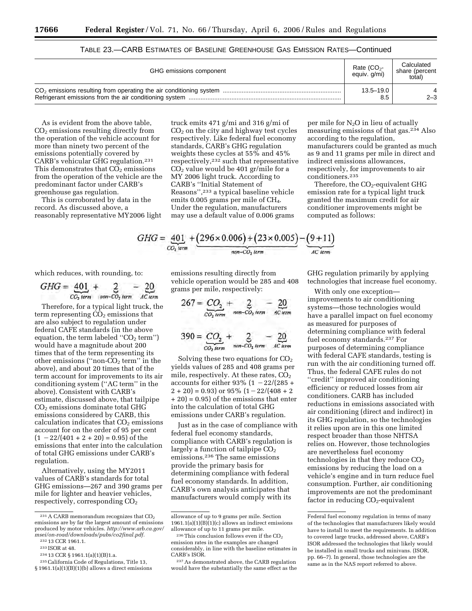| GHG emissions component | Rate $(CO2$ -<br>equiv. g/mi) | Calculated<br>share (percent<br>total) |
|-------------------------|-------------------------------|----------------------------------------|
|                         | $13.5 - 19.0$<br>8.5          | $2 - 3$                                |

| TABLE 23.—CARB ESTIMATES OF BASELINE GREENHOUSE GAS EMISSION RATES—Continued |  |
|------------------------------------------------------------------------------|--|
|------------------------------------------------------------------------------|--|

As is evident from the above table,  $CO<sub>2</sub>$  emissions resulting directly from the operation of the vehicle account for more than ninety two percent of the emissions potentially covered by CARB's vehicular GHG regulation.231 This demonstrates that  $CO<sub>2</sub>$  emissions from the operation of the vehicle are the predominant factor under CARB's greenhouse gas regulation.

This is corroborated by data in the record. As discussed above, a reasonably representative MY2006 light

truck emits 471 g/mi and 316 g/mi of  $CO<sub>2</sub>$  on the city and highway test cycles respectively. Like federal fuel economy standards, CARB's GHG regulation weights these cycles at 55% and 45% respectively,232 such that representative  $CO<sub>2</sub>$  value would be 401 gr/mile for a MY 2006 light truck. According to CARB's ''Initial Statement of Reasons'',233 a typical baseline vehicle emits 0.005 grams per mile of CH<sub>4</sub>. Under the regulation, manufacturers may use a default value of 0.006 grams

per mile for N2O in lieu of actually measuring emissions of that gas.234 Also according to the regulation, manufacturers could be granted as much as 9 and 11 grams per mile in direct and indirect emissions allowances, respectively, for improvements to air conditioners.235

Therefore, the  $CO<sub>2</sub>$ -equivalent GHG emission rate for a typical light truck granted the maximum credit for air conditioner improvements might be computed as follows:

$$
GHG = \underbrace{401}_{CO_2 \text{ term}} + \underbrace{(296 \times 0.006) + (23 \times 0.005)}_{non-CO_2 \text{ term}} - \underbrace{(9+11)}_{AC \text{ term}}
$$

which reduces, with rounding, to:

$$
GHG = \underbrace{401}_{CO_2 \text{ term}} + \underbrace{2}_{\text{non-CO}_2 \text{ term}} - \underbrace{20}_{\text{AC \text{ term}}}
$$

Therefore, for a typical light truck, the term representing  $\overline{CO}_2$  emissions that are also subject to regulation under federal CAFE standards (in the above equation, the term labeled " $CO<sub>2</sub>$  term") would have a magnitude about 200 times that of the term representing its other emissions ("non- $\overline{CO}_2$  term" in the above), and about 20 times that of the term account for improvements to its air conditioning system (''AC term'' in the above). Consistent with CARB's estimate, discussed above, that tailpipe CO2 emissions dominate total GHG emissions considered by CARB, this calculation indicates that  $CO<sub>2</sub>$  emissions account for on the order of 95 per cent  $(1 - 22/(401 + 2 + 20) = 0.95)$  of the emissions that enter into the calculation of total GHG emissions under CARB's regulation.

Alternatively, using the MY2011 values of CARB's standards for total GHG emissions—267 and 390 grams per mile for lighter and heavier vehicles, respectively, corresponding  $CO<sub>2</sub>$ 

emissions resulting directly from vehicle operation would be 285 and 408 grams per mile, respectively:

$$
267 = \underbrace{CO_2}_{CO_2 \text{ term}} + \underbrace{2}_{\text{non-CO}_2 \text{ term}} - \underbrace{20}_{\text{AC term}}
$$
\n
$$
390 = \underbrace{CO_2}_{CO_2 \text{ term}} + \underbrace{2}_{\text{non-CO}_2 \text{ term}} - \underbrace{20}_{\text{AC term}}
$$

Solving these two equations for  $CO<sub>2</sub>$ yields values of 285 and 408 grams per mile, respectively. At these rates,  $CO<sub>2</sub>$ accounts for either 93% (1  $-22/(285 +$  $2 + 20$ ) = 0.93) or 95%  $(1 - 22/(408 + 2))$ + 20) = 0.95) of the emissions that enter into the calculation of total GHG emissions under CARB's regulation.

Just as in the case of compliance with federal fuel economy standards, compliance with CARB's regulation is largely a function of tailpipe  $CO<sub>2</sub>$ emissions.236 The same emissions provide the primary basis for determining compliance with federal fuel economy standards. In addition, CARB's own analysis anticipates that manufacturers would comply with its

GHG regulation primarily by applying technologies that increase fuel economy.

With only one exception improvements to air conditioning systems—those technologies would have a parallel impact on fuel economy as measured for purposes of determining compliance with federal fuel economy standards.237 For purposes of determining compliance with federal CAFE standards, testing is run with the air conditioning turned off. Thus, the federal CAFE rules do not "credit" improved air conditioning efficiency or reduced losses from air conditioners. CARB has included reductions in emissions associated with air conditioning (direct and indirect) in its GHG regulation, so the technologies it relies upon are in this one limited respect broader than those NHTSA relies on. However, those technologies are nevertheless fuel economy technologies in that they reduce  $CO<sub>2</sub>$ emissions by reducing the load on a vehicle's engine and in turn reduce fuel consumption. Further, air conditioning improvements are not the predominant factor in reducing  $CO<sub>2</sub>$ -equivalent

 $\ensuremath{^{231}\text{A}}$  CARB memorandum recognizes that<br>  $\text{CO}_2$ emissions are by far the largest amount of emissions produced by motor vehicles. *http://www.arb.ca.gov/ [msei/on-road/downloads/pubs/co2final.pdf.](http://www.arb.ca.gov/msei/on-road/downloads/pubs/co2final.pdf)* 

<sup>232</sup> 13 CCR 1961.1.

<sup>233</sup> ISOR at 48.

<sup>234</sup> 13 CCR § 1961.1(a)(1)(B)1.a.

<sup>235</sup>California Code of Regulations, Title 13, § 1961.1(a)(1)(B)(1)(b) allows a direct emissions

allowance of up to 9 grams per mile. Section  $1961.1(a)(1)(B)(1)(c)$  allows an indirect emissions allowance of up to 11 grams per mile.

 $236$  This conclusion follows even if the CO<sub>2</sub> emission rates in the examples are changed considerably, in line with the baseline estimates in CARB's ISOR.

<sup>237</sup>As demonstrated above, the CARB regulation would have the substantially the same effect as the

Federal fuel economy regulation in terms of many of the technologies that manufacturers likely would have to install to meet the requirements. In addition to covered large trucks, addressed above, CARB's ISOR addressed the technologies that likely would be installed in small trucks and minivans. (ISOR, pp. 66–7). In general, those technologies are the same as in the NAS report referred to above.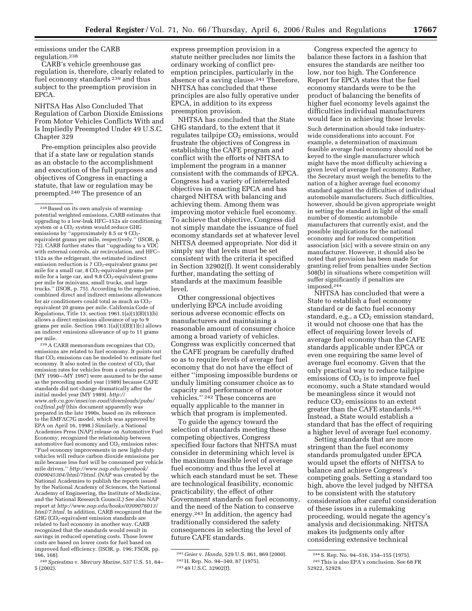emissions under the CARB regulation.238

CARB's vehicle greenhouse gas regulation is, therefore, clearly related to fuel economy standards 239 and thus subject to the preemption provision in EPCA.

NHTSA Has Also Concluded That Regulation of Carbon Dioxide Emissions From Motor Vehicles Conflicts With and Is Impliedly Preempted Under 49 U.S.C. Chapter 329

Pre-emption principles also provide that if a state law or regulation stands as an obstacle to the accomplishment and execution of the full purposes and objectives of Congress in enacting a statute, that law or regulation may be preempted.240 The presence of an

 $^\mathrm{239}\text{A}$  CARB memorandum recognizes that  $\mathrm{CO}_2$ emissions are related to fuel economy. It points out that  $CO<sub>2</sub>$  emissions can be modeled to estimate fuel economy. It also noted in the context of CO<sub>2</sub> that emission rates for vehicles from a certain period (MY 1990—MY 1997) were assumed to be the same as the preceding model year (1989) because CAFE standards did not change dramatically after the initial model year (MY 1989). *http:// [www.arb.ca.gov/msei/on-road/downloads/pubs/](http://www.arb.ca.gov/msei/on-road/downloads/pubs/co2final.pdf)  co2final.pdf* (this document apparently was prepared in the late 1990s, based on its reference to the EMFAC7G model, which was approved by EPA on April 16, 1998.) Similarly, a National Academies Press (NAP) release on Automotive Fuel Economy, recognized the relationship between automotive fuel economy and  $CO<sub>2</sub>$  emission rates: ''Fuel economy improvements in new light-duty vehicles will reduce carbon dioxide emissions per mile because less fuel will be consumed per vehicle mile driven.'' *[http://www.nap.edu/openbook/](http://www.nap.edu/openbook/0309045304/html/7html)  0309045304/html/7html.* (NAP was created by the National Academies to publish the reports issued by the National Academy of Sciences, the National Academy of Engineering, the Institute of Medicine, and the National Research Council.) See also NAP report at *[http://www.nap.edu/books/0309076013/](http://www.nap.edu/books/0309076013/html/7.html)  html/7.html.* In addition, CARB recognized that the GHG (CO2-equivalent emission standards are related to fuel economy in another way. CARB recognized that the standards would result in savings in reduced operating costs. Those lower costs are based on lower costs for fuel based on improved fuel efficiency. (ISOR, p. 196; FSOR, pp. 166, 168).

express preemption provision in a statute neither precludes nor limits the ordinary working of conflict preemption principles, particularly in the absence of a saving clause.241 Therefore, NHTSA has concluded that these principles are also fully operative under EPCA, in addition to its express preemption provision.

NHTSA has concluded that the State GHG standard, to the extent that it regulates tailpipe CO<sub>2</sub> emissions, would frustrate the objectives of Congress in establishing the CAFE program and conflict with the efforts of NHTSA to implement the program in a manner consistent with the commands of EPCA. Congress had a variety of interrelated objectives in enacting EPCA and has charged NHTSA with balancing and achieving them. Among them was improving motor vehicle fuel economy. To achieve that objective, Congress did not simply mandate the issuance of fuel economy standards set at whatever level NHTSA deemed appropriate. Nor did it simply say that levels must be set consistent with the criteria it specified in Section 32902(f). It went considerably further, mandating the setting of standards at the maximum feasible level.

Other congressional objectives underlying EPCA include avoiding serious adverse economic effects on manufacturers and maintaining a reasonable amount of consumer choice among a broad variety of vehicles. Congress was explicitly concerned that the CAFE program be carefully drafted so as to require levels of average fuel economy that do not have the effect of either ''imposing impossible burdens or unduly limiting consumer choice as to capacity and performance of motor vehicles.'' 242 These concerns are equally applicable to the manner in which that program is implemented.

To guide the agency toward the selection of standards meeting these competing objectives, Congress specified four factors that NHTSA must consider in determining which level is the maximum feasible level of average fuel economy and thus the level at which each standard must be set. These are technological feasibility, economic practicability, the effect of other Government standards on fuel economy, and the need of the Nation to conserve energy.243 In addition, the agency had traditionally considered the safety consequences in selecting the level of future CAFE standards.

Congress expected the agency to balance these factors in a fashion that ensures the standards are neither too low, nor too high. The Conference Report for EPCA states that the fuel economy standards were to be the product of balancing the benefits of higher fuel economy levels against the difficulties individual manufacturers would face in achieving those levels:

Such determination should take industrywide considerations into account. For example, a determination of maximum feasible average fuel economy should not be keyed to the single manufacturer which might have the most difficulty achieving a given level of average fuel economy. Rather, the Secretary must weigh the benefits to the nation of a higher average fuel economy standard against the difficulties of individual automobile manufacturers. Such difficulties, however, should be given appropriate weight in setting the standard in light of the small number of domestic automobile manufacturers that currently exist, and the possible implications for the national economy and for reduced competition association [sic] with a severe strain on any manufacturer. However, it should also be noted that provision has been made for granting relief from penalties under Section 508(b) in situations where competition will suffer significantly if penalties are imposed.244

NHTSA has concluded that were a State to establish a fuel economy standard or de facto fuel economy standard, e.g., a  $CO<sub>2</sub>$  emission standard, it would not choose one that has the effect of requiring lower levels of average fuel economy than the CAFE standards applicable under EPCA or even one requiring the same level of average fuel economy. Given that the only practical way to reduce tailpipe emissions of  $CO<sub>2</sub>$  is to improve fuel economy, such a State standard would be meaningless since it would not reduce  $CO<sub>2</sub>$  emissions to an extent greater than the CAFE standards.245 Instead, a State would establish a standard that has the effect of requiring a higher level of average fuel economy.

Setting standards that are more stringent than the fuel economy standards promulgated under EPCA would upset the efforts of NHTSA to balance and achieve Congress's competing goals. Setting a standard too high, above the level judged by NHTSA to be consistent with the statutory consideration after careful consideration of these issues in a rulemaking proceeding, would negate the agency's analysis and decisionmaking. NHTSA makes its judgments only after considering extensive technical

<sup>238</sup>Based on its own analysis of warmingpotential weighted emissions, CARB estimates that upgrading to a low-leak HFC–152a air conditioning system or a CO2 system would reduce GHG emissions by "approximately 8.5 or 9 CO<sub>2</sub>equivalent grams per mile, respectively.'' (ISOR, p. 72). CARB further states that ''upgrading to a VDC with external controls, air recirculation, and HFC– 152a as the refrigerant, the estimated indirect emission reduction is 7 CO<sub>2</sub>-equivalent grams per mile for a small car,  $8 \text{ CO}_2$ -equivalent grams per mile for a large car, and  $9.8 \overline{CO}_2$ -equivalent grams per mile for minivans, small trucks, and large trucks.'' (ISOR, p. 75). According to the regulation, combined direct and indirect emissions allowances for air conditioners could total as much as  $CO<sub>2</sub>$ equivalent 20 grams per mile. California Code of Regulations, Title 13, section 1961.1(a)(1)(B)(1)(b) allows a direct emissions allowance of up to 9 grams per mile. Section  $1961.1(a)(1)(B)(1)(c)$  allows an indirect emissions allowance of up to 11 grams per mile.

<sup>240</sup>*Spriestma* v. *Mercury Marine,* 537 U.S. 51, 64– 5 (2002).

<sup>241</sup> *Geier* v. *Honda,* 529 U.S. 861, 869 (2000). 242H. Rep. No. 94–340, 87 (1975).

<sup>243</sup> 49 U.S.C. 32902(f).

<sup>244</sup>S. Rep. No. 94–516, 154–155 (1975). 245This is also EPA's conclusion. See 68 FR 52922, 52929.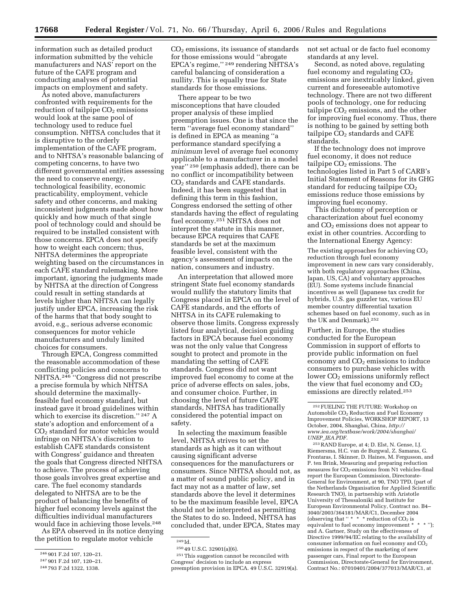information such as detailed product information submitted by the vehicle manufacturers and NAS' report on the future of the CAFE program and conducting analyses of potential impacts on employment and safety.

As noted above, manufacturers confronted with requirements for the reduction of tailpipe  $CO<sub>2</sub>$  emissions would look at the same pool of technology used to reduce fuel consumption. NHTSA concludes that it is disruptive to the orderly implementation of the CAFE program, and to NHTSA's reasonable balancing of competing concerns, to have two different governmental entities assessing the need to conserve energy, technological feasibility, economic practicability, employment, vehicle safety and other concerns, and making inconsistent judgments made about how quickly and how much of that single pool of technology could and should be required to be installed consistent with those concerns. EPCA does not specify how to weight each concern; thus, NHTSA determines the appropriate weighting based on the circumstances in each CAFE standard rulemaking. More important, ignoring the judgments made by NHTSA at the direction of Congress could result in setting standards at levels higher than NHTSA can legally justify under EPCA, increasing the risk of the harms that that body sought to avoid, e.g., serious adverse economic consequences for motor vehicle manufacturers and unduly limited choices for consumers.

Through EPCA, Congress committed the reasonable accommodation of these conflicting policies and concerns to NHTSA.246 ''Congress did not prescribe a precise formula by which NHTSA should determine the maximallyfeasible fuel economy standard, but instead gave it broad guidelines within which to exercise its discretion.'' 247 A state's adoption and enforcement of a CO2 standard for motor vehicles would infringe on NHTSA's discretion to establish CAFE standards consistent with Congress' guidance and threaten the goals that Congress directed NHTSA to achieve. The process of achieving those goals involves great expertise and care. The fuel economy standards delegated to NHTSA are to be the product of balancing the benefits of higher fuel economy levels against the difficulties individual manufacturers would face in achieving those levels.248

As EPA observed in its notice denying the petition to regulate motor vehicle

CO2 emissions, its issuance of standards for those emissions would ''abrogate EPCA's regime,'' 249 rendering NHTSA's careful balancing of consideration a nullity. This is equally true for State standards for those emissions.

There appear to be two misconceptions that have clouded proper analysis of these implied preemption issues. One is that since the term ''average fuel economy standard'' is defined in EPCA as meaning ''a performance standard specifying a *minimum* level of average fuel economy applicable to a manufacturer in a model year'' 250 (emphasis added), there can be no conflict or incompatibility between CO2 standards and CAFE standards. Indeed, it has been suggested that in defining this term in this fashion, Congress endorsed the setting of other standards having the effect of regulating fuel economy.251 NHTSA does not interpret the statute in this manner, because EPCA requires that CAFE standards be set at the maximum feasible level, consistent with the agency's assessment of impacts on the nation, consumers and industry.

An interpretation that allowed more stringent State fuel economy standards would nullify the statutory limits that Congress placed in EPCA on the level of CAFE standards, and the efforts of NHTSA in its CAFE rulemaking to observe those limits. Congress expressly listed four analytical, decision guiding factors in EPCA because fuel economy was not the only value that Congress sought to protect and promote in the mandating the setting of CAFE standards. Congress did not want improved fuel economy to come at the price of adverse effects on sales, jobs, and consumer choice. Further, in choosing the level of future CAFE standards, NHTSA has traditionally considered the potential impact on safety.

In selecting the maximum feasible level, NHTSA strives to set the standards as high as it can without causing significant adverse consequences for the manufacturers or consumers. Since NHTSA should not, as a matter of sound public policy, and in fact may not as a matter of law, set standards above the level it determines to be the maximum feasible level, EPCA should not be interpreted as permitting the States to do so. Indeed, NHTSA has concluded that, under EPCA, States may

251This suggestion cannot be reconciled with Congress' decision to include an express preemption provision in EPCA. 49 U.S.C. 32919(a). not set actual or de facto fuel economy standards at any level.

Second, as noted above, regulating fuel economy and regulating  $CO<sub>2</sub>$ emissions are inextricably linked, given current and foreseeable automotive technology. There are not two different pools of technology, one for reducing tailpipe  $CO<sub>2</sub>$  emissions, and the other for improving fuel economy. Thus, there is nothing to be gained by setting both tailpipe  $CO<sub>2</sub>$  standards and CAFE standards.

If the technology does not improve fuel economy, it does not reduce tailpipe  $CO<sub>2</sub>$  emissions. The technologies listed in Part 5 of CARB's Initial Statement of Reasons for its GHG standard for reducing tailpipe  $CO<sub>2</sub>$ emissions reduce those emissions by improving fuel economy.

This dichotomy of perception or characterization about fuel economy and CO<sub>2</sub> emissions does not appear to exist in other countries. According to the International Energy Agency:

The existing approaches for achieving  $CO<sub>2</sub>$ reduction through fuel economy improvement in new cars vary considerably, with both regulatory approaches (China, Japan, US, CA) and voluntary approaches (EU). Some systems include financial incentives as well (Japanese tax credit for hybrids, U.S. gas guzzler tax, various EU member country differential taxation schemes based on fuel economy, such as in the UK and Denmark).252

Further, in Europe, the studies conducted for the European Commission in support of efforts to provide public information on fuel economy and  $CO<sub>2</sub>$  emissions to induce consumers to purchase vehicles with lower  $CO<sub>2</sub>$  emissions uniformly reflect the view that fuel economy and  $CO<sub>2</sub>$ emissions are directly related.253

253RAND Europe, at 4; D. Elst, N. Gense, I.J. Riemersma, H.C. van de Burgwal, Z. Samaras, G. Frontaras, I. Skinner, D. Haines, M. Fergusson, and P. ten Brink, Measuring and preparing reduction measures for CO<sub>2</sub>-emissions from N1 vehicles-final report the European Commission, Directorate-General for Environment, at 90, TNO TPD, (part of the Netherlands Organisation for Applied Scientific Research TNO), in partnership with Aristotle University of Thessaloniki and Institute for European Environmental Policy, Contract no. B4– 3040/2003/364181/MAR/C1, December 2004 (observing that " $* * *$  reduction of  $CO<sub>2</sub>$  is equivalent to fuel economy improvement \* \* \* ''); and A. Gartner, Study on the effectiveness of Directive 1999/94/EC relating to the availability of consumer information on fuel economy and  $CO<sub>2</sub>$ emissions in respect of the marketing of new passenger cars, Final report to the European Commission, Directorate-General for Environment, Contract No.: 07010401/2004/377013/MAR/C1, at

<sup>246</sup> 901 F.2d 107, 120–21.

<sup>247</sup> 901 F.2d 107, 120–21.

<sup>248</sup> 793 F.2d 1322, 1338.

<sup>249</sup> Id.

<sup>250</sup> 49 U.S.C. 32901(a)(6).

<sup>252</sup>FUELING THE FUTURE: Workshop on Automobile CO<sub>2</sub> Reduction and Fuel Economy Improvement Policies, WORKSHOP REPORT, 13 October, 2004, Shanghai, China, *http:// [www.iea.org/textbase/work/2004/shanghai/](http://www.iea.org/textbase/work/2004/shanghai/UNEP_IEA.PDF)  UNEP*\_*IEA.PDF.*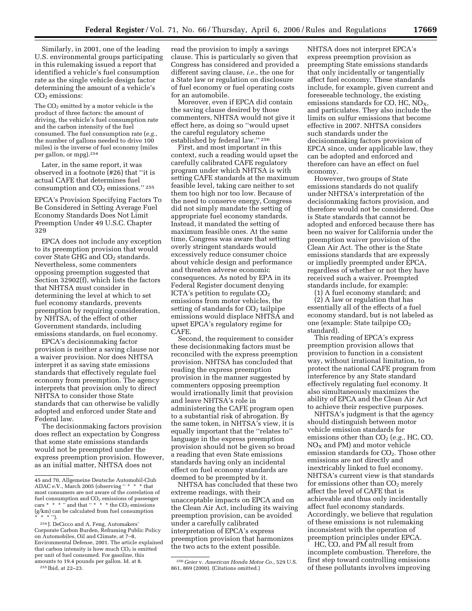Similarly, in 2001, one of the leading U.S. environmental groups participating in this rulemaking issued a report that identified a vehicle's fuel consumption rate as the single vehicle design factor determining the amount of a vehicle's  $CO<sub>2</sub>$  emissions:

The  $CO<sub>2</sub>$  emitted by a motor vehicle is the product of three factors: the amount of driving, the vehicle's fuel consumption rate and the carbon intensity of the fuel consumed. The fuel consumption rate (*e.g.*, the number of gallons needed to drive 100 miles) is the inverse of fuel economy (miles per gallon, or mpg).254

Later, in the same report, it was observed in a footnote (#26) that ''it is actual CAFE that determines fuel consumption and  $CO<sub>2</sub>$  emissions."  $^{255}$ 

EPCA's Provision Specifying Factors To Be Considered in Setting Average Fuel Economy Standards Does Not Limit Preemption Under 49 U.S.C. Chapter 329

EPCA does not include any exception to its preemption provision that would cover State GHG and CO<sub>2</sub> standards. Nevertheless, some commenters opposing preemption suggested that Section 32902(f), which lists the factors that NHTSA must consider in determining the level at which to set fuel economy standards, prevents preemption by requiring consideration, by NHTSA, of the effect of other Government standards, including emissions standards, on fuel economy.

EPCA's decisionmaking factor provision is neither a saving clause nor a waiver provision. Nor does NHTSA interpret it as saving state emissions standards that effectively regulate fuel economy from preemption. The agency interprets that provision only to direct NHTSA to consider those State standards that can otherwise be validly adopted and enforced under State and Federal law.

The decisionmaking factors provision does reflect an expectation by Congress that some state emissions standards would not be preempted under the express preemption provision. However, as an initial matter, NHTSA does not

read the provision to imply a savings clause. This is particularly so given that Congress has considered and provided a different saving clause, *i.e.*, the one for a State law or regulation on disclosure of fuel economy or fuel operating costs for an automobile.

Moreover, even if EPCA did contain the saving clause desired by those commenters, NHTSA would not give it effect here, as doing so ''would upset the careful regulatory scheme established by federal law.'' 256

First, and most important in this context, such a reading would upset the carefully calibrated CAFE regulatory program under which NHTSA is with setting CAFE standards at the maximum feasible level, taking care neither to set them too high nor too low. Because of the need to conserve energy, Congress did not simply mandate the setting of appropriate fuel economy standards. Instead, it mandated the setting of maximum feasible ones. At the same time, Congress was aware that setting overly stringent standards would excessively reduce consumer choice about vehicle design and performance and threaten adverse economic consequences. As noted by EPA in its Federal Register document denying ICTA's petition to regulate  $CO<sub>2</sub>$ emissions from motor vehicles, the setting of standards for  $CO<sub>2</sub>$  tailpipe emissions would displace NHTSA and upset EPCA's regulatory regime for CAFE.

Second, the requirement to consider these decisionmaking factors must be reconciled with the express preemption provision. NHTSA has concluded that reading the express preemption provision in the manner suggested by commenters opposing preemption would irrationally limit that provision and leave NHTSA's role in administering the CAFE program open to a substantial risk of abrogation. By the same token, in NHTSA's view, it is equally important that the ''relates to'' language in the express preemption provision should not be given so broad a reading that even State emissions standards having only an incidental effect on fuel economy standards are deemed to be preempted by it.

NHTSA has concluded that these two extreme readings, with their unacceptable impacts on EPCA and on the Clean Air Act, including its waiving preemption provision, can be avoided under a carefully calibrated interpretation of EPCA's express preemption provision that harmonizes the two acts to the extent possible.

NHTSA does not interpret EPCA's express preemption provision as preempting State emissions standards that only incidentally or tangentially affect fuel economy. These standards include, for example, given current and foreseeable technology, the existing emissions standards for CO, HC,  $NO<sub>X</sub>$ , and particulates. They also include the limits on sulfur emissions that become effective in 2007. NHTSA considers such standards under the decisionmaking factors provision of EPCA since, under applicable law, they can be adopted and enforced and therefore can have an effect on fuel economy.

However, two groups of State emissions standards do not qualify under NHTSA's interpretation of the decisionmaking factors provision, and therefore would not be considered. One is State standards that cannot be adopted and enforced because there has been no waiver for California under the preemption waiver provision of the Clean Air Act. The other is the State emissions standards that are expressly or impliedly preempted under EPCA, regardless of whether or not they have received such a waiver. Preempted standards include, for example:

(1) A fuel economy standard; and (2) A law or regulation that has essentially all of the effects of a fuel economy standard, but is not labeled as one (example: State tailpipe  $CO<sub>2</sub>$ standard).

This reading of EPCA's express preemption provision allows that provision to function in a consistent way, without irrational limitation, to protect the national CAFE program from interference by any State standard effectively regulating fuel economy. It also simultaneously maximizes the ability of EPCA and the Clean Air Act to achieve their respective purposes.

NHTSA's judgment is that the agency should distinguish between motor vehicle emission standards for emissions other than  $CO<sub>2</sub>$  (*e.g.*, HC, CO,  $NO<sub>X</sub>$  and PM) and motor vehicle emission standards for  $CO<sub>2</sub>$ . Those other emissions are not directly and inextricably linked to fuel economy. NHTSA's current view is that standards for emissions other than  $CO<sub>2</sub>$  merely affect the level of CAFE that is achievable and thus only incidentally affect fuel economy standards. Accordingly, we believe that regulation of these emissions is not rulemaking inconsistent with the operation of preemption principles under EPCA.

HC, CO, and PM all result from incomplete combustion. Therefore, the first step toward controlling emissions of these pollutants involves improving

<sup>45</sup> and 70, Allgemeine Deutsche Automobil-Club ADAC e.V., March 2005 (observing " \* \* \* that most consumers are not aware of the correlation of fuel consumption and  $CO<sub>2</sub>$  emissions of passenger cars  $* * * \dots$  and that "  $* * *$  the CO<sub>2</sub> emissions (g/km) can be calculated from fuel consumption \* \* \* '').

<sup>254</sup> J. DeCicco and A. Feng, Automakers' Corporate Carbon Burden, Reframing Public Policy on Automobiles, Oil and Climate, at 7–8, Environmental Defense, 2001. The article explained that carbon intensity is how much  $CO<sub>2</sub>$  is emitted per unit of fuel consumed. For gasoline, this amounts to 19.4 pounds per gallon. Id. at 8. 255 Ibid, at 22–23.

<sup>256</sup> *Geier* v. *American Honda Motor Co*., 529 U.S. 861, 869 (2000). (Citations omitted.)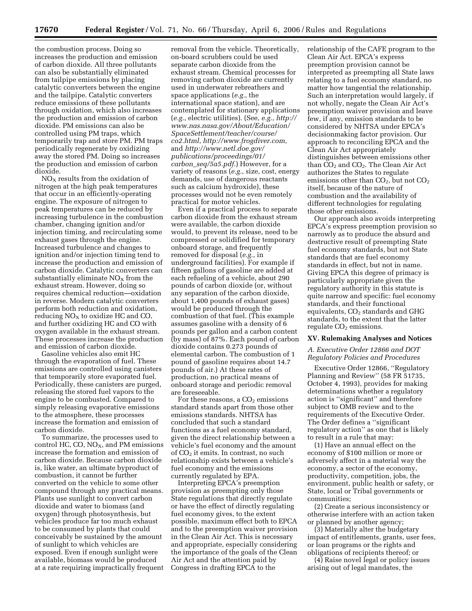the combustion process. Doing so increases the production and emission of carbon dioxide. All three pollutants can also be substantially eliminated from tailpipe emissions by placing catalytic converters between the engine and the tailpipe. Catalytic converters reduce emissions of these pollutants through oxidation, which also increases the production and emission of carbon dioxide. PM emissions can also be controlled using PM traps, which temporarily trap and store PM. PM traps periodically regenerate by oxidizing away the stored PM. Doing so increases the production and emission of carbon dioxide.

 $NO<sub>X</sub>$  results from the oxidation of nitrogen at the high peak temperatures that occur in an efficiently-operating engine. The exposure of nitrogen to peak temperatures can be reduced by increasing turbulence in the combustion chamber, changing ignition and/or injection timing, and recirculating some exhaust gases through the engine. Increased turbulence and changes to ignition and/or injection timing tend to increase the production and emission of carbon dioxide. Catalytic converters can substantially eliminate  $NO<sub>x</sub>$  from the exhaust stream. However, doing so requires chemical reduction—oxidation in reverse. Modern catalytic converters perform both reduction and oxidation, reducing  $NO<sub>X</sub>$  to oxidize HC and CO, and further oxidizing HC and CO with oxygen available in the exhaust stream. These processes increase the production and emission of carbon dioxide.

Gasoline vehicles also emit HC through the evaporation of fuel. These emissions are controlled using canisters that temporarily store evaporated fuel. Periodically, these canisters are purged, releasing the stored fuel vapors to the engine to be combusted. Compared to simply releasing evaporative emissions to the atmosphere, these processes increase the formation and emission of carbon dioxide.

To summarize, the processes used to control HC, CO,  $NO<sub>X</sub>$ , and PM emissions increase the formation and emission of carbon dioxide. Because carbon dioxide is, like water, an ultimate byproduct of combustion, it cannot be further converted on the vehicle to some other compound through any practical means. Plants use sunlight to convert carbon dioxide and water to biomass (and oxygen) through photosynthesis, but vehicles produce far too much exhaust to be consumed by plants that could conceivably be sustained by the amount of sunlight to which vehicles are exposed. Even if enough sunlight were available, biomass would be produced at a rate requiring impractically frequent removal from the vehicle. Theoretically, on-board scrubbers could be used separate carbon dioxide from the exhaust stream. Chemical processes for removing carbon dioxide are currently used in underwater rebreathers and space applications (*e.g.*, the international space station), and are contemplated for stationary applications (*e.g.*, electric utilities). (See, *e.g.*, *http:// [www.nas.nasa.gov/About/Education/](http://www.nas.nasa.gov/About/Education/SpaceSettlement/teacher/course/co2.html)  SpaceSettlement/teacher/course/ [co2.html](http://www.nas.nasa.gov/About/Education/SpaceSettlement/teacher/course/co2.html)*, *<http://www.frogdiver.com>*, and *http://www.netl.doe.gov/ [publications/proceedings/01/](http://www.netl.doe.gov/publications/proceedings/01carbon_seq/5a5.pdf)  carbon*\_*seq/5a5.pdf*.) However, for a variety of reasons (*e.g.*, size, cost, energy demands, use of dangerous reactants such as calcium hydroxide), these processes would not be even remotely practical for motor vehicles.

Even if a practical process to separate carbon dioxide from the exhaust stream were available, the carbon dioxide would, to prevent its release, need to be compressed or solidified for temporary onboard storage, and frequently removed for disposal (*e.g.*, in underground facilities). For example if fifteen gallons of gasoline are added at each refueling of a vehicle, about 290 pounds of carbon dioxide (or, without any separation of the carbon dioxide, about 1,400 pounds of exhaust gases) would be produced through the combustion of that fuel. (This example assumes gasoline with a density of 6 pounds per gallon and a carbon content (by mass) of 87%. Each pound of carbon dioxide contains 0.273 pounds of elemental carbon. The combustion of 1 pound of gasoline requires about 14.7 pounds of air.) At these rates of production, no practical means of onboard storage and periodic removal are foreseeable.

For these reasons, a  $CO<sub>2</sub>$  emissions standard stands apart from those other emissions standards. NHTSA has concluded that such a standard functions as a fuel economy standard, given the direct relationship between a vehicle's fuel economy and the amount of CO2 it emits. In contrast, no such relationship exists between a vehicle's fuel economy and the emissions currently regulated by EPA.

Interpreting EPCA's preemption provision as preempting only those State regulations that directly regulate or have the effect of directly regulating fuel economy gives, to the extent possible, maximum effect both to EPCA and to the preemption waiver provision in the Clean Air Act. This is necessary and appropriate, especially considering the importance of the goals of the Clean Air Act and the attention paid by Congress in drafting EPCA to the

relationship of the CAFE program to the Clean Air Act. EPCA's express preemption provision cannot be interpreted as preempting all State laws relating to a fuel economy standard, no matter how tangential the relationship. Such an interpretation would largely, if not wholly, negate the Clean Air Act's preemption waiver provision and leave few, if any, emission standards to be considered by NHTSA under EPCA's decisionmaking factor provision. Our approach to reconciling EPCA and the Clean Air Act appropriately distinguishes between emissions other than CO<sub>2</sub> and CO<sub>2</sub>. The Clean Air Act authorizes the States to regulate emissions other than  $CO<sub>2</sub>$ , but not  $CO<sub>2</sub>$ itself, because of the nature of combustion and the availability of different technologies for regulating those other emissions.

Our approach also avoids interpreting EPCA's express preemption provision so narrowly as to produce the absurd and destructive result of preempting State fuel economy standards, but not State standards that are fuel economy standards in effect, but not in name. Giving EPCA this degree of primacy is particularly appropriate given the regulatory authority in this statute is quite narrow and specific: fuel economy standards, and their functional equivalents,  $CO<sub>2</sub>$  standards and GHG standards, to the extent that the latter regulate  $CO<sub>2</sub>$  emissions.

#### **XV. Rulemaking Analyses and Notices**

## *A. Executive Order 12866 and DOT Regulatory Policies and Procedures*

Executive Order 12866, ''Regulatory Planning and Review'' (58 FR 51735, October 4, 1993), provides for making determinations whether a regulatory action is ''significant'' and therefore subject to OMB review and to the requirements of the Executive Order. The Order defines a ''significant regulatory action'' as one that is likely to result in a rule that may:

(1) Have an annual effect on the economy of \$100 million or more or adversely affect in a material way the economy, a sector of the economy, productivity, competition, jobs, the environment, public health or safety, or State, local or Tribal governments or communities;

(2) Create a serious inconsistency or otherwise interfere with an action taken or planned by another agency;

(3) Materially alter the budgetary impact of entitlements, grants, user fees, or loan programs or the rights and obligations of recipients thereof; or

(4) Raise novel legal or policy issues arising out of legal mandates, the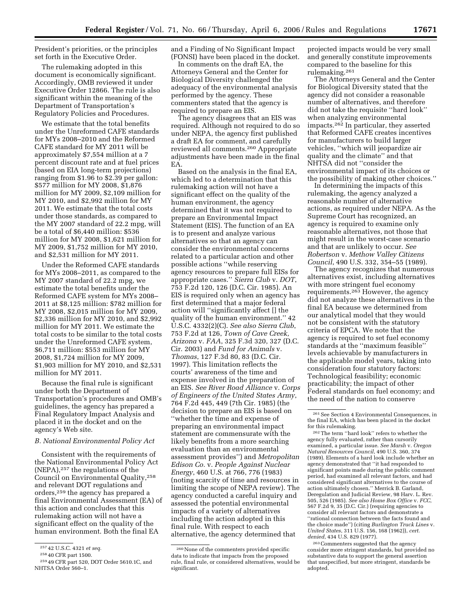President's priorities, or the principles set forth in the Executive Order.

The rulemaking adopted in this document is economically significant. Accordingly, OMB reviewed it under Executive Order 12866. The rule is also significant within the meaning of the Department of Transportation's Regulatory Policies and Procedures.

We estimate that the total benefits under the Unreformed CAFE standards for MYs 2008–2010 and the Reformed CAFE standard for MY 2011 will be approximately \$7,554 million at a 7 percent discount rate and at fuel prices (based on EIA long-term projections) ranging from \$1.96 to \$2.39 per gallon: \$577 million for MY 2008, \$1,876 million for MY 2009, \$2,109 million for MY 2010, and \$2,992 million for MY 2011. We estimate that the total costs under those standards, as compared to the MY 2007 standard of 22.2 mpg, will be a total of \$6,440 million: \$536 million for MY 2008, \$1,621 million for MY 2009, \$1,752 million for MY 2010, and \$2,531 million for MY 2011.

Under the Reformed CAFE standards for MYs 2008–2011, as compared to the MY 2007 standard of 22.2 mpg, we estimate the total benefits under the Reformed CAFE system for MYs 2008– 2011 at \$8,125 million: \$782 million for MY 2008, \$2,015 million for MY 2009, \$2,336 million for MY 2010, and \$2,992 million for MY 2011. We estimate the total costs to be similar to the total costs under the Unreformed CAFE system, \$6,711 million: \$553 million for MY 2008, \$1,724 million for MY 2009, \$1,903 million for MY 2010, and \$2,531 million for MY 2011.

Because the final rule is significant under both the Department of Transportation's procedures and OMB's guidelines, the agency has prepared a Final Regulatory Impact Analysis and placed it in the docket and on the agency's Web site.

#### *B. National Environmental Policy Act*

Consistent with the requirements of the National Environmental Policy Act (NEPA),257 the regulations of the Council on Environmental Quality,258 and relevant DOT regulations and orders,259 the agency has prepared a final Environmental Assessment (EA) of this action and concludes that this rulemaking action will not have a significant effect on the quality of the human environment. Both the final EA

and a Finding of No Significant Impact (FONSI) have been placed in the docket.

In comments on the draft EA, the Attorneys General and the Center for Biological Diversity challenged the adequacy of the environmental analysis performed by the agency. These commenters stated that the agency is required to prepare an EIS.

The agency disagrees that an EIS was required. Although not required to do so under NEPA, the agency first published a draft EA for comment, and carefully reviewed all comments.260 Appropriate adjustments have been made in the final EA.

Based on the analysis in the final EA, which led to a determination that this rulemaking action will not have a significant effect on the quality of the human environment, the agency determined that it was not required to prepare an Environmental Impact Statement (EIS). The function of an EA is to present and analyze various alternatives so that an agency can consider the environmental concerns related to a particular action and other possible actions ''while reserving agency resources to prepare full EISs for appropriate cases.'' *Sierra Club* v. *DOT*, 753 F.2d 120, 126 (D.C. Cir. 1985). An EIS is required only when an agency has first determined that a major federal action will ''significantly affect [] the quality of the human environment.'' 42 U.S.C. 4332(2)(C). *See also Sierra Club*, 753 F.2d at 126, *Town of Cave Creek, Arizona* v. *FAA*, 325 F.3d 320, 327 (D.C. Cir. 2003) and *Fund for Animals* v. *Thomas*, 127 F.3d 80, 83 (D.C. Cir. 1997). This limitation reflects the courts' awareness of the time and expense involved in the preparation of an EIS. *See River Road Alliance* v. *Corps of Engineers of the United States Army*, 764 F.2d 445, 449 (7th Cir. 1985) (the decision to prepare an EIS is based on ''whether the time and expense of preparing an environmental impact statement are commensurate with the likely benefits from a more searching evaluation than an environmental assessment provides'') and *Metropolitan Edison Co.* v. *People Against Nuclear Energy*, 460 U.S. at 766, 776 (1983) (noting scarcity of time and resources in limiting the scope of NEPA review). The agency conducted a careful inquiry and assessed the potential environmental impacts of a variety of alternatives including the action adopted in this final rule. With respect to each alternative, the agency determined that

projected impacts would be very small and generally constitute improvements compared to the baseline for this rulemaking.261

The Attorneys General and the Center for Biological Diversity stated that the agency did not consider a reasonable number of alternatives, and therefore did not take the requisite ''hard look'' when analyzing environmental impacts.262 In particular, they asserted that Reformed CAFE creates incentives for manufacturers to build larger vehicles, ''which will jeopardize air quality and the climate'' and that NHTSA did not ''consider the environmental impact of its choices or the possibility of making other choices.''

In determining the impacts of this rulemaking, the agency analyzed a reasonable number of alternative actions, as required under NEPA. As the Supreme Court has recognized, an agency is required to examine only reasonable alternatives, not those that might result in the worst-case scenario and that are unlikely to occur. *See Robertson* v. *Methow Valley Citizens Council*, 490 U.S. 332, 354–55 (1989).

The agency recognizes that numerous alternatives exist, including alternatives with more stringent fuel economy requirements.263 However, the agency did not analyze these alternatives in the final EA because we determined from our analytical model that they would not be consistent with the statutory criteria of EPCA. We note that the agency is required to set fuel economy standards at the ''maximum feasible'' levels achievable by manufacturers in the applicable model years, taking into consideration four statutory factors: Technological feasibility; economic practicability; the impact of other Federal standards on fuel economy; and the need of the nation to conserve

<sup>257</sup> 42 U.S.C. 4321 *et seq.* 

<sup>258</sup> 40 CFR part 1500.

<sup>259</sup> 49 CFR part 520, DOT Order 5610.1C, and NHTSA Order 560–1.

<sup>260</sup>None of the commenters provided specific data to indicate that impacts from the proposed rule, final rule, or considered alternatives, would be significant.

 $^\mathrm{261}$  See Section 4 Environmental Consequences, in the final EA, which has been placed in the docket

<sup>&</sup>lt;sup>262</sup> The term "hard look" refers to whether the agency fully evaluated, rather than cursorily examined, a particular issue. *See Marsh* v. *Oregon Natural Resources Council*, 490 U.S. 360, 374 (1989). Elements of a hard look include whether an agency demonstrated that ''it had responded to significant points made during the public comment period, had examined all relevant factors, and had considered significant alternatives to the course of action ultimately chosen.'' Merrick B. Garland, Deregulation and Judicial Review, 98 Harv. L. Rev. 505, 526 (1985). *See also Home Box Office* v. *FCC*, 567 F.2d 9, 35 (D.C. Cir.) (requiring agencies to consider all relevant factors and demonstrate a ''rational connection between the facts found and the choice made'') (citing *Burlington Truck Lines* v. *United States*, 311 U.S. 156, 168 (1962)), *cert. denied*, 434 U.S. 829 (1977).

<sup>263</sup>Commenters suggested that the agency consider more stringent standards, but provided no substantive data to support the general assertion that unspecified, but more stringent, standards be adopted.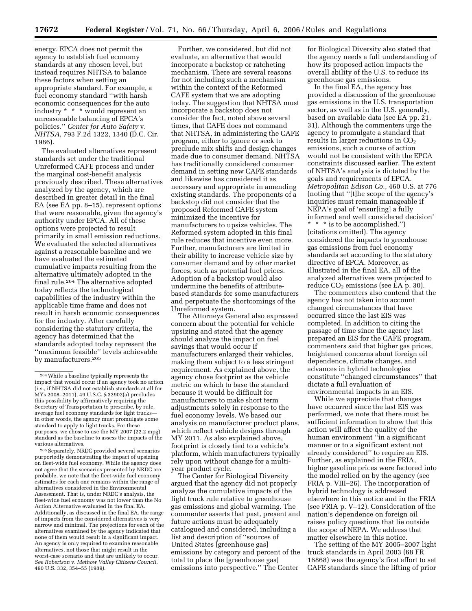energy. EPCA does not permit the agency to establish fuel economy standards at any chosen level, but instead requires NHTSA to balance these factors when setting an appropriate standard. For example, a fuel economy standard ''with harsh economic consequences for the auto industry \* \* \* would represent an unreasonable balancing of EPCA's policies.'' *Center for Auto Safety* v. *NHTSA*, 793 F.2d 1322, 1340 (D.C. Cir. 1986).

The evaluated alternatives represent standards set under the traditional Unreformed CAFE process and under the marginal cost-benefit analysis previously described. These alternatives analyzed by the agency, which are described in greater detail in the final EA (see EA pp. 8–15), represent options that were reasonable, given the agency's authority under EPCA. All of these options were projected to result primarily in small emission reductions. We evaluated the selected alternatives against a reasonable baseline and we have evaluated the estimated cumulative impacts resulting from the alternative ultimately adopted in the final rule.264 The alternative adopted today reflects the technological capabilities of the industry within the applicable time frame and does not result in harsh economic consequences for the industry. After carefully considering the statutory criteria, the agency has determined that the standards adopted today represent the ''maximum feasible'' levels achievable by manufacturers.<sup>265</sup>

265Separately, NRDC provided several scenarios purportedly demonstrating the impact of upsizing on fleet-wide fuel economy. While the agency does not agree that the scenarios presented by NRDC are probable, we note that the fleet-wide fuel economy estimates for each one remains within the range of alternatives considered in the Environmental Assessment. That is, under NRDC's analysis, the fleet-wide fuel economy was not lower than the No Action Alternative evaluated in the final EA. Additionally, as discussed in the final EA, the range of impacts from the considered alternatives is very narrow and minimal. The projections for each of the alternatives examined by the agency indicated that none of them would result in a significant impact. An agency is only required to examine reasonable alternatives, not those that might result in the worst-case scenario and that are unlikely to occur. *See Robertson* v. *Methow Valley Citizens Council*, 490 U.S. 332, 354–55 (1989).

Further, we considered, but did not evaluate, an alternative that would incorporate a backstop or ratcheting mechanism. There are several reasons for not including such a mechanism within the context of the Reformed CAFE system that we are adopting today. The suggestion that NHTSA must incorporate a backstop does not consider the fact, noted above several times, that CAFE does not command that NHTSA, in administering the CAFE program, either to ignore or seek to preclude mix shifts and design changes made due to consumer demand. NHTSA has traditionally considered consumer demand in setting new CAFE standards and likewise has considered it as necessary and appropriate in amending existing standards. The proponents of a backstop did not consider that the proposed Reformed CAFE system minimized the incentive for manufacturers to upsize vehicles. The Reformed system adopted in this final rule reduces that incentive even more. Further, manufacturers are limited in their ability to increase vehicle size by consumer demand and by other market forces, such as potential fuel prices. Adoption of a backstop would also undermine the benefits of attributebased standards for some manufacturers and perpetuate the shortcomings of the Unreformed system.

The Attorneys General also expressed concern about the potential for vehicle upsizing and stated that the agency should analyze the impact on fuel savings that would occur if manufacturers enlarged their vehicles, making them subject to a less stringent requirement. As explained above, the agency chose footprint as the vehicle metric on which to base the standard because it would be difficult for manufacturers to make short term adjustments solely in response to the fuel economy levels. We based our analysis on manufacturer product plans, which reflect vehicle designs through MY 2011. As also explained above, footprint is closely tied to a vehicle's platform, which manufacturers typically rely upon without change for a multiyear product cycle.

The Center for Biological Diversity argued that the agency did not properly analyze the cumulative impacts of the light truck rule relative to greenhouse gas emissions and global warming. The commenter asserts that past, present and future actions must be adequately catalogued and considered, including a list and description of ''sources of United States [greenhouse gas] emissions by category and percent of the total to place the [greenhouse gas] emissions into perspective.'' The Center

for Biological Diversity also stated that the agency needs a full understanding of how its proposed action impacts the overall ability of the U.S. to reduce its greenhouse gas emissions.

In the final EA, the agency has provided a discussion of the greenhouse gas emissions in the U.S. transportation sector, as well as in the U.S. generally, based on available data (see EA pp. 21, 31). Although the commenters urge the agency to promulgate a standard that results in larger reductions in  $CO<sub>2</sub>$ emissions, such a course of action would not be consistent with the EPCA constraints discussed earlier. The extent of NHTSA's analysis is dictated by the goals and requirements of EPCA. *Metropolitan Edison Co.*, 460 U.S. at 776 (noting that ''[t]he scope of the agency's inquiries must remain manageable if NEPA's goal of 'ensur[ing] a fully informed and well considered decision' \* \* \* is to be accomplished.'') (citations omitted). The agency considered the impacts to greenhouse gas emissions from fuel economy standards set according to the statutory directive of EPCA. Moreover, as illustrated in the final EA, all of the analyzed alternatives were projected to reduce CO<sub>2</sub> emissions (see EA p. 30).

The commenters also contend that the agency has not taken into account changed circumstances that have occurred since the last EIS was completed. In addition to citing the passage of time since the agency last prepared an EIS for the CAFE program, commenters said that higher gas prices, heightened concerns about foreign oil dependence, climate changes, and advances in hybrid technologies constitute ''changed circumstances'' that dictate a full evaluation of environmental impacts in an EIS.

While we appreciate that changes have occurred since the last EIS was performed, we note that there must be sufficient information to show that this action will affect the quality of the human environment ''in a significant manner or to a significant extent not already considered'' to require an EIS. Further, as explained in the FRIA, higher gasoline prices were factored into the model relied on by the agency (see FRIA p. VIII–26). The incorporation of hybrid technology is addressed elsewhere in this notice and in the FRIA (see FRIA p. V–12). Consideration of the nation's dependence on foreign oil raises policy questions that lie outside the scope of NEPA. We address that matter elsewhere in this notice.

The setting of the MY 2005–2007 light truck standards in April 2003 (68 FR 16868) was the agency's first effort to set CAFE standards since the lifting of prior

<sup>264</sup>While a baseline typically represents the impact that would occur if an agency took no action (*i.e.*, if NHTSA did not establish standards at all for MYs 2008–2011), 49 U.S.C. § 32902(a) precludes this possibility by affirmatively requiring the Secretary of Transportation to prescribe, by rule, average fuel economy standards for light trucks in other words, the agency must promulgate some standard to apply to light trucks. For these purposes, we chose to use the MY 2007 (22.2 mpg) standard as the baseline to assess the impacts of the various alternatives.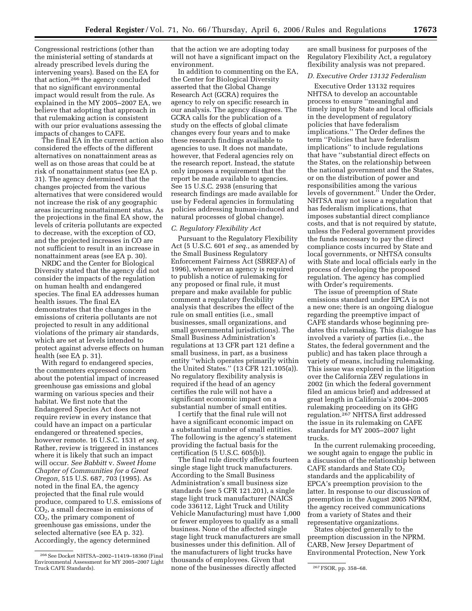Congressional restrictions (other than the ministerial setting of standards at already prescribed levels during the intervening years). Based on the EA for that action,<sup>266</sup> the agency concluded that no significant environmental impact would result from the rule. As explained in the MY 2005–2007 EA, we believe that adopting that approach in that rulemaking action is consistent with our prior evaluations assessing the impacts of changes to CAFE.

The final EA in the current action also considered the effects of the different alternatives on nonattainment areas as well as on those areas that could be at risk of nonattainment status (see EA p. 31). The agency determined that the changes projected from the various alternatives that were considered would not increase the risk of any geographic areas incurring nonattainment status. As the projections in the final EA show, the levels of criteria pollutants are expected to decrease, with the exception of CO, and the projected increases in CO are not sufficient to result in an increase in nonattainment areas (see EA p. 30).

NRDC and the Center for Biological Diversity stated that the agency did not consider the impacts of the regulation on human health and endangered species. The final EA addresses human health issues. The final EA demonstrates that the changes in the emissions of criteria pollutants are not projected to result in any additional violations of the primary air standards, which are set at levels intended to protect against adverse effects on human health (see EA p. 31).

With regard to endangered species, the commenters expressed concern about the potential impact of increased greenhouse gas emissions and global warming on various species and their habitat. We first note that the Endangered Species Act does not require review in every instance that could have an impact on a particular endangered or threatened species, however remote. 16 U.S.C. 1531 *et seq.*  Rather, review is triggered in instances where it is likely that such an impact will occur. *See Babbitt* v. *Sweet Home Chapter of Communities for a Great Oregon,* 515 U.S. 687, 703 (1995). As noted in the final EA, the agency projected that the final rule would produce, compared to U.S. emissions of  $CO<sub>2</sub>$ , a small decrease in emissions of CO2, the primary component of greenhouse gas emissions, under the selected alternative (see EA p. 32). Accordingly, the agency determined

that the action we are adopting today will not have a significant impact on the environment.

In addition to commenting on the EA, the Center for Biological Diversity asserted that the Global Change Research Act (GCRA) requires the agency to rely on specific research in our analysis. The agency disagrees. The GCRA calls for the publication of a study on the effects of global climate changes every four years and to make these research findings available to agencies to use. It does not mandate, however, that Federal agencies rely on the research report. Instead, the statute only imposes a requirement that the report be made available to agencies. See 15 U.S.C. 2938 (ensuring that research findings are made available for use by Federal agencies in formulating policies addressing human-induced and natural processes of global change).

## *C. Regulatory Flexibility Act*

Pursuant to the Regulatory Flexibility Act (5 U.S.C. 601 *et seq.*, as amended by the Small Business Regulatory Enforcement Fairness Act (SBREFA) of 1996), whenever an agency is required to publish a notice of rulemaking for any proposed or final rule, it must prepare and make available for public comment a regulatory flexibility analysis that describes the effect of the rule on small entities (i.e., small businesses, small organizations, and small governmental jurisdictions). The Small Business Administration's regulations at 13 CFR part 121 define a small business, in part, as a business entity ''which operates primarily within the United States.'' (13 CFR 121.105(a)). No regulatory flexibility analysis is required if the head of an agency certifies the rule will not have a significant economic impact on a substantial number of small entities.

I certify that the final rule will not have a significant economic impact on a substantial number of small entities. The following is the agency's statement providing the factual basis for the certification (5 U.S.C. 605(b)).

The final rule directly affects fourteen single stage light truck manufacturers. According to the Small Business Administration's small business size standards (see 5 CFR 121.201), a single stage light truck manufacturer (NAICS code 336112, Light Truck and Utility Vehicle Manufacturing) must have 1,000 or fewer employees to qualify as a small business. None of the affected single stage light truck manufacturers are small businesses under this definition. All of the manufacturers of light trucks have thousands of employees. Given that

are small business for purposes of the Regulatory Flexibility Act, a regulatory flexibility analysis was not prepared.

# *D. Executive Order 13132 Federalism*

Executive Order 13132 requires NHTSA to develop an accountable process to ensure ''meaningful and timely input by State and local officials in the development of regulatory policies that have federalism implications.'' The Order defines the term ''Policies that have federalism implications'' to include regulations that have ''substantial direct effects on the States, on the relationship between the national government and the States, or on the distribution of power and responsibilities among the various levels of government.'' Under the Order, NHTSA may not issue a regulation that has federalism implications, that imposes substantial direct compliance costs, and that is not required by statute, unless the Federal government provides the funds necessary to pay the direct compliance costs incurred by State and local governments, or NHTSA consults with State and local officials early in the process of developing the proposed regulation. The agency has complied with Order's requirements.

The issue of preemption of State emissions standard under EPCA is not a new one; there is an ongoing dialogue regarding the preemptive impact of CAFE standards whose beginning predates this rulemaking. This dialogue has involved a variety of parties (i.e., the States, the federal government and the public) and has taken place through a variety of means, including rulemaking. This issue was explored in the litigation over the California ZEV regulations in 2002 (in which the federal government filed an amicus brief) and addressed at great length in California's 2004–2005 rulemaking proceeding on its GHG regulation.267 NHTSA first addressed the issue in its rulemaking on CAFE standards for MY 2005–2007 light trucks.

In the current rulemaking proceeding, we sought again to engage the public in a discussion of the relationship between CAFE standards and State  $CO<sub>2</sub>$ standards and the applicability of EPCA's preemption provision to the latter. In response to our discussion of preemption in the August 2005 NPRM, the agency received communications from a variety of States and their representative organizations.

States objected generally to the preemption discussion in the NPRM. CARB, New Jersey Department of Environmental Protection, New York

<sup>266</sup>See Docket NHTSA–2002–11419–18360 (Final Environmental Assessment for MY 2005–2007 Light Truck CAFE Standards). Truck CAFE Standards). Truck CAFE Standards).  $\frac{267}{100}$  FSOR, pp. 358–68.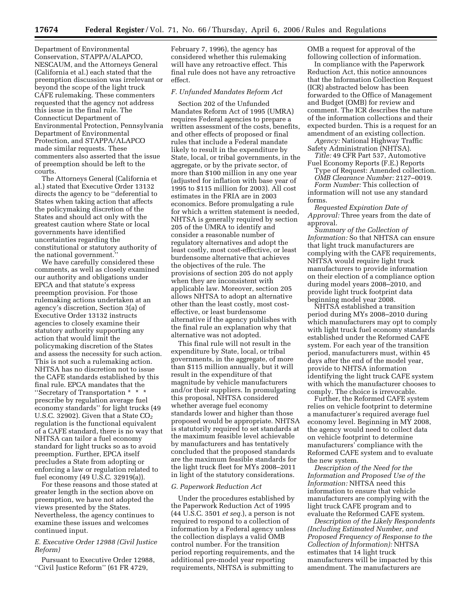Department of Environmental Conservation, STAPPA/ALAPCO, NESCAUM, and the Attorneys General (California et al.) each stated that the preemption discussion was irrelevant or beyond the scope of the light truck CAFE rulemaking. These commenters requested that the agency not address this issue in the final rule. The Connecticut Department of Environmental Protection, Pennsylvania Department of Environmental Protection, and STAPPA/ALAPCO made similar requests. These commenters also asserted that the issue of preemption should be left to the courts.

The Attorneys General (California et al.) stated that Executive Order 13132 directs the agency to be ''deferential to States when taking action that affects the policymaking discretion of the States and should act only with the greatest caution where State or local governments have identified uncertainties regarding the constitutional or statutory authority of the national government.''

We have carefully considered these comments, as well as closely examined our authority and obligations under EPCA and that statute's express preemption provision. For those rulemaking actions undertaken at an agency's discretion, Section 3(a) of Executive Order 13132 instructs agencies to closely examine their statutory authority supporting any action that would limit the policymaking discretion of the States and assess the necessity for such action. This is not such a rulemaking action. NHTSA has no discretion not to issue the CAFE standards established by this final rule. EPCA mandates that the ''Secretary of Transportation \* \* \* prescribe by regulation average fuel economy standards'' for light trucks (49 U.S.C. 32902). Given that a State  $CO<sub>2</sub>$ regulation is the functional equivalent of a CAFE standard, there is no way that NHTSA can tailor a fuel economy standard for light trucks so as to avoid preemption. Further, EPCA itself precludes a State from adopting or enforcing a law or regulation related to fuel economy (49 U.S.C. 32919(a)).

For these reasons and those stated at greater length in the section above on preemption, we have not adopted the views presented by the States. Nevertheless, the agency continues to examine these issues and welcomes continued input.

# *E. Executive Order 12988 (Civil Justice Reform)*

Pursuant to Executive Order 12988, ''Civil Justice Reform'' (61 FR 4729,

February 7, 1996), the agency has considered whether this rulemaking will have any retroactive effect. This final rule does not have any retroactive effect.

## *F. Unfunded Mandates Reform Act*

Section 202 of the Unfunded Mandates Reform Act of 1995 (UMRA) requires Federal agencies to prepare a written assessment of the costs, benefits, and other effects of proposed or final rules that include a Federal mandate likely to result in the expenditure by State, local, or tribal governments, in the aggregate, or by the private sector, of more than \$100 million in any one year (adjusted for inflation with base year of 1995 to \$115 million for 2003). All cost estimates in the FRIA are in 2003 economics. Before promulgating a rule for which a written statement is needed, NHTSA is generally required by section 205 of the UMRA to identify and consider a reasonable number of regulatory alternatives and adopt the least costly, most cost-effective, or least burdensome alternative that achieves the objectives of the rule. The provisions of section 205 do not apply when they are inconsistent with applicable law. Moreover, section 205 allows NHTSA to adopt an alternative other than the least costly, most costeffective, or least burdensome alternative if the agency publishes with the final rule an explanation why that alternative was not adopted.

This final rule will not result in the expenditure by State, local, or tribal governments, in the aggregate, of more than \$115 million annually, but it will result in the expenditure of that magnitude by vehicle manufacturers and/or their suppliers. In promulgating this proposal, NHTSA considered whether average fuel economy standards lower and higher than those proposed would be appropriate. NHTSA is statutorily required to set standards at the maximum feasible level achievable by manufacturers and has tentatively concluded that the proposed standards are the maximum feasible standards for the light truck fleet for MYs 2008–2011 in light of the statutory considerations.

## *G. Paperwork Reduction Act*

Under the procedures established by the Paperwork Reduction Act of 1995 (44 U.S.C. 3501 *et seq.*), a person is not required to respond to a collection of information by a Federal agency unless the collection displays a valid OMB control number. For the transition period reporting requirements, and the additional pre-model year reporting requirements, NHTSA is submitting to

OMB a request for approval of the following collection of information.

In compliance with the Paperwork Reduction Act, this notice announces that the Information Collection Request (ICR) abstracted below has been forwarded to the Office of Management and Budget (OMB) for review and comment. The ICR describes the nature of the information collections and their expected burden. This is a request for an amendment of an existing collection.

*Agency:* National Highway Traffic Safety Administration (NHTSA).

- *Title:* 49 CFR Part 537, Automotive Fuel Economy Reports (F.E.) Reports Type of Request: Amended collection.
	- *OMB Clearance Number:* 2127–0019.

*Form Number:* This collection of information will not use any standard forms.

*Requested Expiration Date of Approval:* Three years from the date of approval.

*Summary of the Collection of Information:* So that NHTSA can ensure that light truck manufacturers are complying with the CAFE requirements, NHTSA would require light truck manufacturers to provide information on their election of a compliance option during model years 2008–2010, and provide light truck footprint data beginning model year 2008.

NHTSA established a transition period during MYs 2008–2010 during which manufacturers may opt to comply with light truck fuel economy standards established under the Reformed CAFE system. For each year of the transition period, manufacturers must, within 45 days after the end of the model year, provide to NHTSA information identifying the light truck CAFE system with which the manufacturer chooses to comply. The choice is irrevocable.

Further, the Reformed CAFE system relies on vehicle footprint to determine a manufacturer's required average fuel economy level. Beginning in MY 2008, the agency would need to collect data on vehicle footprint to determine manufacturers' compliance with the Reformed CAFE system and to evaluate the new system.

*Description of the Need for the Information and Proposed Use of the Information:* NHTSA need this information to ensure that vehicle manufacturers are complying with the light truck CAFE program and to evaluate the Reformed CAFE system.

*Description of the Likely Respondents (Including Estimated Number, and Proposed Frequency of Response to the Collection of Information):* NHTSA estimates that 14 light truck manufacturers will be impacted by this amendment. The manufacturers are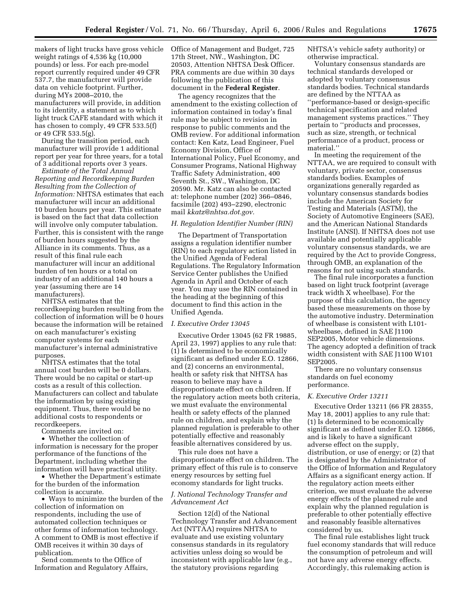makers of light trucks have gross vehicle Office of Management and Budget, 725 weight ratings of 4,536 kg (10,000 pounds) or less. For each pre-model report currently required under 49 CFR 537.7, the manufacturer will provide data on vehicle footprint. Further, during MYs 2008–2010, the manufacturers will provide, in addition to its identity, a statement as to which light truck CAFE standard with which it has chosen to comply, 49 CFR 533.5(f) or 49 CFR 533.5(g).

During the transition period, each manufacturer will provide 1 additional report per year for three years, for a total of 3 additional reports over 3 years.

*Estimate of the Total Annual Reporting and Recordkeeping Burden Resulting from the Collection of Information:* NHTSA estimates that each manufacturer will incur an additional 10 burden hours per year. This estimate is based on the fact that data collection will involve only computer tabulation. Further, this is consistent with the range of burden hours suggested by the Alliance in its comments. Thus, as a result of this final rule each manufacturer will incur an additional burden of ten hours or a total on industry of an additional 140 hours a year (assuming there are 14 manufacturers).

NHTSA estimates that the recordkeeping burden resulting from the collection of information will be 0 hours because the information will be retained on each manufacturer's existing computer systems for each manufacturer's internal administrative purposes.

NHTSA estimates that the total annual cost burden will be 0 dollars. There would be no capital or start-up costs as a result of this collection. Manufacturers can collect and tabulate the information by using existing equipment. Thus, there would be no additional costs to respondents or recordkeepers.

Comments are invited on:

• Whether the collection of information is necessary for the proper performance of the functions of the Department, including whether the information will have practical utility.

• Whether the Department's estimate for the burden of the information collection is accurate.

• Ways to minimize the burden of the collection of information on respondents, including the use of automated collection techniques or other forms of information technology. A comment to OMB is most effective if OMB receives it within 30 days of publication.

Send comments to the Office of Information and Regulatory Affairs,

17th Street, NW., Washington, DC 20503, Attention NHTSA Desk Officer. PRA comments are due within 30 days following the publication of this document in the **Federal Register**.

The agency recognizes that the amendment to the existing collection of information contained in today's final rule may be subject to revision in response to public comments and the OMB review. For additional information contact: Ken Katz, Lead Engineer, Fuel Economy Division, Office of International Policy, Fuel Economy, and Consumer Programs, National Highway Traffic Safety Administration, 400 Seventh St., SW., Washington, DC 20590. Mr. Katz can also be contacted at: telephone number (202) 366–0846, facsimile (202) 493–2290, electronic mail *[kkatz@nhtsa.dot.gov.](mailto:kkatz@nhtsa.dot.gov)* 

# *H. Regulation Identifier Number (RIN)*

The Department of Transportation assigns a regulation identifier number (RIN) to each regulatory action listed in the Unified Agenda of Federal Regulations. The Regulatory Information Service Center publishes the Unified Agenda in April and October of each year. You may use the RIN contained in the heading at the beginning of this document to find this action in the Unified Agenda.

## *I. Executive Order 13045*

Executive Order 13045 (62 FR 19885, April 23, 1997) applies to any rule that: (1) Is determined to be economically significant as defined under E.O. 12866, and (2) concerns an environmental, health or safety risk that NHTSA has reason to believe may have a disproportionate effect on children. If the regulatory action meets both criteria, we must evaluate the environmental health or safety effects of the planned rule on children, and explain why the planned regulation is preferable to other potentially effective and reasonably feasible alternatives considered by us.

This rule does not have a disproportionate effect on children. The primary effect of this rule is to conserve energy resources by setting fuel economy standards for light trucks.

# *J. National Technology Transfer and Advancement Act*

Section 12(d) of the National Technology Transfer and Advancement Act (NTTAA) requires NHTSA to evaluate and use existing voluntary consensus standards in its regulatory activities unless doing so would be inconsistent with applicable law (e.g., the statutory provisions regarding

NHTSA's vehicle safety authority) or otherwise impractical.

Voluntary consensus standards are technical standards developed or adopted by voluntary consensus standards bodies. Technical standards are defined by the NTTAA as

''performance-based or design-specific technical specification and related management systems practices.'' They pertain to ''products and processes, such as size, strength, or technical performance of a product, process or material.''

In meeting the requirement of the NTTAA, we are required to consult with voluntary, private sector, consensus standards bodies. Examples of organizations generally regarded as voluntary consensus standards bodies include the American Society for Testing and Materials (ASTM), the Society of Automotive Engineers (SAE), and the American National Standards Institute (ANSI). If NHTSA does not use available and potentially applicable voluntary consensus standards, we are required by the Act to provide Congress, through OMB, an explanation of the reasons for not using such standards.

The final rule incorporates a function based on light truck footprint (average track width X wheelbase). For the purpose of this calculation, the agency based these measurements on those by the automotive industry. Determination of wheelbase is consistent with L101 wheelbase, defined in SAE J1100 SEP2005, Motor vehicle dimensions. The agency adopted a definition of track width consistent with SAE J1100 W101 SEP2005.

There are no voluntary consensus standards on fuel economy performance.

#### *K. Executive Order 13211*

Executive Order 13211 (66 FR 28355, May 18, 2001) applies to any rule that: (1) Is determined to be economically significant as defined under E.O. 12866, and is likely to have a significant adverse effect on the supply, distribution, or use of energy; or (2) that is designated by the Administrator of the Office of Information and Regulatory Affairs as a significant energy action. If the regulatory action meets either criterion, we must evaluate the adverse energy effects of the planned rule and explain why the planned regulation is preferable to other potentially effective and reasonably feasible alternatives considered by us.

The final rule establishes light truck fuel economy standards that will reduce the consumption of petroleum and will not have any adverse energy effects. Accordingly, this rulemaking action is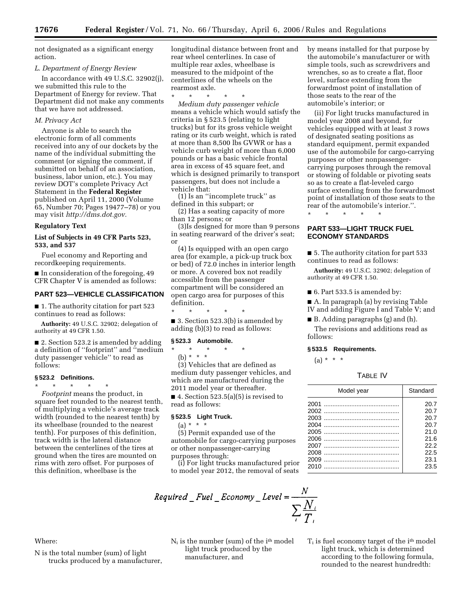not designated as a significant energy action.

## *L. Department of Energy Review*

In accordance with 49 U.S.C. 32902(j), we submitted this rule to the Department of Energy for review. That Department did not make any comments that we have not addressed.

## *M. Privacy Act*

Anyone is able to search the electronic form of all comments received into any of our dockets by the name of the individual submitting the comment (or signing the comment, if submitted on behalf of an association, business, labor union, etc.). You may review DOT's complete Privacy Act Statement in the **Federal Register**  published on April 11, 2000 (Volume 65, Number 70; Pages 19477–78) or you may visit *[http://dms.dot.gov.](http://dms.dot.gov)* 

# **Regulatory Text**

## **List of Subjects in 49 CFR Parts 523, 533, and 537**

Fuel economy and Reporting and recordkeeping requirements.

■ In consideration of the foregoing, 49 CFR Chapter V is amended as follows:

## **PART 523—VEHICLE CLASSIFICATION**

■ 1. The authority citation for part 523 continues to read as follows:

**Authority:** 49 U.S.C. 32902; delegation of authority at 49 CFR 1.50.

■ 2. Section 523.2 is amended by adding a definition of ''footprint'' and ''medium duty passenger vehicle'' to read as follows:

# **§ 523.2 Definitions.**

\* \* \* \* \* *Footprint* means the product, in square feet rounded to the nearest tenth, of multiplying a vehicle's average track width (rounded to the nearest tenth) by its wheelbase (rounded to the nearest tenth). For purposes of this definition, track width is the lateral distance between the centerlines of the tires at ground when the tires are mounted on rims with zero offset. For purposes of this definition, wheelbase is the

longitudinal distance between front and rear wheel centerlines. In case of multiple rear axles, wheelbase is measured to the midpoint of the centerlines of the wheels on the rearmost axle.

\* \* \* \* \*

*Medium duty passenger vehicle*  means a vehicle which would satisfy the criteria in § 523.5 (relating to light trucks) but for its gross vehicle weight rating or its curb weight, which is rated at more than 8,500 lbs GVWR or has a vehicle curb weight of more than 6,000 pounds or has a basic vehicle frontal area in excess of 45 square feet, and which is designed primarily to transport passengers, but does not include a vehicle that:

(1) Is an ''incomplete truck'' as defined in this subpart; or

(2) Has a seating capacity of more than 12 persons; or

(3)Is designed for more than 9 persons in seating rearward of the driver's seat; or

(4) Is equipped with an open cargo area (for example, a pick-up truck box or bed) of 72.0 inches in interior length or more. A covered box not readily accessible from the passenger compartment will be considered an open cargo area for purposes of this definition.

\* \* \* \* \*

■ 3. Section 523.3(b) is amended by adding (b)(3) to read as follows:

#### **§ 523.3 Automobile.**

- \* \* \* \* \*
- (b) \* \* \*

(3) Vehicles that are defined as medium duty passenger vehicles, and which are manufactured during the 2011 model year or thereafter.

■ 4. Section  $523.5(a)(5)$  is revised to read as follows:

## **§ 523.5 Light Truck.**

(a) \* \* \*

(5) Permit expanded use of the automobile for cargo-carrying purposes or other nonpassenger-carrying purposes through:

(i) For light trucks manufactured prior to model year 2012, the removal of seats



Where:

N is the total number (sum) of light trucks produced by a manufacturer, N<sup>i</sup> is the number (sum) of the ith model light truck produced by the manufacturer, and

by means installed for that purpose by the automobile's manufacturer or with simple tools, such as screwdrivers and wrenches, so as to create a flat, floor level, surface extending from the forwardmost point of installation of those seats to the rear of the automobile's interior; or

(ii) For light trucks manufactured in model year 2008 and beyond, for vehicles equipped with at least 3 rows of designated seating positions as standard equipment, permit expanded use of the automobile for cargo-carrying purposes or other nonpassengercarrying purposes through the removal or stowing of foldable or pivoting seats so as to create a flat-leveled cargo surface extending from the forwardmost point of installation of those seats to the rear of the automobile's interior.''.

\* \* \* \* \*

# **PART 533—LIGHT TRUCK FUEL ECONOMY STANDARDS**

■ 5. The authority citation for part 533 continues to read as follows:

**Authority:** 49 U.S.C. 32902; delegation of authority at 49 CFR 1.50.

■ 6. Part 533.5 is amended by:

■ A. In paragraph (a) by revising Table IV and adding Figure I and Table V; and

 $\blacksquare$  B. Adding paragraphs (g) and (h). The revisions and additions read as follows:

# **§ 533.5 Requirements.**

 $(a) * * * *$ 

#### TABLE IV

| Model year | Standard |
|------------|----------|
|            | 20.7     |
|            | 20.7     |
|            | 20.7     |
|            | 20.7     |
|            | 21.0     |
|            | 21.6     |
|            | 22.2     |
|            | 22.5     |
|            | 23.1     |
|            | 23.5     |

 $T_i$  is fuel economy target of the  $i<sup>th</sup>$  model light truck, which is determined according to the following formula, rounded to the nearest hundredth: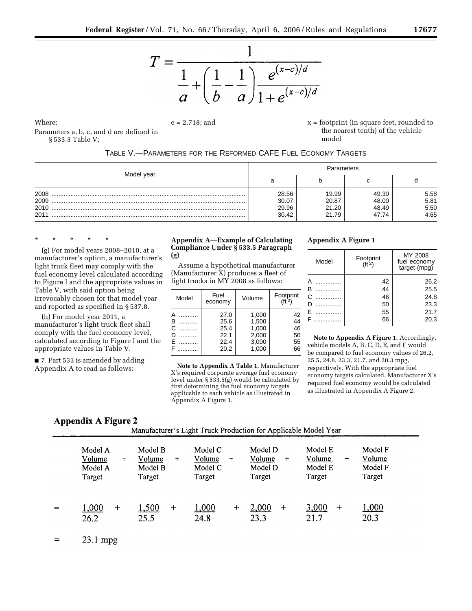

Where:

 $e = 2.718$ ; and  $x =$  footprint (in square feet, rounded to the nearest tenth) of the vehicle model

| TABLE V.-PARAMETERS FOR THE REFORMED CAFE FUEL ECONOMY TARGETS |  |
|----------------------------------------------------------------|--|
|----------------------------------------------------------------|--|

|            | Parameters |       |       |      |
|------------|------------|-------|-------|------|
| Model year | а          |       |       |      |
| 2008       | 28.56      | 19.99 | 49.30 | 5.58 |
| 2009       | 30.07      | 20.87 | 48.00 | 5.81 |
| 2010       | 29.96      | 21.20 | 48.49 | 5.50 |
| 2011       | 30.42      | 21.79 | 47.74 | 4.65 |

\* \* \* \* \*

§ 533.3 Table V;

(g) For model years 2008–2010, at a manufacturer's option, a manufacturer's light truck fleet may comply with the fuel economy level calculated according to Figure I and the appropriate values in Table V, with said option being irrevocably chosen for that model year and reported as specified in § 537.8.

Parameters a, b, c, and d are defined in

(h) For model year 2011, a manufacturer's light truck fleet shall comply with the fuel economy level, calculated according to Figure I and the appropriate values in Table V.

■ 7. Part 533 is amended by adding Appendix A to read as follows:

## **Appendix A—Example of Calculating Compliance Under § 533.5 Paragraph (g)**

Assume a hypothetical manufacturer (Manufacturer X) produces a fleet of light trucks in MY 2008 as follows:

| Model                 | Fuel<br>economy                      | Volume                                    | Footprint<br>(f <sup>t</sup> 2) |
|-----------------------|--------------------------------------|-------------------------------------------|---------------------------------|
| A<br>B<br>C<br>D<br>Е | 27.0<br>25.6<br>25.4<br>22.1<br>22.4 | 1,000<br>1,500<br>1,000<br>2,000<br>3,000 | 42<br>44<br>46<br>50<br>55      |
| F                     | 20.2                                 | 1,000                                     | 66                              |

**Note to Appendix A Table 1.** Manufacturer X's required corporate average fuel economy level under § 533.5(g) would be calculated by first determining the fuel economy targets applicable to each vehicle as illustrated in Appendix A Figure 1.

# **Appendix A Figure 1**

| Model                 | Footprint<br>(ft <sup>2</sup> ) | MY 2008<br>fuel economy<br>target (mpg) |
|-----------------------|---------------------------------|-----------------------------------------|
| А<br>B<br>Ć<br>D<br>E | 42<br>44<br>46<br>50<br>55      | 26.2<br>25.5<br>24.8<br>23.3<br>21.7    |
| F                     | 66                              | 20.3                                    |

**Note to Appendix A Figure 1.** Accordingly, vehicle models A, B, C, D, E, and F would be compared to fuel economy values of 26.2, 25.5, 24.8, 23.3, 21.7, and 20.3 mpg, respectively. With the appropriate fuel economy targets calculated, Manufacturer X's required fuel economy would be calculated as illustrated in Appendix A Figure 2.

# Appendix A Figure 2

Manufacturer's Light Truck Production for Applicable Model Year

| Model A<br>Volume<br>$+$<br>Model A<br>Target | Model B<br>Volume<br>$^{+}$<br>Model B<br>Target | Model C<br>Volume<br>$^{+}$<br>Model C<br>Target | Model D<br>Volume<br>$+$<br>Model D<br>Target | Model E<br>Volume<br>$\pm$<br>Model E<br>Target | Model F<br>Volume<br>Model F<br>Target |
|-----------------------------------------------|--------------------------------------------------|--------------------------------------------------|-----------------------------------------------|-------------------------------------------------|----------------------------------------|
| 1,000<br>$\div$<br>26.2                       | ,500<br>$+$<br>25.5                              | <u>1,000</u><br>$\mathrm{+}$<br>24.8             | 2,000<br>$\ddot{}$<br>23.3                    | 3,000<br>$^{+}$<br>21.7                         | 1,000<br>20.3                          |

 $23.1$  mpg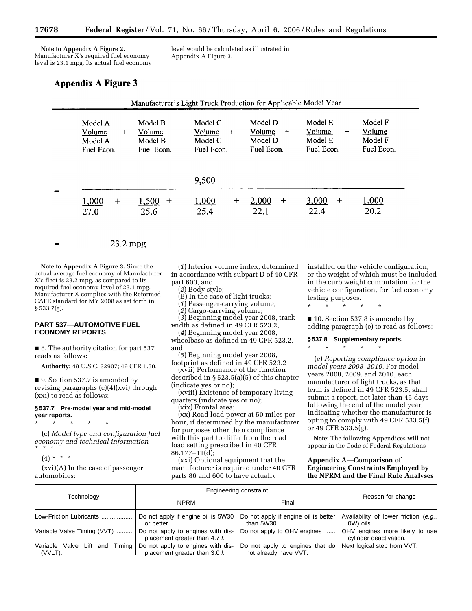**Note to Appendix A Figure 2.**  Manufacturer X's required fuel economy level is 23.1 mpg. Its actual fuel economy level would be calculated as illustrated in Appendix A Figure 3.

# Appendix A Figure 3

| Model A<br>Volume<br>$+$<br>Model A<br>Fuel Econ. | Model B<br>Volume<br>$+$<br>Model B<br>Fuel Econ. | Model C<br>Volume<br>$+$<br>Model C<br>Fuel Econ. | Model D<br>Volume<br>$+$<br>Model D<br>Fuel Econ. | Model E<br>Volume<br>$+$<br>Model E<br>Fuel Econ. | Model F<br>Volume<br>Model F<br>Fuel Econ. |
|---------------------------------------------------|---------------------------------------------------|---------------------------------------------------|---------------------------------------------------|---------------------------------------------------|--------------------------------------------|
|                                                   |                                                   | 9,500                                             |                                                   |                                                   |                                            |
| 1,000<br>$+$<br>27.0                              | 1,500<br>$\,+\,$<br>25.6                          | 1,000<br>$^{+}$<br>25.4                           | 2,000<br>$^{+}$<br>22.1                           | 3,000<br>$^{+}$<br>22.4                           | 1,000<br>20.2                              |

$$
= 23.2 \text{ mpg}
$$

**Note to Appendix A Figure 3.** Since the actual average fuel economy of Manufacturer X's fleet is 23.2 mpg, as compared to its required fuel economy level of 23.1 mpg, Manufacturer X complies with the Reformed CAFE standard for MY 2008 as set forth in § 533.7(g).

# **PART 537—AUTOMOTIVE FUEL ECONOMY REPORTS**

■ 8. The authority citation for part 537 reads as follows:

**Authority:** 49 U.S.C. 32907; 49 CFR 1.50.

■ 9. Section 537.7 is amended by revising paragraphs (c)(4)(xvi) through (xxi) to read as follows:

## **§ 537.7 Pre-model year and mid-model year reports.**

\* \* \* \* \* (c) *Model type and configuration fuel economy and technical information*  \* \* \*

 $(4) * * * *$ 

(xvi)(A) In the case of passenger automobiles:

(*1*) Interior volume index, determined in accordance with subpart D of 40 CFR part 600, and

(*2*) Body style;

(B) In the case of light trucks:

(*1*) Passenger-carrying volume,

(*2*) Cargo-carrying volume;

(*3*) Beginning model year 2008, track width as defined in 49 CFR 523.2,

(*4*) Beginning model year 2008, wheelbase as defined in 49 CFR 523.2, and

(*5*) Beginning model year 2008, footprint as defined in 49 CFR 523.2

(xvii) Performance of the function described in § 523.5(a)(5) of this chapter (indicate yes or no);

(xviii) Existence of temporary living quarters (indicate yes or no);

(xix) Frontal area;

(xx) Road load power at 50 miles per hour, if determined by the manufacturer for purposes other than compliance with this part to differ from the road load setting prescribed in 40 CFR 86.177–11(d);

(xxi) Optional equipment that the manufacturer is required under 40 CFR parts 86 and 600 to have actually

installed on the vehicle configuration, or the weight of which must be included in the curb weight computation for the vehicle configuration, for fuel economy testing purposes.

\* \* \* \* \*

■ 10. Section 537.8 is amended by adding paragraph (e) to read as follows:

## **§ 537.8 Supplementary reports.**

\* \* \* \* \*

(e) *Reporting compliance option in model years 2008–2010.* For model years 2008, 2009, and 2010, each manufacturer of light trucks, as that term is defined in 49 CFR 523.5, shall submit a report, not later than 45 days following the end of the model year, indicating whether the manufacturer is opting to comply with 49 CFR 533.5(f) or 49 CFR 533.5(g).

**Note:** The following Appendices will not appear in the Code of Federal Regulations

## **Appendix A—Comparison of Engineering Constraints Employed by the NPRM and the Final Rule Analyses**

|                                                 | <b>Engineering constraint</b>                                      |                                                          |                                                          |
|-------------------------------------------------|--------------------------------------------------------------------|----------------------------------------------------------|----------------------------------------------------------|
| Technology                                      | <b>NPRM</b>                                                        | Final                                                    | Reason for change                                        |
| Low-Friction Lubricants                         | Do not apply if engine oil is 5W30<br>or better.                   | Do not apply if engine oil is better<br>than 5W30.       | Availability of lower friction (e.g.,<br>0W) oils.       |
| Variable Valve Timing (VVT)                     | Do not apply to engines with dis-<br>placement greater than 4.7 l. | Do not apply to OHV engines                              | OHV engines more likely to use<br>cylinder deactivation. |
| Timina<br>Variable Valve Lift<br>and<br>(VVLT). | Do not apply to engines with dis-<br>placement greater than 3.0 l. | Do not apply to engines that do<br>not already have VVT. | Next logical step from VVT.                              |